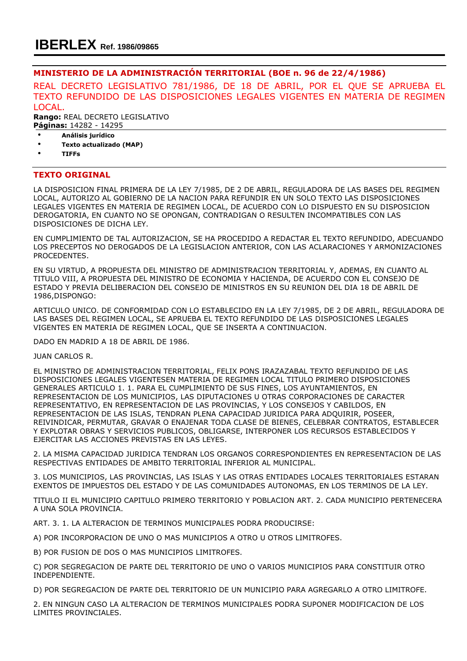## MINISTERIO DE LA ADMINISTRACIÓN TERRITORIAL (BOE n. 96 de 22/4/1986)

REAL DECRETO LEGISLATIVO 781/1986, DE 18 DE ABRIL, POR EL QUE SE APRUEBA EL TEXTO REFUNDIDO DE LAS DISPOSICIONES LEGALES VIGENTES EN MATERIA DE REGIMEN LOCAL.

Rango: REAL DECRETO LEGISLATIVO Páginas: 14282 - 14295

• Análisis jurídico

- Texto actualizado (MAP)
- TIFFs

## TEXTO ORIGINAL

LA DISPOSICION FINAL PRIMERA DE LA LEY 7/1985, DE 2 DE ABRIL, REGULADORA DE LAS BASES DEL REGIMEN LOCAL, AUTORIZO AL GOBIERNO DE LA NACION PARA REFUNDIR EN UN SOLO TEXTO LAS DISPOSICIONES LEGALES VIGENTES EN MATERIA DE REGIMEN LOCAL, DE ACUERDO CON LO DISPUESTO EN SU DISPOSICION DEROGATORIA, EN CUANTO NO SE OPONGAN, CONTRADIGAN O RESULTEN INCOMPATIBLES CON LAS DISPOSICIONES DE DICHA LEY.

EN CUMPLIMIENTO DE TAL AUTORIZACION, SE HA PROCEDIDO A REDACTAR EL TEXTO REFUNDIDO, ADECUANDO LOS PRECEPTOS NO DEROGADOS DE LA LEGISLACION ANTERIOR, CON LAS ACLARACIONES Y ARMONIZACIONES PROCEDENTES.

EN SU VIRTUD, A PROPUESTA DEL MINISTRO DE ADMINISTRACION TERRITORIAL Y, ADEMAS, EN CUANTO AL TITULO VIII, A PROPUESTA DEL MINISTRO DE ECONOMIA Y HACIENDA, DE ACUERDO CON EL CONSEJO DE ESTADO Y PREVIA DELIBERACION DEL CONSEJO DE MINISTROS EN SU REUNION DEL DIA 18 DE ABRIL DE 1986,DISPONGO:

ARTICULO UNICO. DE CONFORMIDAD CON LO ESTABLECIDO EN LA LEY 7/1985, DE 2 DE ABRIL, REGULADORA DE LAS BASES DEL REGIMEN LOCAL, SE APRUEBA EL TEXTO REFUNDIDO DE LAS DISPOSICIONES LEGALES VIGENTES EN MATERIA DE REGIMEN LOCAL, QUE SE INSERTA A CONTINUACION.

DADO EN MADRID A 18 DE ABRIL DE 1986.

JUAN CARLOS R.

EL MINISTRO DE ADMINISTRACION TERRITORIAL, FELIX PONS IRAZAZABAL TEXTO REFUNDIDO DE LAS DISPOSICIONES LEGALES VIGENTESEN MATERIA DE REGIMEN LOCAL TITULO PRIMERO DISPOSICIONES GENERALES ARTICULO 1. 1. PARA EL CUMPLIMIENTO DE SUS FINES, LOS AYUNTAMIENTOS, EN REPRESENTACION DE LOS MUNICIPIOS, LAS DIPUTACIONES U OTRAS CORPORACIONES DE CARACTER REPRESENTATIVO, EN REPRESENTACION DE LAS PROVINCIAS, Y LOS CONSEJOS Y CABILDOS, EN REPRESENTACION DE LAS ISLAS, TENDRAN PLENA CAPACIDAD JURIDICA PARA ADQUIRIR, POSEER, REIVINDICAR, PERMUTAR, GRAVAR O ENAJENAR TODA CLASE DE BIENES, CELEBRAR CONTRATOS, ESTABLECER Y EXPLOTAR OBRAS Y SERVICIOS PUBLICOS, OBLIGARSE, INTERPONER LOS RECURSOS ESTABLECIDOS Y EJERCITAR LAS ACCIONES PREVISTAS EN LAS LEYES.

2. LA MISMA CAPACIDAD JURIDICA TENDRAN LOS ORGANOS CORRESPONDIENTES EN REPRESENTACION DE LAS RESPECTIVAS ENTIDADES DE AMBITO TERRITORIAL INFERIOR AL MUNICIPAL.

3. LOS MUNICIPIOS, LAS PROVINCIAS, LAS ISLAS Y LAS OTRAS ENTIDADES LOCALES TERRITORIALES ESTARAN EXENTOS DE IMPUESTOS DEL ESTADO Y DE LAS COMUNIDADES AUTONOMAS, EN LOS TERMINOS DE LA LEY.

TITULO II EL MUNICIPIO CAPITULO PRIMERO TERRITORIO Y POBLACION ART. 2. CADA MUNICIPIO PERTENECERA A UNA SOLA PROVINCIA.

ART. 3. 1. LA ALTERACION DE TERMINOS MUNICIPALES PODRA PRODUCIRSE:

A) POR INCORPORACION DE UNO O MAS MUNICIPIOS A OTRO U OTROS LIMITROFES.

B) POR FUSION DE DOS O MAS MUNICIPIOS LIMITROFES.

C) POR SEGREGACION DE PARTE DEL TERRITORIO DE UNO O VARIOS MUNICIPIOS PARA CONSTITUIR OTRO INDEPENDIENTE.

D) POR SEGREGACION DE PARTE DEL TERRITORIO DE UN MUNICIPIO PARA AGREGARLO A OTRO LIMITROFE.

2. EN NINGUN CASO LA ALTERACION DE TERMINOS MUNICIPALES PODRA SUPONER MODIFICACION DE LOS LIMITES PROVINCIALES.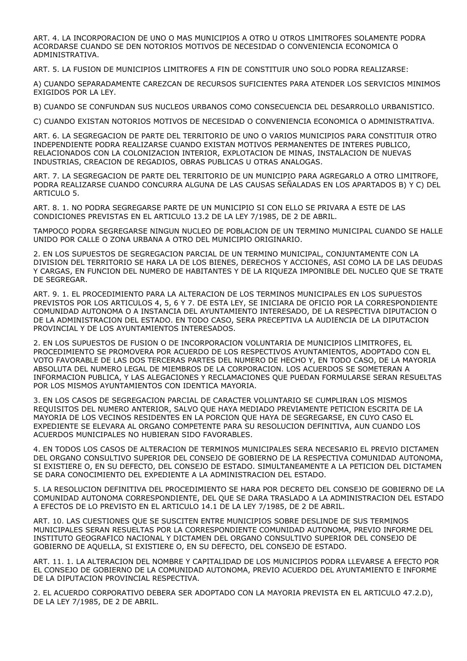ART. 4. LA INCORPORACION DE UNO O MAS MUNICIPIOS A OTRO U OTROS LIMITROFES SOLAMENTE PODRA ACORDARSE CUANDO SE DEN NOTORIOS MOTIVOS DE NECESIDAD O CONVENIENCIA ECONOMICA O ADMINISTRATIVA.

ART. 5. LA FUSION DE MUNICIPIOS LIMITROFES A FIN DE CONSTITUIR UNO SOLO PODRA REALIZARSE:

A) CUANDO SEPARADAMENTE CAREZCAN DE RECURSOS SUFICIENTES PARA ATENDER LOS SERVICIOS MINIMOS EXIGIDOS POR LA LEY.

B) CUANDO SE CONFUNDAN SUS NUCLEOS URBANOS COMO CONSECUENCIA DEL DESARROLLO URBANISTICO.

C) CUANDO EXISTAN NOTORIOS MOTIVOS DE NECESIDAD O CONVENIENCIA ECONOMICA O ADMINISTRATIVA.

ART. 6. LA SEGREGACION DE PARTE DEL TERRITORIO DE UNO O VARIOS MUNICIPIOS PARA CONSTITUIR OTRO INDEPENDIENTE PODRA REALIZARSE CUANDO EXISTAN MOTIVOS PERMANENTES DE INTERES PUBLICO, RELACIONADOS CON LA COLONIZACION INTERIOR, EXPLOTACION DE MINAS, INSTALACION DE NUEVAS INDUSTRIAS, CREACION DE REGADIOS, OBRAS PUBLICAS U OTRAS ANALOGAS.

ART. 7. LA SEGREGACION DE PARTE DEL TERRITORIO DE UN MUNICIPIO PARA AGREGARLO A OTRO LIMITROFE, PODRA REALIZARSE CUANDO CONCURRA ALGUNA DE LAS CAUSAS SEÑALADAS EN LOS APARTADOS B) Y C) DEL ARTICULO 5.

ART. 8. 1. NO PODRA SEGREGARSE PARTE DE UN MUNICIPIO SI CON ELLO SE PRIVARA A ESTE DE LAS CONDICIONES PREVISTAS EN EL ARTICULO 13.2 DE LA LEY 7/1985, DE 2 DE ABRIL.

TAMPOCO PODRA SEGREGARSE NINGUN NUCLEO DE POBLACION DE UN TERMINO MUNICIPAL CUANDO SE HALLE UNIDO POR CALLE O ZONA URBANA A OTRO DEL MUNICIPIO ORIGINARIO.

2. EN LOS SUPUESTOS DE SEGREGACION PARCIAL DE UN TERMINO MUNICIPAL, CONJUNTAMENTE CON LA DIVISION DEL TERRITORIO SE HARA LA DE LOS BIENES, DERECHOS Y ACCIONES, ASI COMO LA DE LAS DEUDAS Y CARGAS, EN FUNCION DEL NUMERO DE HABITANTES Y DE LA RIQUEZA IMPONIBLE DEL NUCLEO QUE SE TRATE DE SEGREGAR.

ART. 9. 1. EL PROCEDIMIENTO PARA LA ALTERACION DE LOS TERMINOS MUNICIPALES EN LOS SUPUESTOS PREVISTOS POR LOS ARTICULOS 4, 5, 6 Y 7. DE ESTA LEY, SE INICIARA DE OFICIO POR LA CORRESPONDIENTE COMUNIDAD AUTONOMA O A INSTANCIA DEL AYUNTAMIENTO INTERESADO, DE LA RESPECTIVA DIPUTACION O DE LA ADMINISTRACION DEL ESTADO. EN TODO CASO, SERA PRECEPTIVA LA AUDIENCIA DE LA DIPUTACION PROVINCIAL Y DE LOS AYUNTAMIENTOS INTERESADOS.

2. EN LOS SUPUESTOS DE FUSION O DE INCORPORACION VOLUNTARIA DE MUNICIPIOS LIMITROFES, EL PROCEDIMIENTO SE PROMOVERA POR ACUERDO DE LOS RESPECTIVOS AYUNTAMIENTOS, ADOPTADO CON EL VOTO FAVORABLE DE LAS DOS TERCERAS PARTES DEL NUMERO DE HECHO Y, EN TODO CASO, DE LA MAYORIA ABSOLUTA DEL NUMERO LEGAL DE MIEMBROS DE LA CORPORACION. LOS ACUERDOS SE SOMETERAN A INFORMACION PUBLICA, Y LAS ALEGACIONES Y RECLAMACIONES QUE PUEDAN FORMULARSE SERAN RESUELTAS POR LOS MISMOS AYUNTAMIENTOS CON IDENTICA MAYORIA.

3. EN LOS CASOS DE SEGREGACION PARCIAL DE CARACTER VOLUNTARIO SE CUMPLIRAN LOS MISMOS REQUISITOS DEL NUMERO ANTERIOR, SALVO QUE HAYA MEDIADO PREVIAMENTE PETICION ESCRITA DE LA MAYORIA DE LOS VECINOS RESIDENTES EN LA PORCION QUE HAYA DE SEGREGARSE, EN CUYO CASO EL EXPEDIENTE SE ELEVARA AL ORGANO COMPETENTE PARA SU RESOLUCION DEFINITIVA, AUN CUANDO LOS ACUERDOS MUNICIPALES NO HUBIERAN SIDO FAVORABLES.

4. EN TODOS LOS CASOS DE ALTERACION DE TERMINOS MUNICIPALES SERA NECESARIO EL PREVIO DICTAMEN DEL ORGANO CONSULTIVO SUPERIOR DEL CONSEJO DE GOBIERNO DE LA RESPECTIVA COMUNIDAD AUTONOMA, SI EXISTIERE O, EN SU DEFECTO, DEL CONSEJO DE ESTADO. SIMULTANEAMENTE A LA PETICION DEL DICTAMEN SE DARA CONOCIMIENTO DEL EXPEDIENTE A LA ADMINISTRACION DEL ESTADO.

5. LA RESOLUCION DEFINITIVA DEL PROCEDIMIENTO SE HARA POR DECRETO DEL CONSEJO DE GOBIERNO DE LA COMUNIDAD AUTONOMA CORRESPONDIENTE, DEL QUE SE DARA TRASLADO A LA ADMINISTRACION DEL ESTADO A EFECTOS DE LO PREVISTO EN EL ARTICULO 14.1 DE LA LEY 7/1985, DE 2 DE ABRIL.

ART. 10. LAS CUESTIONES QUE SE SUSCITEN ENTRE MUNICIPIOS SOBRE DESLINDE DE SUS TERMINOS MUNICIPALES SERAN RESUELTAS POR LA CORRESPONDIENTE COMUNIDAD AUTONOMA, PREVIO INFORME DEL INSTITUTO GEOGRAFICO NACIONAL Y DICTAMEN DEL ORGANO CONSULTIVO SUPERIOR DEL CONSEJO DE GOBIERNO DE AQUELLA, SI EXISTIERE O, EN SU DEFECTO, DEL CONSEJO DE ESTADO.

ART. 11. 1. LA ALTERACION DEL NOMBRE Y CAPITALIDAD DE LOS MUNICIPIOS PODRA LLEVARSE A EFECTO POR EL CONSEJO DE GOBIERNO DE LA COMUNIDAD AUTONOMA, PREVIO ACUERDO DEL AYUNTAMIENTO E INFORME DE LA DIPUTACION PROVINCIAL RESPECTIVA.

2. EL ACUERDO CORPORATIVO DEBERA SER ADOPTADO CON LA MAYORIA PREVISTA EN EL ARTICULO 47.2.D), DE LA LEY 7/1985, DE 2 DE ABRIL.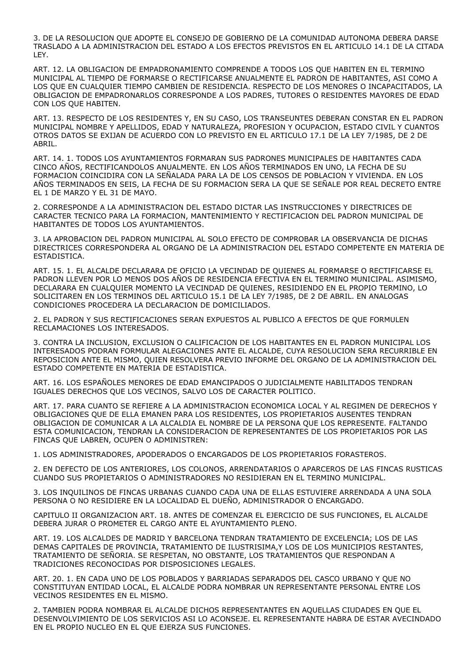3. DE LA RESOLUCION QUE ADOPTE EL CONSEJO DE GOBIERNO DE LA COMUNIDAD AUTONOMA DEBERA DARSE TRASLADO A LA ADMINISTRACION DEL ESTADO A LOS EFECTOS PREVISTOS EN EL ARTICULO 14.1 DE LA CITADA LEY.

ART. 12. LA OBLIGACION DE EMPADRONAMIENTO COMPRENDE A TODOS LOS QUE HABITEN EN EL TERMINO MUNICIPAL AL TIEMPO DE FORMARSE O RECTIFICARSE ANUALMENTE EL PADRON DE HABITANTES, ASI COMO A LOS QUE EN CUALQUIER TIEMPO CAMBIEN DE RESIDENCIA. RESPECTO DE LOS MENORES O INCAPACITADOS, LA OBLIGACION DE EMPADRONARLOS CORRESPONDE A LOS PADRES, TUTORES O RESIDENTES MAYORES DE EDAD CON LOS QUE HABITEN.

ART. 13. RESPECTO DE LOS RESIDENTES Y, EN SU CASO, LOS TRANSEUNTES DEBERAN CONSTAR EN EL PADRON MUNICIPAL NOMBRE Y APELLIDOS, EDAD Y NATURALEZA, PROFESION Y OCUPACION, ESTADO CIVIL Y CUANTOS OTROS DATOS SE EXIJAN DE ACUERDO CON LO PREVISTO EN EL ARTICULO 17.1 DE LA LEY 7/1985, DE 2 DE ABRIL.

ART. 14. 1. TODOS LOS AYUNTAMIENTOS FORMARAN SUS PADRONES MUNICIPALES DE HABITANTES CADA CINCO AÑOS, RECTIFICANDOLOS ANUALMENTE. EN LOS AÑOS TERMINADOS EN UNO, LA FECHA DE SU FORMACION COINCIDIRA CON LA SEÑALADA PARA LA DE LOS CENSOS DE POBLACION Y VIVIENDA. EN LOS AÑOS TERMINADOS EN SEIS, LA FECHA DE SU FORMACION SERA LA QUE SE SEÑALE POR REAL DECRETO ENTRE EL 1 DE MARZO Y EL 31 DE MAYO.

2. CORRESPONDE A LA ADMINISTRACION DEL ESTADO DICTAR LAS INSTRUCCIONES Y DIRECTRICES DE CARACTER TECNICO PARA LA FORMACION, MANTENIMIENTO Y RECTIFICACION DEL PADRON MUNICIPAL DE HABITANTES DE TODOS LOS AYUNTAMIENTOS.

3. LA APROBACION DEL PADRON MUNICIPAL AL SOLO EFECTO DE COMPROBAR LA OBSERVANCIA DE DICHAS DIRECTRICES CORRESPONDERA AL ORGANO DE LA ADMINISTRACION DEL ESTADO COMPETENTE EN MATERIA DE ESTADISTICA.

ART. 15. 1. EL ALCALDE DECLARARA DE OFICIO LA VECINDAD DE QUIENES AL FORMARSE O RECTIFICARSE EL PADRON LLEVEN POR LO MENOS DOS AÑOS DE RESIDENCIA EFECTIVA EN EL TERMINO MUNICIPAL. ASIMISMO, DECLARARA EN CUALQUIER MOMENTO LA VECINDAD DE QUIENES, RESIDIENDO EN EL PROPIO TERMINO, LO SOLICITAREN EN LOS TERMINOS DEL ARTICULO 15.1 DE LA LEY 7/1985, DE 2 DE ABRIL. EN ANALOGAS CONDICIONES PROCEDERA LA DECLARACION DE DOMICILIADOS.

2. EL PADRON Y SUS RECTIFICACIONES SERAN EXPUESTOS AL PUBLICO A EFECTOS DE QUE FORMULEN RECLAMACIONES LOS INTERESADOS.

3. CONTRA LA INCLUSION, EXCLUSION O CALIFICACION DE LOS HABITANTES EN EL PADRON MUNICIPAL LOS INTERESADOS PODRAN FORMULAR ALEGACIONES ANTE EL ALCALDE, CUYA RESOLUCION SERA RECURRIBLE EN REPOSICION ANTE EL MISMO, QUIEN RESOLVERA PREVIO INFORME DEL ORGANO DE LA ADMINISTRACION DEL ESTADO COMPETENTE EN MATERIA DE ESTADISTICA.

ART. 16. LOS ESPAÑOLES MENORES DE EDAD EMANCIPADOS O JUDICIALMENTE HABILITADOS TENDRAN IGUALES DERECHOS QUE LOS VECINOS, SALVO LOS DE CARACTER POLITICO.

ART. 17. PARA CUANTO SE REFIERE A LA ADMINISTRACION ECONOMICA LOCAL Y AL REGIMEN DE DERECHOS Y OBLIGACIONES QUE DE ELLA EMANEN PARA LOS RESIDENTES, LOS PROPIETARIOS AUSENTES TENDRAN OBLIGACION DE COMUNICAR A LA ALCALDIA EL NOMBRE DE LA PERSONA QUE LOS REPRESENTE. FALTANDO ESTA COMUNICACION, TENDRAN LA CONSIDERACION DE REPRESENTANTES DE LOS PROPIETARIOS POR LAS FINCAS QUE LABREN, OCUPEN O ADMINISTREN:

1. LOS ADMINISTRADORES, APODERADOS O ENCARGADOS DE LOS PROPIETARIOS FORASTEROS.

2. EN DEFECTO DE LOS ANTERIORES, LOS COLONOS, ARRENDATARIOS O APARCEROS DE LAS FINCAS RUSTICAS CUANDO SUS PROPIETARIOS O ADMINISTRADORES NO RESIDIERAN EN EL TERMINO MUNICIPAL.

3. LOS INQUILINOS DE FINCAS URBANAS CUANDO CADA UNA DE ELLAS ESTUVIERE ARRENDADA A UNA SOLA PERSONA O NO RESIDIERE EN LA LOCALIDAD EL DUEÑO, ADMINISTRADOR O ENCARGADO.

CAPITULO II ORGANIZACION ART. 18. ANTES DE COMENZAR EL EJERCICIO DE SUS FUNCIONES, EL ALCALDE DEBERA JURAR O PROMETER EL CARGO ANTE EL AYUNTAMIENTO PLENO.

ART. 19. LOS ALCALDES DE MADRID Y BARCELONA TENDRAN TRATAMIENTO DE EXCELENCIA; LOS DE LAS DEMAS CAPITALES DE PROVINCIA, TRATAMIENTO DE ILUSTRISIMA,Y LOS DE LOS MUNICIPIOS RESTANTES, TRATAMIENTO DE SEÑORIA. SE RESPETAN, NO OBSTANTE, LOS TRATAMIENTOS QUE RESPONDAN A TRADICIONES RECONOCIDAS POR DISPOSICIONES LEGALES.

ART. 20. 1. EN CADA UNO DE LOS POBLADOS Y BARRIADAS SEPARADOS DEL CASCO URBANO Y QUE NO CONSTITUYAN ENTIDAD LOCAL, EL ALCALDE PODRA NOMBRAR UN REPRESENTANTE PERSONAL ENTRE LOS VECINOS RESIDENTES EN EL MISMO.

2. TAMBIEN PODRA NOMBRAR EL ALCALDE DICHOS REPRESENTANTES EN AQUELLAS CIUDADES EN QUE EL DESENVOLVIMIENTO DE LOS SERVICIOS ASI LO ACONSEJE. EL REPRESENTANTE HABRA DE ESTAR AVECINDADO EN EL PROPIO NUCLEO EN EL QUE EJERZA SUS FUNCIONES.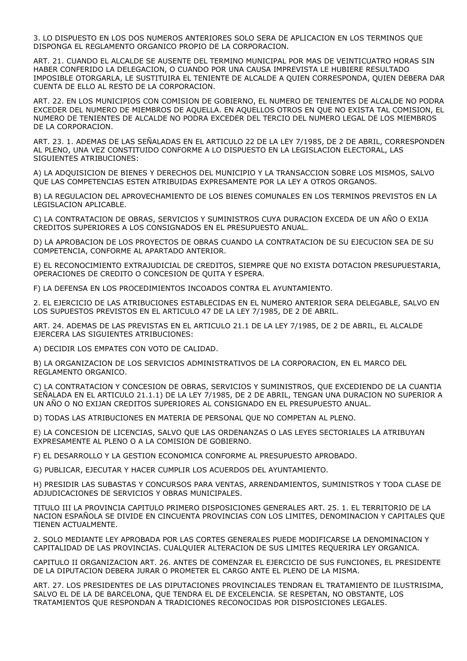3. LO DISPUESTO EN LOS DOS NUMEROS ANTERIORES SOLO SERA DE APLICACION EN LOS TERMINOS QUE DISPONGA EL REGLAMENTO ORGANICO PROPIO DE LA CORPORACION.

ART. 21. CUANDO EL ALCALDE SE AUSENTE DEL TERMINO MUNICIPAL POR MAS DE VEINTICUATRO HORAS SIN HABER CONFERIDO LA DELEGACION, O CUANDO POR UNA CAUSA IMPREVISTA LE HUBIERE RESULTADO IMPOSIBLE OTORGARLA, LE SUSTITUIRA EL TENIENTE DE ALCALDE A QUIEN CORRESPONDA, QUIEN DEBERA DAR CUENTA DE ELLO AL RESTO DE LA CORPORACION.

ART. 22. EN LOS MUNICIPIOS CON COMISION DE GOBIERNO, EL NUMERO DE TENIENTES DE ALCALDE NO PODRA EXCEDER DEL NUMERO DE MIEMBROS DE AQUELLA. EN AQUELLOS OTROS EN QUE NO EXISTA TAL COMISION, EL NUMERO DE TENIENTES DE ALCALDE NO PODRA EXCEDER DEL TERCIO DEL NUMERO LEGAL DE LOS MIEMBROS DE LA CORPORACION.

ART. 23. 1. ADEMAS DE LAS SEÑALADAS EN EL ARTICULO 22 DE LA LEY 7/1985, DE 2 DE ABRIL, CORRESPONDEN AL PLENO, UNA VEZ CONSTITUIDO CONFORME A LO DISPUESTO EN LA LEGISLACION ELECTORAL, LAS SIGUIENTES ATRIBUCIONES:

A) LA ADQUISICION DE BIENES Y DERECHOS DEL MUNICIPIO Y LA TRANSACCION SOBRE LOS MISMOS, SALVO QUE LAS COMPETENCIAS ESTEN ATRIBUIDAS EXPRESAMENTE POR LA LEY A OTROS ORGANOS.

B) LA REGULACION DEL APROVECHAMIENTO DE LOS BIENES COMUNALES EN LOS TERMINOS PREVISTOS EN LA LEGISLACION APLICABLE.

C) LA CONTRATACION DE OBRAS, SERVICIOS Y SUMINISTROS CUYA DURACION EXCEDA DE UN AÑO O EXIJA CREDITOS SUPERIORES A LOS CONSIGNADOS EN EL PRESUPUESTO ANUAL.

D) LA APROBACION DE LOS PROYECTOS DE OBRAS CUANDO LA CONTRATACION DE SU EJECUCION SEA DE SU COMPETENCIA, CONFORME AL APARTADO ANTERIOR.

E) EL RECONOCIMIENTO EXTRAJUDICIAL DE CREDITOS, SIEMPRE QUE NO EXISTA DOTACION PRESUPUESTARIA, OPERACIONES DE CREDITO O CONCESION DE QUITA Y ESPERA.

F) LA DEFENSA EN LOS PROCEDIMIENTOS INCOADOS CONTRA EL AYUNTAMIENTO.

2. EL EJERCICIO DE LAS ATRIBUCIONES ESTABLECIDAS EN EL NUMERO ANTERIOR SERA DELEGABLE, SALVO EN LOS SUPUESTOS PREVISTOS EN EL ARTICULO 47 DE LA LEY 7/1985, DE 2 DE ABRIL.

ART. 24. ADEMAS DE LAS PREVISTAS EN EL ARTICULO 21.1 DE LA LEY 7/1985, DE 2 DE ABRIL, EL ALCALDE EJERCERA LAS SIGUIENTES ATRIBUCIONES:

A) DECIDIR LOS EMPATES CON VOTO DE CALIDAD.

B) LA ORGANIZACION DE LOS SERVICIOS ADMINISTRATIVOS DE LA CORPORACION, EN EL MARCO DEL REGLAMENTO ORGANICO.

C) LA CONTRATACION Y CONCESION DE OBRAS, SERVICIOS Y SUMINISTROS, QUE EXCEDIENDO DE LA CUANTIA SEÑALADA EN EL ARTICULO 21.1.1) DE LA LEY 7/1985, DE 2 DE ABRIL, TENGAN UNA DURACION NO SUPERIOR A UN AÑO O NO EXIJAN CREDITOS SUPERIORES AL CONSIGNADO EN EL PRESUPUESTO ANUAL.

D) TODAS LAS ATRIBUCIONES EN MATERIA DE PERSONAL QUE NO COMPETAN AL PLENO.

E) LA CONCESION DE LICENCIAS, SALVO QUE LAS ORDENANZAS O LAS LEYES SECTORIALES LA ATRIBUYAN EXPRESAMENTE AL PLENO O A LA COMISION DE GOBIERNO.

F) EL DESARROLLO Y LA GESTION ECONOMICA CONFORME AL PRESUPUESTO APROBADO.

G) PUBLICAR, EJECUTAR Y HACER CUMPLIR LOS ACUERDOS DEL AYUNTAMIENTO.

H) PRESIDIR LAS SUBASTAS Y CONCURSOS PARA VENTAS, ARRENDAMIENTOS, SUMINISTROS Y TODA CLASE DE ADJUDICACIONES DE SERVICIOS Y OBRAS MUNICIPALES.

TITULO III LA PROVINCIA CAPITULO PRIMERO DISPOSICIONES GENERALES ART. 25. 1. EL TERRITORIO DE LA NACION ESPAÑOLA SE DIVIDE EN CINCUENTA PROVINCIAS CON LOS LIMITES, DENOMINACION Y CAPITALES QUE TIENEN ACTUALMENTE.

2. SOLO MEDIANTE LEY APROBADA POR LAS CORTES GENERALES PUEDE MODIFICARSE LA DENOMINACION Y CAPITALIDAD DE LAS PROVINCIAS. CUALQUIER ALTERACION DE SUS LIMITES REQUERIRA LEY ORGANICA.

CAPITULO II ORGANIZACION ART. 26. ANTES DE COMENZAR EL EJERCICIO DE SUS FUNCIONES, EL PRESIDENTE DE LA DIPUTACION DEBERA JURAR O PROMETER EL CARGO ANTE EL PLENO DE LA MISMA.

ART. 27. LOS PRESIDENTES DE LAS DIPUTACIONES PROVINCIALES TENDRAN EL TRATAMIENTO DE ILUSTRISIMA, SALVO EL DE LA DE BARCELONA, QUE TENDRA EL DE EXCELENCIA. SE RESPETAN, NO OBSTANTE, LOS TRATAMIENTOS QUE RESPONDAN A TRADICIONES RECONOCIDAS POR DISPOSICIONES LEGALES.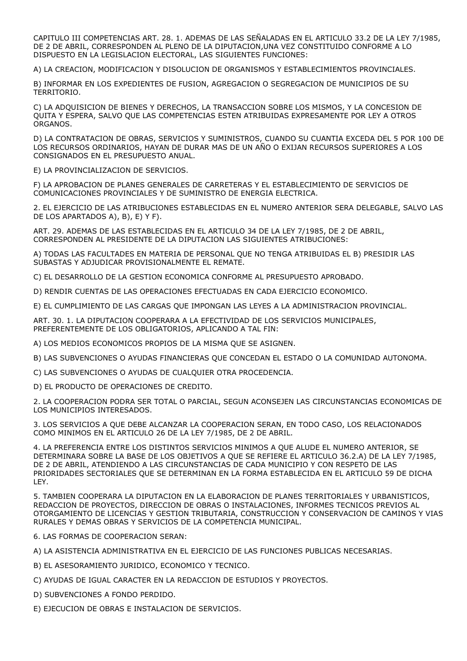CAPITULO III COMPETENCIAS ART. 28. 1. ADEMAS DE LAS SEÑALADAS EN EL ARTICULO 33.2 DE LA LEY 7/1985, DE 2 DE ABRIL, CORRESPONDEN AL PLENO DE LA DIPUTACION,UNA VEZ CONSTITUIDO CONFORME A LO DISPUESTO EN LA LEGISLACION ELECTORAL, LAS SIGUIENTES FUNCIONES:

A) LA CREACION, MODIFICACION Y DISOLUCION DE ORGANISMOS Y ESTABLECIMIENTOS PROVINCIALES.

B) INFORMAR EN LOS EXPEDIENTES DE FUSION, AGREGACION O SEGREGACION DE MUNICIPIOS DE SU TERRITORIO.

C) LA ADQUISICION DE BIENES Y DERECHOS, LA TRANSACCION SOBRE LOS MISMOS, Y LA CONCESION DE QUITA Y ESPERA, SALVO QUE LAS COMPETENCIAS ESTEN ATRIBUIDAS EXPRESAMENTE POR LEY A OTROS ORGANOS.

D) LA CONTRATACION DE OBRAS, SERVICIOS Y SUMINISTROS, CUANDO SU CUANTIA EXCEDA DEL 5 POR 100 DE LOS RECURSOS ORDINARIOS, HAYAN DE DURAR MAS DE UN AÑO O EXIJAN RECURSOS SUPERIORES A LOS CONSIGNADOS EN EL PRESUPUESTO ANUAL.

E) LA PROVINCIALIZACION DE SERVICIOS.

F) LA APROBACION DE PLANES GENERALES DE CARRETERAS Y EL ESTABLECIMIENTO DE SERVICIOS DE COMUNICACIONES PROVINCIALES Y DE SUMINISTRO DE ENERGIA ELECTRICA.

2. EL EJERCICIO DE LAS ATRIBUCIONES ESTABLECIDAS EN EL NUMERO ANTERIOR SERA DELEGABLE, SALVO LAS DE LOS APARTADOS A), B), E) Y F).

ART. 29. ADEMAS DE LAS ESTABLECIDAS EN EL ARTICULO 34 DE LA LEY 7/1985, DE 2 DE ABRIL, CORRESPONDEN AL PRESIDENTE DE LA DIPUTACION LAS SIGUIENTES ATRIBUCIONES:

A) TODAS LAS FACULTADES EN MATERIA DE PERSONAL QUE NO TENGA ATRIBUIDAS EL B) PRESIDIR LAS SUBASTAS Y ADJUDICAR PROVISIONALMENTE EL REMATE.

C) EL DESARROLLO DE LA GESTION ECONOMICA CONFORME AL PRESUPUESTO APROBADO.

D) RENDIR CUENTAS DE LAS OPERACIONES EFECTUADAS EN CADA EJERCICIO ECONOMICO.

E) EL CUMPLIMIENTO DE LAS CARGAS QUE IMPONGAN LAS LEYES A LA ADMINISTRACION PROVINCIAL.

ART. 30. 1. LA DIPUTACION COOPERARA A LA EFECTIVIDAD DE LOS SERVICIOS MUNICIPALES, PREFERENTEMENTE DE LOS OBLIGATORIOS, APLICANDO A TAL FIN:

A) LOS MEDIOS ECONOMICOS PROPIOS DE LA MISMA QUE SE ASIGNEN.

B) LAS SUBVENCIONES O AYUDAS FINANCIERAS QUE CONCEDAN EL ESTADO O LA COMUNIDAD AUTONOMA.

C) LAS SUBVENCIONES O AYUDAS DE CUALQUIER OTRA PROCEDENCIA.

D) EL PRODUCTO DE OPERACIONES DE CREDITO.

2. LA COOPERACION PODRA SER TOTAL O PARCIAL, SEGUN ACONSEJEN LAS CIRCUNSTANCIAS ECONOMICAS DE LOS MUNICIPIOS INTERESADOS.

3. LOS SERVICIOS A QUE DEBE ALCANZAR LA COOPERACION SERAN, EN TODO CASO, LOS RELACIONADOS COMO MINIMOS EN EL ARTICULO 26 DE LA LEY 7/1985, DE 2 DE ABRIL.

4. LA PREFERENCIA ENTRE LOS DISTINTOS SERVICIOS MINIMOS A QUE ALUDE EL NUMERO ANTERIOR, SE DETERMINARA SOBRE LA BASE DE LOS OBJETIVOS A QUE SE REFIERE EL ARTICULO 36.2.A) DE LA LEY 7/1985, DE 2 DE ABRIL, ATENDIENDO A LAS CIRCUNSTANCIAS DE CADA MUNICIPIO Y CON RESPETO DE LAS PRIORIDADES SECTORIALES QUE SE DETERMINAN EN LA FORMA ESTABLECIDA EN EL ARTICULO 59 DE DICHA LEY.

5. TAMBIEN COOPERARA LA DIPUTACION EN LA ELABORACION DE PLANES TERRITORIALES Y URBANISTICOS, REDACCION DE PROYECTOS, DIRECCION DE OBRAS O INSTALACIONES, INFORMES TECNICOS PREVIOS AL OTORGAMIENTO DE LICENCIAS Y GESTION TRIBUTARIA, CONSTRUCCION Y CONSERVACION DE CAMINOS Y VIAS RURALES Y DEMAS OBRAS Y SERVICIOS DE LA COMPETENCIA MUNICIPAL.

6. LAS FORMAS DE COOPERACION SERAN:

A) LA ASISTENCIA ADMINISTRATIVA EN EL EJERCICIO DE LAS FUNCIONES PUBLICAS NECESARIAS.

B) EL ASESORAMIENTO JURIDICO, ECONOMICO Y TECNICO.

C) AYUDAS DE IGUAL CARACTER EN LA REDACCION DE ESTUDIOS Y PROYECTOS.

D) SUBVENCIONES A FONDO PERDIDO.

E) EJECUCION DE OBRAS E INSTALACION DE SERVICIOS.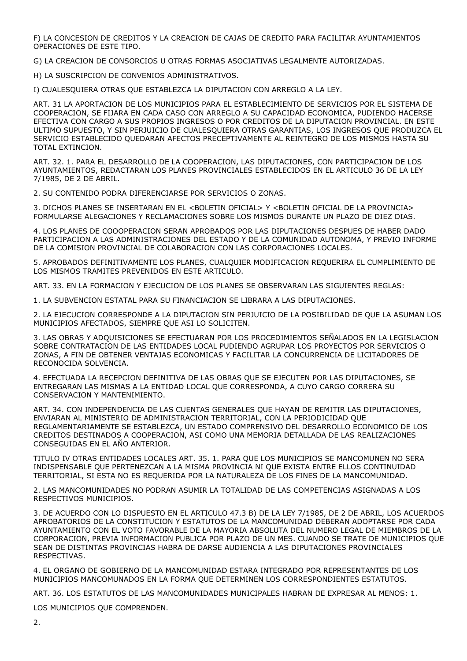F) LA CONCESION DE CREDITOS Y LA CREACION DE CAJAS DE CREDITO PARA FACILITAR AYUNTAMIENTOS OPERACIONES DE ESTE TIPO.

G) LA CREACION DE CONSORCIOS U OTRAS FORMAS ASOCIATIVAS LEGALMENTE AUTORIZADAS.

H) LA SUSCRIPCION DE CONVENIOS ADMINISTRATIVOS.

I) CUALESQUIERA OTRAS QUE ESTABLEZCA LA DIPUTACION CON ARREGLO A LA LEY.

ART. 31 LA APORTACION DE LOS MUNICIPIOS PARA EL ESTABLECIMIENTO DE SERVICIOS POR EL SISTEMA DE COOPERACION, SE FIJARA EN CADA CASO CON ARREGLO A SU CAPACIDAD ECONOMICA, PUDIENDO HACERSE EFECTIVA CON CARGO A SUS PROPIOS INGRESOS O POR CREDITOS DE LA DIPUTACION PROVINCIAL. EN ESTE ULTIMO SUPUESTO, Y SIN PERJUICIO DE CUALESQUIERA OTRAS GARANTIAS, LOS INGRESOS QUE PRODUZCA EL SERVICIO ESTABLECIDO QUEDARAN AFECTOS PRECEPTIVAMENTE AL REINTEGRO DE LOS MISMOS HASTA SU TOTAL EXTINCION.

ART. 32. 1. PARA EL DESARROLLO DE LA COOPERACION, LAS DIPUTACIONES, CON PARTICIPACION DE LOS AYUNTAMIENTOS, REDACTARAN LOS PLANES PROVINCIALES ESTABLECIDOS EN EL ARTICULO 36 DE LA LEY 7/1985, DE 2 DE ABRIL.

2. SU CONTENIDO PODRA DIFERENCIARSE POR SERVICIOS O ZONAS.

3. DICHOS PLANES SE INSERTARAN EN EL <BOLETIN OFICIAL> Y <BOLETIN OFICIAL DE LA PROVINCIA> FORMULARSE ALEGACIONES Y RECLAMACIONES SOBRE LOS MISMOS DURANTE UN PLAZO DE DIEZ DIAS.

4. LOS PLANES DE COOOPERACION SERAN APROBADOS POR LAS DIPUTACIONES DESPUES DE HABER DADO PARTICIPACION A LAS ADMINISTRACIONES DEL ESTADO Y DE LA COMUNIDAD AUTONOMA, Y PREVIO INFORME DE LA COMISION PROVINCIAL DE COLABORACION CON LAS CORPORACIONES LOCALES.

5. APROBADOS DEFINITIVAMENTE LOS PLANES, CUALQUIER MODIFICACION REQUERIRA EL CUMPLIMIENTO DE LOS MISMOS TRAMITES PREVENIDOS EN ESTE ARTICULO.

ART. 33. EN LA FORMACION Y EJECUCION DE LOS PLANES SE OBSERVARAN LAS SIGUIENTES REGLAS:

1. LA SUBVENCION ESTATAL PARA SU FINANCIACION SE LIBRARA A LAS DIPUTACIONES.

2. LA EJECUCION CORRESPONDE A LA DIPUTACION SIN PERJUICIO DE LA POSIBILIDAD DE QUE LA ASUMAN LOS MUNICIPIOS AFECTADOS, SIEMPRE QUE ASI LO SOLICITEN.

3. LAS OBRAS Y ADQUISICIONES SE EFECTUARAN POR LOS PROCEDIMIENTOS SEÑALADOS EN LA LEGISLACION SOBRE CONTRATACION DE LAS ENTIDADES LOCAL PUDIENDO AGRUPAR LOS PROYECTOS POR SERVICIOS O ZONAS, A FIN DE OBTENER VENTAJAS ECONOMICAS Y FACILITAR LA CONCURRENCIA DE LICITADORES DE RECONOCIDA SOLVENCIA.

4. EFECTUADA LA RECEPCION DEFINITIVA DE LAS OBRAS QUE SE EJECUTEN POR LAS DIPUTACIONES, SE ENTREGARAN LAS MISMAS A LA ENTIDAD LOCAL QUE CORRESPONDA, A CUYO CARGO CORRERA SU CONSERVACION Y MANTENIMIENTO.

ART. 34. CON INDEPENDENCIA DE LAS CUENTAS GENERALES QUE HAYAN DE REMITIR LAS DIPUTACIONES, ENVIARAN AL MINISTERIO DE ADMINISTRACION TERRITORIAL, CON LA PERIODICIDAD QUE REGLAMENTARIAMENTE SE ESTABLEZCA, UN ESTADO COMPRENSIVO DEL DESARROLLO ECONOMICO DE LOS CREDITOS DESTINADOS A COOPERACION, ASI COMO UNA MEMORIA DETALLADA DE LAS REALIZACIONES CONSEGUIDAS EN EL AÑO ANTERIOR.

TITULO IV OTRAS ENTIDADES LOCALES ART. 35. 1. PARA QUE LOS MUNICIPIOS SE MANCOMUNEN NO SERA INDISPENSABLE QUE PERTENEZCAN A LA MISMA PROVINCIA NI QUE EXISTA ENTRE ELLOS CONTINUIDAD TERRITORIAL, SI ESTA NO ES REQUERIDA POR LA NATURALEZA DE LOS FINES DE LA MANCOMUNIDAD.

2. LAS MANCOMUNIDADES NO PODRAN ASUMIR LA TOTALIDAD DE LAS COMPETENCIAS ASIGNADAS A LOS RESPECTIVOS MUNICIPIOS.

3. DE ACUERDO CON LO DISPUESTO EN EL ARTICULO 47.3 B) DE LA LEY 7/1985, DE 2 DE ABRIL, LOS ACUERDOS APROBATORIOS DE LA CONSTITUCION Y ESTATUTOS DE LA MANCOMUNIDAD DEBERAN ADOPTARSE POR CADA AYUNTAMIENTO CON EL VOTO FAVORABLE DE LA MAYORIA ABSOLUTA DEL NUMERO LEGAL DE MIEMBROS DE LA CORPORACION, PREVIA INFORMACION PUBLICA POR PLAZO DE UN MES. CUANDO SE TRATE DE MUNICIPIOS QUE SEAN DE DISTINTAS PROVINCIAS HABRA DE DARSE AUDIENCIA A LAS DIPUTACIONES PROVINCIALES RESPECTIVAS.

4. EL ORGANO DE GOBIERNO DE LA MANCOMUNIDAD ESTARA INTEGRADO POR REPRESENTANTES DE LOS MUNICIPIOS MANCOMUNADOS EN LA FORMA QUE DETERMINEN LOS CORRESPONDIENTES ESTATUTOS.

ART. 36. LOS ESTATUTOS DE LAS MANCOMUNIDADES MUNICIPALES HABRAN DE EXPRESAR AL MENOS: 1.

LOS MUNICIPIOS QUE COMPRENDEN.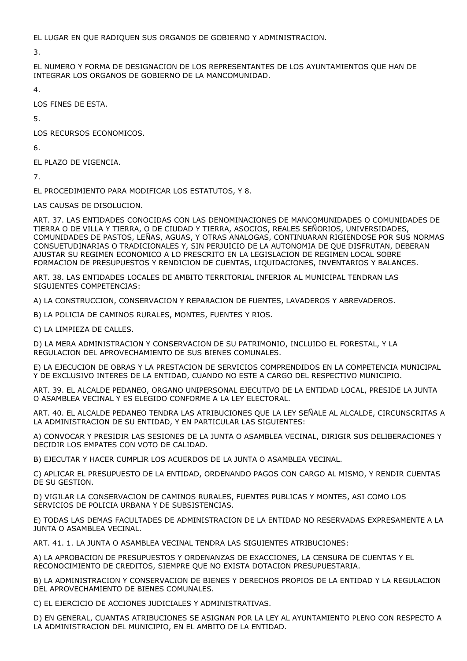EL LUGAR EN QUE RADIQUEN SUS ORGANOS DE GOBIERNO Y ADMINISTRACION.

3.

EL NUMERO Y FORMA DE DESIGNACION DE LOS REPRESENTANTES DE LOS AYUNTAMIENTOS QUE HAN DE INTEGRAR LOS ORGANOS DE GOBIERNO DE LA MANCOMUNIDAD.

4.

LOS FINES DE ESTA.

5.

LOS RECURSOS ECONOMICOS.

6.

EL PLAZO DE VIGENCIA.

7.

EL PROCEDIMIENTO PARA MODIFICAR LOS ESTATUTOS, Y 8.

LAS CAUSAS DE DISOLUCION.

ART. 37. LAS ENTIDADES CONOCIDAS CON LAS DENOMINACIONES DE MANCOMUNIDADES O COMUNIDADES DE TIERRA O DE VILLA Y TIERRA, O DE CIUDAD Y TIERRA, ASOCIOS, REALES SEÑORIOS, UNIVERSIDADES, COMUNIDADES DE PASTOS, LEÑAS, AGUAS, Y OTRAS ANALOGAS, CONTINUARAN RIGIENDOSE POR SUS NORMAS CONSUETUDINARIAS O TRADICIONALES Y, SIN PERJUICIO DE LA AUTONOMIA DE QUE DISFRUTAN, DEBERAN AJUSTAR SU REGIMEN ECONOMICO A LO PRESCRITO EN LA LEGISLACION DE REGIMEN LOCAL SOBRE FORMACION DE PRESUPUESTOS Y RENDICION DE CUENTAS, LIQUIDACIONES, INVENTARIOS Y BALANCES.

ART. 38. LAS ENTIDADES LOCALES DE AMBITO TERRITORIAL INFERIOR AL MUNICIPAL TENDRAN LAS SIGUIENTES COMPETENCIAS:

A) LA CONSTRUCCION, CONSERVACION Y REPARACION DE FUENTES, LAVADEROS Y ABREVADEROS.

B) LA POLICIA DE CAMINOS RURALES, MONTES, FUENTES Y RIOS.

C) LA LIMPIEZA DE CALLES.

D) LA MERA ADMINISTRACION Y CONSERVACION DE SU PATRIMONIO, INCLUIDO EL FORESTAL, Y LA REGULACION DEL APROVECHAMIENTO DE SUS BIENES COMUNALES.

E) LA EJECUCION DE OBRAS Y LA PRESTACION DE SERVICIOS COMPRENDIDOS EN LA COMPETENCIA MUNICIPAL Y DE EXCLUSIVO INTERES DE LA ENTIDAD, CUANDO NO ESTE A CARGO DEL RESPECTIVO MUNICIPIO.

ART. 39. EL ALCALDE PEDANEO, ORGANO UNIPERSONAL EJECUTIVO DE LA ENTIDAD LOCAL, PRESIDE LA JUNTA O ASAMBLEA VECINAL Y ES ELEGIDO CONFORME A LA LEY ELECTORAL.

ART. 40. EL ALCALDE PEDANEO TENDRA LAS ATRIBUCIONES QUE LA LEY SEÑALE AL ALCALDE, CIRCUNSCRITAS A LA ADMINISTRACION DE SU ENTIDAD, Y EN PARTICULAR LAS SIGUIENTES:

A) CONVOCAR Y PRESIDIR LAS SESIONES DE LA JUNTA O ASAMBLEA VECINAL, DIRIGIR SUS DELIBERACIONES Y DECIDIR LOS EMPATES CON VOTO DE CALIDAD.

B) EJECUTAR Y HACER CUMPLIR LOS ACUERDOS DE LA JUNTA O ASAMBLEA VECINAL.

C) APLICAR EL PRESUPUESTO DE LA ENTIDAD, ORDENANDO PAGOS CON CARGO AL MISMO, Y RENDIR CUENTAS DE SU GESTION.

D) VIGILAR LA CONSERVACION DE CAMINOS RURALES, FUENTES PUBLICAS Y MONTES, ASI COMO LOS SERVICIOS DE POLICIA URBANA Y DE SUBSISTENCIAS.

E) TODAS LAS DEMAS FACULTADES DE ADMINISTRACION DE LA ENTIDAD NO RESERVADAS EXPRESAMENTE A LA JUNTA O ASAMBLEA VECINAL.

ART. 41. 1. LA JUNTA O ASAMBLEA VECINAL TENDRA LAS SIGUIENTES ATRIBUCIONES:

A) LA APROBACION DE PRESUPUESTOS Y ORDENANZAS DE EXACCIONES, LA CENSURA DE CUENTAS Y EL RECONOCIMIENTO DE CREDITOS, SIEMPRE QUE NO EXISTA DOTACION PRESUPUESTARIA.

B) LA ADMINISTRACION Y CONSERVACION DE BIENES Y DERECHOS PROPIOS DE LA ENTIDAD Y LA REGULACION DEL APROVECHAMIENTO DE BIENES COMUNALES.

C) EL EJERCICIO DE ACCIONES JUDICIALES Y ADMINISTRATIVAS.

D) EN GENERAL, CUANTAS ATRIBUCIONES SE ASIGNAN POR LA LEY AL AYUNTAMIENTO PLENO CON RESPECTO A LA ADMINISTRACION DEL MUNICIPIO, EN EL AMBITO DE LA ENTIDAD.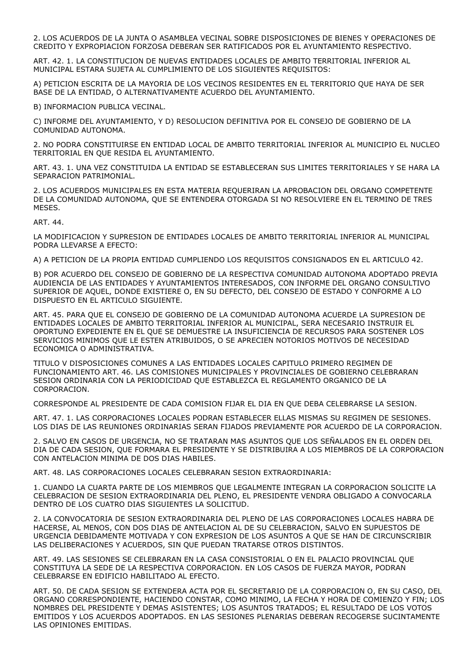2. LOS ACUERDOS DE LA JUNTA O ASAMBLEA VECINAL SOBRE DISPOSICIONES DE BIENES Y OPERACIONES DE CREDITO Y EXPROPIACION FORZOSA DEBERAN SER RATIFICADOS POR EL AYUNTAMIENTO RESPECTIVO.

ART. 42. 1. LA CONSTITUCION DE NUEVAS ENTIDADES LOCALES DE AMBITO TERRITORIAL INFERIOR AL MUNICIPAL ESTARA SUJETA AL CUMPLIMIENTO DE LOS SIGUIENTES REQUISITOS:

A) PETICION ESCRITA DE LA MAYORIA DE LOS VECINOS RESIDENTES EN EL TERRITORIO QUE HAYA DE SER BASE DE LA ENTIDAD, O ALTERNATIVAMENTE ACUERDO DEL AYUNTAMIENTO.

B) INFORMACION PUBLICA VECINAL.

C) INFORME DEL AYUNTAMIENTO, Y D) RESOLUCION DEFINITIVA POR EL CONSEJO DE GOBIERNO DE LA COMUNIDAD AUTONOMA.

2. NO PODRA CONSTITUIRSE EN ENTIDAD LOCAL DE AMBITO TERRITORIAL INFERIOR AL MUNICIPIO EL NUCLEO TERRITORIAL EN QUE RESIDA EL AYUNTAMIENTO.

ART. 43. 1. UNA VEZ CONSTITUIDA LA ENTIDAD SE ESTABLECERAN SUS LIMITES TERRITORIALES Y SE HARA LA SEPARACION PATRIMONIAL.

2. LOS ACUERDOS MUNICIPALES EN ESTA MATERIA REQUERIRAN LA APROBACION DEL ORGANO COMPETENTE DE LA COMUNIDAD AUTONOMA, QUE SE ENTENDERA OTORGADA SI NO RESOLVIERE EN EL TERMINO DE TRES MESES.

ART. 44.

LA MODIFICACION Y SUPRESION DE ENTIDADES LOCALES DE AMBITO TERRITORIAL INFERIOR AL MUNICIPAL PODRA LLEVARSE A EFECTO:

A) A PETICION DE LA PROPIA ENTIDAD CUMPLIENDO LOS REQUISITOS CONSIGNADOS EN EL ARTICULO 42.

B) POR ACUERDO DEL CONSEJO DE GOBIERNO DE LA RESPECTIVA COMUNIDAD AUTONOMA ADOPTADO PREVIA AUDIENCIA DE LAS ENTIDADES Y AYUNTAMIENTOS INTERESADOS, CON INFORME DEL ORGANO CONSULTIVO SUPERIOR DE AQUEL, DONDE EXISTIERE O, EN SU DEFECTO, DEL CONSEJO DE ESTADO Y CONFORME A LO DISPUESTO EN EL ARTICULO SIGUIENTE.

ART. 45. PARA QUE EL CONSEJO DE GOBIERNO DE LA COMUNIDAD AUTONOMA ACUERDE LA SUPRESION DE ENTIDADES LOCALES DE AMBITO TERRITORIAL INFERIOR AL MUNICIPAL, SERA NECESARIO INSTRUIR EL OPORTUNO EXPEDIENTE EN EL QUE SE DEMUESTRE LA INSUFICIENCIA DE RECURSOS PARA SOSTENER LOS SERVICIOS MINIMOS QUE LE ESTEN ATRIBUIDOS, O SE APRECIEN NOTORIOS MOTIVOS DE NECESIDAD ECONOMICA O ADMINISTRATIVA.

TITULO V DISPOSICIONES COMUNES A LAS ENTIDADES LOCALES CAPITULO PRIMERO REGIMEN DE FUNCIONAMIENTO ART. 46. LAS COMISIONES MUNICIPALES Y PROVINCIALES DE GOBIERNO CELEBRARAN SESION ORDINARIA CON LA PERIODICIDAD QUE ESTABLEZCA EL REGLAMENTO ORGANICO DE LA CORPORACION.

CORRESPONDE AL PRESIDENTE DE CADA COMISION FIJAR EL DIA EN QUE DEBA CELEBRARSE LA SESION.

ART. 47. 1. LAS CORPORACIONES LOCALES PODRAN ESTABLECER ELLAS MISMAS SU REGIMEN DE SESIONES. LOS DIAS DE LAS REUNIONES ORDINARIAS SERAN FIJADOS PREVIAMENTE POR ACUERDO DE LA CORPORACION.

2. SALVO EN CASOS DE URGENCIA, NO SE TRATARAN MAS ASUNTOS QUE LOS SEÑALADOS EN EL ORDEN DEL DIA DE CADA SESION, QUE FORMARA EL PRESIDENTE Y SE DISTRIBUIRA A LOS MIEMBROS DE LA CORPORACION CON ANTELACION MINIMA DE DOS DIAS HABILES.

ART. 48. LAS CORPORACIONES LOCALES CELEBRARAN SESION EXTRAORDINARIA:

1. CUANDO LA CUARTA PARTE DE LOS MIEMBROS QUE LEGALMENTE INTEGRAN LA CORPORACION SOLICITE LA CELEBRACION DE SESION EXTRAORDINARIA DEL PLENO, EL PRESIDENTE VENDRA OBLIGADO A CONVOCARLA DENTRO DE LOS CUATRO DIAS SIGUIENTES LA SOLICITUD.

2. LA CONVOCATORIA DE SESION EXTRAORDINARIA DEL PLENO DE LAS CORPORACIONES LOCALES HABRA DE HACERSE, AL MENOS, CON DOS DIAS DE ANTELACION AL DE SU CELEBRACION, SALVO EN SUPUESTOS DE URGENCIA DEBIDAMENTE MOTIVADA Y CON EXPRESION DE LOS ASUNTOS A QUE SE HAN DE CIRCUNSCRIBIR LAS DELIBERACIONES Y ACUERDOS, SIN QUE PUEDAN TRATARSE OTROS DISTINTOS.

ART. 49. LAS SESIONES SE CELEBRARAN EN LA CASA CONSISTORIAL O EN EL PALACIO PROVINCIAL QUE CONSTITUYA LA SEDE DE LA RESPECTIVA CORPORACION. EN LOS CASOS DE FUERZA MAYOR, PODRAN CELEBRARSE EN EDIFICIO HABILITADO AL EFECTO.

ART. 50. DE CADA SESION SE EXTENDERA ACTA POR EL SECRETARIO DE LA CORPORACION O, EN SU CASO, DEL ORGANO CORRESPONDIENTE, HACIENDO CONSTAR, COMO MINIMO, LA FECHA Y HORA DE COMIENZO Y FIN; LOS NOMBRES DEL PRESIDENTE Y DEMAS ASISTENTES; LOS ASUNTOS TRATADOS; EL RESULTADO DE LOS VOTOS EMITIDOS Y LOS ACUERDOS ADOPTADOS. EN LAS SESIONES PLENARIAS DEBERAN RECOGERSE SUCINTAMENTE LAS OPINIONES EMITIDAS.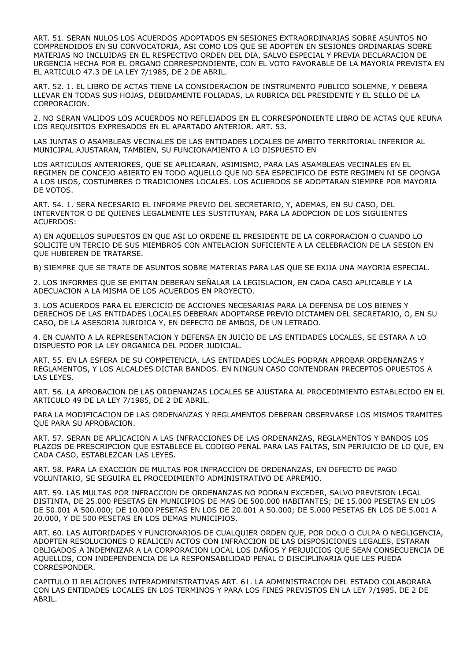ART. 51. SERAN NULOS LOS ACUERDOS ADOPTADOS EN SESIONES EXTRAORDINARIAS SOBRE ASUNTOS NO COMPRENDIDOS EN SU CONVOCATORIA, ASI COMO LOS QUE SE ADOPTEN EN SESIONES ORDINARIAS SOBRE MATERIAS NO INCLUIDAS EN EL RESPECTIVO ORDEN DEL DIA, SALVO ESPECIAL Y PREVIA DECLARACION DE URGENCIA HECHA POR EL ORGANO CORRESPONDIENTE, CON EL VOTO FAVORABLE DE LA MAYORIA PREVISTA EN EL ARTICULO 47.3 DE LA LEY 7/1985, DE 2 DE ABRIL.

ART. 52. 1. EL LIBRO DE ACTAS TIENE LA CONSIDERACION DE INSTRUMENTO PUBLICO SOLEMNE, Y DEBERA LLEVAR EN TODAS SUS HOJAS, DEBIDAMENTE FOLIADAS, LA RUBRICA DEL PRESIDENTE Y EL SELLO DE LA CORPORACION.

2. NO SERAN VALIDOS LOS ACUERDOS NO REFLEJADOS EN EL CORRESPONDIENTE LIBRO DE ACTAS QUE REUNA LOS REQUISITOS EXPRESADOS EN EL APARTADO ANTERIOR. ART. 53.

LAS JUNTAS O ASAMBLEAS VECINALES DE LAS ENTIDADES LOCALES DE AMBITO TERRITORIAL INFERIOR AL MUNICIPAL AJUSTARAN, TAMBIEN, SU FUNCIONAMIENTO A LO DISPUESTO EN

LOS ARTICULOS ANTERIORES, QUE SE APLICARAN, ASIMISMO, PARA LAS ASAMBLEAS VECINALES EN EL REGIMEN DE CONCEJO ABIERTO EN TODO AQUELLO QUE NO SEA ESPECIFICO DE ESTE REGIMEN NI SE OPONGA A LOS USOS, COSTUMBRES O TRADICIONES LOCALES. LOS ACUERDOS SE ADOPTARAN SIEMPRE POR MAYORIA DE VOTOS.

ART. 54. 1. SERA NECESARIO EL INFORME PREVIO DEL SECRETARIO, Y, ADEMAS, EN SU CASO, DEL INTERVENTOR O DE QUIENES LEGALMENTE LES SUSTITUYAN, PARA LA ADOPCION DE LOS SIGUIENTES ACUERDOS:

A) EN AQUELLOS SUPUESTOS EN QUE ASI LO ORDENE EL PRESIDENTE DE LA CORPORACION O CUANDO LO SOLICITE UN TERCIO DE SUS MIEMBROS CON ANTELACION SUFICIENTE A LA CELEBRACION DE LA SESION EN QUE HUBIEREN DE TRATARSE.

B) SIEMPRE QUE SE TRATE DE ASUNTOS SOBRE MATERIAS PARA LAS QUE SE EXIJA UNA MAYORIA ESPECIAL.

2. LOS INFORMES QUE SE EMITAN DEBERAN SEÑALAR LA LEGISLACION, EN CADA CASO APLICABLE Y LA ADECUACION A LA MISMA DE LOS ACUERDOS EN PROYECTO.

3. LOS ACUERDOS PARA EL EJERCICIO DE ACCIONES NECESARIAS PARA LA DEFENSA DE LOS BIENES Y DERECHOS DE LAS ENTIDADES LOCALES DEBERAN ADOPTARSE PREVIO DICTAMEN DEL SECRETARIO, O, EN SU CASO, DE LA ASESORIA JURIDICA Y, EN DEFECTO DE AMBOS, DE UN LETRADO.

4. EN CUANTO A LA REPRESENTACION Y DEFENSA EN JUICIO DE LAS ENTIDADES LOCALES, SE ESTARA A LO DISPUESTO POR LA LEY ORGANICA DEL PODER JUDICIAL.

ART. 55. EN LA ESFERA DE SU COMPETENCIA, LAS ENTIDADES LOCALES PODRAN APROBAR ORDENANZAS Y REGLAMENTOS, Y LOS ALCALDES DICTAR BANDOS. EN NINGUN CASO CONTENDRAN PRECEPTOS OPUESTOS A LAS LEYES.

ART. 56. LA APROBACION DE LAS ORDENANZAS LOCALES SE AJUSTARA AL PROCEDIMIENTO ESTABLECIDO EN EL ARTICULO 49 DE LA LEY 7/1985, DE 2 DE ABRIL.

PARA LA MODIFICACION DE LAS ORDENANZAS Y REGLAMENTOS DEBERAN OBSERVARSE LOS MISMOS TRAMITES QUE PARA SU APROBACION.

ART. 57. SERAN DE APLICACION A LAS INFRACCIONES DE LAS ORDENANZAS, REGLAMENTOS Y BANDOS LOS PLAZOS DE PRESCRIPCION QUE ESTABLECE EL CODIGO PENAL PARA LAS FALTAS, SIN PERJUICIO DE LO QUE, EN CADA CASO, ESTABLEZCAN LAS LEYES.

ART. 58. PARA LA EXACCION DE MULTAS POR INFRACCION DE ORDENANZAS, EN DEFECTO DE PAGO VOLUNTARIO, SE SEGUIRA EL PROCEDIMIENTO ADMINISTRATIVO DE APREMIO.

ART. 59. LAS MULTAS POR INFRACCION DE ORDENANZAS NO PODRAN EXCEDER, SALVO PREVISION LEGAL DISTINTA, DE 25.000 PESETAS EN MUNICIPIOS DE MAS DE 500.000 HABITANTES; DE 15.000 PESETAS EN LOS DE 50.001 A 500.000; DE 10.000 PESETAS EN LOS DE 20.001 A 50.000; DE 5.000 PESETAS EN LOS DE 5.001 A 20.000, Y DE 500 PESETAS EN LOS DEMAS MUNICIPIOS.

ART. 60. LAS AUTORIDADES Y FUNCIONARIOS DE CUALQUIER ORDEN QUE, POR DOLO O CULPA O NEGLIGENCIA, ADOPTEN RESOLUCIONES O REALICEN ACTOS CON INFRACCION DE LAS DISPOSICIONES LEGALES, ESTARAN OBLIGADOS A INDEMNIZAR A LA CORPORACION LOCAL LOS DAÑOS Y PERJUICIOS QUE SEAN CONSECUENCIA DE AQUELLOS, CON INDEPENDENCIA DE LA RESPONSABILIDAD PENAL O DISCIPLINARIA QUE LES PUEDA CORRESPONDER.

CAPITULO II RELACIONES INTERADMINISTRATIVAS ART. 61. LA ADMINISTRACION DEL ESTADO COLABORARA CON LAS ENTIDADES LOCALES EN LOS TERMINOS Y PARA LOS FINES PREVISTOS EN LA LEY 7/1985, DE 2 DE ABRIL.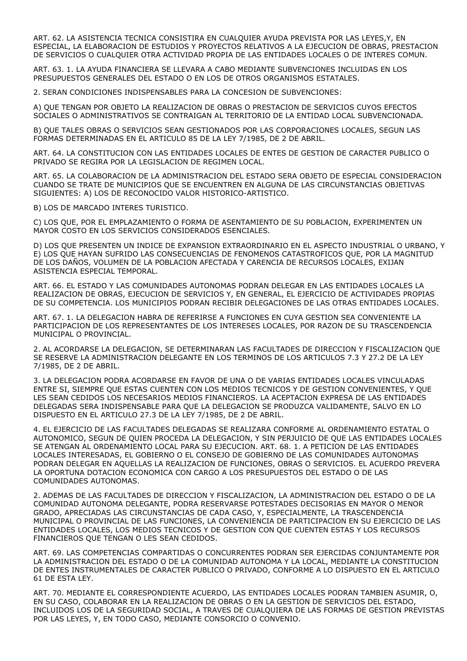ART. 62. LA ASISTENCIA TECNICA CONSISTIRA EN CUALQUIER AYUDA PREVISTA POR LAS LEYES,Y, EN ESPECIAL, LA ELABORACION DE ESTUDIOS Y PROYECTOS RELATIVOS A LA EJECUCION DE OBRAS, PRESTACION DE SERVICIOS O CUALQUIER OTRA ACTIVIDAD PROPIA DE LAS ENTIDADES LOCALES O DE INTERES COMUN.

ART. 63. 1. LA AYUDA FINANCIERA SE LLEVARA A CABO MEDIANTE SUBVENCIONES INCLUIDAS EN LOS PRESUPUESTOS GENERALES DEL ESTADO O EN LOS DE OTROS ORGANISMOS ESTATALES.

2. SERAN CONDICIONES INDISPENSABLES PARA LA CONCESION DE SUBVENCIONES:

A) QUE TENGAN POR OBJETO LA REALIZACION DE OBRAS O PRESTACION DE SERVICIOS CUYOS EFECTOS SOCIALES O ADMINISTRATIVOS SE CONTRAIGAN AL TERRITORIO DE LA ENTIDAD LOCAL SUBVENCIONADA.

B) QUE TALES OBRAS O SERVICIOS SEAN GESTIONADOS POR LAS CORPORACIONES LOCALES, SEGUN LAS FORMAS DETERMINADAS EN EL ARTICULO 85 DE LA LEY 7/1985, DE 2 DE ABRIL.

ART. 64. LA CONSTITUCION CON LAS ENTIDADES LOCALES DE ENTES DE GESTION DE CARACTER PUBLICO O PRIVADO SE REGIRA POR LA LEGISLACION DE REGIMEN LOCAL.

ART. 65. LA COLABORACION DE LA ADMINISTRACION DEL ESTADO SERA OBJETO DE ESPECIAL CONSIDERACION CUANDO SE TRATE DE MUNICIPIOS QUE SE ENCUENTREN EN ALGUNA DE LAS CIRCUNSTANCIAS OBJETIVAS SIGUIENTES: A) LOS DE RECONOCIDO VALOR HISTORICO-ARTISTICO.

B) LOS DE MARCADO INTERES TURISTICO.

C) LOS QUE, POR EL EMPLAZAMIENTO O FORMA DE ASENTAMIENTO DE SU POBLACION, EXPERIMENTEN UN MAYOR COSTO EN LOS SERVICIOS CONSIDERADOS ESENCIALES.

D) LOS QUE PRESENTEN UN INDICE DE EXPANSION EXTRAORDINARIO EN EL ASPECTO INDUSTRIAL O URBANO, Y E) LOS QUE HAYAN SUFRIDO LAS CONSECUENCIAS DE FENOMENOS CATASTROFICOS QUE, POR LA MAGNITUD DE LOS DAÑOS, VOLUMEN DE LA POBLACION AFECTADA Y CARENCIA DE RECURSOS LOCALES, EXIJAN ASISTENCIA ESPECIAL TEMPORAL.

ART. 66. EL ESTADO Y LAS COMUNIDADES AUTONOMAS PODRAN DELEGAR EN LAS ENTIDADES LOCALES LA REALIZACION DE OBRAS, EJECUCION DE SERVICIOS Y, EN GENERAL, EL EJERCICIO DE ACTIVIDADES PROPIAS DE SU COMPETENCIA. LOS MUNICIPIOS PODRAN RECIBIR DELEGACIONES DE LAS OTRAS ENTIDADES LOCALES.

ART. 67. 1. LA DELEGACION HABRA DE REFERIRSE A FUNCIONES EN CUYA GESTION SEA CONVENIENTE LA PARTICIPACION DE LOS REPRESENTANTES DE LOS INTERESES LOCALES, POR RAZON DE SU TRASCENDENCIA MUNICIPAL O PROVINCIAL.

2. AL ACORDARSE LA DELEGACION, SE DETERMINARAN LAS FACULTADES DE DIRECCION Y FISCALIZACION QUE SE RESERVE LA ADMINISTRACION DELEGANTE EN LOS TERMINOS DE LOS ARTICULOS 7.3 Y 27.2 DE LA LEY 7/1985, DE 2 DE ABRIL.

3. LA DELEGACION PODRA ACORDARSE EN FAVOR DE UNA O DE VARIAS ENTIDADES LOCALES VINCULADAS ENTRE SI, SIEMPRE QUE ESTAS CUENTEN CON LOS MEDIOS TECNICOS Y DE GESTION CONVENIENTES, Y QUE LES SEAN CEDIDOS LOS NECESARIOS MEDIOS FINANCIEROS. LA ACEPTACION EXPRESA DE LAS ENTIDADES DELEGADAS SERA INDISPENSABLE PARA QUE LA DELEGACION SE PRODUZCA VALIDAMENTE, SALVO EN LO DISPUESTO EN EL ARTICULO 27.3 DE LA LEY 7/1985, DE 2 DE ABRIL.

4. EL EJERCICIO DE LAS FACULTADES DELEGADAS SE REALIZARA CONFORME AL ORDENAMIENTO ESTATAL O AUTONOMICO, SEGUN DE QUIEN PROCEDA LA DELEGACION, Y SIN PERJUICIO DE QUE LAS ENTIDADES LOCALES SE ATENGAN AL ORDENAMIENTO LOCAL PARA SU EJECUCION. ART. 68. 1. A PETICION DE LAS ENTIDADES LOCALES INTERESADAS, EL GOBIERNO O EL CONSEJO DE GOBIERNO DE LAS COMUNIDADES AUTONOMAS PODRAN DELEGAR EN AQUELLAS LA REALIZACION DE FUNCIONES, OBRAS O SERVICIOS. EL ACUERDO PREVERA LA OPORTUNA DOTACION ECONOMICA CON CARGO A LOS PRESUPUESTOS DEL ESTADO O DE LAS COMUNIDADES AUTONOMAS.

2. ADEMAS DE LAS FACULTADES DE DIRECCION Y FISCALIZACION, LA ADMINISTRACION DEL ESTADO O DE LA COMUNIDAD AUTONOMA DELEGANTE, PODRA RESERVARSE POTESTADES DECISORIAS EN MAYOR O MENOR GRADO, APRECIADAS LAS CIRCUNSTANCIAS DE CADA CASO, Y, ESPECIALMENTE, LA TRASCENDENCIA MUNICIPAL O PROVINCIAL DE LAS FUNCIONES, LA CONVENIENCIA DE PARTICIPACION EN SU EJERCICIO DE LAS ENTIDADES LOCALES, LOS MEDIOS TECNICOS Y DE GESTION CON QUE CUENTEN ESTAS Y LOS RECURSOS FINANCIEROS QUE TENGAN O LES SEAN CEDIDOS.

ART. 69. LAS COMPETENCIAS COMPARTIDAS O CONCURRENTES PODRAN SER EJERCIDAS CONJUNTAMENTE POR LA ADMINISTRACION DEL ESTADO O DE LA COMUNIDAD AUTONOMA Y LA LOCAL, MEDIANTE LA CONSTITUCION DE ENTES INSTRUMENTALES DE CARACTER PUBLICO O PRIVADO, CONFORME A LO DISPUESTO EN EL ARTICULO 61 DE ESTA LEY.

ART. 70. MEDIANTE EL CORRESPONDIENTE ACUERDO, LAS ENTIDADES LOCALES PODRAN TAMBIEN ASUMIR, O, EN SU CASO, COLABORAR EN LA REALIZACION DE OBRAS O EN LA GESTION DE SERVICIOS DEL ESTADO, INCLUIDOS LOS DE LA SEGURIDAD SOCIAL, A TRAVES DE CUALQUIERA DE LAS FORMAS DE GESTION PREVISTAS POR LAS LEYES, Y, EN TODO CASO, MEDIANTE CONSORCIO O CONVENIO.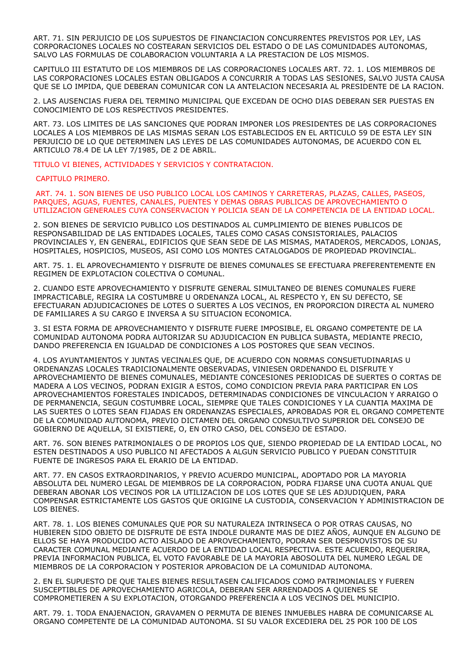ART. 71. SIN PERJUICIO DE LOS SUPUESTOS DE FINANCIACION CONCURRENTES PREVISTOS POR LEY, LAS CORPORACIONES LOCALES NO COSTEARAN SERVICIOS DEL ESTADO O DE LAS COMUNIDADES AUTONOMAS, SALVO LAS FORMULAS DE COLABORACION VOLUNTARIA A LA PRESTACION DE LOS MISMOS.

CAPITULO III ESTATUTO DE LOS MIEMBROS DE LAS CORPORACIONES LOCALES ART. 72. 1. LOS MIEMBROS DE LAS CORPORACIONES LOCALES ESTAN OBLIGADOS A CONCURRIR A TODAS LAS SESIONES, SALVO JUSTA CAUSA QUE SE LO IMPIDA, QUE DEBERAN COMUNICAR CON LA ANTELACION NECESARIA AL PRESIDENTE DE LA RACION.

2. LAS AUSENCIAS FUERA DEL TERMINO MUNICIPAL QUE EXCEDAN DE OCHO DIAS DEBERAN SER PUESTAS EN CONOCIMIENTO DE LOS RESPECTIVOS PRESIDENTES.

ART. 73. LOS LIMITES DE LAS SANCIONES QUE PODRAN IMPONER LOS PRESIDENTES DE LAS CORPORACIONES LOCALES A LOS MIEMBROS DE LAS MISMAS SERAN LOS ESTABLECIDOS EN EL ARTICULO 59 DE ESTA LEY SIN PERJUICIO DE LO QUE DETERMINEN LAS LEYES DE LAS COMUNIDADES AUTONOMAS, DE ACUERDO CON EL ARTICULO 78.4 DE LA LEY 7/1985, DE 2 DE ABRIL.

TITULO VI BIENES, ACTIVIDADES Y SERVICIOS Y CONTRATACION.

CAPITULO PRIMERO.

 ART. 74. 1. SON BIENES DE USO PUBLICO LOCAL LOS CAMINOS Y CARRETERAS, PLAZAS, CALLES, PASEOS, PARQUES, AGUAS, FUENTES, CANALES, PUENTES Y DEMAS OBRAS PUBLICAS DE APROVECHAMIENTO O UTILIZACION GENERALES CUYA CONSERVACION Y POLICIA SEAN DE LA COMPETENCIA DE LA ENTIDAD LOCAL.

2. SON BIENES DE SERVICIO PUBLICO LOS DESTINADOS AL CUMPLIMIENTO DE BIENES PUBLICOS DE RESPONSABILIDAD DE LAS ENTIDADES LOCALES, TALES COMO CASAS CONSISTORIALES, PALACIOS PROVINCIALES Y, EN GENERAL, EDIFICIOS QUE SEAN SEDE DE LAS MISMAS, MATADEROS, MERCADOS, LONJAS, HOSPITALES, HOSPICIOS, MUSEOS, ASI COMO LOS MONTES CATALOGADOS DE PROPIEDAD PROVINCIAL.

ART. 75. 1. EL APROVECHAMIENTO Y DISFRUTE DE BIENES COMUNALES SE EFECTUARA PREFERENTEMENTE EN REGIMEN DE EXPLOTACION COLECTIVA O COMUNAL.

2. CUANDO ESTE APROVECHAMIENTO Y DISFRUTE GENERAL SIMULTANEO DE BIENES COMUNALES FUERE IMPRACTICABLE, REGIRA LA COSTUMBRE U ORDENANZA LOCAL, AL RESPECTO Y, EN SU DEFECTO, SE EFECTUARAN ADJUDICACIONES DE LOTES O SUERTES A LOS VECINOS, EN PROPORCION DIRECTA AL NUMERO DE FAMILIARES A SU CARGO E INVERSA A SU SITUACION ECONOMICA.

3. SI ESTA FORMA DE APROVECHAMIENTO Y DISFRUTE FUERE IMPOSIBLE, EL ORGANO COMPETENTE DE LA COMUNIDAD AUTONOMA PODRA AUTORIZAR SU ADJUDICACION EN PUBLICA SUBASTA, MEDIANTE PRECIO, DANDO PREFERENCIA EN IGUALDAD DE CONDICIONES A LOS POSTORES QUE SEAN VECINOS.

4. LOS AYUNTAMIENTOS Y JUNTAS VECINALES QUE, DE ACUERDO CON NORMAS CONSUETUDINARIAS U ORDENANZAS LOCALES TRADICIONALMENTE OBSERVADAS, VINIESEN ORDENANDO EL DISFRUTE Y APROVECHAMIENTO DE BIENES COMUNALES, MEDIANTE CONCESIONES PERIODICAS DE SUERTES O CORTAS DE MADERA A LOS VECINOS, PODRAN EXIGIR A ESTOS, COMO CONDICION PREVIA PARA PARTICIPAR EN LOS APROVECHAMIENTOS FORESTALES INDICADOS, DETERMINADAS CONDICIONES DE VINCULACION Y ARRAIGO O DE PERMANENCIA, SEGUN COSTUMBRE LOCAL, SIEMPRE QUE TALES CONDICIONES Y LA CUANTIA MAXIMA DE LAS SUERTES O LOTES SEAN FIJADAS EN ORDENANZAS ESPECIALES, APROBADAS POR EL ORGANO COMPETENTE DE LA COMUNIDAD AUTONOMA, PREVIO DICTAMEN DEL ORGANO CONSULTIVO SUPERIOR DEL CONSEJO DE GOBIERNO DE AQUELLA, SI EXISTIERE, O, EN OTRO CASO, DEL CONSEJO DE ESTADO.

ART. 76. SON BIENES PATRIMONIALES O DE PROPIOS LOS QUE, SIENDO PROPIEDAD DE LA ENTIDAD LOCAL, NO ESTEN DESTINADOS A USO PUBLICO NI AFECTADOS A ALGUN SERVICIO PUBLICO Y PUEDAN CONSTITUIR FUENTE DE INGRESOS PARA EL ERARIO DE LA ENTIDAD.

ART. 77. EN CASOS EXTRAORDINARIOS, Y PREVIO ACUERDO MUNICIPAL, ADOPTADO POR LA MAYORIA ABSOLUTA DEL NUMERO LEGAL DE MIEMBROS DE LA CORPORACION, PODRA FIJARSE UNA CUOTA ANUAL QUE DEBERAN ABONAR LOS VECINOS POR LA UTILIZACION DE LOS LOTES QUE SE LES ADJUDIQUEN, PARA COMPENSAR ESTRICTAMENTE LOS GASTOS QUE ORIGINE LA CUSTODIA, CONSERVACION Y ADMINISTRACION DE LOS BIENES.

ART. 78. 1. LOS BIENES COMUNALES QUE POR SU NATURALEZA INTRINSECA O POR OTRAS CAUSAS, NO HUBIEREN SIDO OBJETO DE DISFRUTE DE ESTA INDOLE DURANTE MAS DE DIEZ AÑOS, AUNQUE EN ALGUNO DE ELLOS SE HAYA PRODUCIDO ACTO AISLADO DE APROVECHAMIENTO, PODRAN SER DESPROVISTOS DE SU CARACTER COMUNAL MEDIANTE ACUERDO DE LA ENTIDAD LOCAL RESPECTIVA. ESTE ACUERDO, REQUERIRA, PREVIA INFORMACION PUBLICA, EL VOTO FAVORABLE DE LA MAYORIA ABOSOLUTA DEL NUMERO LEGAL DE MIEMBROS DE LA CORPORACION Y POSTERIOR APROBACION DE LA COMUNIDAD AUTONOMA.

2. EN EL SUPUESTO DE QUE TALES BIENES RESULTASEN CALIFICADOS COMO PATRIMONIALES Y FUEREN SUSCEPTIBLES DE APROVECHAMIENTO AGRICOLA, DEBERAN SER ARRENDADOS A QUIENES SE COMPROMETIEREN A SU EXPLOTACION, OTORGANDO PREFERENCIA A LOS VECINOS DEL MUNICIPIO.

ART. 79. 1. TODA ENAJENACION, GRAVAMEN O PERMUTA DE BIENES INMUEBLES HABRA DE COMUNICARSE AL ORGANO COMPETENTE DE LA COMUNIDAD AUTONOMA. SI SU VALOR EXCEDIERA DEL 25 POR 100 DE LOS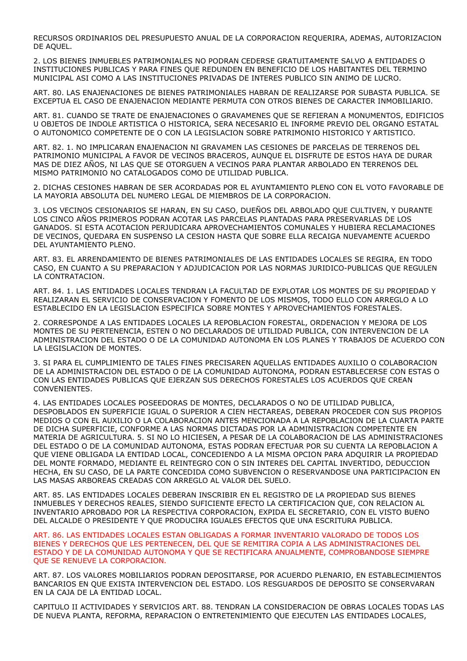RECURSOS ORDINARIOS DEL PRESUPUESTO ANUAL DE LA CORPORACION REQUERIRA, ADEMAS, AUTORIZACION DE AQUEL.

2. LOS BIENES INMUEBLES PATRIMONIALES NO PODRAN CEDERSE GRATUITAMENTE SALVO A ENTIDADES O INSTITUCIONES PUBLICAS Y PARA FINES QUE REDUNDEN EN BENEFICIO DE LOS HABITANTES DEL TERMINO MUNICIPAL ASI COMO A LAS INSTITUCIONES PRIVADAS DE INTERES PUBLICO SIN ANIMO DE LUCRO.

ART. 80. LAS ENAJENACIONES DE BIENES PATRIMONIALES HABRAN DE REALIZARSE POR SUBASTA PUBLICA. SE EXCEPTUA EL CASO DE ENAJENACION MEDIANTE PERMUTA CON OTROS BIENES DE CARACTER INMOBILIARIO.

ART. 81. CUANDO SE TRATE DE ENAJENACIONES O GRAVAMENES QUE SE REFIERAN A MONUMENTOS, EDIFICIOS U OBJETOS DE INDOLE ARTISTICA O HISTORICA, SERA NECESARIO EL INFORME PREVIO DEL ORGANO ESTATAL O AUTONOMICO COMPETENTE DE O CON LA LEGISLACION SOBRE PATRIMONIO HISTORICO Y ARTISTICO.

ART. 82. 1. NO IMPLICARAN ENAJENACION NI GRAVAMEN LAS CESIONES DE PARCELAS DE TERRENOS DEL PATRIMONIO MUNICIPAL A FAVOR DE VECINOS BRACEROS, AUNQUE EL DISFRUTE DE ESTOS HAYA DE DURAR MAS DE DIEZ AÑOS, NI LAS QUE SE OTORGUEN A VECINOS PARA PLANTAR ARBOLADO EN TERRENOS DEL MISMO PATRIMONIO NO CATALOGADOS COMO DE UTILIDAD PUBLICA.

2. DICHAS CESIONES HABRAN DE SER ACORDADAS POR EL AYUNTAMIENTO PLENO CON EL VOTO FAVORABLE DE LA MAYORIA ABSOLUTA DEL NUMERO LEGAL DE MIEMBROS DE LA CORPORACION.

3. LOS VECINOS CESIONARIOS SE HARAN, EN SU CASO, DUEÑOS DEL ARBOLADO QUE CULTIVEN, Y DURANTE LOS CINCO AÑOS PRIMEROS PODRAN ACOTAR LAS PARCELAS PLANTADAS PARA PRESERVARLAS DE LOS GANADOS. SI ESTA ACOTACION PERJUDICARA APROVECHAMIENTOS COMUNALES Y HUBIERA RECLAMACIONES DE VECINOS, QUEDARA EN SUSPENSO LA CESION HASTA QUE SOBRE ELLA RECAIGA NUEVAMENTE ACUERDO DEL AYUNTAMIENTO PLENO.

ART. 83. EL ARRENDAMIENTO DE BIENES PATRIMONIALES DE LAS ENTIDADES LOCALES SE REGIRA, EN TODO CASO, EN CUANTO A SU PREPARACION Y ADJUDICACION POR LAS NORMAS JURIDICO-PUBLICAS QUE REGULEN LA CONTRATACION.

ART. 84. 1. LAS ENTIDADES LOCALES TENDRAN LA FACULTAD DE EXPLOTAR LOS MONTES DE SU PROPIEDAD Y REALIZARAN EL SERVICIO DE CONSERVACION Y FOMENTO DE LOS MISMOS, TODO ELLO CON ARREGLO A LO ESTABLECIDO EN LA LEGISLACION ESPECIFICA SOBRE MONTES Y APROVECHAMIENTOS FORESTALES.

2. CORRESPONDE A LAS ENTIDADES LOCALES LA REPOBLACION FORESTAL, ORDENACION Y MEJORA DE LOS MONTES DE SU PERTENENCIA, ESTEN O NO DECLARADOS DE UTILIDAD PUBLICA, CON INTERVENCION DE LA ADMINISTRACION DEL ESTADO O DE LA COMUNIDAD AUTONOMA EN LOS PLANES Y TRABAJOS DE ACUERDO CON LA LEGISLACION DE MONTES.

3. SI PARA EL CUMPLIMIENTO DE TALES FINES PRECISAREN AQUELLAS ENTIDADES AUXILIO O COLABORACION DE LA ADMINISTRACION DEL ESTADO O DE LA COMUNIDAD AUTONOMA, PODRAN ESTABLECERSE CON ESTAS O CON LAS ENTIDADES PUBLICAS QUE EJERZAN SUS DERECHOS FORESTALES LOS ACUERDOS QUE CREAN CONVENIENTES.

4. LAS ENTIDADES LOCALES POSEEDORAS DE MONTES, DECLARADOS O NO DE UTILIDAD PUBLICA, DESPOBLADOS EN SUPERFICIE IGUAL O SUPERIOR A CIEN HECTAREAS, DEBERAN PROCEDER CON SUS PROPIOS MEDIOS O CON EL AUXILIO O LA COLABORACION ANTES MENCIONADA A LA REPOBLACION DE LA CUARTA PARTE DE DICHA SUPERFICIE, CONFORME A LAS NORMAS DICTADAS POR LA ADMINISTRACION COMPETENTE EN MATERIA DE AGRICULTURA. 5. SI NO LO HICIESEN, A PESAR DE LA COLABORACION DE LAS ADMINISTRACIONES DEL ESTADO O DE LA COMUNIDAD AUTONOMA, ESTAS PODRAN EFECTUAR POR SU CUENTA LA REPOBLACION A QUE VIENE OBLIGADA LA ENTIDAD LOCAL, CONCEDIENDO A LA MISMA OPCION PARA ADQUIRIR LA PROPIEDAD DEL MONTE FORMADO, MEDIANTE EL REINTEGRO CON O SIN INTERES DEL CAPITAL INVERTIDO, DEDUCCION HECHA, EN SU CASO, DE LA PARTE CONCEDIDA COMO SUBVENCION O RESERVANDOSE UNA PARTICIPACION EN LAS MASAS ARBOREAS CREADAS CON ARREGLO AL VALOR DEL SUELO.

ART. 85. LAS ENTIDADES LOCALES DEBERAN INSCRIBIR EN EL REGISTRO DE LA PROPIEDAD SUS BIENES INMUEBLES Y DERECHOS REALES, SIENDO SUFICIENTE EFECTO LA CERTIFICACION QUE, CON RELACION AL INVENTARIO APROBADO POR LA RESPECTIVA CORPORACION, EXPIDA EL SECRETARIO, CON EL VISTO BUENO DEL ALCALDE O PRESIDENTE Y QUE PRODUCIRA IGUALES EFECTOS QUE UNA ESCRITURA PUBLICA.

ART. 86. LAS ENTIDADES LOCALES ESTAN OBLIGADAS A FORMAR INVENTARIO VALORADO DE TODOS LOS BIENES Y DERECHOS QUE LES PERTENECEN, DEL QUE SE REMITIRA COPIA A LAS ADMINISTRACIONES DEL ESTADO Y DE LA COMUNIDAD AUTONOMA Y QUE SE RECTIFICARA ANUALMENTE, COMPROBANDOSE SIEMPRE QUE SE RENUEVE LA CORPORACION.

ART. 87. LOS VALORES MOBILIARIOS PODRAN DEPOSITARSE, POR ACUERDO PLENARIO, EN ESTABLECIMIENTOS BANCARIOS EN QUE EXISTA INTERVENCION DEL ESTADO. LOS RESGUARDOS DE DEPOSITO SE CONSERVARAN EN LA CAJA DE LA ENTIDAD LOCAL.

CAPITULO II ACTIVIDADES Y SERVICIOS ART. 88. TENDRAN LA CONSIDERACION DE OBRAS LOCALES TODAS LAS DE NUEVA PLANTA, REFORMA, REPARACION O ENTRETENIMIENTO QUE EJECUTEN LAS ENTIDADES LOCALES,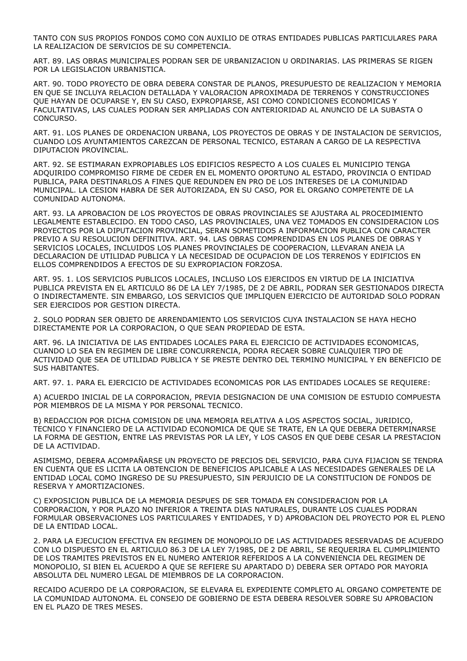TANTO CON SUS PROPIOS FONDOS COMO CON AUXILIO DE OTRAS ENTIDADES PUBLICAS PARTICULARES PARA LA REALIZACION DE SERVICIOS DE SU COMPETENCIA.

ART. 89. LAS OBRAS MUNICIPALES PODRAN SER DE URBANIZACION U ORDINARIAS. LAS PRIMERAS SE RIGEN POR LA LEGISLACION URBANISTICA.

ART. 90. TODO PROYECTO DE OBRA DEBERA CONSTAR DE PLANOS, PRESUPUESTO DE REALIZACION Y MEMORIA EN QUE SE INCLUYA RELACION DETALLADA Y VALORACION APROXIMADA DE TERRENOS Y CONSTRUCCIONES QUE HAYAN DE OCUPARSE Y, EN SU CASO, EXPROPIARSE, ASI COMO CONDICIONES ECONOMICAS Y FACULTATIVAS, LAS CUALES PODRAN SER AMPLIADAS CON ANTERIORIDAD AL ANUNCIO DE LA SUBASTA O CONCURSO.

ART. 91. LOS PLANES DE ORDENACION URBANA, LOS PROYECTOS DE OBRAS Y DE INSTALACION DE SERVICIOS, CUANDO LOS AYUNTAMIENTOS CAREZCAN DE PERSONAL TECNICO, ESTARAN A CARGO DE LA RESPECTIVA DIPUTACION PROVINCIAL.

ART. 92. SE ESTIMARAN EXPROPIABLES LOS EDIFICIOS RESPECTO A LOS CUALES EL MUNICIPIO TENGA ADQUIRIDO COMPROMISO FIRME DE CEDER EN EL MOMENTO OPORTUNO AL ESTADO, PROVINCIA O ENTIDAD PUBLICA, PARA DESTINARLOS A FINES QUE REDUNDEN EN PRO DE LOS INTERESES DE LA COMUNIDAD MUNICIPAL. LA CESION HABRA DE SER AUTORIZADA, EN SU CASO, POR EL ORGANO COMPETENTE DE LA COMUNIDAD AUTONOMA.

ART. 93. LA APROBACION DE LOS PROYECTOS DE OBRAS PROVINCIALES SE AJUSTARA AL PROCEDIMIENTO LEGALMENTE ESTABLECIDO. EN TODO CASO, LAS PROVINCIALES, UNA VEZ TOMADOS EN CONSIDERACION LOS PROYECTOS POR LA DIPUTACION PROVINCIAL, SERAN SOMETIDOS A INFORMACION PUBLICA CON CARACTER PREVIO A SU RESOLUCION DEFINITIVA. ART. 94. LAS OBRAS COMPRENDIDAS EN LOS PLANES DE OBRAS Y SERVICIOS LOCALES, INCLUIDOS LOS PLANES PROVINCIALES DE COOPERACION, LLEVARAN ANEJA LA DECLARACION DE UTILIDAD PUBLICA Y LA NECESIDAD DE OCUPACION DE LOS TERRENOS Y EDIFICIOS EN ELLOS COMPRENDIDOS A EFECTOS DE SU EXPROPIACION FORZOSA.

ART. 95. 1. LOS SERVICIOS PUBLICOS LOCALES, INCLUSO LOS EJERCIDOS EN VIRTUD DE LA INICIATIVA PUBLICA PREVISTA EN EL ARTICULO 86 DE LA LEY 7/1985, DE 2 DE ABRIL, PODRAN SER GESTIONADOS DIRECTA O INDIRECTAMENTE. SIN EMBARGO, LOS SERVICIOS QUE IMPLIQUEN EJERCICIO DE AUTORIDAD SOLO PODRAN SER EJERCIDOS POR GESTION DIRECTA.

2. SOLO PODRAN SER OBJETO DE ARRENDAMIENTO LOS SERVICIOS CUYA INSTALACION SE HAYA HECHO DIRECTAMENTE POR LA CORPORACION, O QUE SEAN PROPIEDAD DE ESTA.

ART. 96. LA INICIATIVA DE LAS ENTIDADES LOCALES PARA EL EJERCICIO DE ACTIVIDADES ECONOMICAS, CUANDO LO SEA EN REGIMEN DE LIBRE CONCURRENCIA, PODRA RECAER SOBRE CUALQUIER TIPO DE ACTIVIDAD QUE SEA DE UTILIDAD PUBLICA Y SE PRESTE DENTRO DEL TERMINO MUNICIPAL Y EN BENEFICIO DE SUS HABITANTES.

ART. 97. 1. PARA EL EJERCICIO DE ACTIVIDADES ECONOMICAS POR LAS ENTIDADES LOCALES SE REQUIERE:

A) ACUERDO INICIAL DE LA CORPORACION, PREVIA DESIGNACION DE UNA COMISION DE ESTUDIO COMPUESTA POR MIEMBROS DE LA MISMA Y POR PERSONAL TECNICO.

B) REDACCION POR DICHA COMISION DE UNA MEMORIA RELATIVA A LOS ASPECTOS SOCIAL, JURIDICO, TECNICO Y FINANCIERO DE LA ACTIVIDAD ECONOMICA DE QUE SE TRATE, EN LA QUE DEBERA DETERMINARSE LA FORMA DE GESTION, ENTRE LAS PREVISTAS POR LA LEY, Y LOS CASOS EN QUE DEBE CESAR LA PRESTACION DE LA ACTIVIDAD.

ASIMISMO, DEBERA ACOMPAÑARSE UN PROYECTO DE PRECIOS DEL SERVICIO, PARA CUYA FIJACION SE TENDRA EN CUENTA QUE ES LICITA LA OBTENCION DE BENEFICIOS APLICABLE A LAS NECESIDADES GENERALES DE LA ENTIDAD LOCAL COMO INGRESO DE SU PRESUPUESTO, SIN PERJUICIO DE LA CONSTITUCION DE FONDOS DE RESERVA Y AMORTIZACIONES.

C) EXPOSICION PUBLICA DE LA MEMORIA DESPUES DE SER TOMADA EN CONSIDERACION POR LA CORPORACION, Y POR PLAZO NO INFERIOR A TREINTA DIAS NATURALES, DURANTE LOS CUALES PODRAN FORMULAR OBSERVACIONES LOS PARTICULARES Y ENTIDADES, Y D) APROBACION DEL PROYECTO POR EL PLENO DE LA ENTIDAD LOCAL.

2. PARA LA EJECUCION EFECTIVA EN REGIMEN DE MONOPOLIO DE LAS ACTIVIDADES RESERVADAS DE ACUERDO CON LO DISPUESTO EN EL ARTICULO 86.3 DE LA LEY 7/1985, DE 2 DE ABRIL, SE REQUERIRA EL CUMPLIMIENTO DE LOS TRAMITES PREVISTOS EN EL NUMERO ANTERIOR REFERIDOS A LA CONVENIENCIA DEL REGIMEN DE MONOPOLIO, SI BIEN EL ACUERDO A QUE SE REFIERE SU APARTADO D) DEBERA SER OPTADO POR MAYORIA ABSOLUTA DEL NUMERO LEGAL DE MIEMBROS DE LA CORPORACION.

RECAIDO ACUERDO DE LA CORPORACION, SE ELEVARA EL EXPEDIENTE COMPLETO AL ORGANO COMPETENTE DE LA COMUNIDAD AUTONOMA. EL CONSEJO DE GOBIERNO DE ESTA DEBERA RESOLVER SOBRE SU APROBACION EN EL PLAZO DE TRES MESES.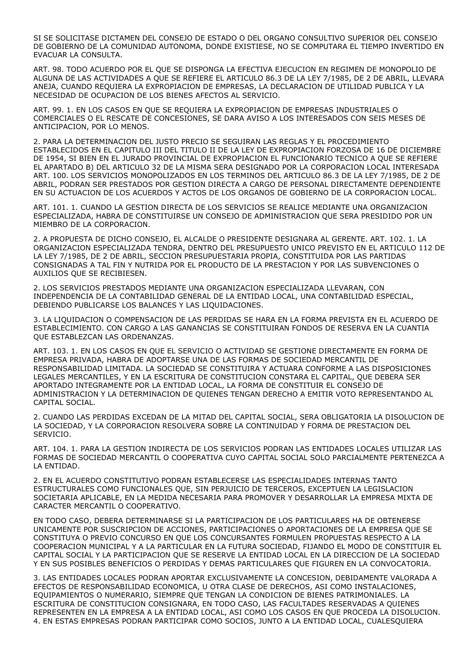SI SE SOLICITASE DICTAMEN DEL CONSEJO DE ESTADO O DEL ORGANO CONSULTIVO SUPERIOR DEL CONSEJO DE GOBIERNO DE LA COMUNIDAD AUTONOMA, DONDE EXISTIESE, NO SE COMPUTARA EL TIEMPO INVERTIDO EN EVACUAR LA CONSULTA.

ART. 98. TODO ACUERDO POR EL QUE SE DISPONGA LA EFECTIVA EJECUCION EN REGIMEN DE MONOPOLIO DE ALGUNA DE LAS ACTIVIDADES A QUE SE REFIERE EL ARTICULO 86.3 DE LA LEY 7/1985, DE 2 DE ABRIL, LLEVARA ANEJA, CUANDO REQUIERA LA EXPROPIACION DE EMPRESAS, LA DECLARACION DE UTILIDAD PUBLICA Y LA NECESIDAD DE OCUPACION DE LOS BIENES AFECTOS AL SERVICIO.

ART. 99. 1. EN LOS CASOS EN QUE SE REQUIERA LA EXPROPIACION DE EMPRESAS INDUSTRIALES O COMERCIALES O EL RESCATE DE CONCESIONES, SE DARA AVISO A LOS INTERESADOS CON SEIS MESES DE ANTICIPACION, POR LO MENOS.

2. PARA LA DETERMINACION DEL JUSTO PRECIO SE SEGUIRAN LAS REGLAS Y EL PROCEDIMIENTO ESTABLECIDOS EN EL CAPITULO III DEL TITULO II DE LA LEY DE EXPROPIACION FORZOSA DE 16 DE DICIEMBRE DE 1954, SI BIEN EN EL JURADO PROVINCIAL DE EXPROPIACION EL FUNCIONARIO TECNICO A QUE SE REFIERE EL APARTADO B) DEL ARTICULO 32 DE LA MISMA SERA DESIGNADO POR LA CORPORACION LOCAL INTERESADA ART. 100. LOS SERVICIOS MONOPOLIZADOS EN LOS TERMINOS DEL ARTICULO 86.3 DE LA LEY 7/1985, DE 2 DE ABRIL, PODRAN SER PRESTADOS POR GESTION DIRECTA A CARGO DE PERSONAL DIRECTAMENTE DEPENDIENTE EN SU ACTUACION DE LOS ACUERDOS Y ACTOS DE LOS ORGANOS DE GOBIERNO DE LA CORPORACION LOCAL.

ART. 101. 1. CUANDO LA GESTION DIRECTA DE LOS SERVICIOS SE REALICE MEDIANTE UNA ORGANIZACION ESPECIALIZADA, HABRA DE CONSTITUIRSE UN CONSEJO DE ADMINISTRACION QUE SERA PRESIDIDO POR UN MIEMBRO DE LA CORPORACION.

2. A PROPUESTA DE DICHO CONSEJO, EL ALCALDE O PRESIDENTE DESIGNARA AL GERENTE. ART. 102. 1. LA ORGANIZACION ESPECIALIZADA TENDRA, DENTRO DEL PRESUPUESTO UNICO PREVISTO EN EL ARTICULO 112 DE LA LEY 7/1985, DE 2 DE ABRIL, SECCION PRESUPUESTARIA PROPIA, CONSTITUIDA POR LAS PARTIDAS CONSIGNADAS A TAL FIN Y NUTRIDA POR EL PRODUCTO DE LA PRESTACION Y POR LAS SUBVENCIONES O AUXILIOS QUE SE RECIBIESEN.

2. LOS SERVICIOS PRESTADOS MEDIANTE UNA ORGANIZACION ESPECIALIZADA LLEVARAN, CON INDEPENDENCIA DE LA CONTABILIDAD GENERAL DE LA ENTIDAD LOCAL, UNA CONTABILIDAD ESPECIAL, DEBIENDO PUBLICARSE LOS BALANCES Y LAS LIQUIDACIONES.

3. LA LIQUIDACION O COMPENSACION DE LAS PERDIDAS SE HARA EN LA FORMA PREVISTA EN EL ACUERDO DE ESTABLECIMIENTO. CON CARGO A LAS GANANCIAS SE CONSTITUIRAN FONDOS DE RESERVA EN LA CUANTIA QUE ESTABLEZCAN LAS ORDENANZAS.

ART. 103. 1. EN LOS CASOS EN QUE EL SERVICIO O ACTIVIDAD SE GESTIONE DIRECTAMENTE EN FORMA DE EMPRESA PRIVADA, HABRA DE ADOPTARSE UNA DE LAS FORMAS DE SOCIEDAD MERCANTIL DE RESPONSABILIDAD LIMITADA. LA SOCIEDAD SE CONSTITUIRA Y ACTUARA CONFORME A LAS DISPOSICIONES LEGALES MERCANTILES, Y EN LA ESCRITURA DE CONSTITUCION CONSTARA EL CAPITAL, QUE DEBERA SER APORTADO INTEGRAMENTE POR LA ENTIDAD LOCAL, LA FORMA DE CONSTITUIR EL CONSEJO DE ADMINISTRACION Y LA DETERMINACION DE QUIENES TENGAN DERECHO A EMITIR VOTO REPRESENTANDO AL CAPITAL SOCIAL.

2. CUANDO LAS PERDIDAS EXCEDAN DE LA MITAD DEL CAPITAL SOCIAL, SERA OBLIGATORIA LA DISOLUCION DE LA SOCIEDAD, Y LA CORPORACION RESOLVERA SOBRE LA CONTINUIDAD Y FORMA DE PRESTACION DEL SERVICIO.

ART. 104. 1. PARA LA GESTION INDIRECTA DE LOS SERVICIOS PODRAN LAS ENTIDADES LOCALES UTILIZAR LAS FORMAS DE SOCIEDAD MERCANTIL O COOPERATIVA CUYO CAPITAL SOCIAL SOLO PARCIALMENTE PERTENEZCA A LA ENTIDAD.

2. EN EL ACUERDO CONSTITUTIVO PODRAN ESTABLECERSE LAS ESPECIALIDADES INTERNAS TANTO ESTRUCTURALES COMO FUNCIONALES QUE, SIN PERJUICIO DE TERCEROS, EXCEPTUEN LA LEGISLACION SOCIETARIA APLICABLE, EN LA MEDIDA NECESARIA PARA PROMOVER Y DESARROLLAR LA EMPRESA MIXTA DE CARACTER MERCANTIL O COOPERATIVO.

EN TODO CASO, DEBERA DETERMINARSE SI LA PARTICIPACION DE LOS PARTICULARES HA DE OBTENERSE UNICAMENTE POR SUSCRIPCION DE ACCIONES, PARTICIPACIONES O APORTACIONES DE LA EMPRESA QUE SE CONSTITUYA O PREVIO CONCURSO EN QUE LOS CONCURSANTES FORMULEN PROPUESTAS RESPECTO A LA COOPERACION MUNICIPAL Y A LA PARTICULAR EN LA FUTURA SOCIEDAD, FIJANDO EL MODO DE CONSTITUIR EL CAPITAL SOCIAL Y LA PARTICIPACION QUE SE RESERVE LA ENTIDAD LOCAL EN LA DIRECCION DE LA SOCIEDAD Y EN SUS POSIBLES BENEFICIOS O PERDIDAS Y DEMAS PARTICULARES QUE FIGUREN EN LA CONVOCATORIA.

3. LAS ENTIDADES LOCALES PODRAN APORTAR EXCLUSIVAMENTE LA CONCESION, DEBIDAMENTE VALORADA A EFECTOS DE RESPONSABILIDAD ECONOMICA, U OTRA CLASE DE DERECHOS, ASI COMO INSTALACIONES, EQUIPAMIENTOS O NUMERARIO, SIEMPRE QUE TENGAN LA CONDICION DE BIENES PATRIMONIALES. LA ESCRITURA DE CONSTITUCION CONSIGNARA, EN TODO CASO, LAS FACULTADES RESERVADAS A QUIENES REPRESENTEN EN LA EMPRESA A LA ENTIDAD LOCAL, ASI COMO LOS CASOS EN QUE PROCEDA LA DISOLUCION. 4. EN ESTAS EMPRESAS PODRAN PARTICIPAR COMO SOCIOS, JUNTO A LA ENTIDAD LOCAL, CUALESQUIERA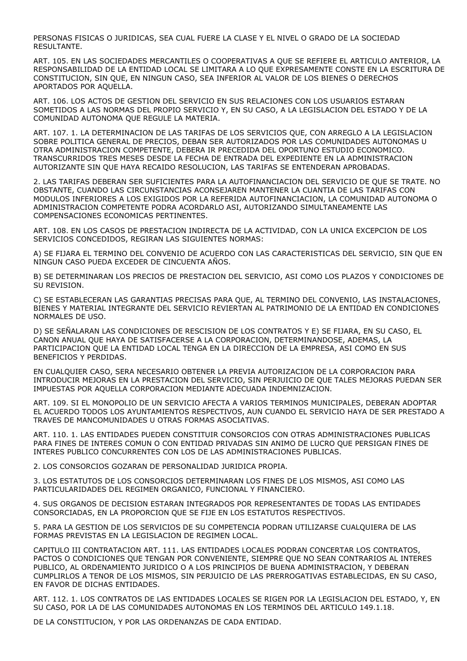PERSONAS FISICAS O JURIDICAS, SEA CUAL FUERE LA CLASE Y EL NIVEL O GRADO DE LA SOCIEDAD RESULTANTE.

ART. 105. EN LAS SOCIEDADES MERCANTILES O COOPERATIVAS A QUE SE REFIERE EL ARTICULO ANTERIOR, LA RESPONSABILIDAD DE LA ENTIDAD LOCAL SE LIMITARA A LO QUE EXPRESAMENTE CONSTE EN LA ESCRITURA DE CONSTITUCION, SIN QUE, EN NINGUN CASO, SEA INFERIOR AL VALOR DE LOS BIENES O DERECHOS APORTADOS POR AQUELLA.

ART. 106. LOS ACTOS DE GESTION DEL SERVICIO EN SUS RELACIONES CON LOS USUARIOS ESTARAN SOMETIDOS A LAS NORMAS DEL PROPIO SERVICIO Y, EN SU CASO, A LA LEGISLACION DEL ESTADO Y DE LA COMUNIDAD AUTONOMA QUE REGULE LA MATERIA.

ART. 107. 1. LA DETERMINACION DE LAS TARIFAS DE LOS SERVICIOS QUE, CON ARREGLO A LA LEGISLACION SOBRE POLITICA GENERAL DE PRECIOS, DEBAN SER AUTORIZADOS POR LAS COMUNIDADES AUTONOMAS U OTRA ADMINISTRACION COMPETENTE, DEBERA IR PRECEDIDA DEL OPORTUNO ESTUDIO ECONOMICO. TRANSCURRIDOS TRES MESES DESDE LA FECHA DE ENTRADA DEL EXPEDIENTE EN LA ADMINISTRACION AUTORIZANTE SIN QUE HAYA RECAIDO RESOLUCION, LAS TARIFAS SE ENTENDERAN APROBADAS.

2. LAS TARIFAS DEBERAN SER SUFICIENTES PARA LA AUTOFINANCIACION DEL SERVICIO DE QUE SE TRATE. NO OBSTANTE, CUANDO LAS CIRCUNSTANCIAS ACONSEJAREN MANTENER LA CUANTIA DE LAS TARIFAS CON MODULOS INFERIORES A LOS EXIGIDOS POR LA REFERIDA AUTOFINANCIACION, LA COMUNIDAD AUTONOMA O ADMINISTRACION COMPETENTE PODRA ACORDARLO ASI, AUTORIZANDO SIMULTANEAMENTE LAS COMPENSACIONES ECONOMICAS PERTINENTES.

ART. 108. EN LOS CASOS DE PRESTACION INDIRECTA DE LA ACTIVIDAD, CON LA UNICA EXCEPCION DE LOS SERVICIOS CONCEDIDOS, REGIRAN LAS SIGUIENTES NORMAS:

A) SE FIJARA EL TERMINO DEL CONVENIO DE ACUERDO CON LAS CARACTERISTICAS DEL SERVICIO, SIN QUE EN NINGUN CASO PUEDA EXCEDER DE CINCUENTA AÑOS.

B) SE DETERMINARAN LOS PRECIOS DE PRESTACION DEL SERVICIO, ASI COMO LOS PLAZOS Y CONDICIONES DE SU REVISION.

C) SE ESTABLECERAN LAS GARANTIAS PRECISAS PARA QUE, AL TERMINO DEL CONVENIO, LAS INSTALACIONES, BIENES Y MATERIAL INTEGRANTE DEL SERVICIO REVIERTAN AL PATRIMONIO DE LA ENTIDAD EN CONDICIONES NORMALES DE USO.

D) SE SEÑALARAN LAS CONDICIONES DE RESCISION DE LOS CONTRATOS Y E) SE FIJARA, EN SU CASO, EL CANON ANUAL QUE HAYA DE SATISFACERSE A LA CORPORACION, DETERMINANDOSE, ADEMAS, LA PARTICIPACION QUE LA ENTIDAD LOCAL TENGA EN LA DIRECCION DE LA EMPRESA, ASI COMO EN SUS BENEFICIOS Y PERDIDAS.

EN CUALQUIER CASO, SERA NECESARIO OBTENER LA PREVIA AUTORIZACION DE LA CORPORACION PARA INTRODUCIR MEJORAS EN LA PRESTACION DEL SERVICIO, SIN PERJUICIO DE QUE TALES MEJORAS PUEDAN SER IMPUESTAS POR AQUELLA CORPORACION MEDIANTE ADECUADA INDEMNIZACION.

ART. 109. SI EL MONOPOLIO DE UN SERVICIO AFECTA A VARIOS TERMINOS MUNICIPALES, DEBERAN ADOPTAR EL ACUERDO TODOS LOS AYUNTAMIENTOS RESPECTIVOS, AUN CUANDO EL SERVICIO HAYA DE SER PRESTADO A TRAVES DE MANCOMUNIDADES U OTRAS FORMAS ASOCIATIVAS.

ART. 110. 1. LAS ENTIDADES PUEDEN CONSTITUIR CONSORCIOS CON OTRAS ADMINISTRACIONES PUBLICAS PARA FINES DE INTERES COMUN O CON ENTIDAD PRIVADAS SIN ANIMO DE LUCRO QUE PERSIGAN FINES DE INTERES PUBLICO CONCURRENTES CON LOS DE LAS ADMINISTRACIONES PUBLICAS.

2. LOS CONSORCIOS GOZARAN DE PERSONALIDAD JURIDICA PROPIA.

3. LOS ESTATUTOS DE LOS CONSORCIOS DETERMINARAN LOS FINES DE LOS MISMOS, ASI COMO LAS PARTICULARIDADES DEL REGIMEN ORGANICO, FUNCIONAL Y FINANCIERO.

4. SUS ORGANOS DE DECISION ESTARAN INTEGRADOS POR REPRESENTANTES DE TODAS LAS ENTIDADES CONSORCIADAS, EN LA PROPORCION QUE SE FIJE EN LOS ESTATUTOS RESPECTIVOS.

5. PARA LA GESTION DE LOS SERVICIOS DE SU COMPETENCIA PODRAN UTILIZARSE CUALQUIERA DE LAS FORMAS PREVISTAS EN LA LEGISLACION DE REGIMEN LOCAL.

CAPITULO III CONTRATACION ART. 111. LAS ENTIDADES LOCALES PODRAN CONCERTAR LOS CONTRATOS, PACTOS O CONDICIONES QUE TENGAN POR CONVENIENTE, SIEMPRE QUE NO SEAN CONTRARIOS AL INTERES PUBLICO, AL ORDENAMIENTO JURIDICO O A LOS PRINCIPIOS DE BUENA ADMINISTRACION, Y DEBERAN CUMPLIRLOS A TENOR DE LOS MISMOS, SIN PERJUICIO DE LAS PRERROGATIVAS ESTABLECIDAS, EN SU CASO, EN FAVOR DE DICHAS ENTIDADES.

ART. 112. 1. LOS CONTRATOS DE LAS ENTIDADES LOCALES SE RIGEN POR LA LEGISLACION DEL ESTADO, Y, EN SU CASO, POR LA DE LAS COMUNIDADES AUTONOMAS EN LOS TERMINOS DEL ARTICULO 149.1.18.

DE LA CONSTITUCION, Y POR LAS ORDENANZAS DE CADA ENTIDAD.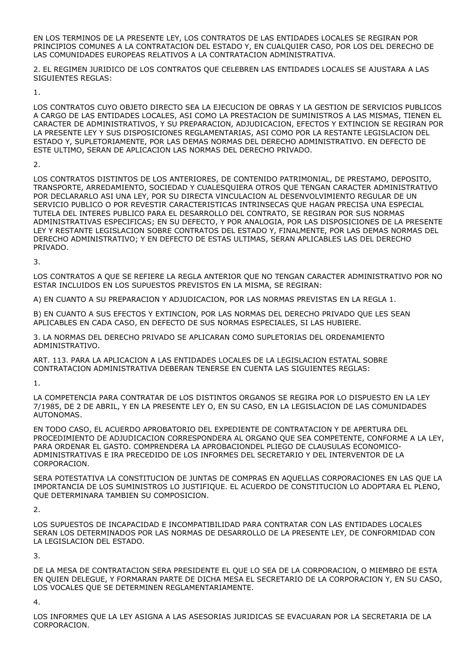EN LOS TERMINOS DE LA PRESENTE LEY, LOS CONTRATOS DE LAS ENTIDADES LOCALES SE REGIRAN POR PRINCIPIOS COMUNES A LA CONTRATACION DEL ESTADO Y, EN CUALQUIER CASO, POR LOS DEL DERECHO DE LAS COMUNIDADES EUROPEAS RELATIVOS A LA CONTRATACION ADMINISTRATIVA.

2. EL REGIMEN JURIDICO DE LOS CONTRATOS QUE CELEBREN LAS ENTIDADES LOCALES SE AJUSTARA A LAS SIGUIENTES REGLAS:

1.

LOS CONTRATOS CUYO OBJETO DIRECTO SEA LA EJECUCION DE OBRAS Y LA GESTION DE SERVICIOS PUBLICOS A CARGO DE LAS ENTIDADES LOCALES, ASI COMO LA PRESTACION DE SUMINISTROS A LAS MISMAS, TIENEN EL CARACTER DE ADMINISTRATIVOS, Y SU PREPARACION, ADJUDICACION, EFECTOS Y EXTINCION SE REGIRAN POR LA PRESENTE LEY Y SUS DISPOSICIONES REGLAMENTARIAS, ASI COMO POR LA RESTANTE LEGISLACION DEL ESTADO Y, SUPLETORIAMENTE, POR LAS DEMAS NORMAS DEL DERECHO ADMINISTRATIVO. EN DEFECTO DE ESTE ULTIMO, SERAN DE APLICACION LAS NORMAS DEL DERECHO PRIVADO.

2.

LOS CONTRATOS DISTINTOS DE LOS ANTERIORES, DE CONTENIDO PATRIMONIAL, DE PRESTAMO, DEPOSITO, TRANSPORTE, ARREDAMIENTO, SOCIEDAD Y CUALESQUIERA OTROS QUE TENGAN CARACTER ADMINISTRATIVO POR DECLARARLO ASI UNA LEY, POR SU DIRECTA VINCULACION AL DESENVOLVIMIENTO REGULAR DE UN SERVICIO PUBLICO O POR REVESTIR CARACTERISTICAS INTRINSECAS QUE HAGAN PRECISA UNA ESPECIAL TUTELA DEL INTERES PUBLICO PARA EL DESARROLLO DEL CONTRATO, SE REGIRAN POR SUS NORMAS ADMINISTRATIVAS ESPECIFICAS; EN SU DEFECTO, Y POR ANALOGIA, POR LAS DISPOSICIONES DE LA PRESENTE LEY Y RESTANTE LEGISLACION SOBRE CONTRATOS DEL ESTADO Y, FINALMENTE, POR LAS DEMAS NORMAS DEL DERECHO ADMINISTRATIVO; Y EN DEFECTO DE ESTAS ULTIMAS, SERAN APLICABLES LAS DEL DERECHO PRIVADO.

3.

LOS CONTRATOS A QUE SE REFIERE LA REGLA ANTERIOR QUE NO TENGAN CARACTER ADMINISTRATIVO POR NO ESTAR INCLUIDOS EN LOS SUPUESTOS PREVISTOS EN LA MISMA, SE REGIRAN:

A) EN CUANTO A SU PREPARACION Y ADJUDICACION, POR LAS NORMAS PREVISTAS EN LA REGLA 1.

B) EN CUANTO A SUS EFECTOS Y EXTINCION, POR LAS NORMAS DEL DERECHO PRIVADO QUE LES SEAN APLICABLES EN CADA CASO, EN DEFECTO DE SUS NORMAS ESPECIALES, SI LAS HUBIERE.

3. LA NORMAS DEL DERECHO PRIVADO SE APLICARAN COMO SUPLETORIAS DEL ORDENAMIENTO ADMINISTRATIVO.

ART. 113. PARA LA APLICACION A LAS ENTIDADES LOCALES DE LA LEGISLACION ESTATAL SOBRE CONTRATACION ADMINISTRATIVA DEBERAN TENERSE EN CUENTA LAS SIGUIENTES REGLAS:

1.

LA COMPETENCIA PARA CONTRATAR DE LOS DISTINTOS ORGANOS SE REGIRA POR LO DISPUESTO EN LA LEY 7/1985, DE 2 DE ABRIL, Y EN LA PRESENTE LEY O, EN SU CASO, EN LA LEGISLACION DE LAS COMUNIDADES AUTONOMAS.

EN TODO CASO, EL ACUERDO APROBATORIO DEL EXPEDIENTE DE CONTRATACION Y DE APERTURA DEL PROCEDIMIENTO DE ADJUDICACION CORRESPONDERA AL ORGANO QUE SEA COMPETENTE, CONFORME A LA LEY, PARA ORDENAR EL GASTO. COMPRENDERA LA APROBACIONDEL PLIEGO DE CLAUSULAS ECONOMICO-ADMINISTRATIVAS E IRA PRECEDIDO DE LOS INFORMES DEL SECRETARIO Y DEL INTERVENTOR DE LA CORPORACION.

SERA POTESTATIVA LA CONSTITUCION DE JUNTAS DE COMPRAS EN AQUELLAS CORPORACIONES EN LAS QUE LA IMPORTANCIA DE LOS SUMINISTROS LO JUSTIFIQUE. EL ACUERDO DE CONSTITUCION LO ADOPTARA EL PLENO, QUE DETERMINARA TAMBIEN SU COMPOSICION.

2.

LOS SUPUESTOS DE INCAPACIDAD E INCOMPATIBILIDAD PARA CONTRATAR CON LAS ENTIDADES LOCALES SERAN LOS DETERMINADOS POR LAS NORMAS DE DESARROLLO DE LA PRESENTE LEY, DE CONFORMIDAD CON LA LEGISLACION DEL ESTADO.

3.

DE LA MESA DE CONTRATACION SERA PRESIDENTE EL QUE LO SEA DE LA CORPORACION, O MIEMBRO DE ESTA EN QUIEN DELEGUE, Y FORMARAN PARTE DE DICHA MESA EL SECRETARIO DE LA CORPORACION Y, EN SU CASO, LOS VOCALES QUE SE DETERMINEN REGLAMENTARIAMENTE.

4.

LOS INFORMES QUE LA LEY ASIGNA A LAS ASESORIAS JURIDICAS SE EVACUARAN POR LA SECRETARIA DE LA CORPORACION.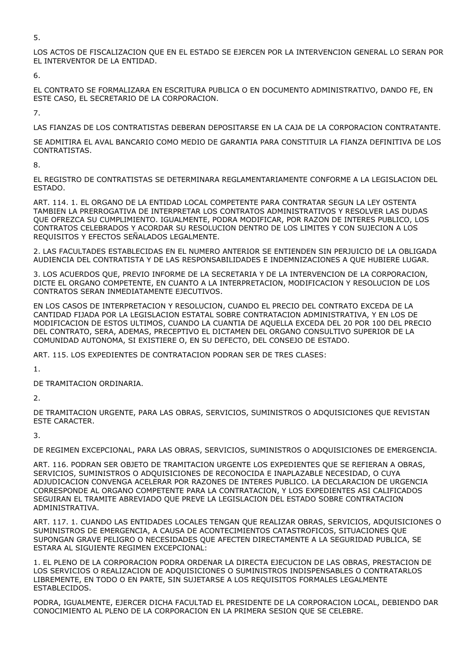5.

LOS ACTOS DE FISCALIZACION QUE EN EL ESTADO SE EJERCEN POR LA INTERVENCION GENERAL LO SERAN POR EL INTERVENTOR DE LA ENTIDAD.

6.

EL CONTRATO SE FORMALIZARA EN ESCRITURA PUBLICA O EN DOCUMENTO ADMINISTRATIVO, DANDO FE, EN ESTE CASO, EL SECRETARIO DE LA CORPORACION.

7.

LAS FIANZAS DE LOS CONTRATISTAS DEBERAN DEPOSITARSE EN LA CAJA DE LA CORPORACION CONTRATANTE.

SE ADMITIRA EL AVAL BANCARIO COMO MEDIO DE GARANTIA PARA CONSTITUIR LA FIANZA DEFINITIVA DE LOS CONTRATISTAS.

8.

EL REGISTRO DE CONTRATISTAS SE DETERMINARA REGLAMENTARIAMENTE CONFORME A LA LEGISLACION DEL ESTADO.

ART. 114. 1. EL ORGANO DE LA ENTIDAD LOCAL COMPETENTE PARA CONTRATAR SEGUN LA LEY OSTENTA TAMBIEN LA PRERROGATIVA DE INTERPRETAR LOS CONTRATOS ADMINISTRATIVOS Y RESOLVER LAS DUDAS QUE OFREZCA SU CUMPLIMIENTO. IGUALMENTE, PODRA MODIFICAR, POR RAZON DE INTERES PUBLICO, LOS CONTRATOS CELEBRADOS Y ACORDAR SU RESOLUCION DENTRO DE LOS LIMITES Y CON SUJECION A LOS REQUISITOS Y EFECTOS SEÑALADOS LEGALMENTE.

2. LAS FACULTADES ESTABLECIDAS EN EL NUMERO ANTERIOR SE ENTIENDEN SIN PERJUICIO DE LA OBLIGADA AUDIENCIA DEL CONTRATISTA Y DE LAS RESPONSABILIDADES E INDEMNIZACIONES A QUE HUBIERE LUGAR.

3. LOS ACUERDOS QUE, PREVIO INFORME DE LA SECRETARIA Y DE LA INTERVENCION DE LA CORPORACION, DICTE EL ORGANO COMPETENTE, EN CUANTO A LA INTERPRETACION, MODIFICACION Y RESOLUCION DE LOS CONTRATOS SERAN INMEDIATAMENTE EJECUTIVOS.

EN LOS CASOS DE INTERPRETACION Y RESOLUCION, CUANDO EL PRECIO DEL CONTRATO EXCEDA DE LA CANTIDAD FIJADA POR LA LEGISLACION ESTATAL SOBRE CONTRATACION ADMINISTRATIVA, Y EN LOS DE MODIFICACION DE ESTOS ULTIMOS, CUANDO LA CUANTIA DE AQUELLA EXCEDA DEL 20 POR 100 DEL PRECIO DEL CONTRATO, SERA, ADEMAS, PRECEPTIVO EL DICTAMEN DEL ORGANO CONSULTIVO SUPERIOR DE LA COMUNIDAD AUTONOMA, SI EXISTIERE O, EN SU DEFECTO, DEL CONSEJO DE ESTADO.

ART. 115. LOS EXPEDIENTES DE CONTRATACION PODRAN SER DE TRES CLASES:

1.

DE TRAMITACION ORDINARIA.

2.

DE TRAMITACION URGENTE, PARA LAS OBRAS, SERVICIOS, SUMINISTROS O ADQUISICIONES QUE REVISTAN ESTE CARACTER.

3.

DE REGIMEN EXCEPCIONAL, PARA LAS OBRAS, SERVICIOS, SUMINISTROS O ADQUISICIONES DE EMERGENCIA.

ART. 116. PODRAN SER OBJETO DE TRAMITACION URGENTE LOS EXPEDIENTES QUE SE REFIERAN A OBRAS, SERVICIOS, SUMINISTROS O ADQUISICIONES DE RECONOCIDA E INAPLAZABLE NECESIDAD, O CUYA ADJUDICACION CONVENGA ACELERAR POR RAZONES DE INTERES PUBLICO. LA DECLARACION DE URGENCIA CORRESPONDE AL ORGANO COMPETENTE PARA LA CONTRATACION, Y LOS EXPEDIENTES ASI CALIFICADOS SEGUIRAN EL TRAMITE ABREVIADO QUE PREVE LA LEGISLACION DEL ESTADO SOBRE CONTRATACION ADMINISTRATIVA.

ART. 117. 1. CUANDO LAS ENTIDADES LOCALES TENGAN QUE REALIZAR OBRAS, SERVICIOS, ADQUISICIONES O SUMINISTROS DE EMERGENCIA, A CAUSA DE ACONTECIMIENTOS CATASTROFICOS, SITUACIONES QUE SUPONGAN GRAVE PELIGRO O NECESIDADES QUE AFECTEN DIRECTAMENTE A LA SEGURIDAD PUBLICA, SE ESTARA AL SIGUIENTE REGIMEN EXCEPCIONAL:

1. EL PLENO DE LA CORPORACION PODRA ORDENAR LA DIRECTA EJECUCION DE LAS OBRAS, PRESTACION DE LOS SERVICIOS O REALIZACION DE ADQUISICIONES O SUMINISTROS INDISPENSABLES O CONTRATARLOS LIBREMENTE, EN TODO O EN PARTE, SIN SUJETARSE A LOS REQUISITOS FORMALES LEGALMENTE ESTABLECIDOS.

PODRA, IGUALMENTE, EJERCER DICHA FACULTAD EL PRESIDENTE DE LA CORPORACION LOCAL, DEBIENDO DAR CONOCIMIENTO AL PLENO DE LA CORPORACION EN LA PRIMERA SESION QUE SE CELEBRE.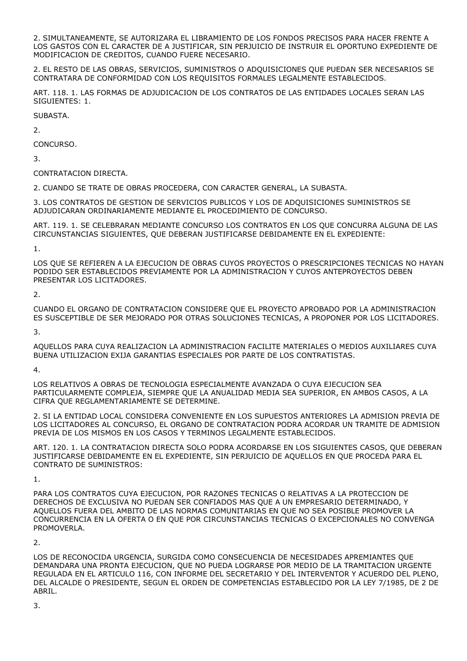2. SIMULTANEAMENTE, SE AUTORIZARA EL LIBRAMIENTO DE LOS FONDOS PRECISOS PARA HACER FRENTE A LOS GASTOS CON EL CARACTER DE A JUSTIFICAR, SIN PERJUICIO DE INSTRUIR EL OPORTUNO EXPEDIENTE DE MODIFICACION DE CREDITOS, CUANDO FUERE NECESARIO.

2. EL RESTO DE LAS OBRAS, SERVICIOS, SUMINISTROS O ADQUISICIONES QUE PUEDAN SER NECESARIOS SE CONTRATARA DE CONFORMIDAD CON LOS REQUISITOS FORMALES LEGALMENTE ESTABLECIDOS.

ART. 118. 1. LAS FORMAS DE ADJUDICACION DE LOS CONTRATOS DE LAS ENTIDADES LOCALES SERAN LAS SIGUIENTES: 1.

SUBASTA.

2.

CONCURSO.

3.

CONTRATACION DIRECTA.

2. CUANDO SE TRATE DE OBRAS PROCEDERA, CON CARACTER GENERAL, LA SUBASTA.

3. LOS CONTRATOS DE GESTION DE SERVICIOS PUBLICOS Y LOS DE ADQUISICIONES SUMINISTROS SE ADJUDICARAN ORDINARIAMENTE MEDIANTE EL PROCEDIMIENTO DE CONCURSO.

ART. 119. 1. SE CELEBRARAN MEDIANTE CONCURSO LOS CONTRATOS EN LOS QUE CONCURRA ALGUNA DE LAS CIRCUNSTANCIAS SIGUIENTES, QUE DEBERAN JUSTIFICARSE DEBIDAMENTE EN EL EXPEDIENTE:

1.

LOS QUE SE REFIEREN A LA EJECUCION DE OBRAS CUYOS PROYECTOS O PRESCRIPCIONES TECNICAS NO HAYAN PODIDO SER ESTABLECIDOS PREVIAMENTE POR LA ADMINISTRACION Y CUYOS ANTEPROYECTOS DEBEN PRESENTAR LOS LICITADORES.

2.

CUANDO EL ORGANO DE CONTRATACION CONSIDERE QUE EL PROYECTO APROBADO POR LA ADMINISTRACION ES SUSCEPTIBLE DE SER MEJORADO POR OTRAS SOLUCIONES TECNICAS, A PROPONER POR LOS LICITADORES.

3.

AQUELLOS PARA CUYA REALIZACION LA ADMINISTRACION FACILITE MATERIALES O MEDIOS AUXILIARES CUYA BUENA UTILIZACION EXIJA GARANTIAS ESPECIALES POR PARTE DE LOS CONTRATISTAS.

4.

LOS RELATIVOS A OBRAS DE TECNOLOGIA ESPECIALMENTE AVANZADA O CUYA EJECUCION SEA PARTICULARMENTE COMPLEJA, SIEMPRE QUE LA ANUALIDAD MEDIA SEA SUPERIOR, EN AMBOS CASOS, A LA CIFRA QUE REGLAMENTARIAMENTE SE DETERMINE.

2. SI LA ENTIDAD LOCAL CONSIDERA CONVENIENTE EN LOS SUPUESTOS ANTERIORES LA ADMISION PREVIA DE LOS LICITADORES AL CONCURSO, EL ORGANO DE CONTRATACION PODRA ACORDAR UN TRAMITE DE ADMISION PREVIA DE LOS MISMOS EN LOS CASOS Y TERMINOS LEGALMENTE ESTABLECIDOS.

ART. 120. 1. LA CONTRATACION DIRECTA SOLO PODRA ACORDARSE EN LOS SIGUIENTES CASOS, QUE DEBERAN JUSTIFICARSE DEBIDAMENTE EN EL EXPEDIENTE, SIN PERJUICIO DE AQUELLOS EN QUE PROCEDA PARA EL CONTRATO DE SUMINISTROS:

1.

PARA LOS CONTRATOS CUYA EJECUCION, POR RAZONES TECNICAS O RELATIVAS A LA PROTECCION DE DERECHOS DE EXCLUSIVA NO PUEDAN SER CONFIADOS MAS QUE A UN EMPRESARIO DETERMINADO, Y AQUELLOS FUERA DEL AMBITO DE LAS NORMAS COMUNITARIAS EN QUE NO SEA POSIBLE PROMOVER LA CONCURRENCIA EN LA OFERTA O EN QUE POR CIRCUNSTANCIAS TECNICAS O EXCEPCIONALES NO CONVENGA PROMOVERLA.

2.

LOS DE RECONOCIDA URGENCIA, SURGIDA COMO CONSECUENCIA DE NECESIDADES APREMIANTES QUE DEMANDARA UNA PRONTA EJECUCION, QUE NO PUEDA LOGRARSE POR MEDIO DE LA TRAMITACION URGENTE REGULADA EN EL ARTICULO 116, CON INFORME DEL SECRETARIO Y DEL INTERVENTOR Y ACUERDO DEL PLENO, DEL ALCALDE O PRESIDENTE, SEGUN EL ORDEN DE COMPETENCIAS ESTABLECIDO POR LA LEY 7/1985, DE 2 DE ABRIL.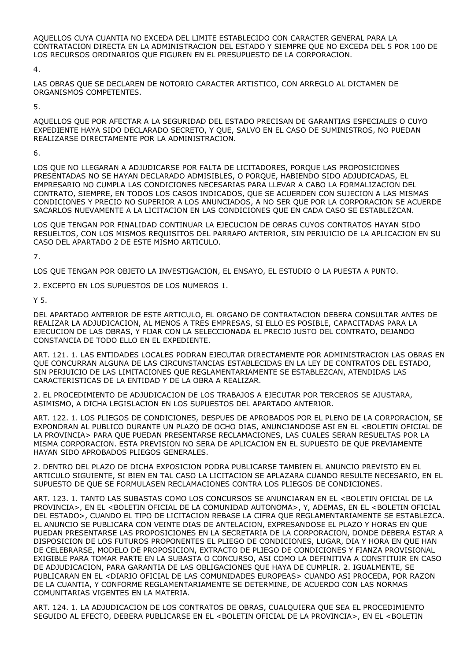AQUELLOS CUYA CUANTIA NO EXCEDA DEL LIMITE ESTABLECIDO CON CARACTER GENERAL PARA LA CONTRATACION DIRECTA EN LA ADMINISTRACION DEL ESTADO Y SIEMPRE QUE NO EXCEDA DEL 5 POR 100 DE LOS RECURSOS ORDINARIOS QUE FIGUREN EN EL PRESUPUESTO DE LA CORPORACION.

4.

LAS OBRAS QUE SE DECLAREN DE NOTORIO CARACTER ARTISTICO, CON ARREGLO AL DICTAMEN DE ORGANISMOS COMPETENTES.

5.

AQUELLOS QUE POR AFECTAR A LA SEGURIDAD DEL ESTADO PRECISAN DE GARANTIAS ESPECIALES O CUYO EXPEDIENTE HAYA SIDO DECLARADO SECRETO, Y QUE, SALVO EN EL CASO DE SUMINISTROS, NO PUEDAN REALIZARSE DIRECTAMENTE POR LA ADMINISTRACION.

6.

LOS QUE NO LLEGARAN A ADJUDICARSE POR FALTA DE LICITADORES, PORQUE LAS PROPOSICIONES PRESENTADAS NO SE HAYAN DECLARADO ADMISIBLES, O PORQUE, HABIENDO SIDO ADJUDICADAS, EL EMPRESARIO NO CUMPLA LAS CONDICIONES NECESARIAS PARA LLEVAR A CABO LA FORMALIZACION DEL CONTRATO, SIEMPRE, EN TODOS LOS CASOS INDICADOS, QUE SE ACUERDEN CON SUJECION A LAS MISMAS CONDICIONES Y PRECIO NO SUPERIOR A LOS ANUNCIADOS, A NO SER QUE POR LA CORPORACION SE ACUERDE SACARLOS NUEVAMENTE A LA LICITACION EN LAS CONDICIONES QUE EN CADA CASO SE ESTABLEZCAN.

LOS QUE TENGAN POR FINALIDAD CONTINUAR LA EJECUCION DE OBRAS CUYOS CONTRATOS HAYAN SIDO RESUELTOS, CON LOS MISMOS REQUISITOS DEL PARRAFO ANTERIOR, SIN PERJUICIO DE LA APLICACION EN SU CASO DEL APARTADO 2 DE ESTE MISMO ARTICULO.

7.

LOS QUE TENGAN POR OBJETO LA INVESTIGACION, EL ENSAYO, EL ESTUDIO O LA PUESTA A PUNTO.

2. EXCEPTO EN LOS SUPUESTOS DE LOS NUMEROS 1.

Y 5.

DEL APARTADO ANTERIOR DE ESTE ARTICULO, EL ORGANO DE CONTRATACION DEBERA CONSULTAR ANTES DE REALIZAR LA ADJUDICACION, AL MENOS A TRES EMPRESAS, SI ELLO ES POSIBLE, CAPACITADAS PARA LA EJECUCION DE LAS OBRAS, Y FIJAR CON LA SELECCIONADA EL PRECIO JUSTO DEL CONTRATO, DEJANDO CONSTANCIA DE TODO ELLO EN EL EXPEDIENTE.

ART. 121. 1. LAS ENTIDADES LOCALES PODRAN EJECUTAR DIRECTAMENTE POR ADMINISTRACION LAS OBRAS EN QUE CONCURRAN ALGUNA DE LAS CIRCUNSTANCIAS ESTABLECIDAS EN LA LEY DE CONTRATOS DEL ESTADO, SIN PERJUICIO DE LAS LIMITACIONES QUE REGLAMENTARIAMENTE SE ESTABLEZCAN, ATENDIDAS LAS CARACTERISTICAS DE LA ENTIDAD Y DE LA OBRA A REALIZAR.

2. EL PROCEDIMIENTO DE ADJUDICACION DE LOS TRABAJOS A EJECUTAR POR TERCEROS SE AJUSTARA, ASIMISMO, A DICHA LEGISLACION EN LOS SUPUESTOS DEL APARTADO ANTERIOR.

ART. 122. 1. LOS PLIEGOS DE CONDICIONES, DESPUES DE APROBADOS POR EL PLENO DE LA CORPORACION, SE EXPONDRAN AL PUBLICO DURANTE UN PLAZO DE OCHO DIAS, ANUNCIANDOSE ASI EN EL <BOLETIN OFICIAL DE LA PROVINCIA> PARA QUE PUEDAN PRESENTARSE RECLAMACIONES, LAS CUALES SERAN RESUELTAS POR LA MISMA CORPORACION. ESTA PREVISION NO SERA DE APLICACION EN EL SUPUESTO DE QUE PREVIAMENTE HAYAN SIDO APROBADOS PLIEGOS GENERALES.

2. DENTRO DEL PLAZO DE DICHA EXPOSICION PODRA PUBLICARSE TAMBIEN EL ANUNCIO PREVISTO EN EL ARTICULO SIGUIENTE, SI BIEN EN TAL CASO LA LICITACION SE APLAZARA CUANDO RESULTE NECESARIO, EN EL SUPUESTO DE QUE SE FORMULASEN RECLAMACIONES CONTRA LOS PLIEGOS DE CONDICIONES.

ART. 123. 1. TANTO LAS SUBASTAS COMO LOS CONCURSOS SE ANUNCIARAN EN EL <BOLETIN OFICIAL DE LA PROVINCIA>, EN EL <BOLETIN OFICIAL DE LA COMUNIDAD AUTONOMA>, Y, ADEMAS, EN EL <BOLETIN OFICIAL DEL ESTADO>, CUANDO EL TIPO DE LICITACION REBASE LA CIFRA QUE REGLAMENTARIAMENTE SE ESTABLEZCA. EL ANUNCIO SE PUBLICARA CON VEINTE DIAS DE ANTELACION, EXPRESANDOSE EL PLAZO Y HORAS EN QUE PUEDAN PRESENTARSE LAS PROPOSICIONES EN LA SECRETARIA DE LA CORPORACION, DONDE DEBERA ESTAR A DISPOSICION DE LOS FUTUROS PROPONENTES EL PLIEGO DE CONDICIONES, LUGAR, DIA Y HORA EN QUE HAN DE CELEBRARSE, MODELO DE PROPOSICION, EXTRACTO DE PLIEGO DE CONDICIONES Y FIANZA PROVISIONAL EXIGIBLE PARA TOMAR PARTE EN LA SUBASTA O CONCURSO, ASI COMO LA DEFINITIVA A CONSTITUIR EN CASO DE ADJUDICACION, PARA GARANTIA DE LAS OBLIGACIONES QUE HAYA DE CUMPLIR. 2. IGUALMENTE, SE PUBLICARAN EN EL <DIARIO OFICIAL DE LAS COMUNIDADES EUROPEAS> CUANDO ASI PROCEDA, POR RAZON DE LA CUANTIA, Y CONFORME REGLAMENTARIAMENTE SE DETERMINE, DE ACUERDO CON LAS NORMAS COMUNITARIAS VIGENTES EN LA MATERIA.

ART. 124. 1. LA ADJUDICACION DE LOS CONTRATOS DE OBRAS, CUALQUIERA QUE SEA EL PROCEDIMIENTO SEGUIDO AL EFECTO, DEBERA PUBLICARSE EN EL <BOLETIN OFICIAL DE LA PROVINCIA>, EN EL <BOLETIN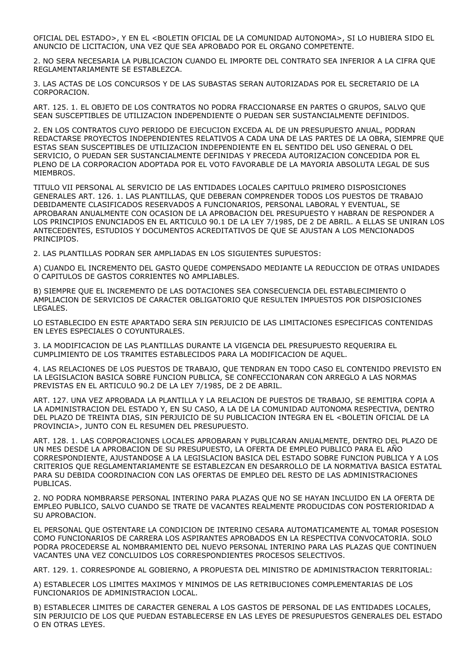OFICIAL DEL ESTADO>, Y EN EL <BOLETIN OFICIAL DE LA COMUNIDAD AUTONOMA>, SI LO HUBIERA SIDO EL ANUNCIO DE LICITACION, UNA VEZ QUE SEA APROBADO POR EL ORGANO COMPETENTE.

2. NO SERA NECESARIA LA PUBLICACION CUANDO EL IMPORTE DEL CONTRATO SEA INFERIOR A LA CIFRA QUE REGLAMENTARIAMENTE SE ESTABLEZCA.

3. LAS ACTAS DE LOS CONCURSOS Y DE LAS SUBASTAS SERAN AUTORIZADAS POR EL SECRETARIO DE LA CORPORACION.

ART. 125. 1. EL OBJETO DE LOS CONTRATOS NO PODRA FRACCIONARSE EN PARTES O GRUPOS, SALVO QUE SEAN SUSCEPTIBLES DE UTILIZACION INDEPENDIENTE O PUEDAN SER SUSTANCIALMENTE DEFINIDOS.

2. EN LOS CONTRATOS CUYO PERIODO DE EJECUCION EXCEDA AL DE UN PRESUPUESTO ANUAL, PODRAN REDACTARSE PROYECTOS INDEPENDIENTES RELATIVOS A CADA UNA DE LAS PARTES DE LA OBRA, SIEMPRE QUE ESTAS SEAN SUSCEPTIBLES DE UTILIZACION INDEPENDIENTE EN EL SENTIDO DEL USO GENERAL O DEL SERVICIO, O PUEDAN SER SUSTANCIALMENTE DEFINIDAS Y PRECEDA AUTORIZACION CONCEDIDA POR EL PLENO DE LA CORPORACION ADOPTADA POR EL VOTO FAVORABLE DE LA MAYORIA ABSOLUTA LEGAL DE SUS MIEMBROS.

TITULO VII PERSONAL AL SERVICIO DE LAS ENTIDADES LOCALES CAPITULO PRIMERO DISPOSICIONES GENERALES ART. 126. 1. LAS PLANTILLAS, QUE DEBERAN COMPRENDER TODOS LOS PUESTOS DE TRABAJO DEBIDAMENTE CLASIFICADOS RESERVADOS A FUNCIONARIOS, PERSONAL LABORAL Y EVENTUAL, SE APROBARAN ANUALMENTE CON OCASION DE LA APROBACION DEL PRESUPUESTO Y HABRAN DE RESPONDER A LOS PRINCIPIOS ENUNCIADOS EN EL ARTICULO 90.1 DE LA LEY 7/1985, DE 2 DE ABRIL. A ELLAS SE UNIRAN LOS ANTECEDENTES, ESTUDIOS Y DOCUMENTOS ACREDITATIVOS DE QUE SE AJUSTAN A LOS MENCIONADOS PRINCIPIOS.

2. LAS PLANTILLAS PODRAN SER AMPLIADAS EN LOS SIGUIENTES SUPUESTOS:

A) CUANDO EL INCREMENTO DEL GASTO QUEDE COMPENSADO MEDIANTE LA REDUCCION DE OTRAS UNIDADES O CAPITULOS DE GASTOS CORRIENTES NO AMPLIABLES.

B) SIEMPRE QUE EL INCREMENTO DE LAS DOTACIONES SEA CONSECUENCIA DEL ESTABLECIMIENTO O AMPLIACION DE SERVICIOS DE CARACTER OBLIGATORIO QUE RESULTEN IMPUESTOS POR DISPOSICIONES LEGALES.

LO ESTABLECIDO EN ESTE APARTADO SERA SIN PERJUICIO DE LAS LIMITACIONES ESPECIFICAS CONTENIDAS EN LEYES ESPECIALES O COYUNTURALES.

3. LA MODIFICACION DE LAS PLANTILLAS DURANTE LA VIGENCIA DEL PRESUPUESTO REQUERIRA EL CUMPLIMIENTO DE LOS TRAMITES ESTABLECIDOS PARA LA MODIFICACION DE AQUEL.

4. LAS RELACIONES DE LOS PUESTOS DE TRABAJO, QUE TENDRAN EN TODO CASO EL CONTENIDO PREVISTO EN LA LEGISLACION BASICA SOBRE FUNCION PUBLICA, SE CONFECCIONARAN CON ARREGLO A LAS NORMAS PREVISTAS EN EL ARTICULO 90.2 DE LA LEY 7/1985, DE 2 DE ABRIL.

ART. 127. UNA VEZ APROBADA LA PLANTILLA Y LA RELACION DE PUESTOS DE TRABAJO, SE REMITIRA COPIA A LA ADMINISTRACION DEL ESTADO Y, EN SU CASO, A LA DE LA COMUNIDAD AUTONOMA RESPECTIVA, DENTRO DEL PLAZO DE TREINTA DIAS, SIN PERJUICIO DE SU PUBLICACION INTEGRA EN EL <BOLETIN OFICIAL DE LA PROVINCIA>, JUNTO CON EL RESUMEN DEL PRESUPUESTO.

ART. 128. 1. LAS CORPORACIONES LOCALES APROBARAN Y PUBLICARAN ANUALMENTE, DENTRO DEL PLAZO DE UN MES DESDE LA APROBACION DE SU PRESUPUESTO, LA OFERTA DE EMPLEO PUBLICO PARA EL AÑO CORRESPONDIENTE, AJUSTANDOSE A LA LEGISLACION BASICA DEL ESTADO SOBRE FUNCION PUBLICA Y A LOS CRITERIOS QUE REGLAMENTARIAMENTE SE ESTABLEZCAN EN DESARROLLO DE LA NORMATIVA BASICA ESTATAL PARA SU DEBIDA COORDINACION CON LAS OFERTAS DE EMPLEO DEL RESTO DE LAS ADMINISTRACIONES PUBLICAS.

2. NO PODRA NOMBRARSE PERSONAL INTERINO PARA PLAZAS QUE NO SE HAYAN INCLUIDO EN LA OFERTA DE EMPLEO PUBLICO, SALVO CUANDO SE TRATE DE VACANTES REALMENTE PRODUCIDAS CON POSTERIORIDAD A SU APROBACION.

EL PERSONAL QUE OSTENTARE LA CONDICION DE INTERINO CESARA AUTOMATICAMENTE AL TOMAR POSESION COMO FUNCIONARIOS DE CARRERA LOS ASPIRANTES APROBADOS EN LA RESPECTIVA CONVOCATORIA. SOLO PODRA PROCEDERSE AL NOMBRAMIENTO DEL NUEVO PERSONAL INTERINO PARA LAS PLAZAS QUE CONTINUEN VACANTES UNA VEZ CONCLUIDOS LOS CORRESPONDIENTES PROCESOS SELECTIVOS.

ART. 129. 1. CORRESPONDE AL GOBIERNO, A PROPUESTA DEL MINISTRO DE ADMINISTRACION TERRITORIAL:

A) ESTABLECER LOS LIMITES MAXIMOS Y MINIMOS DE LAS RETRIBUCIONES COMPLEMENTARIAS DE LOS FUNCIONARIOS DE ADMINISTRACION LOCAL.

B) ESTABLECER LIMITES DE CARACTER GENERAL A LOS GASTOS DE PERSONAL DE LAS ENTIDADES LOCALES, SIN PERJUICIO DE LOS QUE PUEDAN ESTABLECERSE EN LAS LEYES DE PRESUPUESTOS GENERALES DEL ESTADO O EN OTRAS LEYES.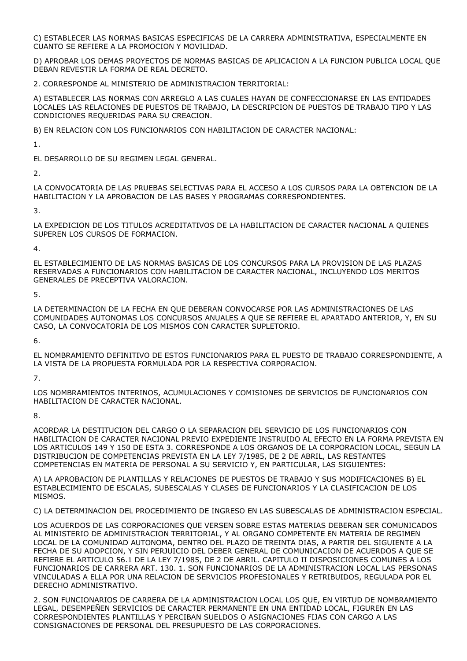C) ESTABLECER LAS NORMAS BASICAS ESPECIFICAS DE LA CARRERA ADMINISTRATIVA, ESPECIALMENTE EN CUANTO SE REFIERE A LA PROMOCION Y MOVILIDAD.

D) APROBAR LOS DEMAS PROYECTOS DE NORMAS BASICAS DE APLICACION A LA FUNCION PUBLICA LOCAL QUE DEBAN REVESTIR LA FORMA DE REAL DECRETO.

2. CORRESPONDE AL MINISTERIO DE ADMINISTRACION TERRITORIAL:

A) ESTABLECER LAS NORMAS CON ARREGLO A LAS CUALES HAYAN DE CONFECCIONARSE EN LAS ENTIDADES LOCALES LAS RELACIONES DE PUESTOS DE TRABAJO, LA DESCRIPCION DE PUESTOS DE TRABAJO TIPO Y LAS CONDICIONES REQUERIDAS PARA SU CREACION.

B) EN RELACION CON LOS FUNCIONARIOS CON HABILITACION DE CARACTER NACIONAL:

1.

EL DESARROLLO DE SU REGIMEN LEGAL GENERAL.

 $\overline{2}$ 

LA CONVOCATORIA DE LAS PRUEBAS SELECTIVAS PARA EL ACCESO A LOS CURSOS PARA LA OBTENCION DE LA HABILITACION Y LA APROBACION DE LAS BASES Y PROGRAMAS CORRESPONDIENTES.

3.

LA EXPEDICION DE LOS TITULOS ACREDITATIVOS DE LA HABILITACION DE CARACTER NACIONAL A QUIENES SUPEREN LOS CURSOS DE FORMACION.

4.

EL ESTABLECIMIENTO DE LAS NORMAS BASICAS DE LOS CONCURSOS PARA LA PROVISION DE LAS PLAZAS RESERVADAS A FUNCIONARIOS CON HABILITACION DE CARACTER NACIONAL, INCLUYENDO LOS MERITOS GENERALES DE PRECEPTIVA VALORACION.

5.

LA DETERMINACION DE LA FECHA EN QUE DEBERAN CONVOCARSE POR LAS ADMINISTRACIONES DE LAS COMUNIDADES AUTONOMAS LOS CONCURSOS ANUALES A QUE SE REFIERE EL APARTADO ANTERIOR, Y, EN SU CASO, LA CONVOCATORIA DE LOS MISMOS CON CARACTER SUPLETORIO.

6.

EL NOMBRAMIENTO DEFINITIVO DE ESTOS FUNCIONARIOS PARA EL PUESTO DE TRABAJO CORRESPONDIENTE, A LA VISTA DE LA PROPUESTA FORMULADA POR LA RESPECTIVA CORPORACION.

7.

LOS NOMBRAMIENTOS INTERINOS, ACUMULACIONES Y COMISIONES DE SERVICIOS DE FUNCIONARIOS CON HABILITACION DE CARACTER NACIONAL.

8.

ACORDAR LA DESTITUCION DEL CARGO O LA SEPARACION DEL SERVICIO DE LOS FUNCIONARIOS CON HABILITACION DE CARACTER NACIONAL PREVIO EXPEDIENTE INSTRUIDO AL EFECTO EN LA FORMA PREVISTA EN LOS ARTICULOS 149 Y 150 DE ESTA 3. CORRESPONDE A LOS ORGANOS DE LA CORPORACION LOCAL, SEGUN LA DISTRIBUCION DE COMPETENCIAS PREVISTA EN LA LEY 7/1985, DE 2 DE ABRIL, LAS RESTANTES COMPETENCIAS EN MATERIA DE PERSONAL A SU SERVICIO Y, EN PARTICULAR, LAS SIGUIENTES:

A) LA APROBACION DE PLANTILLAS Y RELACIONES DE PUESTOS DE TRABAJO Y SUS MODIFICACIONES B) EL ESTABLECIMIENTO DE ESCALAS, SUBESCALAS Y CLASES DE FUNCIONARIOS Y LA CLASIFICACION DE LOS MISMOS.

C) LA DETERMINACION DEL PROCEDIMIENTO DE INGRESO EN LAS SUBESCALAS DE ADMINISTRACION ESPECIAL.

LOS ACUERDOS DE LAS CORPORACIONES QUE VERSEN SOBRE ESTAS MATERIAS DEBERAN SER COMUNICADOS AL MINISTERIO DE ADMINISTRACION TERRITORIAL, Y AL ORGANO COMPETENTE EN MATERIA DE REGIMEN LOCAL DE LA COMUNIDAD AUTONOMA, DENTRO DEL PLAZO DE TREINTA DIAS, A PARTIR DEL SIGUIENTE A LA FECHA DE SU ADOPCION, Y SIN PERJUICIO DEL DEBER GENERAL DE COMUNICACION DE ACUERDOS A QUE SE REFIERE EL ARTICULO 56.1 DE LA LEY 7/1985, DE 2 DE ABRIL. CAPITULO II DISPOSICIONES COMUNES A LOS FUNCIONARIOS DE CARRERA ART. 130. 1. SON FUNCIONARIOS DE LA ADMINISTRACION LOCAL LAS PERSONAS VINCULADAS A ELLA POR UNA RELACION DE SERVICIOS PROFESIONALES Y RETRIBUIDOS, REGULADA POR EL DERECHO ADMINISTRATIVO.

2. SON FUNCIONARIOS DE CARRERA DE LA ADMINISTRACION LOCAL LOS QUE, EN VIRTUD DE NOMBRAMIENTO LEGAL, DESEMPEÑEN SERVICIOS DE CARACTER PERMANENTE EN UNA ENTIDAD LOCAL, FIGUREN EN LAS CORRESPONDIENTES PLANTILLAS Y PERCIBAN SUELDOS O ASIGNACIONES FIJAS CON CARGO A LAS CONSIGNACIONES DE PERSONAL DEL PRESUPUESTO DE LAS CORPORACIONES.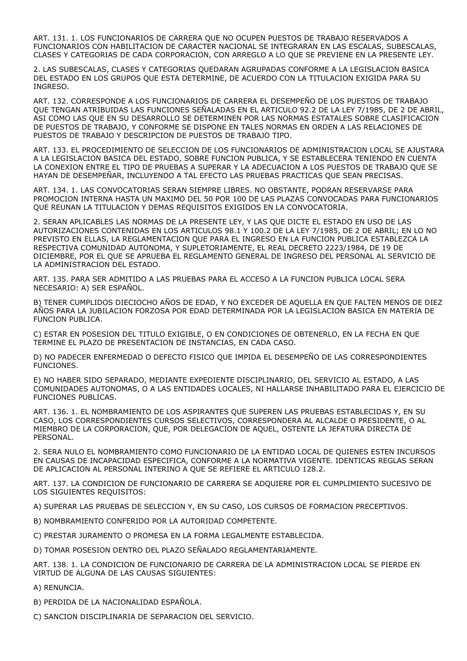ART. 131. 1. LOS FUNCIONARIOS DE CARRERA QUE NO OCUPEN PUESTOS DE TRABAJO RESERVADOS A FUNCIONARIOS CON HABILITACION DE CARACTER NACIONAL SE INTEGRARAN EN LAS ESCALAS, SUBESCALAS, CLASES Y CATEGORIAS DE CADA CORPORACION, CON ARREGLO A LO QUE SE PREVIENE EN LA PRESENTE LEY.

2. LAS SUBESCALAS, CLASES Y CATEGORIAS QUEDARAN AGRUPADAS CONFORME A LA LEGISLACION BASICA DEL ESTADO EN LOS GRUPOS QUE ESTA DETERMINE, DE ACUERDO CON LA TITULACION EXIGIDA PARA SU INGRESO.

ART. 132. CORRESPONDE A LOS FUNCIONARIOS DE CARRERA EL DESEMPEÑO DE LOS PUESTOS DE TRABAJO QUE TENGAN ATRIBUIDAS LAS FUNCIONES SEÑALADAS EN EL ARTICULO 92.2 DE LA LEY 7/1985, DE 2 DE ABRIL, ASI COMO LAS QUE EN SU DESARROLLO SE DETERMINEN POR LAS NORMAS ESTATALES SOBRE CLASIFICACION DE PUESTOS DE TRABAJO, Y CONFORME SE DISPONE EN TALES NORMAS EN ORDEN A LAS RELACIONES DE PUESTOS DE TRABAJO Y DESCRIPCION DE PUESTOS DE TRABAJO TIPO.

ART. 133. EL PROCEDIMIENTO DE SELECCION DE LOS FUNCIONARIOS DE ADMINISTRACION LOCAL SE AJUSTARA A LA LEGISLACION BASICA DEL ESTADO, SOBRE FUNCION PUBLICA, Y SE ESTABLECERA TENIENDO EN CUENTA LA CONEXION ENTRE EL TIPO DE PRUEBAS A SUPERAR Y LA ADECUACION A LOS PUESTOS DE TRABAJO QUE SE HAYAN DE DESEMPEÑAR, INCLUYENDO A TAL EFECTO LAS PRUEBAS PRACTICAS QUE SEAN PRECISAS.

ART. 134. 1. LAS CONVOCATORIAS SERAN SIEMPRE LIBRES. NO OBSTANTE, PODRAN RESERVARSE PARA PROMOCION INTERNA HASTA UN MAXIMO DEL 50 POR 100 DE LAS PLAZAS CONVOCADAS PARA FUNCIONARIOS QUE REUNAN LA TITULACION Y DEMAS REQUISITOS EXIGIDOS EN LA CONVOCATORIA.

2. SERAN APLICABLES LAS NORMAS DE LA PRESENTE LEY, Y LAS QUE DICTE EL ESTADO EN USO DE LAS AUTORIZACIONES CONTENIDAS EN LOS ARTICULOS 98.1 Y 100.2 DE LA LEY 7/1985, DE 2 DE ABRIL; EN LO NO PREVISTO EN ELLAS, LA REGLAMENTACION QUE PARA EL INGRESO EN LA FUNCION PUBLICA ESTABLEZCA LA RESPECTIVA COMUNIDAD AUTONOMA, Y SUPLETORIAMENTE, EL REAL DECRETO 2223/1984, DE 19 DE DICIEMBRE, POR EL QUE SE APRUEBA EL REGLAMENTO GENERAL DE INGRESO DEL PERSONAL AL SERVICIO DE LA ADMINISTRACION DEL ESTADO.

ART. 135. PARA SER ADMITIDO A LAS PRUEBAS PARA EL ACCESO A LA FUNCION PUBLICA LOCAL SERA NECESARIO: A) SER ESPAÑOL.

B) TENER CUMPLIDOS DIECIOCHO AÑOS DE EDAD, Y NO EXCEDER DE AQUELLA EN QUE FALTEN MENOS DE DIEZ AÑOS PARA LA JUBILACION FORZOSA POR EDAD DETERMINADA POR LA LEGISLACION BASICA EN MATERIA DE FUNCION PUBLICA.

C) ESTAR EN POSESION DEL TITULO EXIGIBLE, O EN CONDICIONES DE OBTENERLO, EN LA FECHA EN QUE TERMINE EL PLAZO DE PRESENTACION DE INSTANCIAS, EN CADA CASO.

D) NO PADECER ENFERMEDAD O DEFECTO FISICO QUE IMPIDA EL DESEMPEÑO DE LAS CORRESPONDIENTES FUNCIONES.

E) NO HABER SIDO SEPARADO, MEDIANTE EXPEDIENTE DISCIPLINARIO, DEL SERVICIO AL ESTADO, A LAS COMUNIDADES AUTONOMAS, O A LAS ENTIDADES LOCALES, NI HALLARSE INHABILITADO PARA EL EJERCICIO DE FUNCIONES PUBLICAS.

ART. 136. 1. EL NOMBRAMIENTO DE LOS ASPIRANTES QUE SUPEREN LAS PRUEBAS ESTABLECIDAS Y, EN SU CASO, LOS CORRESPONDIENTES CURSOS SELECTIVOS, CORRESPONDERA AL ALCALDE O PRESIDENTE, O AL MIEMBRO DE LA CORPORACION, QUE, POR DELEGACION DE AQUEL, OSTENTE LA JEFATURA DIRECTA DE PERSONAL.

2. SERA NULO EL NOMBRAMIENTO COMO FUNCIONARIO DE LA ENTIDAD LOCAL DE QUIENES ESTEN INCURSOS EN CAUSAS DE INCAPACIDAD ESPECIFICA, CONFORME A LA NORMATIVA VIGENTE. IDENTICAS REGLAS SERAN DE APLICACION AL PERSONAL INTERINO A QUE SE REFIERE EL ARTICULO 128.2.

ART. 137. LA CONDICION DE FUNCIONARIO DE CARRERA SE ADQUIERE POR EL CUMPLIMIENTO SUCESIVO DE LOS SIGUIENTES REQUISITOS:

A) SUPERAR LAS PRUEBAS DE SELECCION Y, EN SU CASO, LOS CURSOS DE FORMACION PRECEPTIVOS.

- B) NOMBRAMIENTO CONFERIDO POR LA AUTORIDAD COMPETENTE.
- C) PRESTAR JURAMENTO O PROMESA EN LA FORMA LEGALMENTE ESTABLECIDA.
- D) TOMAR POSESION DENTRO DEL PLAZO SEÑALADO REGLAMENTARIAMENTE.

ART. 138. 1. LA CONDICION DE FUNCIONARIO DE CARRERA DE LA ADMINISTRACION LOCAL SE PIERDE EN VIRTUD DE ALGUNA DE LAS CAUSAS SIGUIENTES:

A) RENUNCIA.

- B) PERDIDA DE LA NACIONALIDAD ESPAÑOLA.
- C) SANCION DISCIPLINARIA DE SEPARACION DEL SERVICIO.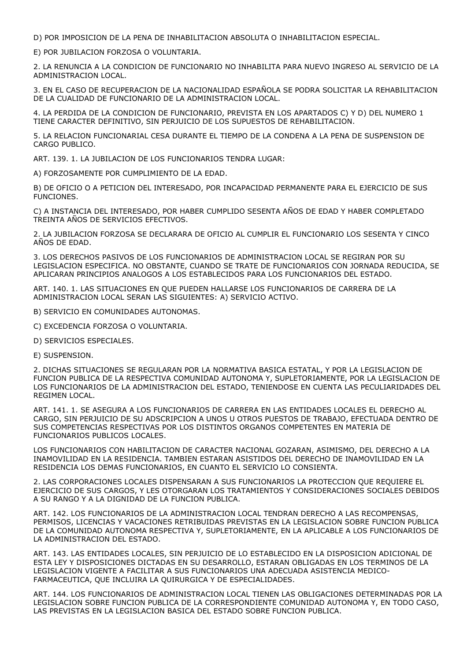D) POR IMPOSICION DE LA PENA DE INHABILITACION ABSOLUTA O INHABILITACION ESPECIAL.

E) POR JUBILACION FORZOSA O VOLUNTARIA.

2. LA RENUNCIA A LA CONDICION DE FUNCIONARIO NO INHABILITA PARA NUEVO INGRESO AL SERVICIO DE LA ADMINISTRACION LOCAL.

3. EN EL CASO DE RECUPERACION DE LA NACIONALIDAD ESPAÑOLA SE PODRA SOLICITAR LA REHABILITACION DE LA CUALIDAD DE FUNCIONARIO DE LA ADMINISTRACION LOCAL.

4. LA PERDIDA DE LA CONDICION DE FUNCIONARIO, PREVISTA EN LOS APARTADOS C) Y D) DEL NUMERO 1 TIENE CARACTER DEFINITIVO, SIN PERJUICIO DE LOS SUPUESTOS DE REHABILITACION.

5. LA RELACION FUNCIONARIAL CESA DURANTE EL TIEMPO DE LA CONDENA A LA PENA DE SUSPENSION DE CARGO PUBLICO.

ART. 139. 1. LA JUBILACION DE LOS FUNCIONARIOS TENDRA LUGAR:

A) FORZOSAMENTE POR CUMPLIMIENTO DE LA EDAD.

B) DE OFICIO O A PETICION DEL INTERESADO, POR INCAPACIDAD PERMANENTE PARA EL EJERCICIO DE SUS FUNCIONES.

C) A INSTANCIA DEL INTERESADO, POR HABER CUMPLIDO SESENTA AÑOS DE EDAD Y HABER COMPLETADO TREINTA AÑOS DE SERVICIOS EFECTIVOS.

2. LA JUBILACION FORZOSA SE DECLARARA DE OFICIO AL CUMPLIR EL FUNCIONARIO LOS SESENTA Y CINCO AÑOS DE EDAD.

3. LOS DERECHOS PASIVOS DE LOS FUNCIONARIOS DE ADMINISTRACION LOCAL SE REGIRAN POR SU LEGISLACION ESPECIFICA. NO OBSTANTE, CUANDO SE TRATE DE FUNCIONARIOS CON JORNADA REDUCIDA, SE APLICARAN PRINCIPIOS ANALOGOS A LOS ESTABLECIDOS PARA LOS FUNCIONARIOS DEL ESTADO.

ART. 140. 1. LAS SITUACIONES EN QUE PUEDEN HALLARSE LOS FUNCIONARIOS DE CARRERA DE LA ADMINISTRACION LOCAL SERAN LAS SIGUIENTES: A) SERVICIO ACTIVO.

B) SERVICIO EN COMUNIDADES AUTONOMAS.

C) EXCEDENCIA FORZOSA O VOLUNTARIA.

D) SERVICIOS ESPECIALES.

E) SUSPENSION.

2. DICHAS SITUACIONES SE REGULARAN POR LA NORMATIVA BASICA ESTATAL, Y POR LA LEGISLACION DE FUNCION PUBLICA DE LA RESPECTIVA COMUNIDAD AUTONOMA Y, SUPLETORIAMENTE, POR LA LEGISLACION DE LOS FUNCIONARIOS DE LA ADMINISTRACION DEL ESTADO, TENIENDOSE EN CUENTA LAS PECULIARIDADES DEL REGIMEN LOCAL.

ART. 141. 1. SE ASEGURA A LOS FUNCIONARIOS DE CARRERA EN LAS ENTIDADES LOCALES EL DERECHO AL CARGO, SIN PERJUICIO DE SU ADSCRIPCION A UNOS U OTROS PUESTOS DE TRABAJO, EFECTUADA DENTRO DE SUS COMPETENCIAS RESPECTIVAS POR LOS DISTINTOS ORGANOS COMPETENTES EN MATERIA DE FUNCIONARIOS PUBLICOS LOCALES.

LOS FUNCIONARIOS CON HABILITACION DE CARACTER NACIONAL GOZARAN, ASIMISMO, DEL DERECHO A LA INAMOVILIDAD EN LA RESIDENCIA. TAMBIEN ESTARAN ASISTIDOS DEL DERECHO DE INAMOVILIDAD EN LA RESIDENCIA LOS DEMAS FUNCIONARIOS, EN CUANTO EL SERVICIO LO CONSIENTA.

2. LAS CORPORACIONES LOCALES DISPENSARAN A SUS FUNCIONARIOS LA PROTECCION QUE REQUIERE EL EJERCICIO DE SUS CARGOS, Y LES OTORGARAN LOS TRATAMIENTOS Y CONSIDERACIONES SOCIALES DEBIDOS A SU RANGO Y A LA DIGNIDAD DE LA FUNCION PUBLICA.

ART. 142. LOS FUNCIONARIOS DE LA ADMINISTRACION LOCAL TENDRAN DERECHO A LAS RECOMPENSAS, PERMISOS, LICENCIAS Y VACACIONES RETRIBUIDAS PREVISTAS EN LA LEGISLACION SOBRE FUNCION PUBLICA DE LA COMUNIDAD AUTONOMA RESPECTIVA Y, SUPLETORIAMENTE, EN LA APLICABLE A LOS FUNCIONARIOS DE LA ADMINISTRACION DEL ESTADO.

ART. 143. LAS ENTIDADES LOCALES, SIN PERJUICIO DE LO ESTABLECIDO EN LA DISPOSICION ADICIONAL DE ESTA LEY Y DISPOSICIONES DICTADAS EN SU DESARROLLO, ESTARAN OBLIGADAS EN LOS TERMINOS DE LA LEGISLACION VIGENTE A FACILITAR A SUS FUNCIONARIOS UNA ADECUADA ASISTENCIA MEDICO-FARMACEUTICA, QUE INCLUIRA LA QUIRURGICA Y DE ESPECIALIDADES.

ART. 144. LOS FUNCIONARIOS DE ADMINISTRACION LOCAL TIENEN LAS OBLIGACIONES DETERMINADAS POR LA LEGISLACION SOBRE FUNCION PUBLICA DE LA CORRESPONDIENTE COMUNIDAD AUTONOMA Y, EN TODO CASO, LAS PREVISTAS EN LA LEGISLACION BASICA DEL ESTADO SOBRE FUNCION PUBLICA.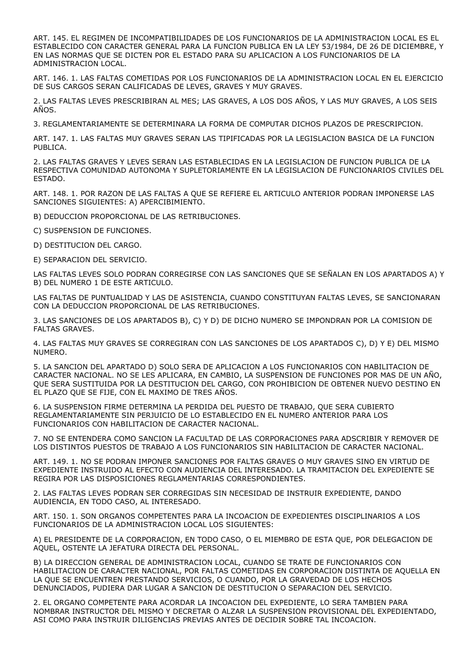ART. 145. EL REGIMEN DE INCOMPATIBILIDADES DE LOS FUNCIONARIOS DE LA ADMINISTRACION LOCAL ES EL ESTABLECIDO CON CARACTER GENERAL PARA LA FUNCION PUBLICA EN LA LEY 53/1984, DE 26 DE DICIEMBRE, Y EN LAS NORMAS QUE SE DICTEN POR EL ESTADO PARA SU APLICACION A LOS FUNCIONARIOS DE LA ADMINISTRACION LOCAL.

ART. 146. 1. LAS FALTAS COMETIDAS POR LOS FUNCIONARIOS DE LA ADMINISTRACION LOCAL EN EL EJERCICIO DE SUS CARGOS SERAN CALIFICADAS DE LEVES, GRAVES Y MUY GRAVES.

2. LAS FALTAS LEVES PRESCRIBIRAN AL MES; LAS GRAVES, A LOS DOS AÑOS, Y LAS MUY GRAVES, A LOS SEIS AÑOS.

3. REGLAMENTARIAMENTE SE DETERMINARA LA FORMA DE COMPUTAR DICHOS PLAZOS DE PRESCRIPCION.

ART. 147. 1. LAS FALTAS MUY GRAVES SERAN LAS TIPIFICADAS POR LA LEGISLACION BASICA DE LA FUNCION PUBLICA.

2. LAS FALTAS GRAVES Y LEVES SERAN LAS ESTABLECIDAS EN LA LEGISLACION DE FUNCION PUBLICA DE LA RESPECTIVA COMUNIDAD AUTONOMA Y SUPLETORIAMENTE EN LA LEGISLACION DE FUNCIONARIOS CIVILES DEL ESTADO.

ART. 148. 1. POR RAZON DE LAS FALTAS A QUE SE REFIERE EL ARTICULO ANTERIOR PODRAN IMPONERSE LAS SANCIONES SIGUIENTES: A) APERCIBIMIENTO.

B) DEDUCCION PROPORCIONAL DE LAS RETRIBUCIONES.

C) SUSPENSION DE FUNCIONES.

D) DESTITUCION DEL CARGO.

E) SEPARACION DEL SERVICIO.

LAS FALTAS LEVES SOLO PODRAN CORREGIRSE CON LAS SANCIONES QUE SE SEÑALAN EN LOS APARTADOS A) Y B) DEL NUMERO 1 DE ESTE ARTICULO.

LAS FALTAS DE PUNTUALIDAD Y LAS DE ASISTENCIA, CUANDO CONSTITUYAN FALTAS LEVES, SE SANCIONARAN CON LA DEDUCCION PROPORCIONAL DE LAS RETRIBUCIONES.

3. LAS SANCIONES DE LOS APARTADOS B), C) Y D) DE DICHO NUMERO SE IMPONDRAN POR LA COMISION DE FALTAS GRAVES.

4. LAS FALTAS MUY GRAVES SE CORREGIRAN CON LAS SANCIONES DE LOS APARTADOS C), D) Y E) DEL MISMO NUMERO.

5. LA SANCION DEL APARTADO D) SOLO SERA DE APLICACION A LOS FUNCIONARIOS CON HABILITACION DE CARACTER NACIONAL. NO SE LES APLICARA, EN CAMBIO, LA SUSPENSION DE FUNCIONES POR MAS DE UN AÑO, QUE SERA SUSTITUIDA POR LA DESTITUCION DEL CARGO, CON PROHIBICION DE OBTENER NUEVO DESTINO EN EL PLAZO QUE SE FIJE, CON EL MAXIMO DE TRES AÑOS.

6. LA SUSPENSION FIRME DETERMINA LA PERDIDA DEL PUESTO DE TRABAJO, QUE SERA CUBIERTO REGLAMENTARIAMENTE SIN PERJUICIO DE LO ESTABLECIDO EN EL NUMERO ANTERIOR PARA LOS FUNCIONARIOS CON HABILITACION DE CARACTER NACIONAL.

7. NO SE ENTENDERA COMO SANCION LA FACULTAD DE LAS CORPORACIONES PARA ADSCRIBIR Y REMOVER DE LOS DISTINTOS PUESTOS DE TRABAJO A LOS FUNCIONARIOS SIN HABILITACION DE CARACTER NACIONAL.

ART. 149. 1. NO SE PODRAN IMPONER SANCIONES POR FALTAS GRAVES O MUY GRAVES SINO EN VIRTUD DE EXPEDIENTE INSTRUIDO AL EFECTO CON AUDIENCIA DEL INTERESADO. LA TRAMITACION DEL EXPEDIENTE SE REGIRA POR LAS DISPOSICIONES REGLAMENTARIAS CORRESPONDIENTES.

2. LAS FALTAS LEVES PODRAN SER CORREGIDAS SIN NECESIDAD DE INSTRUIR EXPEDIENTE, DANDO AUDIENCIA, EN TODO CASO, AL INTERESADO.

ART. 150. 1. SON ORGANOS COMPETENTES PARA LA INCOACION DE EXPEDIENTES DISCIPLINARIOS A LOS FUNCIONARIOS DE LA ADMINISTRACION LOCAL LOS SIGUIENTES:

A) EL PRESIDENTE DE LA CORPORACION, EN TODO CASO, O EL MIEMBRO DE ESTA QUE, POR DELEGACION DE AQUEL, OSTENTE LA JEFATURA DIRECTA DEL PERSONAL.

B) LA DIRECCION GENERAL DE ADMINISTRACION LOCAL, CUANDO SE TRATE DE FUNCIONARIOS CON HABILITACION DE CARACTER NACIONAL, POR FALTAS COMETIDAS EN CORPORACION DISTINTA DE AQUELLA EN LA QUE SE ENCUENTREN PRESTANDO SERVICIOS, O CUANDO, POR LA GRAVEDAD DE LOS HECHOS DENUNCIADOS, PUDIERA DAR LUGAR A SANCION DE DESTITUCION O SEPARACION DEL SERVICIO.

2. EL ORGANO COMPETENTE PARA ACORDAR LA INCOACION DEL EXPEDIENTE, LO SERA TAMBIEN PARA NOMBRAR INSTRUCTOR DEL MISMO Y DECRETAR O ALZAR LA SUSPENSION PROVISIONAL DEL EXPEDIENTADO, ASI COMO PARA INSTRUIR DILIGENCIAS PREVIAS ANTES DE DECIDIR SOBRE TAL INCOACION.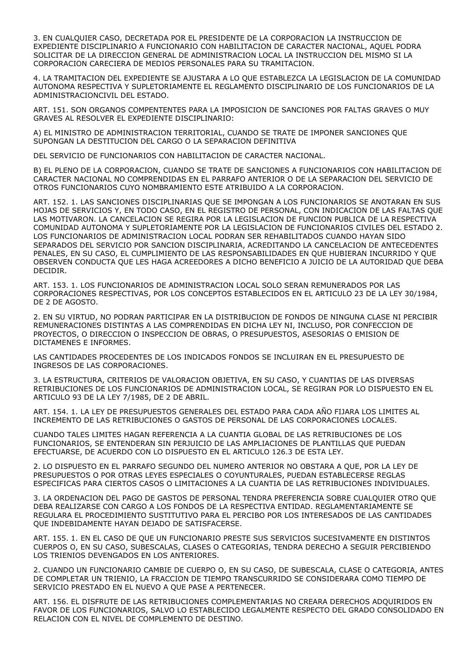3. EN CUALQUIER CASO, DECRETADA POR EL PRESIDENTE DE LA CORPORACION LA INSTRUCCION DE EXPEDIENTE DISCIPLINARIO A FUNCIONARIO CON HABILITACION DE CARACTER NACIONAL, AQUEL PODRA SOLICITAR DE LA DIRECCION GENERAL DE ADMINISTRACION LOCAL LA INSTRUCCION DEL MISMO SI LA CORPORACION CARECIERA DE MEDIOS PERSONALES PARA SU TRAMITACION.

4. LA TRAMITACION DEL EXPEDIENTE SE AJUSTARA A LO QUE ESTABLEZCA LA LEGISLACION DE LA COMUNIDAD AUTONOMA RESPECTIVA Y SUPLETORIAMENTE EL REGLAMENTO DISCIPLINARIO DE LOS FUNCIONARIOS DE LA ADMINISTRACIONCIVIL DEL ESTADO.

ART. 151. SON ORGANOS COMPENTENTES PARA LA IMPOSICION DE SANCIONES POR FALTAS GRAVES O MUY GRAVES AL RESOLVER EL EXPEDIENTE DISCIPLINARIO:

A) EL MINISTRO DE ADMINISTRACION TERRITORIAL, CUANDO SE TRATE DE IMPONER SANCIONES QUE SUPONGAN LA DESTITUCION DEL CARGO O LA SEPARACION DEFINITIVA

DEL SERVICIO DE FUNCIONARIOS CON HABILITACION DE CARACTER NACIONAL.

B) EL PLENO DE LA CORPORACION, CUANDO SE TRATE DE SANCIONES A FUNCIONARIOS CON HABILITACION DE CARACTER NACIONAL NO COMPRENDIDAS EN EL PARRAFO ANTERIOR O DE LA SEPARACION DEL SERVICIO DE OTROS FUNCIONARIOS CUYO NOMBRAMIENTO ESTE ATRIBUIDO A LA CORPORACION.

ART. 152. 1. LAS SANCIONES DISCIPLINARIAS QUE SE IMPONGAN A LOS FUNCIONARIOS SE ANOTARAN EN SUS HOJAS DE SERVICIOS Y, EN TODO CASO, EN EL REGISTRO DE PERSONAL, CON INDICACION DE LAS FALTAS QUE LAS MOTIVARON. LA CANCELACION SE REGIRA POR LA LEGISLACION DE FUNCION PUBLICA DE LA RESPECTIVA COMUNIDAD AUTONOMA Y SUPLETORIAMENTE POR LA LEGISLACION DE FUNCIONARIOS CIVILES DEL ESTADO 2. LOS FUNCIONARIOS DE ADMINISTRACION LOCAL PODRAN SER REHABILITADOS CUANDO HAYAN SIDO SEPARADOS DEL SERVICIO POR SANCION DISCIPLINARIA, ACREDITANDO LA CANCELACION DE ANTECEDENTES PENALES, EN SU CASO, EL CUMPLIMIENTO DE LAS RESPONSABILIDADES EN QUE HUBIERAN INCURRIDO Y QUE OBSERVEN CONDUCTA QUE LES HAGA ACREEDORES A DICHO BENEFICIO A JUICIO DE LA AUTORIDAD QUE DEBA DECIDIR.

ART. 153. 1. LOS FUNCIONARIOS DE ADMINISTRACION LOCAL SOLO SERAN REMUNERADOS POR LAS CORPORACIONES RESPECTIVAS, POR LOS CONCEPTOS ESTABLECIDOS EN EL ARTICULO 23 DE LA LEY 30/1984, DE 2 DE AGOSTO.

2. EN SU VIRTUD, NO PODRAN PARTICIPAR EN LA DISTRIBUCION DE FONDOS DE NINGUNA CLASE NI PERCIBIR REMUNERACIONES DISTINTAS A LAS COMPRENDIDAS EN DICHA LEY NI, INCLUSO, POR CONFECCION DE PROYECTOS, O DIRECCION O INSPECCION DE OBRAS, O PRESUPUESTOS, ASESORIAS O EMISION DE DICTAMENES E INFORMES.

LAS CANTIDADES PROCEDENTES DE LOS INDICADOS FONDOS SE INCLUIRAN EN EL PRESUPUESTO DE INGRESOS DE LAS CORPORACIONES.

3. LA ESTRUCTURA, CRITERIOS DE VALORACION OBJETIVA, EN SU CASO, Y CUANTIAS DE LAS DIVERSAS RETRIBUCIONES DE LOS FUNCIONARIOS DE ADMINISTRACION LOCAL, SE REGIRAN POR LO DISPUESTO EN EL ARTICULO 93 DE LA LEY 7/1985, DE 2 DE ABRIL.

ART. 154. 1. LA LEY DE PRESUPUESTOS GENERALES DEL ESTADO PARA CADA AÑO FIJARA LOS LIMITES AL INCREMENTO DE LAS RETRIBUCIONES O GASTOS DE PERSONAL DE LAS CORPORACIONES LOCALES.

CUANDO TALES LIMITES HAGAN REFERENCIA A LA CUANTIA GLOBAL DE LAS RETRIBUCIONES DE LOS FUNCIONARIOS, SE ENTENDERAN SIN PERJUICIO DE LAS AMPLIACIONES DE PLANTILLAS QUE PUEDAN EFECTUARSE, DE ACUERDO CON LO DISPUESTO EN EL ARTICULO 126.3 DE ESTA LEY.

2. LO DISPUESTO EN EL PARRAFO SEGUNDO DEL NUMERO ANTERIOR NO OBSTARA A QUE, POR LA LEY DE PRESUPUESTOS O POR OTRAS LEYES ESPECIALES O COYUNTURALES, PUEDAN ESTABLECERSE REGLAS ESPECIFICAS PARA CIERTOS CASOS O LIMITACIONES A LA CUANTIA DE LAS RETRIBUCIONES INDIVIDUALES.

3. LA ORDENACION DEL PAGO DE GASTOS DE PERSONAL TENDRA PREFERENCIA SOBRE CUALQUIER OTRO QUE DEBA REALIZARSE CON CARGO A LOS FONDOS DE LA RESPECTIVA ENTIDAD. REGLAMENTARIAMENTE SE REGULARA EL PROCEDIMIENTO SUSTITUTIVO PARA EL PERCIBO POR LOS INTERESADOS DE LAS CANTIDADES QUE INDEBIDAMENTE HAYAN DEJADO DE SATISFACERSE.

ART. 155. 1. EN EL CASO DE QUE UN FUNCIONARIO PRESTE SUS SERVICIOS SUCESIVAMENTE EN DISTINTOS CUERPOS O, EN SU CASO, SUBESCALAS, CLASES O CATEGORIAS, TENDRA DERECHO A SEGUIR PERCIBIENDO LOS TRIENIOS DEVENGADOS EN LOS ANTERIORES.

2. CUANDO UN FUNCIONARIO CAMBIE DE CUERPO O, EN SU CASO, DE SUBESCALA, CLASE O CATEGORIA, ANTES DE COMPLETAR UN TRIENIO, LA FRACCION DE TIEMPO TRANSCURRIDO SE CONSIDERARA COMO TIEMPO DE SERVICIO PRESTADO EN EL NUEVO A QUE PASE A PERTENECER.

ART. 156. EL DISFRUTE DE LAS RETRIBUCIONES COMPLEMENTARIAS NO CREARA DERECHOS ADQUIRIDOS EN FAVOR DE LOS FUNCIONARIOS, SALVO LO ESTABLECIDO LEGALMENTE RESPECTO DEL GRADO CONSOLIDADO EN RELACION CON EL NIVEL DE COMPLEMENTO DE DESTINO.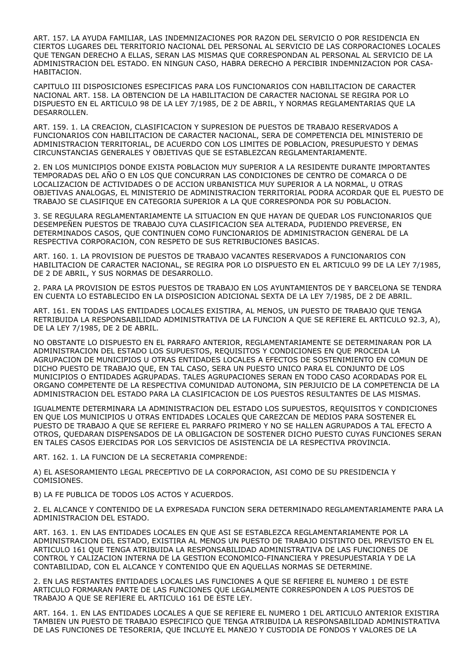ART. 157. LA AYUDA FAMILIAR, LAS INDEMNIZACIONES POR RAZON DEL SERVICIO O POR RESIDENCIA EN CIERTOS LUGARES DEL TERRITORIO NACIONAL DEL PERSONAL AL SERVICIO DE LAS CORPORACIONES LOCALES QUE TENGAN DERECHO A ELLAS, SERAN LAS MISMAS QUE CORRESPONDAN AL PERSONAL AL SERVICIO DE LA ADMINISTRACION DEL ESTADO. EN NINGUN CASO, HABRA DERECHO A PERCIBIR INDEMNIZACION POR CASA-HABITACION.

CAPITULO III DISPOSICIONES ESPECIFICAS PARA LOS FUNCIONARIOS CON HABILITACION DE CARACTER NACIONAL ART. 158. LA OBTENCION DE LA HABILITACION DE CARACTER NACIONAL SE REGIRA POR LO DISPUESTO EN EL ARTICULO 98 DE LA LEY 7/1985, DE 2 DE ABRIL, Y NORMAS REGLAMENTARIAS QUE LA DESARROLLEN.

ART. 159. 1. LA CREACION, CLASIFICACION Y SUPRESION DE PUESTOS DE TRABAJO RESERVADOS A FUNCIONARIOS CON HABILITACION DE CARACTER NACIONAL, SERA DE COMPETENCIA DEL MINISTERIO DE ADMINISTRACION TERRITORIAL, DE ACUERDO CON LOS LIMITES DE POBLACION, PRESUPUESTO Y DEMAS CIRCUNSTANCIAS GENERALES Y OBJETIVAS QUE SE ESTABLEZCAN REGLAMENTARIAMENTE.

2. EN LOS MUNICIPIOS DONDE EXISTA POBLACION MUY SUPERIOR A LA RESIDENTE DURANTE IMPORTANTES TEMPORADAS DEL AÑO O EN LOS QUE CONCURRAN LAS CONDICIONES DE CENTRO DE COMARCA O DE LOCALIZACION DE ACTIVIDADES O DE ACCION URBANISTICA MUY SUPERIOR A LA NORMAL, U OTRAS OBJETIVAS ANALOGAS, EL MINISTERIO DE ADMINISTRACION TERRITORIAL PODRA ACORDAR QUE EL PUESTO DE TRABAJO SE CLASIFIQUE EN CATEGORIA SUPERIOR A LA QUE CORRESPONDA POR SU POBLACION.

3. SE REGULARA REGLAMENTARIAMENTE LA SITUACION EN QUE HAYAN DE QUEDAR LOS FUNCIONARIOS QUE DESEMPEÑEN PUESTOS DE TRABAJO CUYA CLASIFICACION SEA ALTERADA, PUDIENDO PREVERSE, EN DETERMINADOS CASOS, QUE CONTINUEN COMO FUNCIONARIOS DE ADMINISTRACION GENERAL DE LA RESPECTIVA CORPORACION, CON RESPETO DE SUS RETRIBUCIONES BASICAS.

ART. 160. 1. LA PROVISION DE PUESTOS DE TRABAJO VACANTES RESERVADOS A FUNCIONARIOS CON HABILITACION DE CARACTER NACIONAL, SE REGIRA POR LO DISPUESTO EN EL ARTICULO 99 DE LA LEY 7/1985, DE 2 DE ABRIL, Y SUS NORMAS DE DESARROLLO.

2. PARA LA PROVISION DE ESTOS PUESTOS DE TRABAJO EN LOS AYUNTAMIENTOS DE Y BARCELONA SE TENDRA EN CUENTA LO ESTABLECIDO EN LA DISPOSICION ADICIONAL SEXTA DE LA LEY 7/1985, DE 2 DE ABRIL.

ART. 161. EN TODAS LAS ENTIDADES LOCALES EXISTIRA, AL MENOS, UN PUESTO DE TRABAJO QUE TENGA RETRIBUIDA LA RESPONSABILIDAD ADMINISTRATIVA DE LA FUNCION A QUE SE REFIERE EL ARTICULO 92.3, A), DE LA LEY 7/1985, DE 2 DE ABRIL.

NO OBSTANTE LO DISPUESTO EN EL PARRAFO ANTERIOR, REGLAMENTARIAMENTE SE DETERMINARAN POR LA ADMINISTRACION DEL ESTADO LOS SUPUESTOS, REQUISITOS Y CONDICIONES EN QUE PROCEDA LA AGRUPACION DE MUNICIPIOS U OTRAS ENTIDADES LOCALES A EFECTOS DE SOSTENIMIENTO EN COMUN DE DICHO PUESTO DE TRABAJO QUE, EN TAL CASO, SERA UN PUESTO UNICO PARA EL CONJUNTO DE LOS MUNICIPIOS O ENTIDADES AGRUPADAS. TALES AGRUPACIONES SERAN EN TODO CASO ACORDADAS POR EL ORGANO COMPETENTE DE LA RESPECTIVA COMUNIDAD AUTONOMA, SIN PERJUICIO DE LA COMPETENCIA DE LA ADMINISTRACION DEL ESTADO PARA LA CLASIFICACION DE LOS PUESTOS RESULTANTES DE LAS MISMAS.

IGUALMENTE DETERMINARA LA ADMINISTRACION DEL ESTADO LOS SUPUESTOS, REQUISITOS Y CONDICIONES EN QUE LOS MUNICIPIOS U OTRAS ENTIDADES LOCALES QUE CAREZCAN DE MEDIOS PARA SOSTENER EL PUESTO DE TRABAJO A QUE SE REFIERE EL PARRAFO PRIMERO Y NO SE HALLEN AGRUPADOS A TAL EFECTO A OTROS, QUEDARAN DISPENSADOS DE LA OBLIGACION DE SOSTENER DICHO PUESTO CUYAS FUNCIONES SERAN EN TALES CASOS EJERCIDAS POR LOS SERVICIOS DE ASISTENCIA DE LA RESPECTIVA PROVINCIA.

ART. 162. 1. LA FUNCION DE LA SECRETARIA COMPRENDE:

A) EL ASESORAMIENTO LEGAL PRECEPTIVO DE LA CORPORACION, ASI COMO DE SU PRESIDENCIA Y COMISIONES.

B) LA FE PUBLICA DE TODOS LOS ACTOS Y ACUERDOS.

2. EL ALCANCE Y CONTENIDO DE LA EXPRESADA FUNCION SERA DETERMINADO REGLAMENTARIAMENTE PARA LA ADMINISTRACION DEL ESTADO.

ART. 163. 1. EN LAS ENTIDADES LOCALES EN QUE ASI SE ESTABLEZCA REGLAMENTARIAMENTE POR LA ADMINISTRACION DEL ESTADO, EXISTIRA AL MENOS UN PUESTO DE TRABAJO DISTINTO DEL PREVISTO EN EL ARTICULO 161 QUE TENGA ATRIBUIDA LA RESPONSABILIDAD ADMINISTRATIVA DE LAS FUNCIONES DE CONTROL Y CALIZACION INTERNA DE LA GESTION ECONOMICO-FINANCIERA Y PRESUPUESTARIA Y DE LA CONTABILIDAD, CON EL ALCANCE Y CONTENIDO QUE EN AQUELLAS NORMAS SE DETERMINE.

2. EN LAS RESTANTES ENTIDADES LOCALES LAS FUNCIONES A QUE SE REFIERE EL NUMERO 1 DE ESTE ARTICULO FORMARAN PARTE DE LAS FUNCIONES QUE LEGALMENTE CORRESPONDEN A LOS PUESTOS DE TRABAJO A QUE SE REFIERE EL ARTICULO 161 DE ESTE LEY.

ART. 164. 1. EN LAS ENTIDADES LOCALES A QUE SE REFIERE EL NUMERO 1 DEL ARTICULO ANTERIOR EXISTIRA TAMBIEN UN PUESTO DE TRABAJO ESPECIFICO QUE TENGA ATRIBUIDA LA RESPONSABILIDAD ADMINISTRATIVA DE LAS FUNCIONES DE TESORERIA, QUE INCLUYE EL MANEJO Y CUSTODIA DE FONDOS Y VALORES DE LA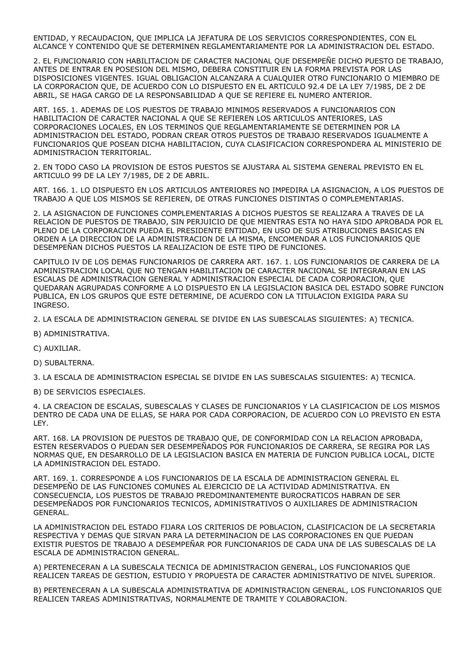ENTIDAD, Y RECAUDACION, QUE IMPLICA LA JEFATURA DE LOS SERVICIOS CORRESPONDIENTES, CON EL ALCANCE Y CONTENIDO QUE SE DETERMINEN REGLAMENTARIAMENTE POR LA ADMINISTRACION DEL ESTADO.

2. EL FUNCIONARIO CON HABILITACION DE CARACTER NACIONAL QUE DESEMPEÑE DICHO PUESTO DE TRABAJO, ANTES DE ENTRAR EN POSESION DEL MISMO, DEBERA CONSTITUIR EN LA FORMA PREVISTA POR LAS DISPOSICIONES VIGENTES. IGUAL OBLIGACION ALCANZARA A CUALQUIER OTRO FUNCIONARIO O MIEMBRO DE LA CORPORACION QUE, DE ACUERDO CON LO DISPUESTO EN EL ARTICULO 92.4 DE LA LEY 7/1985, DE 2 DE ABRIL, SE HAGA CARGO DE LA RESPONSABILIDAD A QUE SE REFIERE EL NUMERO ANTERIOR.

ART. 165. 1. ADEMAS DE LOS PUESTOS DE TRABAJO MINIMOS RESERVADOS A FUNCIONARIOS CON HABILITACION DE CARACTER NACIONAL A QUE SE REFIEREN LOS ARTICULOS ANTERIORES, LAS CORPORACIONES LOCALES, EN LOS TERMINOS QUE REGLAMENTARIAMENTE SE DETERMINEN POR LA ADMINISTRACION DEL ESTADO, PODRAN CREAR OTROS PUESTOS DE TRABAJO RESERVADOS IGUALMENTE A FUNCIONARIOS QUE POSEAN DICHA HABILITACION, CUYA CLASIFICACION CORRESPONDERA AL MINISTERIO DE ADMINISTRACION TERRITORIAL.

2. EN TODO CASO LA PROVISION DE ESTOS PUESTOS SE AJUSTARA AL SISTEMA GENERAL PREVISTO EN EL ARTICULO 99 DE LA LEY 7/1985, DE 2 DE ABRIL.

ART. 166. 1. LO DISPUESTO EN LOS ARTICULOS ANTERIORES NO IMPEDIRA LA ASIGNACION, A LOS PUESTOS DE TRABAJO A QUE LOS MISMOS SE REFIEREN, DE OTRAS FUNCIONES DISTINTAS O COMPLEMENTARIAS.

2. LA ASIGNACION DE FUNCIONES COMPLEMENTARIAS A DICHOS PUESTOS SE REALIZARA A TRAVES DE LA RELACION DE PUESTOS DE TRABAJO, SIN PERJUICIO DE QUE MIENTRAS ESTA NO HAYA SIDO APROBADA POR EL PLENO DE LA CORPORACION PUEDA EL PRESIDENTE ENTIDAD, EN USO DE SUS ATRIBUCIONES BASICAS EN ORDEN A LA DIRECCION DE LA ADMINISTRACION DE LA MISMA, ENCOMENDAR A LOS FUNCIONARIOS QUE DESEMPEÑAN DICHOS PUESTOS LA REALIZACION DE ESTE TIPO DE FUNCIONES.

CAPITULO IV DE LOS DEMAS FUNCIONARIOS DE CARRERA ART. 167. 1. LOS FUNCIONARIOS DE CARRERA DE LA ADMINISTRACION LOCAL QUE NO TENGAN HABILITACION DE CARACTER NACIONAL SE INTEGRARAN EN LAS ESCALAS DE ADMINISTRACION GENERAL Y ADMINISTRACION ESPECIAL DE CADA CORPORACION, QUE QUEDARAN AGRUPADAS CONFORME A LO DISPUESTO EN LA LEGISLACION BASICA DEL ESTADO SOBRE FUNCION PUBLICA, EN LOS GRUPOS QUE ESTE DETERMINE, DE ACUERDO CON LA TITULACION EXIGIDA PARA SU INGRESO.

2. LA ESCALA DE ADMINISTRACION GENERAL SE DIVIDE EN LAS SUBESCALAS SIGUIENTES: A) TECNICA.

- B) ADMINISTRATIVA.
- C) AUXILIAR.
- D) SUBALTERNA.

3. LA ESCALA DE ADMINISTRACION ESPECIAL SE DIVIDE EN LAS SUBESCALAS SIGUIENTES: A) TECNICA.

B) DE SERVICIOS ESPECIALES.

4. LA CREACION DE ESCALAS, SUBESCALAS Y CLASES DE FUNCIONARIOS Y LA CLASIFICACION DE LOS MISMOS DENTRO DE CADA UNA DE ELLAS, SE HARA POR CADA CORPORACION, DE ACUERDO CON LO PREVISTO EN ESTA LEY.

ART. 168. LA PROVISION DE PUESTOS DE TRABAJO QUE, DE CONFORMIDAD CON LA RELACION APROBADA, ESTEN RESERVADOS O PUEDAN SER DESEMPEÑADOS POR FUNCIONARIOS DE CARRERA, SE REGIRA POR LAS NORMAS QUE, EN DESARROLLO DE LA LEGISLACION BASICA EN MATERIA DE FUNCION PUBLICA LOCAL, DICTE LA ADMINISTRACION DEL ESTADO.

ART. 169. 1. CORRESPONDE A LOS FUNCIONARIOS DE LA ESCALA DE ADMINISTRACION GENERAL EL DESEMPEÑO DE LAS FUNCIONES COMUNES AL EJERCICIO DE LA ACTIVIDAD ADMINISTRATIVA. EN CONSECUENCIA, LOS PUESTOS DE TRABAJO PREDOMINANTEMENTE BUROCRATICOS HABRAN DE SER DESEMPEÑADOS POR FUNCIONARIOS TECNICOS, ADMINISTRATIVOS O AUXILIARES DE ADMINISTRACION GENERAL.

LA ADMINISTRACION DEL ESTADO FIJARA LOS CRITERIOS DE POBLACION, CLASIFICACION DE LA SECRETARIA RESPECTIVA Y DEMAS QUE SIRVAN PARA LA DETERMINACION DE LAS CORPORACIONES EN QUE PUEDAN EXISTIR PUESTOS DE TRABAJO A DESEMPEÑAR POR FUNCIONARIOS DE CADA UNA DE LAS SUBESCALAS DE LA ESCALA DE ADMINISTRACION GENERAL.

A) PERTENECERAN A LA SUBESCALA TECNICA DE ADMINISTRACION GENERAL, LOS FUNCIONARIOS QUE REALICEN TAREAS DE GESTION, ESTUDIO Y PROPUESTA DE CARACTER ADMINISTRATIVO DE NIVEL SUPERIOR.

B) PERTENECERAN A LA SUBESCALA ADMINISTRATIVA DE ADMINISTRACION GENERAL, LOS FUNCIONARIOS QUE REALICEN TAREAS ADMINISTRATIVAS, NORMALMENTE DE TRAMITE Y COLABORACION.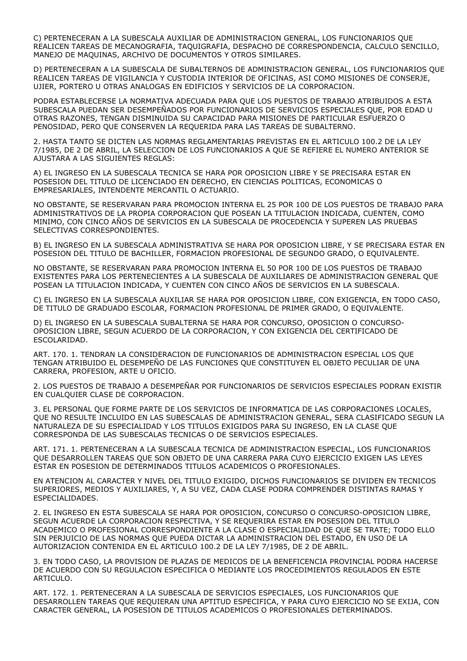C) PERTENECERAN A LA SUBESCALA AUXILIAR DE ADMINISTRACION GENERAL, LOS FUNCIONARIOS QUE REALICEN TAREAS DE MECANOGRAFIA, TAQUIGRAFIA, DESPACHO DE CORRESPONDENCIA, CALCULO SENCILLO, MANEJO DE MAQUINAS, ARCHIVO DE DOCUMENTOS Y OTROS SIMILARES.

D) PERTENECERAN A LA SUBESCALA DE SUBALTERNOS DE ADMINISTRACION GENERAL, LOS FUNCIONARIOS QUE REALICEN TAREAS DE VIGILANCIA Y CUSTODIA INTERIOR DE OFICINAS, ASI COMO MISIONES DE CONSERJE, UJIER, PORTERO U OTRAS ANALOGAS EN EDIFICIOS Y SERVICIOS DE LA CORPORACION.

PODRA ESTABLECERSE LA NORMATIVA ADECUADA PARA QUE LOS PUESTOS DE TRABAJO ATRIBUIDOS A ESTA SUBESCALA PUEDAN SER DESEMPEÑADOS POR FUNCIONARIOS DE SERVICIOS ESPECIALES QUE, POR EDAD U OTRAS RAZONES, TENGAN DISMINUIDA SU CAPACIDAD PARA MISIONES DE PARTICULAR ESFUERZO O PENOSIDAD, PERO QUE CONSERVEN LA REQUERIDA PARA LAS TAREAS DE SUBALTERNO.

2. HASTA TANTO SE DICTEN LAS NORMAS REGLAMENTARIAS PREVISTAS EN EL ARTICULO 100.2 DE LA LEY 7/1985, DE 2 DE ABRIL, LA SELECCION DE LOS FUNCIONARIOS A QUE SE REFIERE EL NUMERO ANTERIOR SE AJUSTARA A LAS SIGUIENTES REGLAS:

A) EL INGRESO EN LA SUBESCALA TECNICA SE HARA POR OPOSICION LIBRE Y SE PRECISARA ESTAR EN POSESION DEL TITULO DE LICENCIADO EN DERECHO, EN CIENCIAS POLITICAS, ECONOMICAS O EMPRESARIALES, INTENDENTE MERCANTIL O ACTUARIO.

NO OBSTANTE, SE RESERVARAN PARA PROMOCION INTERNA EL 25 POR 100 DE LOS PUESTOS DE TRABAJO PARA ADMINISTRATIVOS DE LA PROPIA CORPORACION QUE POSEAN LA TITULACION INDICADA, CUENTEN, COMO MINIMO, CON CINCO AÑOS DE SERVICIOS EN LA SUBESCALA DE PROCEDENCIA Y SUPEREN LAS PRUEBAS SELECTIVAS CORRESPONDIENTES.

B) EL INGRESO EN LA SUBESCALA ADMINISTRATIVA SE HARA POR OPOSICION LIBRE, Y SE PRECISARA ESTAR EN POSESION DEL TITULO DE BACHILLER, FORMACION PROFESIONAL DE SEGUNDO GRADO, O EQUIVALENTE.

NO OBSTANTE, SE RESERVARAN PARA PROMOCION INTERNA EL 50 POR 100 DE LOS PUESTOS DE TRABAJO EXISTENTES PARA LOS PERTENECIENTES A LA SUBESCALA DE AUXILIARES DE ADMINISTRACION GENERAL QUE POSEAN LA TITULACION INDICADA, Y CUENTEN CON CINCO AÑOS DE SERVICIOS EN LA SUBESCALA.

C) EL INGRESO EN LA SUBESCALA AUXILIAR SE HARA POR OPOSICION LIBRE, CON EXIGENCIA, EN TODO CASO, DE TITULO DE GRADUADO ESCOLAR, FORMACION PROFESIONAL DE PRIMER GRADO, O EQUIVALENTE.

D) EL INGRESO EN LA SUBESCALA SUBALTERNA SE HARA POR CONCURSO, OPOSICION O CONCURSO-OPOSICION LIBRE, SEGUN ACUERDO DE LA CORPORACION, Y CON EXIGENCIA DEL CERTIFICADO DE ESCOLARIDAD.

ART. 170. 1. TENDRAN LA CONSIDERACION DE FUNCIONARIOS DE ADMINISTRACION ESPECIAL LOS QUE TENGAN ATRIBUIDO EL DESEMPEÑO DE LAS FUNCIONES QUE CONSTITUYEN EL OBJETO PECULIAR DE UNA CARRERA, PROFESION, ARTE U OFICIO.

2. LOS PUESTOS DE TRABAJO A DESEMPEÑAR POR FUNCIONARIOS DE SERVICIOS ESPECIALES PODRAN EXISTIR EN CUALQUIER CLASE DE CORPORACION.

3. EL PERSONAL QUE FORME PARTE DE LOS SERVICIOS DE INFORMATICA DE LAS CORPORACIONES LOCALES, QUE NO RESULTE INCLUIDO EN LAS SUBESCALAS DE ADMINISTRACION GENERAL, SERA CLASIFICADO SEGUN LA NATURALEZA DE SU ESPECIALIDAD Y LOS TITULOS EXIGIDOS PARA SU INGRESO, EN LA CLASE QUE CORRESPONDA DE LAS SUBESCALAS TECNICAS O DE SERVICIOS ESPECIALES.

ART. 171. 1. PERTENECERAN A LA SUBESCALA TECNICA DE ADMINISTRACION ESPECIAL, LOS FUNCIONARIOS QUE DESARROLLEN TAREAS QUE SON OBJETO DE UNA CARRERA PARA CUYO EJERCICIO EXIGEN LAS LEYES ESTAR EN POSESION DE DETERMINADOS TITULOS ACADEMICOS O PROFESIONALES.

EN ATENCION AL CARACTER Y NIVEL DEL TITULO EXIGIDO, DICHOS FUNCIONARIOS SE DIVIDEN EN TECNICOS SUPERIORES, MEDIOS Y AUXILIARES, Y, A SU VEZ, CADA CLASE PODRA COMPRENDER DISTINTAS RAMAS Y ESPECIALIDADES.

2. EL INGRESO EN ESTA SUBESCALA SE HARA POR OPOSICION, CONCURSO O CONCURSO-OPOSICION LIBRE, SEGUN ACUERDE LA CORPORACION RESPECTIVA, Y SE REQUERIRA ESTAR EN POSESION DEL TITULO ACADEMICO O PROFESIONAL CORRESPONDIENTE A LA CLASE O ESPECIALIDAD DE QUE SE TRATE; TODO ELLO SIN PERJUICIO DE LAS NORMAS QUE PUEDA DICTAR LA ADMINISTRACION DEL ESTADO, EN USO DE LA AUTORIZACION CONTENIDA EN EL ARTICULO 100.2 DE LA LEY 7/1985, DE 2 DE ABRIL.

3. EN TODO CASO, LA PROVISION DE PLAZAS DE MEDICOS DE LA BENEFICENCIA PROVINCIAL PODRA HACERSE DE ACUERDO CON SU REGULACION ESPECIFICA O MEDIANTE LOS PROCEDIMIENTOS REGULADOS EN ESTE ARTICULO.

ART. 172. 1. PERTENECERAN A LA SUBESCALA DE SERVICIOS ESPECIALES, LOS FUNCIONARIOS QUE DESARROLLEN TAREAS QUE REQUIERAN UNA APTITUD ESPECIFICA, Y PARA CUYO EJERCICIO NO SE EXIJA, CON CARACTER GENERAL, LA POSESION DE TITULOS ACADEMICOS O PROFESIONALES DETERMINADOS.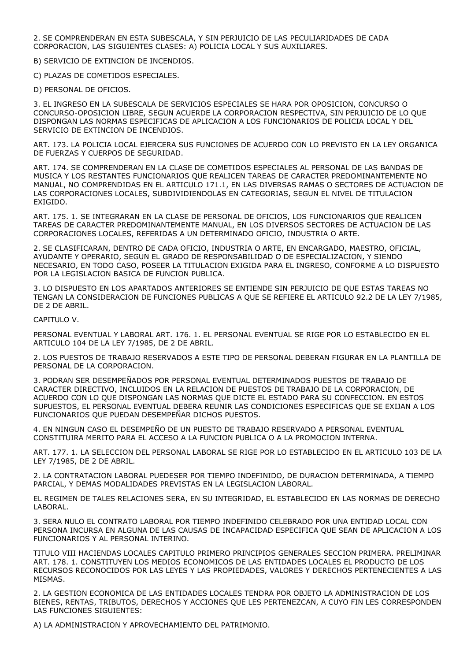2. SE COMPRENDERAN EN ESTA SUBESCALA, Y SIN PERJUICIO DE LAS PECULIARIDADES DE CADA CORPORACION, LAS SIGUIENTES CLASES: A) POLICIA LOCAL Y SUS AUXILIARES.

B) SERVICIO DE EXTINCION DE INCENDIOS.

C) PLAZAS DE COMETIDOS ESPECIALES.

D) PERSONAL DE OFICIOS.

3. EL INGRESO EN LA SUBESCALA DE SERVICIOS ESPECIALES SE HARA POR OPOSICION, CONCURSO O CONCURSO-OPOSICION LIBRE, SEGUN ACUERDE LA CORPORACION RESPECTIVA, SIN PERJUICIO DE LO QUE DISPONGAN LAS NORMAS ESPECIFICAS DE APLICACION A LOS FUNCIONARIOS DE POLICIA LOCAL Y DEL SERVICIO DE EXTINCION DE INCENDIOS.

ART. 173. LA POLICIA LOCAL EJERCERA SUS FUNCIONES DE ACUERDO CON LO PREVISTO EN LA LEY ORGANICA DE FUERZAS Y CUERPOS DE SEGURIDAD.

ART. 174. SE COMPRENDERAN EN LA CLASE DE COMETIDOS ESPECIALES AL PERSONAL DE LAS BANDAS DE MUSICA Y LOS RESTANTES FUNCIONARIOS QUE REALICEN TAREAS DE CARACTER PREDOMINANTEMENTE NO MANUAL, NO COMPRENDIDAS EN EL ARTICULO 171.1, EN LAS DIVERSAS RAMAS O SECTORES DE ACTUACION DE LAS CORPORACIONES LOCALES, SUBDIVIDIENDOLAS EN CATEGORIAS, SEGUN EL NIVEL DE TITULACION EXIGIDO.

ART. 175. 1. SE INTEGRARAN EN LA CLASE DE PERSONAL DE OFICIOS, LOS FUNCIONARIOS QUE REALICEN TAREAS DE CARACTER PREDOMINANTEMENTE MANUAL, EN LOS DIVERSOS SECTORES DE ACTUACION DE LAS CORPORACIONES LOCALES, REFERIDAS A UN DETERMINADO OFICIO, INDUSTRIA O ARTE.

2. SE CLASIFICARAN, DENTRO DE CADA OFICIO, INDUSTRIA O ARTE, EN ENCARGADO, MAESTRO, OFICIAL, AYUDANTE Y OPERARIO, SEGUN EL GRADO DE RESPONSABILIDAD O DE ESPECIALIZACION, Y SIENDO NECESARIO, EN TODO CASO, POSEER LA TITULACION EXIGIDA PARA EL INGRESO, CONFORME A LO DISPUESTO POR LA LEGISLACION BASICA DE FUNCION PUBLICA.

3. LO DISPUESTO EN LOS APARTADOS ANTERIORES SE ENTIENDE SIN PERJUICIO DE QUE ESTAS TAREAS NO TENGAN LA CONSIDERACION DE FUNCIONES PUBLICAS A QUE SE REFIERE EL ARTICULO 92.2 DE LA LEY 7/1985, DE 2 DE ABRIL.

CAPITULO V.

PERSONAL EVENTUAL Y LABORAL ART. 176. 1. EL PERSONAL EVENTUAL SE RIGE POR LO ESTABLECIDO EN EL ARTICULO 104 DE LA LEY 7/1985, DE 2 DE ABRIL.

2. LOS PUESTOS DE TRABAJO RESERVADOS A ESTE TIPO DE PERSONAL DEBERAN FIGURAR EN LA PLANTILLA DE PERSONAL DE LA CORPORACION.

3. PODRAN SER DESEMPEÑADOS POR PERSONAL EVENTUAL DETERMINADOS PUESTOS DE TRABAJO DE CARACTER DIRECTIVO, INCLUIDOS EN LA RELACION DE PUESTOS DE TRABAJO DE LA CORPORACION, DE ACUERDO CON LO QUE DISPONGAN LAS NORMAS QUE DICTE EL ESTADO PARA SU CONFECCION. EN ESTOS SUPUESTOS, EL PERSONAL EVENTUAL DEBERA REUNIR LAS CONDICIONES ESPECIFICAS QUE SE EXIJAN A LOS FUNCIONARIOS QUE PUEDAN DESEMPEÑAR DICHOS PUESTOS.

4. EN NINGUN CASO EL DESEMPEÑO DE UN PUESTO DE TRABAJO RESERVADO A PERSONAL EVENTUAL CONSTITUIRA MERITO PARA EL ACCESO A LA FUNCION PUBLICA O A LA PROMOCION INTERNA.

ART. 177. 1. LA SELECCION DEL PERSONAL LABORAL SE RIGE POR LO ESTABLECIDO EN EL ARTICULO 103 DE LA LEY 7/1985, DE 2 DE ABRIL.

2. LA CONTRATACION LABORAL PUEDESER POR TIEMPO INDEFINIDO, DE DURACION DETERMINADA, A TIEMPO PARCIAL, Y DEMAS MODALIDADES PREVISTAS EN LA LEGISLACION LABORAL.

EL REGIMEN DE TALES RELACIONES SERA, EN SU INTEGRIDAD, EL ESTABLECIDO EN LAS NORMAS DE DERECHO LABORAL.

3. SERA NULO EL CONTRATO LABORAL POR TIEMPO INDEFINIDO CELEBRADO POR UNA ENTIDAD LOCAL CON PERSONA INCURSA EN ALGUNA DE LAS CAUSAS DE INCAPACIDAD ESPECIFICA QUE SEAN DE APLICACION A LOS FUNCIONARIOS Y AL PERSONAL INTERINO.

TITULO VIII HACIENDAS LOCALES CAPITULO PRIMERO PRINCIPIOS GENERALES SECCION PRIMERA. PRELIMINAR ART. 178. 1. CONSTITUYEN LOS MEDIOS ECONOMICOS DE LAS ENTIDADES LOCALES EL PRODUCTO DE LOS RECURSOS RECONOCIDOS POR LAS LEYES Y LAS PROPIEDADES, VALORES Y DERECHOS PERTENECIENTES A LAS MISMAS.

2. LA GESTION ECONOMICA DE LAS ENTIDADES LOCALES TENDRA POR OBJETO LA ADMINISTRACION DE LOS BIENES, RENTAS, TRIBUTOS, DERECHOS Y ACCIONES QUE LES PERTENEZCAN, A CUYO FIN LES CORRESPONDEN LAS FUNCIONES SIGUIENTES:

A) LA ADMINISTRACION Y APROVECHAMIENTO DEL PATRIMONIO.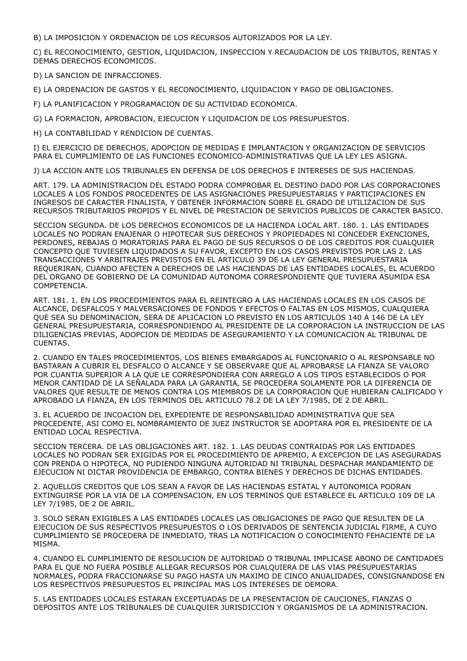B) LA IMPOSICION Y ORDENACION DE LOS RECURSOS AUTORIZADOS POR LA LEY.

C) EL RECONOCIMIENTO, GESTION, LIQUIDACION, INSPECCION Y RECAUDACION DE LOS TRIBUTOS, RENTAS Y DEMAS DERECHOS ECONOMICOS.

D) LA SANCION DE INFRACCIONES.

E) LA ORDENACION DE GASTOS Y EL RECONOCIMIENTO, LIQUIDACION Y PAGO DE OBLIGACIONES.

F) LA PLANIFICACION Y PROGRAMACION DE SU ACTIVIDAD ECONOMICA.

G) LA FORMACION, APROBACION, EJECUCION Y LIQUIDACION DE LOS PRESUPUESTOS.

H) LA CONTABILIDAD Y RENDICION DE CUENTAS.

I) EL EJERCICIO DE DERECHOS, ADOPCION DE MEDIDAS E IMPLANTACION Y ORGANIZACION DE SERVICIOS PARA EL CUMPLIMIENTO DE LAS FUNCIONES ECONOMICO-ADMINISTRATIVAS QUE LA LEY LES ASIGNA.

J) LA ACCION ANTE LOS TRIBUNALES EN DEFENSA DE LOS DERECHOS E INTERESES DE SUS HACIENDAS.

ART. 179. LA ADMINISTRACION DEL ESTADO PODRA COMPROBAR EL DESTINO DADO POR LAS CORPORACIONES LOCALES A LOS FONDOS PROCEDENTES DE LAS ASIGNACIONES PRESUPUESTARIAS Y PARTICIPACIONES EN INGRESOS DE CARACTER FINALISTA, Y OBTENER INFORMACION SOBRE EL GRADO DE UTILIZACION DE SUS RECURSOS TRIBUTARIOS PROPIOS Y EL NIVEL DE PRESTACION DE SERVICIOS PUBLICOS DE CARACTER BASICO.

SECCION SEGUNDA. DE LOS DERECHOS ECONOMICOS DE LA HACIENDA LOCAL ART. 180. 1. LAS ENTIDADES LOCALES NO PODRAN ENAJENAR O HIPOTECAR SUS DERECHOS Y PROPIEDADES NI CONCEDER EXENCIONES, PERDONES, REBAJAS O MORATORIAS PARA EL PAGO DE SUS RECURSOS O DE LOS CREDITOS POR CUALQUIER CONCEPTO QUE TUVIESEN LIQUIDADOS A SU FAVOR, EXCEPTO EN LOS CASOS PREVISTOS POR LAS 2. LAS TRANSACCIONES Y ARBITRAJES PREVISTOS EN EL ARTICULO 39 DE LA LEY GENERAL PRESUPUESTARIA REQUERIRAN, CUANDO AFECTEN A DERECHOS DE LAS HACIENDAS DE LAS ENTIDADES LOCALES, EL ACUERDO DEL ORGANO DE GOBIERNO DE LA COMUNIDAD AUTONOMA CORRESPONDIENTE QUE TUVIERA ASUMIDA ESA COMPETENCIA.

ART. 181. 1. EN LOS PROCEDIMIENTOS PARA EL REINTEGRO A LAS HACIENDAS LOCALES EN LOS CASOS DE ALCANCE, DESFALCOS Y MALVERSACIONES DE FONDOS Y EFECTOS O FALTAS EN LOS MISMOS, CUALQUIERA QUE SEA SU DENOMINACION, SERA DE APLICACION LO PREVISTO EN LOS ARTICULOS 140 A 146 DE LA LEY GENERAL PRESUPUESTARIA, CORRESPONDIENDO AL PRESIDENTE DE LA CORPORACION LA INSTRUCCION DE LAS DILIGENCIAS PREVIAS, ADOPCION DE MEDIDAS DE ASEGURAMIENTO Y LA COMUNICACION AL TRIBUNAL DE CUENTAS.

2. CUANDO EN TALES PROCEDIMIENTOS, LOS BIENES EMBARGADOS AL FUNCIONARIO O AL RESPONSABLE NO BASTARAN A CUBRIR EL DESFALCO O ALCANCE Y SE OBSERVARE QUE AL APROBARSE LA FIANZA SE VALORO POR CUANTIA SUPERIOR A LA QUE LE CORRESPONDIERA CON ARREGLO A LOS TIPOS ESTABLECIDOS O POR MENOR CANTIDAD DE LA SEÑALADA PARA LA GARANTIA, SE PROCEDERA SOLAMENTE POR LA DIFERENCIA DE VALORES QUE RESULTE DE MENOS CONTRA LOS MIEMBROS DE LA CORPORACION QUE HUBIERAN CALIFICADO Y APROBADO LA FIANZA, EN LOS TERMINOS DEL ARTICULO 78.2 DE LA LEY 7/1985, DE 2 DE ABRIL.

3. EL ACUERDO DE INCOACION DEL EXPEDIENTE DE RESPONSABILIDAD ADMINISTRATIVA QUE SEA PROCEDENTE, ASI COMO EL NOMBRAMIENTO DE JUEZ INSTRUCTOR SE ADOPTARA POR EL PRESIDENTE DE LA ENTIDAD LOCAL RESPECTIVA.

SECCION TERCERA. DE LAS OBLIGACIONES ART. 182. 1. LAS DEUDAS CONTRAIDAS POR LAS ENTIDADES LOCALES NO PODRAN SER EXIGIDAS POR EL PROCEDIMIENTO DE APREMIO, A EXCEPCION DE LAS ASEGURADAS CON PRENDA O HIPOTECA, NO PUDIENDO NINGUNA AUTORIDAD NI TRIBUNAL DESPACHAR MANDAMIENTO DE EJECUCION NI DICTAR PROVIDENCIA DE EMBARGO, CONTRA BIENES Y DERECHOS DE DICHAS ENTIDADES.

2. AQUELLOS CREDITOS QUE LOS SEAN A FAVOR DE LAS HACIENDAS ESTATAL Y AUTONOMICA PODRAN EXTINGUIRSE POR LA VIA DE LA COMPENSACION, EN LOS TERMINOS QUE ESTABLECE EL ARTICULO 109 DE LA LEY 7/1985, DE 2 DE ABRIL.

3. SOLO SERAN EXIGIBLES A LAS ENTIDADES LOCALES LAS OBLIGACIONES DE PAGO QUE RESULTEN DE LA EJECUCION DE SUS RESPECTIVOS PRESUPUESTOS O LOS DERIVADOS DE SENTENCIA JUDICIAL FIRME, A CUYO CUMPLIMIENTO SE PROCEDERA DE INMEDIATO, TRAS LA NOTIFICACION O CONOCIMIENTO FEHACIENTE DE LA MISMA.

4. CUANDO EL CUMPLIMIENTO DE RESOLUCION DE AUTORIDAD O TRIBUNAL IMPLICASE ABONO DE CANTIDADES PARA EL QUE NO FUERA POSIBLE ALLEGAR RECURSOS POR CUALQUIERA DE LAS VIAS PRESUPUESTARIAS NORMALES, PODRA FRACCIONARSE SU PAGO HASTA UN MAXIMO DE CINCO ANUALIDADES, CONSIGNANDOSE EN LOS RESPECTIVOS PRESUPUESTOS EL PRINCIPAL MAS LOS INTERESES DE DEMORA.

5. LAS ENTIDADES LOCALES ESTARAN EXCEPTUADAS DE LA PRESENTACION DE CAUCIONES, FIANZAS O DEPOSITOS ANTE LOS TRIBUNALES DE CUALQUIER JURISDICCION Y ORGANISMOS DE LA ADMINISTRACION.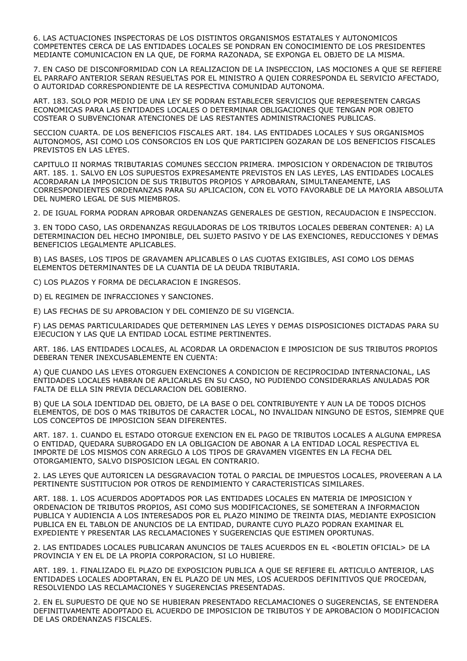6. LAS ACTUACIONES INSPECTORAS DE LOS DISTINTOS ORGANISMOS ESTATALES Y AUTONOMICOS COMPETENTES CERCA DE LAS ENTIDADES LOCALES SE PONDRAN EN CONOCIMIENTO DE LOS PRESIDENTES MEDIANTE COMUNICACION EN LA QUE, DE FORMA RAZONADA, SE EXPONGA EL OBJETO DE LA MISMA.

7. EN CASO DE DISCONFORMIDAD CON LA REALIZACION DE LA INSPECCION, LAS MOCIONES A QUE SE REFIERE EL PARRAFO ANTERIOR SERAN RESUELTAS POR EL MINISTRO A QUIEN CORRESPONDA EL SERVICIO AFECTADO, O AUTORIDAD CORRESPONDIENTE DE LA RESPECTIVA COMUNIDAD AUTONOMA.

ART. 183. SOLO POR MEDIO DE UNA LEY SE PODRAN ESTABLECER SERVICIOS QUE REPRESENTEN CARGAS ECONOMICAS PARA LAS ENTIDADES LOCALES O DETERMINAR OBLIGACIONES QUE TENGAN POR OBJETO COSTEAR O SUBVENCIONAR ATENCIONES DE LAS RESTANTES ADMINISTRACIONES PUBLICAS.

SECCION CUARTA. DE LOS BENEFICIOS FISCALES ART. 184. LAS ENTIDADES LOCALES Y SUS ORGANISMOS AUTONOMOS, ASI COMO LOS CONSORCIOS EN LOS QUE PARTICIPEN GOZARAN DE LOS BENEFICIOS FISCALES PREVISTOS EN LAS LEYES.

CAPITULO II NORMAS TRIBUTARIAS COMUNES SECCION PRIMERA. IMPOSICION Y ORDENACION DE TRIBUTOS ART. 185. 1. SALVO EN LOS SUPUESTOS EXPRESAMENTE PREVISTOS EN LAS LEYES, LAS ENTIDADES LOCALES ACORDARAN LA IMPOSICION DE SUS TRIBUTOS PROPIOS Y APROBARAN, SIMULTANEAMENTE, LAS CORRESPONDIENTES ORDENANZAS PARA SU APLICACION, CON EL VOTO FAVORABLE DE LA MAYORIA ABSOLUTA DEL NUMERO LEGAL DE SUS MIEMBROS.

2. DE IGUAL FORMA PODRAN APROBAR ORDENANZAS GENERALES DE GESTION, RECAUDACION E INSPECCION.

3. EN TODO CASO, LAS ORDENANZAS REGULADORAS DE LOS TRIBUTOS LOCALES DEBERAN CONTENER: A) LA DETERMINACION DEL HECHO IMPONIBLE, DEL SUJETO PASIVO Y DE LAS EXENCIONES, REDUCCIONES Y DEMAS BENEFICIOS LEGALMENTE APLICABLES.

B) LAS BASES, LOS TIPOS DE GRAVAMEN APLICABLES O LAS CUOTAS EXIGIBLES, ASI COMO LOS DEMAS ELEMENTOS DETERMINANTES DE LA CUANTIA DE LA DEUDA TRIBUTARIA.

C) LOS PLAZOS Y FORMA DE DECLARACION E INGRESOS.

D) EL REGIMEN DE INFRACCIONES Y SANCIONES.

E) LAS FECHAS DE SU APROBACION Y DEL COMIENZO DE SU VIGENCIA.

F) LAS DEMAS PARTICULARIDADES QUE DETERMINEN LAS LEYES Y DEMAS DISPOSICIONES DICTADAS PARA SU EJECUCION Y LAS QUE LA ENTIDAD LOCAL ESTIME PERTINENTES.

ART. 186. LAS ENTIDADES LOCALES, AL ACORDAR LA ORDENACION E IMPOSICION DE SUS TRIBUTOS PROPIOS DEBERAN TENER INEXCUSABLEMENTE EN CUENTA:

A) QUE CUANDO LAS LEYES OTORGUEN EXENCIONES A CONDICION DE RECIPROCIDAD INTERNACIONAL, LAS ENTIDADES LOCALES HABRAN DE APLICARLAS EN SU CASO, NO PUDIENDO CONSIDERARLAS ANULADAS POR FALTA DE ELLA SIN PREVIA DECLARACION DEL GOBIERNO.

B) QUE LA SOLA IDENTIDAD DEL OBJETO, DE LA BASE O DEL CONTRIBUYENTE Y AUN LA DE TODOS DICHOS ELEMENTOS, DE DOS O MAS TRIBUTOS DE CARACTER LOCAL, NO INVALIDAN NINGUNO DE ESTOS, SIEMPRE QUE LOS CONCEPTOS DE IMPOSICION SEAN DIFERENTES.

ART. 187. 1. CUANDO EL ESTADO OTORGUE EXENCION EN EL PAGO DE TRIBUTOS LOCALES A ALGUNA EMPRESA O ENTIDAD, QUEDARA SUBROGADO EN LA OBLIGACION DE ABONAR A LA ENTIDAD LOCAL RESPECTIVA EL IMPORTE DE LOS MISMOS CON ARREGLO A LOS TIPOS DE GRAVAMEN VIGENTES EN LA FECHA DEL OTORGAMIENTO, SALVO DISPOSICION LEGAL EN CONTRARIO.

2. LAS LEYES QUE AUTORICEN LA DESGRAVACION TOTAL O PARCIAL DE IMPUESTOS LOCALES, PROVEERAN A LA PERTINENTE SUSTITUCION POR OTROS DE RENDIMIENTO Y CARACTERISTICAS SIMILARES.

ART. 188. 1. LOS ACUERDOS ADOPTADOS POR LAS ENTIDADES LOCALES EN MATERIA DE IMPOSICION Y ORDENACION DE TRIBUTOS PROPIOS, ASI COMO SUS MODIFICACIONES, SE SOMETERAN A INFORMACION PUBLICA Y AUDIENCIA A LOS INTERESADOS POR EL PLAZO MINIMO DE TREINTA DIAS, MEDIANTE EXPOSICION PUBLICA EN EL TABLON DE ANUNCIOS DE LA ENTIDAD, DURANTE CUYO PLAZO PODRAN EXAMINAR EL EXPEDIENTE Y PRESENTAR LAS RECLAMACIONES Y SUGERENCIAS QUE ESTIMEN OPORTUNAS.

2. LAS ENTIDADES LOCALES PUBLICARAN ANUNCIOS DE TALES ACUERDOS EN EL <BOLETIN OFICIAL> DE LA PROVINCIA Y EN EL DE LA PROPIA CORPORACION, SI LO HUBIERE.

ART. 189. 1. FINALIZADO EL PLAZO DE EXPOSICION PUBLICA A QUE SE REFIERE EL ARTICULO ANTERIOR, LAS ENTIDADES LOCALES ADOPTARAN, EN EL PLAZO DE UN MES, LOS ACUERDOS DEFINITIVOS QUE PROCEDAN, RESOLVIENDO LAS RECLAMACIONES Y SUGERENCIAS PRESENTADAS.

2. EN EL SUPUESTO DE QUE NO SE HUBIERAN PRESENTADO RECLAMACIONES O SUGERENCIAS, SE ENTENDERA DEFINITIVAMENTE ADOPTADO EL ACUERDO DE IMPOSICION DE TRIBUTOS Y DE APROBACION O MODIFICACION DE LAS ORDENANZAS FISCALES.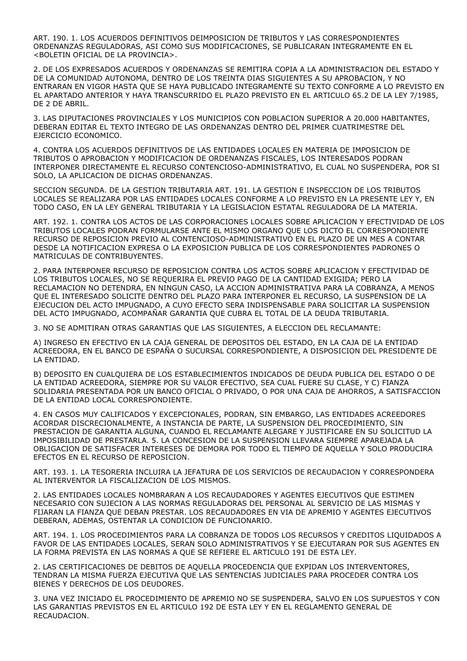ART. 190. 1. LOS ACUERDOS DEFINITIVOS DEIMPOSICION DE TRIBUTOS Y LAS CORRESPONDIENTES ORDENANZAS REGULADORAS, ASI COMO SUS MODIFICACIONES, SE PUBLICARAN INTEGRAMENTE EN EL <BOLETIN OFICIAL DE LA PROVINCIA>.

2. DE LOS EXPRESADOS ACUERDOS Y ORDENANZAS SE REMITIRA COPIA A LA ADMINISTRACION DEL ESTADO Y DE LA COMUNIDAD AUTONOMA, DENTRO DE LOS TREINTA DIAS SIGUIENTES A SU APROBACION, Y NO ENTRARAN EN VIGOR HASTA QUE SE HAYA PUBLICADO INTEGRAMENTE SU TEXTO CONFORME A LO PREVISTO EN EL APARTADO ANTERIOR Y HAYA TRANSCURRIDO EL PLAZO PREVISTO EN EL ARTICULO 65.2 DE LA LEY 7/1985, DE 2 DE ABRIL.

3. LAS DIPUTACIONES PROVINCIALES Y LOS MUNICIPIOS CON POBLACION SUPERIOR A 20.000 HABITANTES, DEBERAN EDITAR EL TEXTO INTEGRO DE LAS ORDENANZAS DENTRO DEL PRIMER CUATRIMESTRE DEL EJERCICIO ECONOMICO.

4. CONTRA LOS ACUERDOS DEFINITIVOS DE LAS ENTIDADES LOCALES EN MATERIA DE IMPOSICION DE TRIBUTOS O APROBACION Y MODIFICACION DE ORDENANZAS FISCALES, LOS INTERESADOS PODRAN INTERPONER DIRECTAMENTE EL RECURSO CONTENCIOSO-ADMINISTRATIVO, EL CUAL NO SUSPENDERA, POR SI SOLO, LA APLICACION DE DICHAS ORDENANZAS.

SECCION SEGUNDA. DE LA GESTION TRIBUTARIA ART. 191. LA GESTION E INSPECCION DE LOS TRIBUTOS LOCALES SE REALIZARA POR LAS ENTIDADES LOCALES CONFORME A LO PREVISTO EN LA PRESENTE LEY Y, EN TODO CASO, EN LA LEY GENERAL TRIBUTARIA Y LA LEGISLACION ESTATAL REGULADORA DE LA MATERIA.

ART. 192. 1. CONTRA LOS ACTOS DE LAS CORPORACIONES LOCALES SOBRE APLICACION Y EFECTIVIDAD DE LOS TRIBUTOS LOCALES PODRAN FORMULARSE ANTE EL MISMO ORGANO QUE LOS DICTO EL CORRESPONDIENTE RECURSO DE REPOSICION PREVIO AL CONTENCIOSO-ADMINISTRATIVO EN EL PLAZO DE UN MES A CONTAR DESDE LA NOTIFICACION EXPRESA O LA EXPOSICION PUBLICA DE LOS CORRESPONDIENTES PADRONES O MATRICULAS DE CONTRIBUYENTES.

2. PARA INTERPONER RECURSO DE REPOSICION CONTRA LOS ACTOS SOBRE APLICACION Y EFECTIVIDAD DE LOS TRIBUTOS LOCALES, NO SE REQUERIRA EL PREVIO PAGO DE LA CANTIDAD EXIGIDA; PERO LA RECLAMACION NO DETENDRA, EN NINGUN CASO, LA ACCION ADMINISTRATIVA PARA LA COBRANZA, A MENOS QUE EL INTERESADO SOLICITE DENTRO DEL PLAZO PARA INTERPONER EL RECURSO, LA SUSPENSION DE LA EJECUCION DEL ACTO IMPUGNADO, A CUYO EFECTO SERA INDISPENSABLE PARA SOLICITAR LA SUSPENSION DEL ACTO IMPUGNADO, ACOMPAÑAR GARANTIA QUE CUBRA EL TOTAL DE LA DEUDA TRIBUTARIA.

3. NO SE ADMITIRAN OTRAS GARANTIAS QUE LAS SIGUIENTES, A ELECCION DEL RECLAMANTE:

A) INGRESO EN EFECTIVO EN LA CAJA GENERAL DE DEPOSITOS DEL ESTADO, EN LA CAJA DE LA ENTIDAD ACREEDORA, EN EL BANCO DE ESPAÑA O SUCURSAL CORRESPONDIENTE, A DISPOSICION DEL PRESIDENTE DE LA ENTIDAD.

B) DEPOSITO EN CUALQUIERA DE LOS ESTABLECIMIENTOS INDICADOS DE DEUDA PUBLICA DEL ESTADO O DE LA ENTIDAD ACREEDORA, SIEMPRE POR SU VALOR EFECTIVO, SEA CUAL FUERE SU CLASE, Y C) FIANZA SOLIDARIA PRESENTADA POR UN BANCO OFICIAL O PRIVADO, O POR UNA CAJA DE AHORROS, A SATISFACCION DE LA ENTIDAD LOCAL CORRESPONDIENTE.

4. EN CASOS MUY CALIFICADOS Y EXCEPCIONALES, PODRAN, SIN EMBARGO, LAS ENTIDADES ACREEDORES ACORDAR DISCRECIONALMENTE, A INSTANCIA DE PARTE, LA SUSPENSION DEL PROCEDIMIENTO, SIN PRESTACION DE GARANTIA ALGUNA, CUANDO EL RECLAMANTE ALEGARE Y JUSTIFICARE EN SU SOLICITUD LA IMPOSIBILIDAD DE PRESTARLA. 5. LA CONCESION DE LA SUSPENSION LLEVARA SIEMPRE APAREJADA LA OBLIGACION DE SATISFACER INTERESES DE DEMORA POR TODO EL TIEMPO DE AQUELLA Y SOLO PRODUCIRA EFECTOS EN EL RECURSO DE REPOSICION.

ART. 193. 1. LA TESORERIA INCLUIRA LA JEFATURA DE LOS SERVICIOS DE RECAUDACION Y CORRESPONDERA AL INTERVENTOR LA FISCALIZACION DE LOS MISMOS.

2. LAS ENTIDADES LOCALES NOMBRARAN A LOS RECAUDADORES Y AGENTES EJECUTIVOS QUE ESTIMEN NECESARIO CON SUJECION A LAS NORMAS REGULADORAS DEL PERSONAL AL SERVICIO DE LAS MISMAS Y FIJARAN LA FIANZA QUE DEBAN PRESTAR. LOS RECAUDADORES EN VIA DE APREMIO Y AGENTES EJECUTIVOS DEBERAN, ADEMAS, OSTENTAR LA CONDICION DE FUNCIONARIO.

ART. 194. 1. LOS PROCEDIMIENTOS PARA LA COBRANZA DE TODOS LOS RECURSOS Y CREDITOS LIQUIDADOS A FAVOR DE LAS ENTIDADES LOCALES, SERAN SOLO ADMINISTRATIVOS Y SE EJECUTARAN POR SUS AGENTES EN LA FORMA PREVISTA EN LAS NORMAS A QUE SE REFIERE EL ARTICULO 191 DE ESTA LEY.

2. LAS CERTIFICACIONES DE DEBITOS DE AQUELLA PROCEDENCIA QUE EXPIDAN LOS INTERVENTORES, TENDRAN LA MISMA FUERZA EJECUTIVA QUE LAS SENTENCIAS JUDICIALES PARA PROCEDER CONTRA LOS BIENES Y DERECHOS DE LOS DEUDORES.

3. UNA VEZ INICIADO EL PROCEDIMIENTO DE APREMIO NO SE SUSPENDERA, SALVO EN LOS SUPUESTOS Y CON LAS GARANTIAS PREVISTOS EN EL ARTICULO 192 DE ESTA LEY Y EN EL REGLAMENTO GENERAL DE RECAUDACION.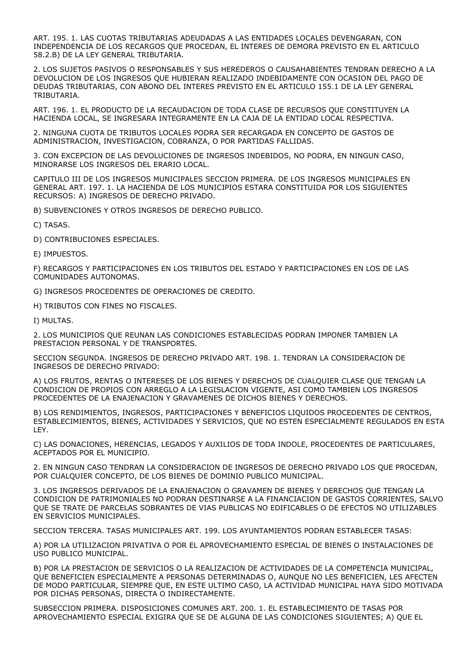ART. 195. 1. LAS CUOTAS TRIBUTARIAS ADEUDADAS A LAS ENTIDADES LOCALES DEVENGARAN, CON INDEPENDENCIA DE LOS RECARGOS QUE PROCEDAN, EL INTERES DE DEMORA PREVISTO EN EL ARTICULO 58.2.B) DE LA LEY GENERAL TRIBUTARIA.

2. LOS SUJETOS PASIVOS O RESPONSABLES Y SUS HEREDEROS O CAUSAHABIENTES TENDRAN DERECHO A LA DEVOLUCION DE LOS INGRESOS QUE HUBIERAN REALIZADO INDEBIDAMENTE CON OCASION DEL PAGO DE DEUDAS TRIBUTARIAS, CON ABONO DEL INTERES PREVISTO EN EL ARTICULO 155.1 DE LA LEY GENERAL TRIBUTARIA.

ART. 196. 1. EL PRODUCTO DE LA RECAUDACION DE TODA CLASE DE RECURSOS QUE CONSTITUYEN LA HACIENDA LOCAL, SE INGRESARA INTEGRAMENTE EN LA CAJA DE LA ENTIDAD LOCAL RESPECTIVA.

2. NINGUNA CUOTA DE TRIBUTOS LOCALES PODRA SER RECARGADA EN CONCEPTO DE GASTOS DE ADMINISTRACION, INVESTIGACION, COBRANZA, O POR PARTIDAS FALLIDAS.

3. CON EXCEPCION DE LAS DEVOLUCIONES DE INGRESOS INDEBIDOS, NO PODRA, EN NINGUN CASO, MINORARSE LOS INGRESOS DEL ERARIO LOCAL.

CAPITULO III DE LOS INGRESOS MUNICIPALES SECCION PRIMERA. DE LOS INGRESOS MUNICIPALES EN GENERAL ART. 197. 1. LA HACIENDA DE LOS MUNICIPIOS ESTARA CONSTITUIDA POR LOS SIGUIENTES RECURSOS: A) INGRESOS DE DERECHO PRIVADO.

B) SUBVENCIONES Y OTROS INGRESOS DE DERECHO PUBLICO.

C) TASAS.

D) CONTRIBUCIONES ESPECIALES.

E) IMPUESTOS.

F) RECARGOS Y PARTICIPACIONES EN LOS TRIBUTOS DEL ESTADO Y PARTICIPACIONES EN LOS DE LAS COMUNIDADES AUTONOMAS.

G) INGRESOS PROCEDENTES DE OPERACIONES DE CREDITO.

H) TRIBUTOS CON FINES NO FISCALES.

I) MULTAS.

2. LOS MUNICIPIOS QUE REUNAN LAS CONDICIONES ESTABLECIDAS PODRAN IMPONER TAMBIEN LA PRESTACION PERSONAL Y DE TRANSPORTES.

SECCION SEGUNDA. INGRESOS DE DERECHO PRIVADO ART. 198. 1. TENDRAN LA CONSIDERACION DE INGRESOS DE DERECHO PRIVADO:

A) LOS FRUTOS, RENTAS O INTERESES DE LOS BIENES Y DERECHOS DE CUALQUIER CLASE QUE TENGAN LA CONDICION DE PROPIOS CON ARREGLO A LA LEGISLACION VIGENTE, ASI COMO TAMBIEN LOS INGRESOS PROCEDENTES DE LA ENAJENACION Y GRAVAMENES DE DICHOS BIENES Y DERECHOS.

B) LOS RENDIMIENTOS, INGRESOS, PARTICIPACIONES Y BENEFICIOS LIQUIDOS PROCEDENTES DE CENTROS, ESTABLECIMIENTOS, BIENES, ACTIVIDADES Y SERVICIOS, QUE NO ESTEN ESPECIALMENTE REGULADOS EN ESTA LEY.

C) LAS DONACIONES, HERENCIAS, LEGADOS Y AUXILIOS DE TODA INDOLE, PROCEDENTES DE PARTICULARES, ACEPTADOS POR EL MUNICIPIO.

2. EN NINGUN CASO TENDRAN LA CONSIDERACION DE INGRESOS DE DERECHO PRIVADO LOS QUE PROCEDAN, POR CUALQUIER CONCEPTO, DE LOS BIENES DE DOMINIO PUBLICO MUNICIPAL.

3. LOS INGRESOS DERIVADOS DE LA ENAJENACION O GRAVAMEN DE BIENES Y DERECHOS QUE TENGAN LA CONDICION DE PATRIMONIALES NO PODRAN DESTINARSE A LA FINANCIACION DE GASTOS CORRIENTES, SALVO QUE SE TRATE DE PARCELAS SOBRANTES DE VIAS PUBLICAS NO EDIFICABLES O DE EFECTOS NO UTILIZABLES EN SERVICIOS MUNICIPALES.

SECCION TERCERA. TASAS MUNICIPALES ART. 199. LOS AYUNTAMIENTOS PODRAN ESTABLECER TASAS:

A) POR LA UTILIZACION PRIVATIVA O POR EL APROVECHAMIENTO ESPECIAL DE BIENES O INSTALACIONES DE USO PUBLICO MUNICIPAL.

B) POR LA PRESTACION DE SERVICIOS O LA REALIZACION DE ACTIVIDADES DE LA COMPETENCIA MUNICIPAL, QUE BENEFICIEN ESPECIALMENTE A PERSONAS DETERMINADAS O, AUNQUE NO LES BENEFICIEN, LES AFECTEN DE MODO PARTICULAR, SIEMPRE QUE, EN ESTE ULTIMO CASO, LA ACTIVIDAD MUNICIPAL HAYA SIDO MOTIVADA POR DICHAS PERSONAS, DIRECTA O INDIRECTAMENTE.

SUBSECCION PRIMERA. DISPOSICIONES COMUNES ART. 200. 1. EL ESTABLECIMIENTO DE TASAS POR APROVECHAMIENTO ESPECIAL EXIGIRA QUE SE DE ALGUNA DE LAS CONDICIONES SIGUIENTES; A) QUE EL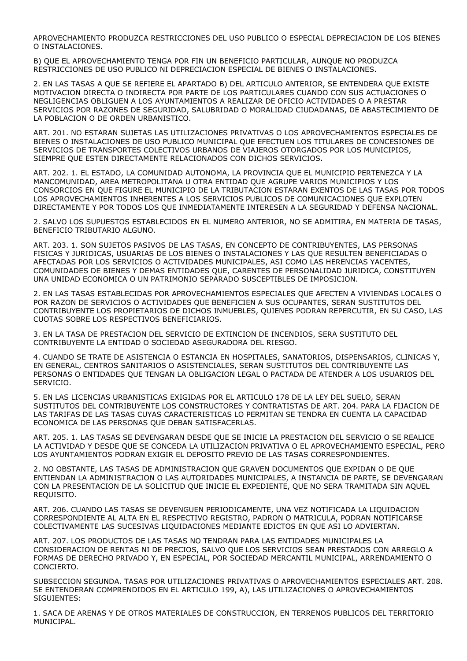APROVECHAMIENTO PRODUZCA RESTRICCIONES DEL USO PUBLICO O ESPECIAL DEPRECIACION DE LOS BIENES O INSTALACIONES.

B) QUE EL APROVECHAMIENTO TENGA POR FIN UN BENEFICIO PARTICULAR, AUNQUE NO PRODUZCA RESTRICCIONES DE USO PUBLICO NI DEPRECIACION ESPECIAL DE BIENES O INSTALACIONES.

2. EN LAS TASAS A QUE SE REFIERE EL APARTADO B) DEL ARTICULO ANTERIOR, SE ENTENDERA QUE EXISTE MOTIVACION DIRECTA O INDIRECTA POR PARTE DE LOS PARTICULARES CUANDO CON SUS ACTUACIONES O NEGLIGENCIAS OBLIGUEN A LOS AYUNTAMIENTOS A REALIZAR DE OFICIO ACTIVIDADES O A PRESTAR SERVICIOS POR RAZONES DE SEGURIDAD, SALUBRIDAD O MORALIDAD CIUDADANAS, DE ABASTECIMIENTO DE LA POBLACION O DE ORDEN URBANISTICO.

ART. 201. NO ESTARAN SUJETAS LAS UTILIZACIONES PRIVATIVAS O LOS APROVECHAMIENTOS ESPECIALES DE BIENES O INSTALACIONES DE USO PUBLICO MUNICIPAL QUE EFECTUEN LOS TITULARES DE CONCESIONES DE SERVICIOS DE TRANSPORTES COLECTIVOS URBANOS DE VIAJEROS OTORGADOS POR LOS MUNICIPIOS, SIEMPRE QUE ESTEN DIRECTAMENTE RELACIONADOS CON DICHOS SERVICIOS.

ART. 202. 1. EL ESTADO, LA COMUNIDAD AUTONOMA, LA PROVINCIA QUE EL MUNICIPIO PERTENEZCA Y LA MANCOMUNIDAD, AREA METROPOLITANA U OTRA ENTIDAD QUE AGRUPE VARIOS MUNICIPIOS Y LOS CONSORCIOS EN QUE FIGURE EL MUNICIPIO DE LA TRIBUTACION ESTARAN EXENTOS DE LAS TASAS POR TODOS LOS APROVECHAMIENTOS INHERENTES A LOS SERVICIOS PUBLICOS DE COMUNICACIONES QUE EXPLOTEN DIRECTAMENTE Y POR TODOS LOS QUE INMEDIATAMENTE INTERESEN A LA SEGURIDAD Y DEFENSA NACIONAL.

2. SALVO LOS SUPUESTOS ESTABLECIDOS EN EL NUMERO ANTERIOR, NO SE ADMITIRA, EN MATERIA DE TASAS, BENEFICIO TRIBUTARIO ALGUNO.

ART. 203. 1. SON SUJETOS PASIVOS DE LAS TASAS, EN CONCEPTO DE CONTRIBUYENTES, LAS PERSONAS FISICAS Y JURIDICAS, USUARIAS DE LOS BIENES O INSTALACIONES Y LAS QUE RESULTEN BENEFICIADAS O AFECTADAS POR LOS SERVICIOS O ACTIVIDADES MUNICIPALES, ASI COMO LAS HERENCIAS YACENTES, COMUNIDADES DE BIENES Y DEMAS ENTIDADES QUE, CARENTES DE PERSONALIDAD JURIDICA, CONSTITUYEN UNA UNIDAD ECONOMICA O UN PATRIMONIO SEPARADO SUSCEPTIBLES DE IMPOSICION.

2. EN LAS TASAS ESTABLECIDAS POR APROVECHAMIENTOS ESPECIALES QUE AFECTEN A VIVIENDAS LOCALES O POR RAZON DE SERVICIOS O ACTIVIDADES QUE BENEFICIEN A SUS OCUPANTES, SERAN SUSTITUTOS DEL CONTRIBUYENTE LOS PROPIETARIOS DE DICHOS INMUEBLES, QUIENES PODRAN REPERCUTIR, EN SU CASO, LAS CUOTAS SOBRE LOS RESPECTIVOS BENEFICIARIOS.

3. EN LA TASA DE PRESTACION DEL SERVICIO DE EXTINCION DE INCENDIOS, SERA SUSTITUTO DEL CONTRIBUYENTE LA ENTIDAD O SOCIEDAD ASEGURADORA DEL RIESGO.

4. CUANDO SE TRATE DE ASISTENCIA O ESTANCIA EN HOSPITALES, SANATORIOS, DISPENSARIOS, CLINICAS Y, EN GENERAL, CENTROS SANITARIOS O ASISTENCIALES, SERAN SUSTITUTOS DEL CONTRIBUYENTE LAS PERSONAS O ENTIDADES QUE TENGAN LA OBLIGACION LEGAL O PACTADA DE ATENDER A LOS USUARIOS DEL SERVICIO.

5. EN LAS LICENCIAS URBANISTICAS EXIGIDAS POR EL ARTICULO 178 DE LA LEY DEL SUELO, SERAN SUSTITUTOS DEL CONTRIBUYENTE LOS CONSTRUCTORES Y CONTRATISTAS DE ART. 204. PARA LA FIJACION DE LAS TARIFAS DE LAS TASAS CUYAS CARACTERISTICAS LO PERMITAN SE TENDRA EN CUENTA LA CAPACIDAD ECONOMICA DE LAS PERSONAS QUE DEBAN SATISFACERLAS.

ART. 205. 1. LAS TASAS SE DEVENGARAN DESDE QUE SE INICIE LA PRESTACION DEL SERVICIO O SE REALICE LA ACTIVIDAD Y DESDE QUE SE CONCEDA LA UTILIZACION PRIVATIVA O EL APROVECHAMIENTO ESPECIAL, PERO LOS AYUNTAMIENTOS PODRAN EXIGIR EL DEPOSITO PREVIO DE LAS TASAS CORRESPONDIENTES.

2. NO OBSTANTE, LAS TASAS DE ADMINISTRACION QUE GRAVEN DOCUMENTOS QUE EXPIDAN O DE QUE ENTIENDAN LA ADMINISTRACION O LAS AUTORIDADES MUNICIPALES, A INSTANCIA DE PARTE, SE DEVENGARAN CON LA PRESENTACION DE LA SOLICITUD QUE INICIE EL EXPEDIENTE, QUE NO SERA TRAMITADA SIN AQUEL REQUISITO.

ART. 206. CUANDO LAS TASAS SE DEVENGUEN PERIODICAMENTE, UNA VEZ NOTIFICADA LA LIQUIDACION CORRESPONDIENTE AL ALTA EN EL RESPECTIVO REGISTRO, PADRON O MATRICULA, PODRAN NOTIFICARSE COLECTIVAMENTE LAS SUCESIVAS LIQUIDACIONES MEDIANTE EDICTOS EN QUE ASI LO ADVIERTAN.

ART. 207. LOS PRODUCTOS DE LAS TASAS NO TENDRAN PARA LAS ENTIDADES MUNICIPALES LA CONSIDERACION DE RENTAS NI DE PRECIOS, SALVO QUE LOS SERVICIOS SEAN PRESTADOS CON ARREGLO A FORMAS DE DERECHO PRIVADO Y, EN ESPECIAL, POR SOCIEDAD MERCANTIL MUNICIPAL, ARRENDAMIENTO O CONCIERTO.

SUBSECCION SEGUNDA. TASAS POR UTILIZACIONES PRIVATIVAS O APROVECHAMIENTOS ESPECIALES ART. 208. SE ENTENDERAN COMPRENDIDOS EN EL ARTICULO 199, A), LAS UTILIZACIONES O APROVECHAMIENTOS SIGUIENTES:

1. SACA DE ARENAS Y DE OTROS MATERIALES DE CONSTRUCCION, EN TERRENOS PUBLICOS DEL TERRITORIO MUNICIPAL.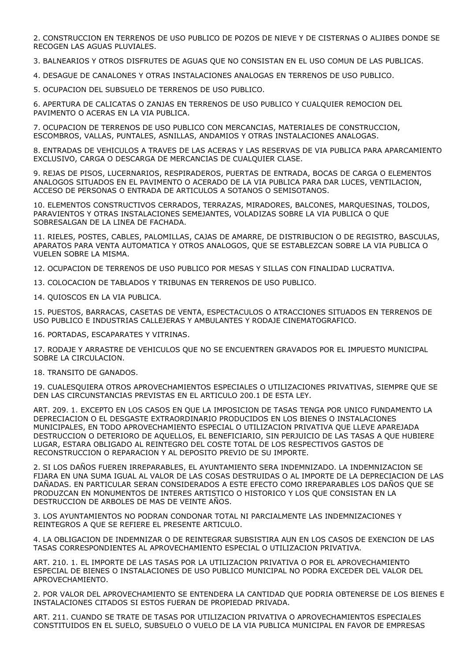2. CONSTRUCCION EN TERRENOS DE USO PUBLICO DE POZOS DE NIEVE Y DE CISTERNAS O ALJIBES DONDE SE RECOGEN LAS AGUAS PLUVIALES.

3. BALNEARIOS Y OTROS DISFRUTES DE AGUAS QUE NO CONSISTAN EN EL USO COMUN DE LAS PUBLICAS.

4. DESAGUE DE CANALONES Y OTRAS INSTALACIONES ANALOGAS EN TERRENOS DE USO PUBLICO.

5. OCUPACION DEL SUBSUELO DE TERRENOS DE USO PUBLICO.

6. APERTURA DE CALICATAS O ZANJAS EN TERRENOS DE USO PUBLICO Y CUALQUIER REMOCION DEL PAVIMENTO O ACERAS EN LA VIA PUBLICA.

7. OCUPACION DE TERRENOS DE USO PUBLICO CON MERCANCIAS, MATERIALES DE CONSTRUCCION, ESCOMBROS, VALLAS, PUNTALES, ASNILLAS, ANDAMIOS Y OTRAS INSTALACIONES ANALOGAS.

8. ENTRADAS DE VEHICULOS A TRAVES DE LAS ACERAS Y LAS RESERVAS DE VIA PUBLICA PARA APARCAMIENTO EXCLUSIVO, CARGA O DESCARGA DE MERCANCIAS DE CUALQUIER CLASE.

9. REJAS DE PISOS, LUCERNARIOS, RESPIRADEROS, PUERTAS DE ENTRADA, BOCAS DE CARGA O ELEMENTOS ANALOGOS SITUADOS EN EL PAVIMENTO O ACERADO DE LA VIA PUBLICA PARA DAR LUCES, VENTILACION, ACCESO DE PERSONAS O ENTRADA DE ARTICULOS A SOTANOS O SEMISOTANOS.

10. ELEMENTOS CONSTRUCTIVOS CERRADOS, TERRAZAS, MIRADORES, BALCONES, MARQUESINAS, TOLDOS, PARAVIENTOS Y OTRAS INSTALACIONES SEMEJANTES, VOLADIZAS SOBRE LA VIA PUBLICA O QUE SOBRESALGAN DE LA LINEA DE FACHADA.

11. RIELES, POSTES, CABLES, PALOMILLAS, CAJAS DE AMARRE, DE DISTRIBUCION O DE REGISTRO, BASCULAS, APARATOS PARA VENTA AUTOMATICA Y OTROS ANALOGOS, QUE SE ESTABLEZCAN SOBRE LA VIA PUBLICA O VUELEN SOBRE LA MISMA.

12. OCUPACION DE TERRENOS DE USO PUBLICO POR MESAS Y SILLAS CON FINALIDAD LUCRATIVA.

13. COLOCACION DE TABLADOS Y TRIBUNAS EN TERRENOS DE USO PUBLICO.

14. QUIOSCOS EN LA VIA PUBLICA.

15. PUESTOS, BARRACAS, CASETAS DE VENTA, ESPECTACULOS O ATRACCIONES SITUADOS EN TERRENOS DE USO PUBLICO E INDUSTRIAS CALLEJERAS Y AMBULANTES Y RODAJE CINEMATOGRAFICO.

16. PORTADAS, ESCAPARATES Y VITRINAS.

17. RODAJE Y ARRASTRE DE VEHICULOS QUE NO SE ENCUENTREN GRAVADOS POR EL IMPUESTO MUNICIPAL SOBRE LA CIRCULACION.

18. TRANSITO DE GANADOS.

19. CUALESQUIERA OTROS APROVECHAMIENTOS ESPECIALES O UTILIZACIONES PRIVATIVAS, SIEMPRE QUE SE DEN LAS CIRCUNSTANCIAS PREVISTAS EN EL ARTICULO 200.1 DE ESTA LEY.

ART. 209. 1. EXCEPTO EN LOS CASOS EN QUE LA IMPOSICION DE TASAS TENGA POR UNICO FUNDAMENTO LA DEPRECIACION O EL DESGASTE EXTRAORDINARIO PRODUCIDOS EN LOS BIENES O INSTALACIONES MUNICIPALES, EN TODO APROVECHAMIENTO ESPECIAL O UTILIZACION PRIVATIVA QUE LLEVE APAREJADA DESTRUCCION O DETERIORO DE AQUELLOS, EL BENEFICIARIO, SIN PERJUICIO DE LAS TASAS A QUE HUBIERE LUGAR, ESTARA OBLIGADO AL REINTEGRO DEL COSTE TOTAL DE LOS RESPECTIVOS GASTOS DE RECONSTRUCCION O REPARACION Y AL DEPOSITO PREVIO DE SU IMPORTE.

2. SI LOS DAÑOS FUEREN IRREPARABLES, EL AYUNTAMIENTO SERA INDEMNIZADO. LA INDEMNIZACION SE FIJARA EN UNA SUMA IGUAL AL VALOR DE LAS COSAS DESTRUIDAS O AL IMPORTE DE LA DEPRECIACION DE LAS DAÑADAS. EN PARTICULAR SERAN CONSIDERADOS A ESTE EFECTO COMO IRREPARABLES LOS DAÑOS QUE SE PRODUZCAN EN MONUMENTOS DE INTERES ARTISTICO O HISTORICO Y LOS QUE CONSISTAN EN LA DESTRUCCION DE ARBOLES DE MAS DE VEINTE AÑOS.

3. LOS AYUNTAMIENTOS NO PODRAN CONDONAR TOTAL NI PARCIALMENTE LAS INDEMNIZACIONES Y REINTEGROS A QUE SE REFIERE EL PRESENTE ARTICULO.

4. LA OBLIGACION DE INDEMNIZAR O DE REINTEGRAR SUBSISTIRA AUN EN LOS CASOS DE EXENCION DE LAS TASAS CORRESPONDIENTES AL APROVECHAMIENTO ESPECIAL O UTILIZACION PRIVATIVA.

ART. 210. 1. EL IMPORTE DE LAS TASAS POR LA UTILIZACION PRIVATIVA O POR EL APROVECHAMIENTO ESPECIAL DE BIENES O INSTALACIONES DE USO PUBLICO MUNICIPAL NO PODRA EXCEDER DEL VALOR DEL APROVECHAMIENTO.

2. POR VALOR DEL APROVECHAMIENTO SE ENTENDERA LA CANTIDAD QUE PODRIA OBTENERSE DE LOS BIENES E INSTALACIONES CITADOS SI ESTOS FUERAN DE PROPIEDAD PRIVADA.

ART. 211. CUANDO SE TRATE DE TASAS POR UTILIZACION PRIVATIVA O APROVECHAMIENTOS ESPECIALES CONSTITUIDOS EN EL SUELO, SUBSUELO O VUELO DE LA VIA PUBLICA MUNICIPAL EN FAVOR DE EMPRESAS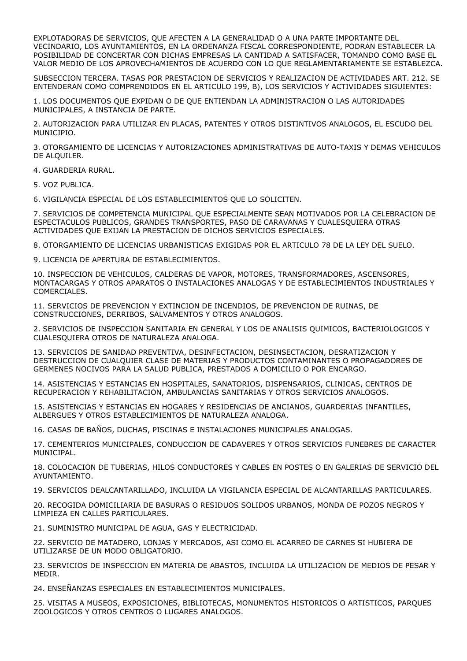EXPLOTADORAS DE SERVICIOS, QUE AFECTEN A LA GENERALIDAD O A UNA PARTE IMPORTANTE DEL VECINDARIO, LOS AYUNTAMIENTOS, EN LA ORDENANZA FISCAL CORRESPONDIENTE, PODRAN ESTABLECER LA POSIBILIDAD DE CONCERTAR CON DICHAS EMPRESAS LA CANTIDAD A SATISFACER, TOMANDO COMO BASE EL VALOR MEDIO DE LOS APROVECHAMIENTOS DE ACUERDO CON LO QUE REGLAMENTARIAMENTE SE ESTABLEZCA.

SUBSECCION TERCERA. TASAS POR PRESTACION DE SERVICIOS Y REALIZACION DE ACTIVIDADES ART. 212. SE ENTENDERAN COMO COMPRENDIDOS EN EL ARTICULO 199, B), LOS SERVICIOS Y ACTIVIDADES SIGUIENTES:

1. LOS DOCUMENTOS QUE EXPIDAN O DE QUE ENTIENDAN LA ADMINISTRACION O LAS AUTORIDADES MUNICIPALES, A INSTANCIA DE PARTE.

2. AUTORIZACION PARA UTILIZAR EN PLACAS, PATENTES Y OTROS DISTINTIVOS ANALOGOS, EL ESCUDO DEL MUNICIPIO.

3. OTORGAMIENTO DE LICENCIAS Y AUTORIZACIONES ADMINISTRATIVAS DE AUTO-TAXIS Y DEMAS VEHICULOS DE ALQUILER.

4. GUARDERIA RURAL.

5. VOZ PUBLICA.

6. VIGILANCIA ESPECIAL DE LOS ESTABLECIMIENTOS QUE LO SOLICITEN.

7. SERVICIOS DE COMPETENCIA MUNICIPAL QUE ESPECIALMENTE SEAN MOTIVADOS POR LA CELEBRACION DE ESPECTACULOS PUBLICOS, GRANDES TRANSPORTES, PASO DE CARAVANAS Y CUALESQUIERA OTRAS ACTIVIDADES QUE EXIJAN LA PRESTACION DE DICHOS SERVICIOS ESPECIALES.

8. OTORGAMIENTO DE LICENCIAS URBANISTICAS EXIGIDAS POR EL ARTICULO 78 DE LA LEY DEL SUELO.

9. LICENCIA DE APERTURA DE ESTABLECIMIENTOS.

10. INSPECCION DE VEHICULOS, CALDERAS DE VAPOR, MOTORES, TRANSFORMADORES, ASCENSORES, MONTACARGAS Y OTROS APARATOS O INSTALACIONES ANALOGAS Y DE ESTABLECIMIENTOS INDUSTRIALES Y COMERCIALES.

11. SERVICIOS DE PREVENCION Y EXTINCION DE INCENDIOS, DE PREVENCION DE RUINAS, DE CONSTRUCCIONES, DERRIBOS, SALVAMENTOS Y OTROS ANALOGOS.

2. SERVICIOS DE INSPECCION SANITARIA EN GENERAL Y LOS DE ANALISIS QUIMICOS, BACTERIOLOGICOS Y CUALESQUIERA OTROS DE NATURALEZA ANALOGA.

13. SERVICIOS DE SANIDAD PREVENTIVA, DESINFECTACION, DESINSECTACION, DESRATIZACION Y DESTRUCCION DE CUALQUIER CLASE DE MATERIAS Y PRODUCTOS CONTAMINANTES O PROPAGADORES DE GERMENES NOCIVOS PARA LA SALUD PUBLICA, PRESTADOS A DOMICILIO O POR ENCARGO.

14. ASISTENCIAS Y ESTANCIAS EN HOSPITALES, SANATORIOS, DISPENSARIOS, CLINICAS, CENTROS DE RECUPERACION Y REHABILITACION, AMBULANCIAS SANITARIAS Y OTROS SERVICIOS ANALOGOS.

15. ASISTENCIAS Y ESTANCIAS EN HOGARES Y RESIDENCIAS DE ANCIANOS, GUARDERIAS INFANTILES, ALBERGUES Y OTROS ESTABLECIMIENTOS DE NATURALEZA ANALOGA.

16. CASAS DE BAÑOS, DUCHAS, PISCINAS E INSTALACIONES MUNICIPALES ANALOGAS.

17. CEMENTERIOS MUNICIPALES, CONDUCCION DE CADAVERES Y OTROS SERVICIOS FUNEBRES DE CARACTER MUNICIPAL.

18. COLOCACION DE TUBERIAS, HILOS CONDUCTORES Y CABLES EN POSTES O EN GALERIAS DE SERVICIO DEL AYUNTAMIENTO.

19. SERVICIOS DEALCANTARILLADO, INCLUIDA LA VIGILANCIA ESPECIAL DE ALCANTARILLAS PARTICULARES.

20. RECOGIDA DOMICILIARIA DE BASURAS O RESIDUOS SOLIDOS URBANOS, MONDA DE POZOS NEGROS Y LIMPIEZA EN CALLES PARTICULARES.

21. SUMINISTRO MUNICIPAL DE AGUA, GAS Y ELECTRICIDAD.

22. SERVICIO DE MATADERO, LONJAS Y MERCADOS, ASI COMO EL ACARREO DE CARNES SI HUBIERA DE UTILIZARSE DE UN MODO OBLIGATORIO.

23. SERVICIOS DE INSPECCION EN MATERIA DE ABASTOS, INCLUIDA LA UTILIZACION DE MEDIOS DE PESAR Y MEDIR.

24. ENSEÑANZAS ESPECIALES EN ESTABLECIMIENTOS MUNICIPALES.

25. VISITAS A MUSEOS, EXPOSICIONES, BIBLIOTECAS, MONUMENTOS HISTORICOS O ARTISTICOS, PARQUES ZOOLOGICOS Y OTROS CENTROS O LUGARES ANALOGOS.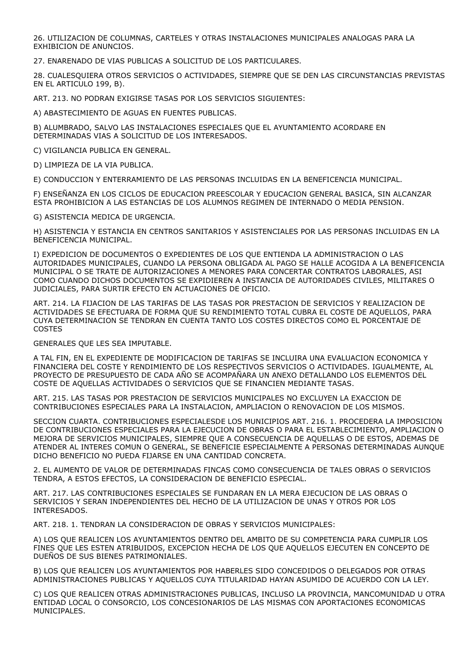26. UTILIZACION DE COLUMNAS, CARTELES Y OTRAS INSTALACIONES MUNICIPALES ANALOGAS PARA LA EXHIBICION DE ANUNCIOS.

27. ENARENADO DE VIAS PUBLICAS A SOLICITUD DE LOS PARTICULARES.

28. CUALESQUIERA OTROS SERVICIOS O ACTIVIDADES, SIEMPRE QUE SE DEN LAS CIRCUNSTANCIAS PREVISTAS EN EL ARTICULO 199, B).

ART. 213. NO PODRAN EXIGIRSE TASAS POR LOS SERVICIOS SIGUIENTES:

A) ABASTECIMIENTO DE AGUAS EN FUENTES PUBLICAS.

B) ALUMBRADO, SALVO LAS INSTALACIONES ESPECIALES QUE EL AYUNTAMIENTO ACORDARE EN DETERMINADAS VIAS A SOLICITUD DE LOS INTERESADOS.

C) VIGILANCIA PUBLICA EN GENERAL.

D) LIMPIEZA DE LA VIA PUBLICA.

E) CONDUCCION Y ENTERRAMIENTO DE LAS PERSONAS INCLUIDAS EN LA BENEFICENCIA MUNICIPAL.

F) ENSEÑANZA EN LOS CICLOS DE EDUCACION PREESCOLAR Y EDUCACION GENERAL BASICA, SIN ALCANZAR ESTA PROHIBICION A LAS ESTANCIAS DE LOS ALUMNOS REGIMEN DE INTERNADO O MEDIA PENSION.

G) ASISTENCIA MEDICA DE URGENCIA.

H) ASISTENCIA Y ESTANCIA EN CENTROS SANITARIOS Y ASISTENCIALES POR LAS PERSONAS INCLUIDAS EN LA BENEFICENCIA MUNICIPAL.

I) EXPEDICION DE DOCUMENTOS O EXPEDIENTES DE LOS QUE ENTIENDA LA ADMINISTRACION O LAS AUTORIDADES MUNICIPALES, CUANDO LA PERSONA OBLIGADA AL PAGO SE HALLE ACOGIDA A LA BENEFICENCIA MUNICIPAL O SE TRATE DE AUTORIZACIONES A MENORES PARA CONCERTAR CONTRATOS LABORALES, ASI COMO CUANDO DICHOS DOCUMENTOS SE EXPIDIEREN A INSTANCIA DE AUTORIDADES CIVILES, MILITARES O JUDICIALES, PARA SURTIR EFECTO EN ACTUACIONES DE OFICIO.

ART. 214. LA FIJACION DE LAS TARIFAS DE LAS TASAS POR PRESTACION DE SERVICIOS Y REALIZACION DE ACTIVIDADES SE EFECTUARA DE FORMA QUE SU RENDIMIENTO TOTAL CUBRA EL COSTE DE AQUELLOS, PARA CUYA DETERMINACION SE TENDRAN EN CUENTA TANTO LOS COSTES DIRECTOS COMO EL PORCENTAJE DE COSTES

GENERALES QUE LES SEA IMPUTABLE.

A TAL FIN, EN EL EXPEDIENTE DE MODIFICACION DE TARIFAS SE INCLUIRA UNA EVALUACION ECONOMICA Y FINANCIERA DEL COSTE Y RENDIMIENTO DE LOS RESPECTIVOS SERVICIOS O ACTIVIDADES. IGUALMENTE, AL PROYECTO DE PRESUPUESTO DE CADA AÑO SE ACOMPAÑARA UN ANEXO DETALLANDO LOS ELEMENTOS DEL COSTE DE AQUELLAS ACTIVIDADES O SERVICIOS QUE SE FINANCIEN MEDIANTE TASAS.

ART. 215. LAS TASAS POR PRESTACION DE SERVICIOS MUNICIPALES NO EXCLUYEN LA EXACCION DE CONTRIBUCIONES ESPECIALES PARA LA INSTALACION, AMPLIACION O RENOVACION DE LOS MISMOS.

SECCION CUARTA. CONTRIBUCIONES ESPECIALESDE LOS MUNICIPIOS ART. 216. 1. PROCEDERA LA IMPOSICION DE CONTRIBUCIONES ESPECIALES PARA LA EJECUCION DE OBRAS O PARA EL ESTABLECIMIENTO, AMPLIACION O MEJORA DE SERVICIOS MUNICIPALES, SIEMPRE QUE A CONSECUENCIA DE AQUELLAS O DE ESTOS, ADEMAS DE ATENDER AL INTERES COMUN O GENERAL, SE BENEFICIE ESPECIALMENTE A PERSONAS DETERMINADAS AUNQUE DICHO BENEFICIO NO PUEDA FIJARSE EN UNA CANTIDAD CONCRETA.

2. EL AUMENTO DE VALOR DE DETERMINADAS FINCAS COMO CONSECUENCIA DE TALES OBRAS O SERVICIOS TENDRA, A ESTOS EFECTOS, LA CONSIDERACION DE BENEFICIO ESPECIAL.

ART. 217. LAS CONTRIBUCIONES ESPECIALES SE FUNDARAN EN LA MERA EJECUCION DE LAS OBRAS O SERVICIOS Y SERAN INDEPENDIENTES DEL HECHO DE LA UTILIZACION DE UNAS Y OTROS POR LOS INTERESADOS.

ART. 218. 1. TENDRAN LA CONSIDERACION DE OBRAS Y SERVICIOS MUNICIPALES:

A) LOS QUE REALICEN LOS AYUNTAMIENTOS DENTRO DEL AMBITO DE SU COMPETENCIA PARA CUMPLIR LOS FINES QUE LES ESTEN ATRIBUIDOS, EXCEPCION HECHA DE LOS QUE AQUELLOS EJECUTEN EN CONCEPTO DE DUEÑOS DE SUS BIENES PATRIMONIALES.

B) LOS QUE REALICEN LOS AYUNTAMIENTOS POR HABERLES SIDO CONCEDIDOS O DELEGADOS POR OTRAS ADMINISTRACIONES PUBLICAS Y AQUELLOS CUYA TITULARIDAD HAYAN ASUMIDO DE ACUERDO CON LA LEY.

C) LOS QUE REALICEN OTRAS ADMINISTRACIONES PUBLICAS, INCLUSO LA PROVINCIA, MANCOMUNIDAD U OTRA ENTIDAD LOCAL O CONSORCIO, LOS CONCESIONARIOS DE LAS MISMAS CON APORTACIONES ECONOMICAS MUNICIPALES.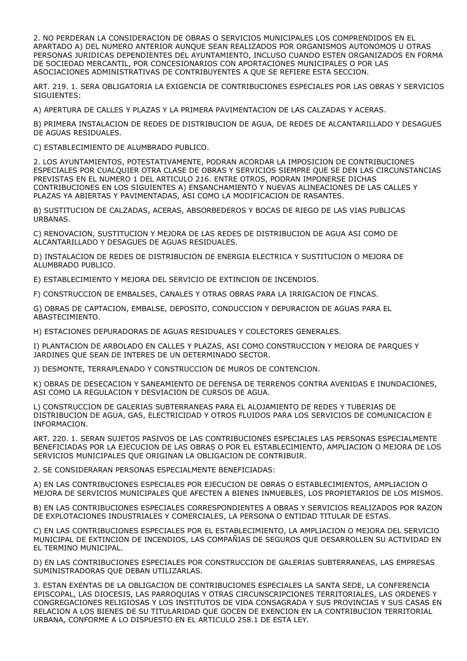2. NO PERDERAN LA CONSIDERACION DE OBRAS O SERVICIOS MUNICIPALES LOS COMPRENDIDOS EN EL APARTADO A) DEL NUMERO ANTERIOR AUNQUE SEAN REALIZADOS POR ORGANISMOS AUTONOMOS U OTRAS PERSONAS JURIDICAS DEPENDIENTES DEL AYUNTAMIENTO, INCLUSO CUANDO ESTEN ORGANIZADOS EN FORMA DE SOCIEDAD MERCANTIL, POR CONCESIONARIOS CON APORTACIONES MUNICIPALES O POR LAS ASOCIACIONES ADMINISTRATIVAS DE CONTRIBUYENTES A QUE SE REFIERE ESTA SECCION.

ART. 219. 1. SERA OBLIGATORIA LA EXIGENCIA DE CONTRIBUCIONES ESPECIALES POR LAS OBRAS Y SERVICIOS SIGUIENTES:

A) APERTURA DE CALLES Y PLAZAS Y LA PRIMERA PAVIMENTACION DE LAS CALZADAS Y ACERAS.

B) PRIMERA INSTALACION DE REDES DE DISTRIBUCION DE AGUA, DE REDES DE ALCANTARILLADO Y DESAGUES DE AGUAS RESIDUALES.

C) ESTABLECIMIENTO DE ALUMBRADO PUBLICO.

2. LOS AYUNTAMIENTOS, POTESTATIVAMENTE, PODRAN ACORDAR LA IMPOSICION DE CONTRIBUCIONES ESPECIALES POR CUALQUIER OTRA CLASE DE OBRAS Y SERVICIOS SIEMPRE QUE SE DEN LAS CIRCUNSTANCIAS PREVISTAS EN EL NUMERO 1 DEL ARTICULO 216. ENTRE OTROS, PODRAN IMPONERSE DICHAS CONTRIBUCIONES EN LOS SIGUIENTES A) ENSANCHAMIENTO Y NUEVAS ALINEACIONES DE LAS CALLES Y PLAZAS YA ABIERTAS Y PAVIMENTADAS, ASI COMO LA MODIFICACION DE RASANTES.

B) SUSTITUCION DE CALZADAS, ACERAS, ABSORBEDEROS Y BOCAS DE RIEGO DE LAS VIAS PUBLICAS URBANAS.

C) RENOVACION, SUSTITUCION Y MEJORA DE LAS REDES DE DISTRIBUCION DE AGUA ASI COMO DE ALCANTARILLADO Y DESAGUES DE AGUAS RESIDUALES.

D) INSTALACION DE REDES DE DISTRIBUCION DE ENERGIA ELECTRICA Y SUSTITUCION O MEJORA DE ALUMBRADO PUBLICO.

E) ESTABLECIMIENTO Y MEJORA DEL SERVICIO DE EXTINCION DE INCENDIOS.

F) CONSTRUCCION DE EMBALSES, CANALES Y OTRAS OBRAS PARA LA IRRIGACION DE FINCAS.

G) OBRAS DE CAPTACION, EMBALSE, DEPOSITO, CONDUCCION Y DEPURACION DE AGUAS PARA EL ABASTECIMIENTO.

H) ESTACIONES DEPURADORAS DE AGUAS RESIDUALES Y COLECTORES GENERALES.

I) PLANTACION DE ARBOLADO EN CALLES Y PLAZAS, ASI COMO CONSTRUCCION Y MEJORA DE PARQUES Y JARDINES QUE SEAN DE INTERES DE UN DETERMINADO SECTOR.

J) DESMONTE, TERRAPLENADO Y CONSTRUCCION DE MUROS DE CONTENCION.

K) OBRAS DE DESECACION Y SANEAMIENTO DE DEFENSA DE TERRENOS CONTRA AVENIDAS E INUNDACIONES, ASI COMO LA REGULACION Y DESVIACION DE CURSOS DE AGUA.

L) CONSTRUCCION DE GALERIAS SUBTERRANEAS PARA EL ALOJAMIENTO DE REDES Y TUBERIAS DE DISTRIBUCION DE AGUA, GAS, ELECTRICIDAD Y OTROS FLUIDOS PARA LOS SERVICIOS DE COMUNICACION E INFORMACION.

ART. 220. 1. SERAN SUJETOS PASIVOS DE LAS CONTRIBUCIONES ESPECIALES LAS PERSONAS ESPECIALMENTE BENEFICIADAS POR LA EJECUCION DE LAS OBRAS O POR EL ESTABLECIMIENTO, AMPLIACION O MEJORA DE LOS SERVICIOS MUNICIPALES QUE ORIGINAN LA OBLIGACION DE CONTRIBUIR.

2. SE CONSIDERARAN PERSONAS ESPECIALMENTE BENEFICIADAS:

A) EN LAS CONTRIBUCIONES ESPECIALES POR EJECUCION DE OBRAS O ESTABLECIMIENTOS, AMPLIACION O MEJORA DE SERVICIOS MUNICIPALES QUE AFECTEN A BIENES INMUEBLES, LOS PROPIETARIOS DE LOS MISMOS.

B) EN LAS CONTRIBUCIONES ESPECIALES CORRESPONDIENTES A OBRAS Y SERVICIOS REALIZADOS POR RAZON DE EXPLOTACIONES INDUSTRIALES Y COMERCIALES, LA PERSONA O ENTIDAD TITULAR DE ESTAS.

C) EN LAS CONTRIBUCIONES ESPECIALES POR EL ESTABLECIMIENTO, LA AMPLIACION O MEJORA DEL SERVICIO MUNICIPAL DE EXTINCION DE INCENDIOS, LAS COMPAÑIAS DE SEGUROS QUE DESARROLLEN SU ACTIVIDAD EN EL TERMINO MUNICIPAL.

D) EN LAS CONTRIBUCIONES ESPECIALES POR CONSTRUCCION DE GALERIAS SUBTERRANEAS, LAS EMPRESAS SUMINISTRADORAS QUE DEBAN UTILIZARLAS.

3. ESTAN EXENTAS DE LA OBLIGACION DE CONTRIBUCIONES ESPECIALES LA SANTA SEDE, LA CONFERENCIA EPISCOPAL, LAS DIOCESIS, LAS PARROQUIAS Y OTRAS CIRCUNSCRIPCIONES TERRITORIALES, LAS ORDENES Y CONGREGACIONES RELIGIOSAS Y LOS INSTITUTOS DE VIDA CONSAGRADA Y SUS PROVINCIAS Y SUS CASAS EN RELACION A LOS BIENES DE SU TITULARIDAD QUE GOCEN DE EXENCION EN LA CONTRIBUCION TERRITORIAL URBANA, CONFORME A LO DISPUESTO EN EL ARTICULO 258.1 DE ESTA LEY.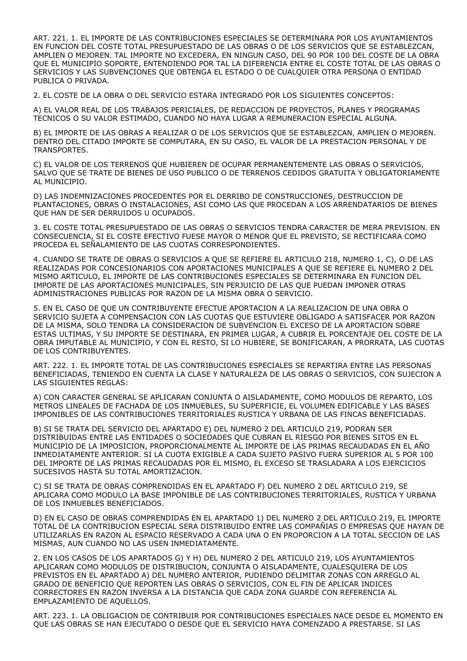ART. 221. 1. EL IMPORTE DE LAS CONTRIBUCIONES ESPECIALES SE DETERMINARA POR LOS AYUNTAMIENTOS EN FUNCION DEL COSTE TOTAL PRESUPUESTADO DE LAS OBRAS O DE LOS SERVICIOS QUE SE ESTABLEZCAN, AMPLIEN O MEJOREN. TAL IMPORTE NO EXCEDERA, EN NINGUN CASO, DEL 90 POR 100 DEL COSTE DE LA OBRA QUE EL MUNICIPIO SOPORTE, ENTENDIENDO POR TAL LA DIFERENCIA ENTRE EL COSTE TOTAL DE LAS OBRAS O SERVICIOS Y LAS SUBVENCIONES QUE OBTENGA EL ESTADO O DE CUALQUIER OTRA PERSONA O ENTIDAD PUBLICA O PRIVADA.

2. EL COSTE DE LA OBRA O DEL SERVICIO ESTARA INTEGRADO POR LOS SIGUIENTES CONCEPTOS:

A) EL VALOR REAL DE LOS TRABAJOS PERICIALES, DE REDACCION DE PROYECTOS, PLANES Y PROGRAMAS TECNICOS O SU VALOR ESTIMADO, CUANDO NO HAYA LUGAR A REMUNERACION ESPECIAL ALGUNA.

B) EL IMPORTE DE LAS OBRAS A REALIZAR O DE LOS SERVICIOS QUE SE ESTABLEZCAN, AMPLIEN O MEJOREN. DENTRO DEL CITADO IMPORTE SE COMPUTARA, EN SU CASO, EL VALOR DE LA PRESTACION PERSONAL Y DE TRANSPORTES.

C) EL VALOR DE LOS TERRENOS QUE HUBIEREN DE OCUPAR PERMANENTEMENTE LAS OBRAS O SERVICIOS, SALVO QUE SE TRATE DE BIENES DE USO PUBLICO O DE TERRENOS CEDIDOS GRATUITA Y OBLIGATORIAMENTE AL MUNICIPIO.

D) LAS INDEMNIZACIONES PROCEDENTES POR EL DERRIBO DE CONSTRUCCIONES, DESTRUCCION DE PLANTACIONES, OBRAS O INSTALACIONES, ASI COMO LAS QUE PROCEDAN A LOS ARRENDATARIOS DE BIENES QUE HAN DE SER DERRUIDOS U OCUPADOS.

3. EL COSTE TOTAL PRESUPUESTADO DE LAS OBRAS O SERVICIOS TENDRA CARACTER DE MERA PREVISION. EN CONSECUENCIA, SI EL COSTE EFECTIVO FUESE MAYOR O MENOR QUE EL PREVISTO, SE RECTIFICARA COMO PROCEDA EL SEÑALAMIENTO DE LAS CUOTAS CORRESPONDIENTES.

4. CUANDO SE TRATE DE OBRAS O SERVICIOS A QUE SE REFIERE EL ARTICULO 218, NUMERO 1, C), O DE LAS REALIZADAS POR CONCESIONARIOS CON APORTACIONES MUNICIPALES A QUE SE REFIERE EL NUMERO 2 DEL MISMO ARTICULO, EL IMPORTE DE LAS CONTRIBUCIONES ESPECIALES SE DETERMINARA EN FUNCION DEL IMPORTE DE LAS APORTACIONES MUNICIPALES, SIN PERJUICIO DE LAS QUE PUEDAN IMPONER OTRAS ADMINISTRACIONES PUBLICAS POR RAZON DE LA MISMA OBRA O SERVICIO.

5. EN EL CASO DE QUE UN CONTRIBUYENTE EFECTUE APORTACION A LA REALIZACION DE UNA OBRA O SERVICIO SUJETA A COMPENSACION CON LAS CUOTAS QUE ESTUVIERE OBLIGADO A SATISFACER POR RAZON DE LA MISMA, SOLO TENDRA LA CONSIDERACION DE SUBVENCION EL EXCESO DE LA APORTACION SOBRE ESTAS ULTIMAS, Y SU IMPORTE SE DESTINARA, EN PRIMER LUGAR, A CUBRIR EL PORCENTAJE DEL COSTE DE LA OBRA IMPUTABLE AL MUNICIPIO, Y CON EL RESTO, SI LO HUBIERE, SE BONIFICARAN, A PRORRATA, LAS CUOTAS DE LOS CONTRIBUYENTES.

ART. 222. 1. EL IMPORTE TOTAL DE LAS CONTRIBUCIONES ESPECIALES SE REPARTIRA ENTRE LAS PERSONAS BENEFICIADAS, TENIENDO EN CUENTA LA CLASE Y NATURALEZA DE LAS OBRAS O SERVICIOS, CON SUJECION A LAS SIGUIENTES REGLAS:

A) CON CARACTER GENERAL SE APLICARAN CONJUNTA O AISLADAMENTE, COMO MODULOS DE REPARTO, LOS METROS LINEALES DE FACHADA DE LOS INMUEBLES, SU SUPERFICIE, EL VOLUMEN EDIFICABLE Y LAS BASES IMPONIBLES DE LAS CONTRIBUCIONES TERRITORIALES RUSTICA Y URBANA DE LAS FINCAS BENEFICIADAS.

B) SI SE TRATA DEL SERVICIO DEL APARTADO E) DEL NUMERO 2 DEL ARTICULO 219, PODRAN SER DISTRIBUIDAS ENTRE LAS ENTIDADES O SOCIEDADES QUE CUBRAN EL RIESGO POR BIENES SITOS EN EL MUNICIPIO DE LA IMPOSICION, PROPORCIONALMENTE AL IMPORTE DE LAS PRIMAS RECAUDADAS EN EL AÑO INMEDIATAMENTE ANTERIOR. SI LA CUOTA EXIGIBLE A CADA SUJETO PASIVO FUERA SUPERIOR AL 5 POR 100 DEL IMPORTE DE LAS PRIMAS RECAUDADAS POR EL MISMO, EL EXCESO SE TRASLADARA A LOS EJERCICIOS SUCESIVOS HASTA SU TOTAL AMORTIZACION.

C) SI SE TRATA DE OBRAS COMPRENDIDAS EN EL APARTADO F) DEL NUMERO 2 DEL ARTICULO 219, SE APLICARA COMO MODULO LA BASE IMPONIBLE DE LAS CONTRIBUCIONES TERRITORIALES, RUSTICA Y URBANA DE LOS INMUEBLES BENEFICIADOS.

D) EN EL CASO DE OBRAS COMPRENDIDAS EN EL APARTADO 1) DEL NUMERO 2 DEL ARTICULO 219, EL IMPORTE TOTAL DE LA CONTRIBUCION ESPECIAL SERA DISTRIBUIDO ENTRE LAS COMPAÑIAS O EMPRESAS QUE HAYAN DE UTILIZARLAS EN RAZON AL ESPACIO RESERVADO A CADA UNA O EN PROPORCION A LA TOTAL SECCION DE LAS MISMAS, AUN CUANDO NO LAS USEN INMEDIATAMENTE.

2. EN LOS CASOS DE LOS APARTADOS G) Y H) DEL NUMERO 2 DEL ARTICULO 219, LOS AYUNTAMIENTOS APLICARAN COMO MODULOS DE DISTRIBUCION, CONJUNTA O AISLADAMENTE, CUALESQUIERA DE LOS PREVISTOS EN EL APARTADO A) DEL NUMERO ANTERIOR, PUDIENDO DELIMITAR ZONAS CON ARREGLO AL GRADO DE BENEFICIO QUE REPORTEN LAS OBRAS O SERVICIOS, CON EL FIN DE APLICAR INDICES CORRECTORES EN RAZON INVERSA A LA DISTANCIA QUE CADA ZONA GUARDE CON REFERENCIA AL EMPLAZAMIENTO DE AQUELLOS.

ART. 223. 1. LA OBLIGACION DE CONTRIBUIR POR CONTRIBUCIONES ESPECIALES NACE DESDE EL MOMENTO EN QUE LAS OBRAS SE HAN EJECUTADO O DESDE QUE EL SERVICIO HAYA COMENZADO A PRESTARSE. SI LAS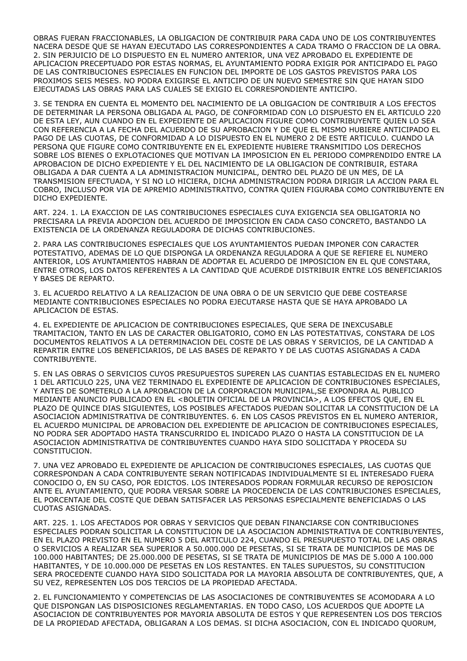OBRAS FUERAN FRACCIONABLES, LA OBLIGACION DE CONTRIBUIR PARA CADA UNO DE LOS CONTRIBUYENTES NACERA DESDE QUE SE HAYAN EJECUTADO LAS CORRESPONDIENTES A CADA TRAMO O FRACCION DE LA OBRA. 2. SIN PERJUICIO DE LO DISPUESTO EN EL NUMERO ANTERIOR, UNA VEZ APROBADO EL EXPEDIENTE DE APLICACION PRECEPTUADO POR ESTAS NORMAS, EL AYUNTAMIENTO PODRA EXIGIR POR ANTICIPADO EL PAGO DE LAS CONTRIBUCIONES ESPECIALES EN FUNCION DEL IMPORTE DE LOS GASTOS PREVISTOS PARA LOS PROXIMOS SEIS MESES. NO PODRA EXIGIRSE EL ANTICIPO DE UN NUEVO SEMESTRE SIN QUE HAYAN SIDO EJECUTADAS LAS OBRAS PARA LAS CUALES SE EXIGIO EL CORRESPONDIENTE ANTICIPO.

3. SE TENDRA EN CUENTA EL MOMENTO DEL NACIMIENTO DE LA OBLIGACION DE CONTRIBUIR A LOS EFECTOS DE DETERMINAR LA PERSONA OBLIGADA AL PAGO, DE CONFORMIDAD CON LO DISPUESTO EN EL ARTICULO 220 DE ESTA LEY, AUN CUANDO EN EL EXPEDIENTE DE APLICACION FIGURE COMO CONTRIBUYENTE QUIEN LO SEA CON REFERENCIA A LA FECHA DEL ACUERDO DE SU APROBACION Y DE QUE EL MISMO HUBIERE ANTICIPADO EL PAGO DE LAS CUOTAS, DE CONFORMIDAD A LO DISPUESTO EN EL NUMERO 2 DE ESTE ARTICULO. CUANDO LA PERSONA QUE FIGURE COMO CONTRIBUYENTE EN EL EXPEDIENTE HUBIERE TRANSMITIDO LOS DERECHOS SOBRE LOS BIENES O EXPLOTACIONES QUE MOTIVAN LA IMPOSICION EN EL PERIODO COMPRENDIDO ENTRE LA APROBACION DE DICHO EXPEDIENTE Y EL DEL NACIMIENTO DE LA OBLIGACION DE CONTRIBUIR, ESTARA OBLIGADA A DAR CUENTA A LA ADMINISTRACION MUNICIPAL, DENTRO DEL PLAZO DE UN MES, DE LA TRANSMISION EFECTUADA, Y SI NO LO HICIERA, DICHA ADMINISTRACION PODRA DIRIGIR LA ACCION PARA EL COBRO, INCLUSO POR VIA DE APREMIO ADMINISTRATIVO, CONTRA QUIEN FIGURABA COMO CONTRIBUYENTE EN DICHO EXPEDIENTE.

ART. 224. 1. LA EXACCION DE LAS CONTRIBUCIONES ESPECIALES CUYA EXIGENCIA SEA OBLIGATORIA NO PRECISARA LA PREVIA ADOPCION DEL ACUERDO DE IMPOSICION EN CADA CASO CONCRETO, BASTANDO LA EXISTENCIA DE LA ORDENANZA REGULADORA DE DICHAS CONTRIBUCIONES.

2. PARA LAS CONTRIBUCIONES ESPECIALES QUE LOS AYUNTAMIENTOS PUEDAN IMPONER CON CARACTER POTESTATIVO, ADEMAS DE LO QUE DISPONGA LA ORDENANZA REGULADORA A QUE SE REFIERE EL NUMERO ANTERIOR, LOS AYUNTAMIENTOS HABRAN DE ADOPTAR EL ACUERDO DE IMPOSICION EN EL QUE CONSTARA, ENTRE OTROS, LOS DATOS REFERENTES A LA CANTIDAD QUE ACUERDE DISTRIBUIR ENTRE LOS BENEFICIARIOS Y BASES DE REPARTO.

3. EL ACUERDO RELATIVO A LA REALIZACION DE UNA OBRA O DE UN SERVICIO QUE DEBE COSTEARSE MEDIANTE CONTRIBUCIONES ESPECIALES NO PODRA EJECUTARSE HASTA QUE SE HAYA APROBADO LA APLICACION DE ESTAS.

4. EL EXPEDIENTE DE APLICACION DE CONTRIBUCIONES ESPECIALES, QUE SERA DE INEXCUSABLE TRAMITACION, TANTO EN LAS DE CARACTER OBLIGATORIO, COMO EN LAS POTESTATIVAS, CONSTARA DE LOS DOCUMENTOS RELATIVOS A LA DETERMINACION DEL COSTE DE LAS OBRAS Y SERVICIOS, DE LA CANTIDAD A REPARTIR ENTRE LOS BENEFICIARIOS, DE LAS BASES DE REPARTO Y DE LAS CUOTAS ASIGNADAS A CADA CONTRIBUYENTE.

5. EN LAS OBRAS O SERVICIOS CUYOS PRESUPUESTOS SUPEREN LAS CUANTIAS ESTABLECIDAS EN EL NUMERO 1 DEL ARTICULO 225, UNA VEZ TERMINADO EL EXPEDIENTE DE APLICACION DE CONTRIBUCIONES ESPECIALES, Y ANTES DE SOMETERLO A LA APROBACION DE LA CORPORACION MUNICIPAL,SE EXPONDRA AL PUBLICO MEDIANTE ANUNCIO PUBLICADO EN EL <BOLETIN OFICIAL DE LA PROVINCIA>, A LOS EFECTOS QUE, EN EL PLAZO DE QUINCE DIAS SIGUIENTES, LOS POSIBLES AFECTADOS PUEDAN SOLICITAR LA CONSTITUCION DE LA ASOCIACION ADMINISTRATIVA DE CONTRIBUYENTES. 6. EN LOS CASOS PREVISTOS EN EL NUMERO ANTERIOR, EL ACUERDO MUNICIPAL DE APROBACION DEL EXPEDIENTE DE APLICACION DE CONTRIBUCIONES ESPECIALES, NO PODRA SER ADOPTADO HASTA TRANSCURRIDO EL INDICADO PLAZO O HASTA LA CONSTITUCION DE LA ASOCIACION ADMINISTRATIVA DE CONTRIBUYENTES CUANDO HAYA SIDO SOLICITADA Y PROCEDA SU CONSTITUCION.

7. UNA VEZ APROBADO EL EXPEDIENTE DE APLICACION DE CONTRIBUCIONES ESPECIALES, LAS CUOTAS QUE CORRESPONDAN A CADA CONTRIBUYENTE SERAN NOTIFICADAS INDIVIDUALMENTE SI EL INTERESADO FUERA CONOCIDO O, EN SU CASO, POR EDICTOS. LOS INTERESADOS PODRAN FORMULAR RECURSO DE REPOSICION ANTE EL AYUNTAMIENTO, QUE PODRA VERSAR SOBRE LA PROCEDENCIA DE LAS CONTRIBUCIONES ESPECIALES, EL PORCENTAJE DEL COSTE QUE DEBAN SATISFACER LAS PERSONAS ESPECIALMENTE BENEFICIADAS O LAS CUOTAS ASIGNADAS.

ART. 225. 1. LOS AFECTADOS POR OBRAS Y SERVICIOS QUE DEBAN FINANCIARSE CON CONTRIBUCIONES ESPECIALES PODRAN SOLICITAR LA CONSTITUCION DE LA ASOCIACION ADMINISTRATIVA DE CONTRIBUYENTES, EN EL PLAZO PREVISTO EN EL NUMERO 5 DEL ARTICULO 224, CUANDO EL PRESUPUESTO TOTAL DE LAS OBRAS O SERVICIOS A REALIZAR SEA SUPERIOR A 50.000.000 DE PESETAS, SI SE TRATA DE MUNICIPIOS DE MAS DE 100.000 HABITANTES; DE 25.000.000 DE PESETAS, SI SE TRATA DE MUNICIPIOS DE MAS DE 5.000 A 100.000 HABITANTES, Y DE 10.000.000 DE PESETAS EN LOS RESTANTES. EN TALES SUPUESTOS, SU CONSTITUCION SERA PROCEDENTE CUANDO HAYA SIDO SOLICITADA POR LA MAYORIA ABSOLUTA DE CONTRIBUYENTES, QUE, A SU VEZ, REPRESENTEN LOS DOS TERCIOS DE LA PROPIEDAD AFECTADA.

2. EL FUNCIONAMIENTO Y COMPETENCIAS DE LAS ASOCIACIONES DE CONTRIBUYENTES SE ACOMODARA A LO QUE DISPONGAN LAS DISPOSICIONES REGLAMENTARIAS. EN TODO CASO, LOS ACUERDOS QUE ADOPTE LA ASOCIACION DE CONTRIBUYENTES POR MAYORIA ABSOLUTA DE ESTOS Y QUE REPRESENTEN LOS DOS TERCIOS DE LA PROPIEDAD AFECTADA, OBLIGARAN A LOS DEMAS. SI DICHA ASOCIACION, CON EL INDICADO QUORUM,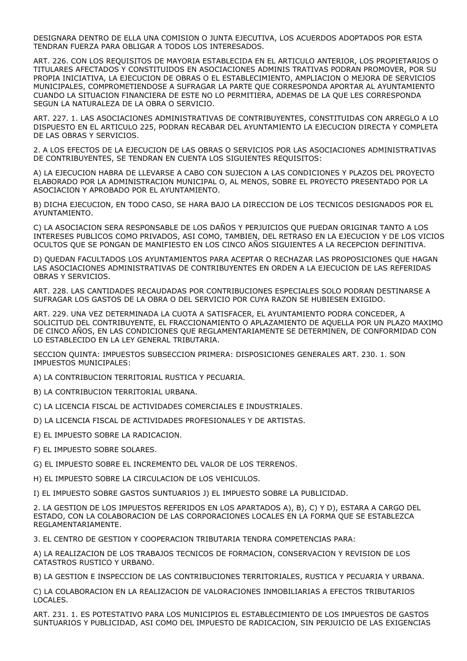DESIGNARA DENTRO DE ELLA UNA COMISION O JUNTA EJECUTIVA, LOS ACUERDOS ADOPTADOS POR ESTA TENDRAN FUERZA PARA OBLIGAR A TODOS LOS INTERESADOS.

ART. 226. CON LOS REQUISITOS DE MAYORIA ESTABLECIDA EN EL ARTICULO ANTERIOR, LOS PROPIETARIOS O TITULARES AFECTADOS Y CONSTITUIDOS EN ASOCIACIONES ADMINIS TRATIVAS PODRAN PROMOVER, POR SU PROPIA INICIATIVA, LA EJECUCION DE OBRAS O EL ESTABLECIMIENTO, AMPLIACION O MEJORA DE SERVICIOS MUNICIPALES, COMPROMETIENDOSE A SUFRAGAR LA PARTE QUE CORRESPONDA APORTAR AL AYUNTAMIENTO CUANDO LA SITUACION FINANCIERA DE ESTE NO LO PERMITIERA, ADEMAS DE LA QUE LES CORRESPONDA SEGUN LA NATURALEZA DE LA OBRA O SERVICIO.

ART. 227. 1. LAS ASOCIACIONES ADMINISTRATIVAS DE CONTRIBUYENTES, CONSTITUIDAS CON ARREGLO A LO DISPUESTO EN EL ARTICULO 225, PODRAN RECABAR DEL AYUNTAMIENTO LA EJECUCION DIRECTA Y COMPLETA DE LAS OBRAS Y SERVICIOS.

2. A LOS EFECTOS DE LA EJECUCION DE LAS OBRAS O SERVICIOS POR LAS ASOCIACIONES ADMINISTRATIVAS DE CONTRIBUYENTES, SE TENDRAN EN CUENTA LOS SIGUIENTES REQUISITOS:

A) LA EJECUCION HABRA DE LLEVARSE A CABO CON SUJECION A LAS CONDICIONES Y PLAZOS DEL PROYECTO ELABORADO POR LA ADMINISTRACION MUNICIPAL O, AL MENOS, SOBRE EL PROYECTO PRESENTADO POR LA ASOCIACION Y APROBADO POR EL AYUNTAMIENTO.

B) DICHA EJECUCION, EN TODO CASO, SE HARA BAJO LA DIRECCION DE LOS TECNICOS DESIGNADOS POR EL AYUNTAMIENTO.

C) LA ASOCIACION SERA RESPONSABLE DE LOS DAÑOS Y PERJUICIOS QUE PUEDAN ORIGINAR TANTO A LOS INTERESES PUBLICOS COMO PRIVADOS, ASI COMO, TAMBIEN, DEL RETRASO EN LA EJECUCION Y DE LOS VICIOS OCULTOS QUE SE PONGAN DE MANIFIESTO EN LOS CINCO AÑOS SIGUIENTES A LA RECEPCION DEFINITIVA.

D) QUEDAN FACULTADOS LOS AYUNTAMIENTOS PARA ACEPTAR O RECHAZAR LAS PROPOSICIONES QUE HAGAN LAS ASOCIACIONES ADMINISTRATIVAS DE CONTRIBUYENTES EN ORDEN A LA EJECUCION DE LAS REFERIDAS OBRAS Y SERVICIOS.

ART. 228. LAS CANTIDADES RECAUDADAS POR CONTRIBUCIONES ESPECIALES SOLO PODRAN DESTINARSE A SUFRAGAR LOS GASTOS DE LA OBRA O DEL SERVICIO POR CUYA RAZON SE HUBIESEN EXIGIDO.

ART. 229. UNA VEZ DETERMINADA LA CUOTA A SATISFACER, EL AYUNTAMIENTO PODRA CONCEDER, A SOLICITUD DEL CONTRIBUYENTE, EL FRACCIONAMIENTO O APLAZAMIENTO DE AQUELLA POR UN PLAZO MAXIMO DE CINCO AÑOS, EN LAS CONDICIONES QUE REGLAMENTARIAMENTE SE DETERMINEN, DE CONFORMIDAD CON LO ESTABLECIDO EN LA LEY GENERAL TRIBUTARIA.

SECCION QUINTA: IMPUESTOS SUBSECCION PRIMERA: DISPOSICIONES GENERALES ART. 230. 1. SON IMPUESTOS MUNICIPALES:

A) LA CONTRIBUCION TERRITORIAL RUSTICA Y PECUARIA.

B) LA CONTRIBUCION TERRITORIAL URBANA.

C) LA LICENCIA FISCAL DE ACTIVIDADES COMERCIALES E INDUSTRIALES.

D) LA LICENCIA FISCAL DE ACTIVIDADES PROFESIONALES Y DE ARTISTAS.

E) EL IMPUESTO SOBRE LA RADICACION.

F) EL IMPUESTO SOBRE SOLARES.

G) EL IMPUESTO SOBRE EL INCREMENTO DEL VALOR DE LOS TERRENOS.

H) EL IMPUESTO SOBRE LA CIRCULACION DE LOS VEHICULOS.

I) EL IMPUESTO SOBRE GASTOS SUNTUARIOS J) EL IMPUESTO SOBRE LA PUBLICIDAD.

2. LA GESTION DE LOS IMPUESTOS REFERIDOS EN LOS APARTADOS A), B), C) Y D), ESTARA A CARGO DEL ESTADO, CON LA COLABORACION DE LAS CORPORACIONES LOCALES EN LA FORMA QUE SE ESTABLEZCA REGLAMENTARIAMENTE.

3. EL CENTRO DE GESTION Y COOPERACION TRIBUTARIA TENDRA COMPETENCIAS PARA:

A) LA REALIZACION DE LOS TRABAJOS TECNICOS DE FORMACION, CONSERVACION Y REVISION DE LOS CATASTROS RUSTICO Y URBANO.

B) LA GESTION E INSPECCION DE LAS CONTRIBUCIONES TERRITORIALES, RUSTICA Y PECUARIA Y URBANA.

C) LA COLABORACION EN LA REALIZACION DE VALORACIONES INMOBILIARIAS A EFECTOS TRIBUTARIOS LOCALES.

ART. 231. 1. ES POTESTATIVO PARA LOS MUNICIPIOS EL ESTABLECIMIENTO DE LOS IMPUESTOS DE GASTOS SUNTUARIOS Y PUBLICIDAD, ASI COMO DEL IMPUESTO DE RADICACION, SIN PERJUICIO DE LAS EXIGENCIAS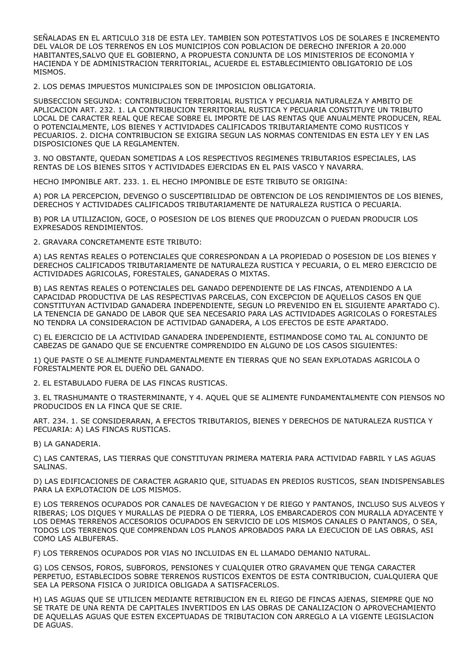SEÑALADAS EN EL ARTICULO 318 DE ESTA LEY. TAMBIEN SON POTESTATIVOS LOS DE SOLARES E INCREMENTO DEL VALOR DE LOS TERRENOS EN LOS MUNICIPIOS CON POBLACION DE DERECHO INFERIOR A 20.000 HABITANTES,SALVO QUE EL GOBIERNO, A PROPUESTA CONJUNTA DE LOS MINISTERIOS DE ECONOMIA Y HACIENDA Y DE ADMINISTRACION TERRITORIAL, ACUERDE EL ESTABLECIMIENTO OBLIGATORIO DE LOS MISMOS.

2. LOS DEMAS IMPUESTOS MUNICIPALES SON DE IMPOSICION OBLIGATORIA.

SUBSECCION SEGUNDA: CONTRIBUCION TERRITORIAL RUSTICA Y PECUARIA NATURALEZA Y AMBITO DE APLICACION ART. 232. 1. LA CONTRIBUCION TERRITORIAL RUSTICA Y PECUARIA CONSTITUYE UN TRIBUTO LOCAL DE CARACTER REAL QUE RECAE SOBRE EL IMPORTE DE LAS RENTAS QUE ANUALMENTE PRODUCEN, REAL O POTENCIALMENTE, LOS BIENES Y ACTIVIDADES CALIFICADOS TRIBUTARIAMENTE COMO RUSTICOS Y PECUARIOS. 2. DICHA CONTRIBUCION SE EXIGIRA SEGUN LAS NORMAS CONTENIDAS EN ESTA LEY Y EN LAS DISPOSICIONES QUE LA REGLAMENTEN.

3. NO OBSTANTE, QUEDAN SOMETIDAS A LOS RESPECTIVOS REGIMENES TRIBUTARIOS ESPECIALES, LAS RENTAS DE LOS BIENES SITOS Y ACTIVIDADES EJERCIDAS EN EL PAIS VASCO Y NAVARRA.

HECHO IMPONIBLE ART. 233. 1. EL HECHO IMPONIBLE DE ESTE TRIBUTO SE ORIGINA:

A) POR LA PERCEPCION, DEVENGO O SUSCEPTIBILIDAD DE OBTENCION DE LOS RENDIMIENTOS DE LOS BIENES, DERECHOS Y ACTIVIDADES CALIFICADOS TRIBUTARIAMENTE DE NATURALEZA RUSTICA O PECUARIA.

B) POR LA UTILIZACION, GOCE, O POSESION DE LOS BIENES QUE PRODUZCAN O PUEDAN PRODUCIR LOS EXPRESADOS RENDIMIENTOS.

2. GRAVARA CONCRETAMENTE ESTE TRIBUTO:

A) LAS RENTAS REALES O POTENCIALES QUE CORRESPONDAN A LA PROPIEDAD O POSESION DE LOS BIENES Y DERECHOS CALIFICADOS TRIBUTARIAMENTE DE NATURALEZA RUSTICA Y PECUARIA, O EL MERO EJERCICIO DE ACTIVIDADES AGRICOLAS, FORESTALES, GANADERAS O MIXTAS.

B) LAS RENTAS REALES O POTENCIALES DEL GANADO DEPENDIENTE DE LAS FINCAS, ATENDIENDO A LA CAPACIDAD PRODUCTIVA DE LAS RESPECTIVAS PARCELAS, CON EXCEPCION DE AQUELLOS CASOS EN QUE CONSTITUYAN ACTIVIDAD GANADERA INDEPENDIENTE, SEGUN LO PREVENIDO EN EL SIGUIENTE APARTADO C). LA TENENCIA DE GANADO DE LABOR QUE SEA NECESARIO PARA LAS ACTIVIDADES AGRICOLAS O FORESTALES NO TENDRA LA CONSIDERACION DE ACTIVIDAD GANADERA, A LOS EFECTOS DE ESTE APARTADO.

C) EL EJERCICIO DE LA ACTIVIDAD GANADERA INDEPENDIENTE, ESTIMANDOSE COMO TAL AL CONJUNTO DE CABEZAS DE GANADO QUE SE ENCUENTRE COMPRENDIDO EN ALGUNO DE LOS CASOS SIGUIENTES:

1) QUE PASTE O SE ALIMENTE FUNDAMENTALMENTE EN TIERRAS QUE NO SEAN EXPLOTADAS AGRICOLA O FORESTALMENTE POR EL DUEÑO DEL GANADO.

2. EL ESTABULADO FUERA DE LAS FINCAS RUSTICAS.

3. EL TRASHUMANTE O TRASTERMINANTE, Y 4. AQUEL QUE SE ALIMENTE FUNDAMENTALMENTE CON PIENSOS NO PRODUCIDOS EN LA FINCA QUE SE CRIE.

ART. 234. 1. SE CONSIDERARAN, A EFECTOS TRIBUTARIOS, BIENES Y DERECHOS DE NATURALEZA RUSTICA Y PECUARIA: A) LAS FINCAS RUSTICAS.

B) LA GANADERIA.

C) LAS CANTERAS, LAS TIERRAS QUE CONSTITUYAN PRIMERA MATERIA PARA ACTIVIDAD FABRIL Y LAS AGUAS SALINAS.

D) LAS EDIFICACIONES DE CARACTER AGRARIO QUE, SITUADAS EN PREDIOS RUSTICOS, SEAN INDISPENSABLES PARA LA EXPLOTACION DE LOS MISMOS.

E) LOS TERRENOS OCUPADOS POR CANALES DE NAVEGACION Y DE RIEGO Y PANTANOS, INCLUSO SUS ALVEOS Y RIBERAS; LOS DIQUES Y MURALLAS DE PIEDRA O DE TIERRA, LOS EMBARCADEROS CON MURALLA ADYACENTE Y LOS DEMAS TERRENOS ACCESORIOS OCUPADOS EN SERVICIO DE LOS MISMOS CANALES O PANTANOS, O SEA, TODOS LOS TERRENOS QUE COMPRENDAN LOS PLANOS APROBADOS PARA LA EJECUCION DE LAS OBRAS, ASI COMO LAS ALBUFERAS.

F) LOS TERRENOS OCUPADOS POR VIAS NO INCLUIDAS EN EL LLAMADO DEMANIO NATURAL.

G) LOS CENSOS, FOROS, SUBFOROS, PENSIONES Y CUALQUIER OTRO GRAVAMEN QUE TENGA CARACTER PERPETUO, ESTABLECIDOS SOBRE TERRENOS RUSTICOS EXENTOS DE ESTA CONTRIBUCION, CUALQUIERA QUE SEA LA PERSONA FISICA O JURIDICA OBLIGADA A SATISFACERLOS.

H) LAS AGUAS QUE SE UTILICEN MEDIANTE RETRIBUCION EN EL RIEGO DE FINCAS AJENAS, SIEMPRE QUE NO SE TRATE DE UNA RENTA DE CAPITALES INVERTIDOS EN LAS OBRAS DE CANALIZACION O APROVECHAMIENTO DE AQUELLAS AGUAS QUE ESTEN EXCEPTUADAS DE TRIBUTACION CON ARREGLO A LA VIGENTE LEGISLACION DE AGUAS.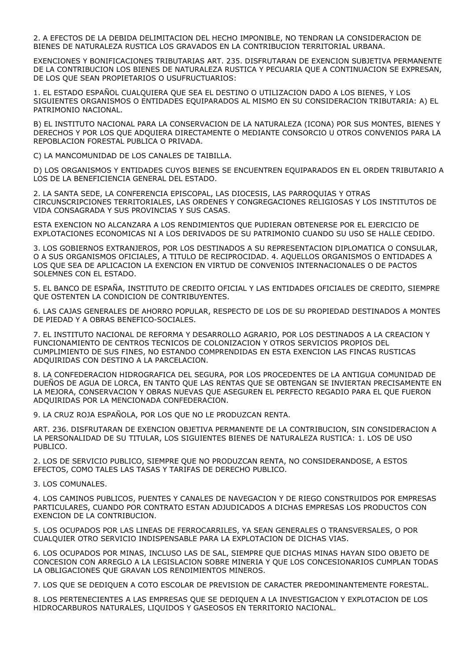2. A EFECTOS DE LA DEBIDA DELIMITACION DEL HECHO IMPONIBLE, NO TENDRAN LA CONSIDERACION DE BIENES DE NATURALEZA RUSTICA LOS GRAVADOS EN LA CONTRIBUCION TERRITORIAL URBANA.

EXENCIONES Y BONIFICACIONES TRIBUTARIAS ART. 235. DISFRUTARAN DE EXENCION SUBJETIVA PERMANENTE DE LA CONTRIBUCION LOS BIENES DE NATURALEZA RUSTICA Y PECUARIA QUE A CONTINUACION SE EXPRESAN, DE LOS QUE SEAN PROPIETARIOS O USUFRUCTUARIOS:

1. EL ESTADO ESPAÑOL CUALQUIERA QUE SEA EL DESTINO O UTILIZACION DADO A LOS BIENES, Y LOS SIGUIENTES ORGANISMOS O ENTIDADES EQUIPARADOS AL MISMO EN SU CONSIDERACION TRIBUTARIA: A) EL PATRIMONIO NACIONAL.

B) EL INSTITUTO NACIONAL PARA LA CONSERVACION DE LA NATURALEZA (ICONA) POR SUS MONTES, BIENES Y DERECHOS Y POR LOS QUE ADQUIERA DIRECTAMENTE O MEDIANTE CONSORCIO U OTROS CONVENIOS PARA LA REPOBLACION FORESTAL PUBLICA O PRIVADA.

C) LA MANCOMUNIDAD DE LOS CANALES DE TAIBILLA.

D) LOS ORGANISMOS Y ENTIDADES CUYOS BIENES SE ENCUENTREN EQUIPARADOS EN EL ORDEN TRIBUTARIO A LOS DE LA BENEFICIENCIA GENERAL DEL ESTADO.

2. LA SANTA SEDE, LA CONFERENCIA EPISCOPAL, LAS DIOCESIS, LAS PARROQUIAS Y OTRAS CIRCUNSCRIPCIONES TERRITORIALES, LAS ORDENES Y CONGREGACIONES RELIGIOSAS Y LOS INSTITUTOS DE VIDA CONSAGRADA Y SUS PROVINCIAS Y SUS CASAS.

ESTA EXENCION NO ALCANZARA A LOS RENDIMIENTOS QUE PUDIERAN OBTENERSE POR EL EJERCICIO DE EXPLOTACIONES ECONOMICAS NI A LOS DERIVADOS DE SU PATRIMONIO CUANDO SU USO SE HALLE CEDIDO.

3. LOS GOBIERNOS EXTRANJEROS, POR LOS DESTINADOS A SU REPRESENTACION DIPLOMATICA O CONSULAR, O A SUS ORGANISMOS OFICIALES, A TITULO DE RECIPROCIDAD. 4. AQUELLOS ORGANISMOS O ENTIDADES A LOS QUE SEA DE APLICACION LA EXENCION EN VIRTUD DE CONVENIOS INTERNACIONALES O DE PACTOS SOLEMNES CON EL ESTADO.

5. EL BANCO DE ESPAÑA, INSTITUTO DE CREDITO OFICIAL Y LAS ENTIDADES OFICIALES DE CREDITO, SIEMPRE QUE OSTENTEN LA CONDICION DE CONTRIBUYENTES.

6. LAS CAJAS GENERALES DE AHORRO POPULAR, RESPECTO DE LOS DE SU PROPIEDAD DESTINADOS A MONTES DE PIEDAD Y A OBRAS BENEFICO-SOCIALES.

7. EL INSTITUTO NACIONAL DE REFORMA Y DESARROLLO AGRARIO, POR LOS DESTINADOS A LA CREACION Y FUNCIONAMIENTO DE CENTROS TECNICOS DE COLONIZACION Y OTROS SERVICIOS PROPIOS DEL CUMPLIMIENTO DE SUS FINES, NO ESTANDO COMPRENDIDAS EN ESTA EXENCION LAS FINCAS RUSTICAS ADQUIRIDAS CON DESTINO A LA PARCELACION.

8. LA CONFEDERACION HIDROGRAFICA DEL SEGURA, POR LOS PROCEDENTES DE LA ANTIGUA COMUNIDAD DE DUEÑOS DE AGUA DE LORCA, EN TANTO QUE LAS RENTAS QUE SE OBTENGAN SE INVIERTAN PRECISAMENTE EN LA MEJORA, CONSERVACION Y OBRAS NUEVAS QUE ASEGUREN EL PERFECTO REGADIO PARA EL QUE FUERON ADQUIRIDAS POR LA MENCIONADA CONFEDERACION.

9. LA CRUZ ROJA ESPAÑOLA, POR LOS QUE NO LE PRODUZCAN RENTA.

ART. 236. DISFRUTARAN DE EXENCION OBJETIVA PERMANENTE DE LA CONTRIBUCION, SIN CONSIDERACION A LA PERSONALIDAD DE SU TITULAR, LOS SIGUIENTES BIENES DE NATURALEZA RUSTICA: 1. LOS DE USO PUBLICO.

2. LOS DE SERVICIO PUBLICO, SIEMPRE QUE NO PRODUZCAN RENTA, NO CONSIDERANDOSE, A ESTOS EFECTOS, COMO TALES LAS TASAS Y TARIFAS DE DERECHO PUBLICO.

3. LOS COMUNALES.

4. LOS CAMINOS PUBLICOS, PUENTES Y CANALES DE NAVEGACION Y DE RIEGO CONSTRUIDOS POR EMPRESAS PARTICULARES, CUANDO POR CONTRATO ESTAN ADJUDICADOS A DICHAS EMPRESAS LOS PRODUCTOS CON EXENCION DE LA CONTRIBUCION.

5. LOS OCUPADOS POR LAS LINEAS DE FERROCARRILES, YA SEAN GENERALES O TRANSVERSALES, O POR CUALQUIER OTRO SERVICIO INDISPENSABLE PARA LA EXPLOTACION DE DICHAS VIAS.

6. LOS OCUPADOS POR MINAS, INCLUSO LAS DE SAL, SIEMPRE QUE DICHAS MINAS HAYAN SIDO OBJETO DE CONCESION CON ARREGLO A LA LEGISLACION SOBRE MINERIA Y QUE LOS CONCESIONARIOS CUMPLAN TODAS LA OBLIGACIONES QUE GRAVAN LOS RENDIMIENTOS MINEROS.

7. LOS QUE SE DEDIQUEN A COTO ESCOLAR DE PREVISION DE CARACTER PREDOMINANTEMENTE FORESTAL.

8. LOS PERTENECIENTES A LAS EMPRESAS QUE SE DEDIQUEN A LA INVESTIGACION Y EXPLOTACION DE LOS HIDROCARBUROS NATURALES, LIQUIDOS Y GASEOSOS EN TERRITORIO NACIONAL.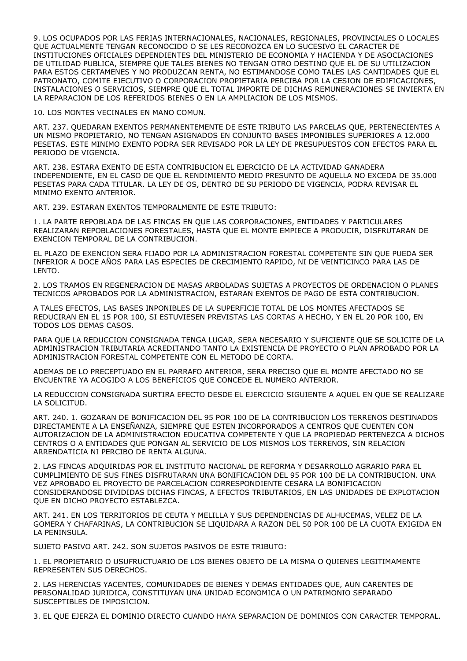9. LOS OCUPADOS POR LAS FERIAS INTERNACIONALES, NACIONALES, REGIONALES, PROVINCIALES O LOCALES QUE ACTUALMENTE TENGAN RECONOCIDO O SE LES RECONOZCA EN LO SUCESIVO EL CARACTER DE INSTITUCIONES OFICIALES DEPENDIENTES DEL MINISTERIO DE ECONOMIA Y HACIENDA Y DE ASOCIACIONES DE UTILIDAD PUBLICA, SIEMPRE QUE TALES BIENES NO TENGAN OTRO DESTINO QUE EL DE SU UTILIZACION PARA ESTOS CERTAMENES Y NO PRODUZCAN RENTA, NO ESTIMANDOSE COMO TALES LAS CANTIDADES QUE EL PATRONATO, COMITE EJECUTIVO O CORPORACION PROPIETARIA PERCIBA POR LA CESION DE EDIFICACIONES, INSTALACIONES O SERVICIOS, SIEMPRE QUE EL TOTAL IMPORTE DE DICHAS REMUNERACIONES SE INVIERTA EN LA REPARACION DE LOS REFERIDOS BIENES O EN LA AMPLIACION DE LOS MISMOS.

10. LOS MONTES VECINALES EN MANO COMUN.

ART. 237. QUEDARAN EXENTOS PERMANENTEMENTE DE ESTE TRIBUTO LAS PARCELAS QUE, PERTENECIENTES A UN MISMO PROPIETARIO, NO TENGAN ASIGNADOS EN CONJUNTO BASES IMPONIBLES SUPERIORES A 12.000 PESETAS. ESTE MINIMO EXENTO PODRA SER REVISADO POR LA LEY DE PRESUPUESTOS CON EFECTOS PARA EL PERIODO DE VIGENCIA.

ART. 238. ESTARA EXENTO DE ESTA CONTRIBUCION EL EJERCICIO DE LA ACTIVIDAD GANADERA INDEPENDIENTE, EN EL CASO DE QUE EL RENDIMIENTO MEDIO PRESUNTO DE AQUELLA NO EXCEDA DE 35.000 PESETAS PARA CADA TITULAR. LA LEY DE OS, DENTRO DE SU PERIODO DE VIGENCIA, PODRA REVISAR EL MINIMO EXENTO ANTERIOR.

ART. 239. ESTARAN EXENTOS TEMPORALMENTE DE ESTE TRIBUTO:

1. LA PARTE REPOBLADA DE LAS FINCAS EN QUE LAS CORPORACIONES, ENTIDADES Y PARTICULARES REALIZARAN REPOBLACIONES FORESTALES, HASTA QUE EL MONTE EMPIECE A PRODUCIR, DISFRUTARAN DE EXENCION TEMPORAL DE LA CONTRIBUCION.

EL PLAZO DE EXENCION SERA FIJADO POR LA ADMINISTRACION FORESTAL COMPETENTE SIN QUE PUEDA SER INFERIOR A DOCE AÑOS PARA LAS ESPECIES DE CRECIMIENTO RAPIDO, NI DE VEINTICINCO PARA LAS DE LENTO.

2. LOS TRAMOS EN REGENERACION DE MASAS ARBOLADAS SUJETAS A PROYECTOS DE ORDENACION O PLANES TECNICOS APROBADOS POR LA ADMINISTRACION, ESTARAN EXENTOS DE PAGO DE ESTA CONTRIBUCION.

A TALES EFECTOS, LAS BASES INPONIBLES DE LA SUPERFICIE TOTAL DE LOS MONTES AFECTADOS SE REDUCIRAN EN EL 15 POR 100, SI ESTUVIESEN PREVISTAS LAS CORTAS A HECHO, Y EN EL 20 POR 100, EN TODOS LOS DEMAS CASOS.

PARA QUE LA REDUCCION CONSIGNADA TENGA LUGAR, SERA NECESARIO Y SUFICIENTE QUE SE SOLICITE DE LA ADMINISTRACION TRIBUTARIA ACREDITANDO TANTO LA EXISTENCIA DE PROYECTO O PLAN APROBADO POR LA ADMINISTRACION FORESTAL COMPETENTE CON EL METODO DE CORTA.

ADEMAS DE LO PRECEPTUADO EN EL PARRAFO ANTERIOR, SERA PRECISO QUE EL MONTE AFECTADO NO SE ENCUENTRE YA ACOGIDO A LOS BENEFICIOS QUE CONCEDE EL NUMERO ANTERIOR.

LA REDUCCION CONSIGNADA SURTIRA EFECTO DESDE EL EJERCICIO SIGUIENTE A AQUEL EN QUE SE REALIZARE LA SOLICITUD.

ART. 240. 1. GOZARAN DE BONIFICACION DEL 95 POR 100 DE LA CONTRIBUCION LOS TERRENOS DESTINADOS DIRECTAMENTE A LA ENSEÑANZA, SIEMPRE QUE ESTEN INCORPORADOS A CENTROS QUE CUENTEN CON AUTORIZACION DE LA ADMINISTRACION EDUCATIVA COMPETENTE Y QUE LA PROPIEDAD PERTENEZCA A DICHOS CENTROS O A ENTIDADES QUE PONGAN AL SERVICIO DE LOS MISMOS LOS TERRENOS, SIN RELACION ARRENDATICIA NI PERCIBO DE RENTA ALGUNA.

2. LAS FINCAS ADQUIRIDAS POR EL INSTITUTO NACIONAL DE REFORMA Y DESARROLLO AGRARIO PARA EL CUMPLIMIENTO DE SUS FINES DISFRUTARAN UNA BONIFICACION DEL 95 POR 100 DE LA CONTRIBUCION. UNA VEZ APROBADO EL PROYECTO DE PARCELACION CORRESPONDIENTE CESARA LA BONIFICACION CONSIDERANDOSE DIVIDIDAS DICHAS FINCAS, A EFECTOS TRIBUTARIOS, EN LAS UNIDADES DE EXPLOTACION QUE EN DICHO PROYECTO ESTABLEZCA.

ART. 241. EN LOS TERRITORIOS DE CEUTA Y MELILLA Y SUS DEPENDENCIAS DE ALHUCEMAS, VELEZ DE LA GOMERA Y CHAFARINAS, LA CONTRIBUCION SE LIQUIDARA A RAZON DEL 50 POR 100 DE LA CUOTA EXIGIDA EN LA PENINSULA.

SUJETO PASIVO ART. 242. SON SUJETOS PASIVOS DE ESTE TRIBUTO:

1. EL PROPIETARIO O USUFRUCTUARIO DE LOS BIENES OBJETO DE LA MISMA O QUIENES LEGITIMAMENTE REPRESENTEN SUS DERECHOS.

2. LAS HERENCIAS YACENTES, COMUNIDADES DE BIENES Y DEMAS ENTIDADES QUE, AUN CARENTES DE PERSONALIDAD JURIDICA, CONSTITUYAN UNA UNIDAD ECONOMICA O UN PATRIMONIO SEPARADO SUSCEPTIBLES DE IMPOSICION.

3. EL QUE EJERZA EL DOMINIO DIRECTO CUANDO HAYA SEPARACION DE DOMINIOS CON CARACTER TEMPORAL.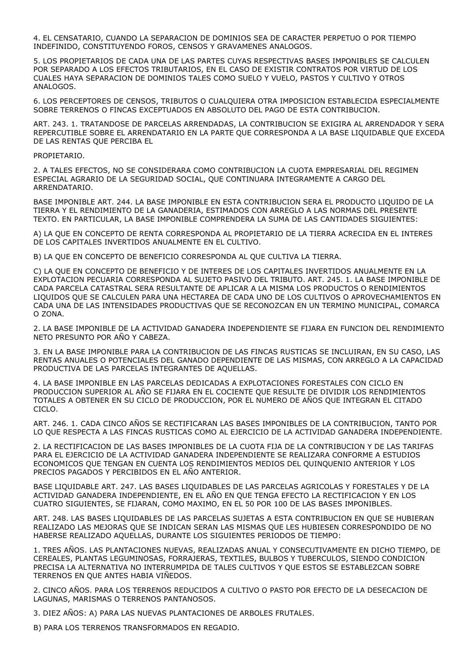4. EL CENSATARIO, CUANDO LA SEPARACION DE DOMINIOS SEA DE CARACTER PERPETUO O POR TIEMPO INDEFINIDO, CONSTITUYENDO FOROS, CENSOS Y GRAVAMENES ANALOGOS.

5. LOS PROPIETARIOS DE CADA UNA DE LAS PARTES CUYAS RESPECTIVAS BASES IMPONIBLES SE CALCULEN POR SEPARADO A LOS EFECTOS TRIBUTARIOS, EN EL CASO DE EXISTIR CONTRATOS POR VIRTUD DE LOS CUALES HAYA SEPARACION DE DOMINIOS TALES COMO SUELO Y VUELO, PASTOS Y CULTIVO Y OTROS ANALOGOS.

6. LOS PERCEPTORES DE CENSOS, TRIBUTOS O CUALQUIERA OTRA IMPOSICION ESTABLECIDA ESPECIALMENTE SOBRE TERRENOS O FINCAS EXCEPTUADOS EN ABSOLUTO DEL PAGO DE ESTA CONTRIBUCION.

ART. 243. 1. TRATANDOSE DE PARCELAS ARRENDADAS, LA CONTRIBUCION SE EXIGIRA AL ARRENDADOR Y SERA REPERCUTIBLE SOBRE EL ARRENDATARIO EN LA PARTE QUE CORRESPONDA A LA BASE LIQUIDABLE QUE EXCEDA DE LAS RENTAS QUE PERCIBA EL

## PROPIETARIO.

2. A TALES EFECTOS, NO SE CONSIDERARA COMO CONTRIBUCION LA CUOTA EMPRESARIAL DEL REGIMEN ESPECIAL AGRARIO DE LA SEGURIDAD SOCIAL, QUE CONTINUARA INTEGRAMENTE A CARGO DEL ARRENDATARIO.

BASE IMPONIBLE ART. 244. LA BASE IMPONIBLE EN ESTA CONTRIBUCION SERA EL PRODUCTO LIQUIDO DE LA TIERRA Y EL RENDIMIENTO DE LA GANADERIA, ESTIMADOS CON ARREGLO A LAS NORMAS DEL PRESENTE TEXTO. EN PARTICULAR, LA BASE IMPONIBLE COMPRENDERA LA SUMA DE LAS CANTIDADES SIGUIENTES:

A) LA QUE EN CONCEPTO DE RENTA CORRESPONDA AL PROPIETARIO DE LA TIERRA ACRECIDA EN EL INTERES DE LOS CAPITALES INVERTIDOS ANUALMENTE EN EL CULTIVO.

B) LA QUE EN CONCEPTO DE BENEFICIO CORRESPONDA AL QUE CULTIVA LA TIERRA.

C) LA QUE EN CONCEPTO DE BENEFICIO Y DE INTERES DE LOS CAPITALES INVERTIDOS ANUALMENTE EN LA EXPLOTACION PECUARIA CORRESPONDA AL SUJETO PASIVO DEL TRIBUTO. ART. 245. 1. LA BASE IMPONIBLE DE CADA PARCELA CATASTRAL SERA RESULTANTE DE APLICAR A LA MISMA LOS PRODUCTOS O RENDIMIENTOS LIQUIDOS QUE SE CALCULEN PARA UNA HECTAREA DE CADA UNO DE LOS CULTIVOS O APROVECHAMIENTOS EN CADA UNA DE LAS INTENSIDADES PRODUCTIVAS QUE SE RECONOZCAN EN UN TERMINO MUNICIPAL, COMARCA O ZONA.

2. LA BASE IMPONIBLE DE LA ACTIVIDAD GANADERA INDEPENDIENTE SE FIJARA EN FUNCION DEL RENDIMIENTO NETO PRESUNTO POR AÑO Y CABEZA.

3. EN LA BASE IMPONIBLE PARA LA CONTRIBUCION DE LAS FINCAS RUSTICAS SE INCLUIRAN, EN SU CASO, LAS RENTAS ANUALES O POTENCIALES DEL GANADO DEPENDIENTE DE LAS MISMAS, CON ARREGLO A LA CAPACIDAD PRODUCTIVA DE LAS PARCELAS INTEGRANTES DE AQUELLAS.

4. LA BASE IMPONIBLE EN LAS PARCELAS DEDICADAS A EXPLOTACIONES FORESTALES CON CICLO EN PRODUCCION SUPERIOR AL AÑO SE FIJARA EN EL COCIENTE QUE RESULTE DE DIVIDIR LOS RENDIMIENTOS TOTALES A OBTENER EN SU CICLO DE PRODUCCION, POR EL NUMERO DE AÑOS QUE INTEGRAN EL CITADO CICLO.

ART. 246. 1. CADA CINCO AÑOS SE RECTIFICARAN LAS BASES IMPONIBLES DE LA CONTRIBUCION, TANTO POR LO QUE RESPECTA A LAS FINCAS RUSTICAS COMO AL EJERCICIO DE LA ACTIVIDAD GANADERA INDEPENDIENTE.

2. LA RECTIFICACION DE LAS BASES IMPONIBLES DE LA CUOTA FIJA DE LA CONTRIBUCION Y DE LAS TARIFAS PARA EL EJERCICIO DE LA ACTIVIDAD GANADERA INDEPENDIENTE SE REALIZARA CONFORME A ESTUDIOS ECONOMICOS QUE TENGAN EN CUENTA LOS RENDIMIENTOS MEDIOS DEL QUINQUENIO ANTERIOR Y LOS PRECIOS PAGADOS Y PERCIBIDOS EN EL AÑO ANTERIOR.

BASE LIQUIDABLE ART. 247. LAS BASES LIQUIDABLES DE LAS PARCELAS AGRICOLAS Y FORESTALES Y DE LA ACTIVIDAD GANADERA INDEPENDIENTE, EN EL AÑO EN QUE TENGA EFECTO LA RECTIFICACION Y EN LOS CUATRO SIGUIENTES, SE FIJARAN, COMO MAXIMO, EN EL 50 POR 100 DE LAS BASES IMPONIBLES.

ART. 248. LAS BASES LIQUIDABLES DE LAS PARCELAS SUJETAS A ESTA CONTRIBUCION EN QUE SE HUBIERAN REALIZADO LAS MEJORAS QUE SE INDICAN SERAN LAS MISMAS QUE LES HUBIESEN CORRESPONDIDO DE NO HABERSE REALIZADO AQUELLAS, DURANTE LOS SIGUIENTES PERIODOS DE TIEMPO:

1. TRES AÑOS. LAS PLANTACIONES NUEVAS, REALIZADAS ANUAL Y CONSECUTIVAMENTE EN DICHO TIEMPO, DE CEREALES, PLANTAS LEGUMINOSAS, FORRAJERAS, TEXTILES, BULBOS Y TUBERCULOS, SIENDO CONDICION PRECISA LA ALTERNATIVA NO INTERRUMPIDA DE TALES CULTIVOS Y QUE ESTOS SE ESTABLEZCAN SOBRE TERRENOS EN QUE ANTES HABIA VIÑEDOS.

2. CINCO AÑOS. PARA LOS TERRENOS REDUCIDOS A CULTIVO O PASTO POR EFECTO DE LA DESECACION DE LAGUNAS, MARISMAS O TERRENOS PANTANOSOS.

3. DIEZ AÑOS: A) PARA LAS NUEVAS PLANTACIONES DE ARBOLES FRUTALES.

B) PARA LOS TERRENOS TRANSFORMADOS EN REGADIO.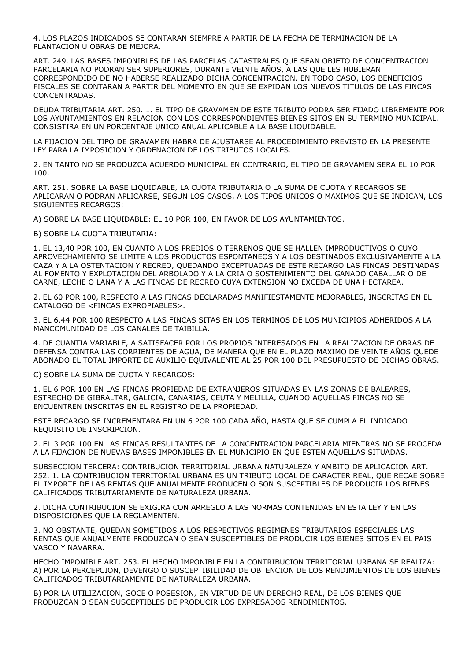4. LOS PLAZOS INDICADOS SE CONTARAN SIEMPRE A PARTIR DE LA FECHA DE TERMINACION DE LA PLANTACION U OBRAS DE MEJORA.

ART. 249. LAS BASES IMPONIBLES DE LAS PARCELAS CATASTRALES QUE SEAN OBJETO DE CONCENTRACION PARCELARIA NO PODRAN SER SUPERIORES, DURANTE VEINTE AÑOS, A LAS QUE LES HUBIERAN CORRESPONDIDO DE NO HABERSE REALIZADO DICHA CONCENTRACION. EN TODO CASO, LOS BENEFICIOS FISCALES SE CONTARAN A PARTIR DEL MOMENTO EN QUE SE EXPIDAN LOS NUEVOS TITULOS DE LAS FINCAS CONCENTRADAS.

DEUDA TRIBUTARIA ART. 250. 1. EL TIPO DE GRAVAMEN DE ESTE TRIBUTO PODRA SER FIJADO LIBREMENTE POR LOS AYUNTAMIENTOS EN RELACION CON LOS CORRESPONDIENTES BIENES SITOS EN SU TERMINO MUNICIPAL. CONSISTIRA EN UN PORCENTAJE UNICO ANUAL APLICABLE A LA BASE LIQUIDABLE.

LA FIJACION DEL TIPO DE GRAVAMEN HABRA DE AJUSTARSE AL PROCEDIMIENTO PREVISTO EN LA PRESENTE LEY PARA LA IMPOSICION Y ORDENACION DE LOS TRIBUTOS LOCALES.

2. EN TANTO NO SE PRODUZCA ACUERDO MUNICIPAL EN CONTRARIO, EL TIPO DE GRAVAMEN SERA EL 10 POR 100.

ART. 251. SOBRE LA BASE LIQUIDABLE, LA CUOTA TRIBUTARIA O LA SUMA DE CUOTA Y RECARGOS SE APLICARAN O PODRAN APLICARSE, SEGUN LOS CASOS, A LOS TIPOS UNICOS O MAXIMOS QUE SE INDICAN, LOS SIGUIENTES RECARGOS:

A) SOBRE LA BASE LIQUIDABLE: EL 10 POR 100, EN FAVOR DE LOS AYUNTAMIENTOS.

B) SOBRE LA CUOTA TRIBUTARIA:

1. EL 13,40 POR 100, EN CUANTO A LOS PREDIOS O TERRENOS QUE SE HALLEN IMPRODUCTIVOS O CUYO APROVECHAMIENTO SE LIMITE A LOS PRODUCTOS ESPONTANEOS Y A LOS DESTINADOS EXCLUSIVAMENTE A LA CAZA Y A LA OSTENTACION Y RECREO, QUEDANDO EXCEPTUADAS DE ESTE RECARGO LAS FINCAS DESTINADAS AL FOMENTO Y EXPLOTACION DEL ARBOLADO Y A LA CRIA O SOSTENIMIENTO DEL GANADO CABALLAR O DE CARNE, LECHE O LANA Y A LAS FINCAS DE RECREO CUYA EXTENSION NO EXCEDA DE UNA HECTAREA.

2. EL 60 POR 100, RESPECTO A LAS FINCAS DECLARADAS MANIFIESTAMENTE MEJORABLES, INSCRITAS EN EL CATALOGO DE <FINCAS EXPROPIABLES>.

3. EL 6,44 POR 100 RESPECTO A LAS FINCAS SITAS EN LOS TERMINOS DE LOS MUNICIPIOS ADHERIDOS A LA MANCOMUNIDAD DE LOS CANALES DE TAIBILLA.

4. DE CUANTIA VARIABLE, A SATISFACER POR LOS PROPIOS INTERESADOS EN LA REALIZACION DE OBRAS DE DEFENSA CONTRA LAS CORRIENTES DE AGUA, DE MANERA QUE EN EL PLAZO MAXIMO DE VEINTE AÑOS QUEDE ABONADO EL TOTAL IMPORTE DE AUXILIO EQUIVALENTE AL 25 POR 100 DEL PRESUPUESTO DE DICHAS OBRAS.

C) SOBRE LA SUMA DE CUOTA Y RECARGOS:

1. EL 6 POR 100 EN LAS FINCAS PROPIEDAD DE EXTRANJEROS SITUADAS EN LAS ZONAS DE BALEARES, ESTRECHO DE GIBRALTAR, GALICIA, CANARIAS, CEUTA Y MELILLA, CUANDO AQUELLAS FINCAS NO SE ENCUENTREN INSCRITAS EN EL REGISTRO DE LA PROPIEDAD.

ESTE RECARGO SE INCREMENTARA EN UN 6 POR 100 CADA AÑO, HASTA QUE SE CUMPLA EL INDICADO REQUISITO DE INSCRIPCION.

2. EL 3 POR 100 EN LAS FINCAS RESULTANTES DE LA CONCENTRACION PARCELARIA MIENTRAS NO SE PROCEDA A LA FIJACION DE NUEVAS BASES IMPONIBLES EN EL MUNICIPIO EN QUE ESTEN AQUELLAS SITUADAS.

SUBSECCION TERCERA: CONTRIBUCION TERRITORIAL URBANA NATURALEZA Y AMBITO DE APLICACION ART. 252. 1. LA CONTRIBUCION TERRITORIAL URBANA ES UN TRIBUTO LOCAL DE CARACTER REAL, QUE RECAE SOBRE EL IMPORTE DE LAS RENTAS QUE ANUALMENTE PRODUCEN O SON SUSCEPTIBLES DE PRODUCIR LOS BIENES CALIFICADOS TRIBUTARIAMENTE DE NATURALEZA URBANA.

2. DICHA CONTRIBUCION SE EXIGIRA CON ARREGLO A LAS NORMAS CONTENIDAS EN ESTA LEY Y EN LAS DISPOSICIONES QUE LA REGLAMENTEN.

3. NO OBSTANTE, QUEDAN SOMETIDOS A LOS RESPECTIVOS REGIMENES TRIBUTARIOS ESPECIALES LAS RENTAS QUE ANUALMENTE PRODUZCAN O SEAN SUSCEPTIBLES DE PRODUCIR LOS BIENES SITOS EN EL PAIS VASCO Y NAVARRA.

HECHO IMPONIBLE ART. 253. EL HECHO IMPONIBLE EN LA CONTRIBUCION TERRITORIAL URBANA SE REALIZA: A) POR LA PERCEPCION, DEVENGO O SUSCEPTIBILIDAD DE OBTENCION DE LOS RENDIMIENTOS DE LOS BIENES CALIFICADOS TRIBUTARIAMENTE DE NATURALEZA URBANA.

B) POR LA UTILIZACION, GOCE O POSESION, EN VIRTUD DE UN DERECHO REAL, DE LOS BIENES QUE PRODUZCAN O SEAN SUSCEPTIBLES DE PRODUCIR LOS EXPRESADOS RENDIMIENTOS.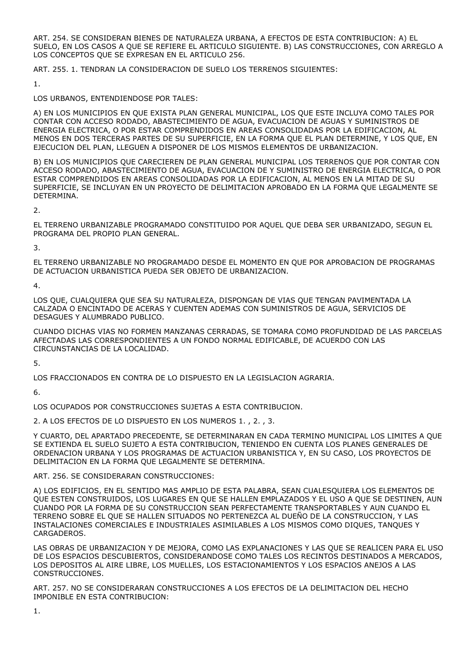ART. 254. SE CONSIDERAN BIENES DE NATURALEZA URBANA, A EFECTOS DE ESTA CONTRIBUCION: A) EL SUELO, EN LOS CASOS A QUE SE REFIERE EL ARTICULO SIGUIENTE. B) LAS CONSTRUCCIONES, CON ARREGLO A LOS CONCEPTOS QUE SE EXPRESAN EN EL ARTICULO 256.

ART. 255. 1. TENDRAN LA CONSIDERACION DE SUELO LOS TERRENOS SIGUIENTES:

1.

LOS URBANOS, ENTENDIENDOSE POR TALES:

A) EN LOS MUNICIPIOS EN QUE EXISTA PLAN GENERAL MUNICIPAL, LOS QUE ESTE INCLUYA COMO TALES POR CONTAR CON ACCESO RODADO, ABASTECIMIENTO DE AGUA, EVACUACION DE AGUAS Y SUMINISTROS DE ENERGIA ELECTRICA, O POR ESTAR COMPRENDIDOS EN AREAS CONSOLIDADAS POR LA EDIFICACION, AL MENOS EN DOS TERCERAS PARTES DE SU SUPERFICIE, EN LA FORMA QUE EL PLAN DETERMINE, Y LOS QUE, EN EJECUCION DEL PLAN, LLEGUEN A DISPONER DE LOS MISMOS ELEMENTOS DE URBANIZACION.

B) EN LOS MUNICIPIOS QUE CARECIEREN DE PLAN GENERAL MUNICIPAL LOS TERRENOS QUE POR CONTAR CON ACCESO RODADO, ABASTECIMIENTO DE AGUA, EVACUACION DE Y SUMINISTRO DE ENERGIA ELECTRICA, O POR ESTAR COMPRENDIDOS EN AREAS CONSOLIDADAS POR LA EDIFICACION, AL MENOS EN LA MITAD DE SU SUPERFICIE, SE INCLUYAN EN UN PROYECTO DE DELIMITACION APROBADO EN LA FORMA QUE LEGALMENTE SE DETERMINA.

 $\overline{2}$ 

EL TERRENO URBANIZABLE PROGRAMADO CONSTITUIDO POR AQUEL QUE DEBA SER URBANIZADO, SEGUN EL PROGRAMA DEL PROPIO PLAN GENERAL.

3.

EL TERRENO URBANIZABLE NO PROGRAMADO DESDE EL MOMENTO EN QUE POR APROBACION DE PROGRAMAS DE ACTUACION URBANISTICA PUEDA SER OBJETO DE URBANIZACION.

4.

LOS QUE, CUALQUIERA QUE SEA SU NATURALEZA, DISPONGAN DE VIAS QUE TENGAN PAVIMENTADA LA CALZADA O ENCINTADO DE ACERAS Y CUENTEN ADEMAS CON SUMINISTROS DE AGUA, SERVICIOS DE DESAGUES Y ALUMBRADO PUBLICO.

CUANDO DICHAS VIAS NO FORMEN MANZANAS CERRADAS, SE TOMARA COMO PROFUNDIDAD DE LAS PARCELAS AFECTADAS LAS CORRESPONDIENTES A UN FONDO NORMAL EDIFICABLE, DE ACUERDO CON LAS CIRCUNSTANCIAS DE LA LOCALIDAD.

5.

LOS FRACCIONADOS EN CONTRA DE LO DISPUESTO EN LA LEGISLACION AGRARIA.

6.

LOS OCUPADOS POR CONSTRUCCIONES SUJETAS A ESTA CONTRIBUCION.

2. A LOS EFECTOS DE LO DISPUESTO EN LOS NUMEROS 1. , 2. , 3.

Y CUARTO, DEL APARTADO PRECEDENTE, SE DETERMINARAN EN CADA TERMINO MUNICIPAL LOS LIMITES A QUE SE EXTIENDA EL SUELO SUJETO A ESTA CONTRIBUCION, TENIENDO EN CUENTA LOS PLANES GENERALES DE ORDENACION URBANA Y LOS PROGRAMAS DE ACTUACION URBANISTICA Y, EN SU CASO, LOS PROYECTOS DE DELIMITACION EN LA FORMA QUE LEGALMENTE SE DETERMINA.

ART. 256. SE CONSIDERARAN CONSTRUCCIONES:

A) LOS EDIFICIOS, EN EL SENTIDO MAS AMPLIO DE ESTA PALABRA, SEAN CUALESQUIERA LOS ELEMENTOS DE QUE ESTEN CONSTRUIDOS, LOS LUGARES EN QUE SE HALLEN EMPLAZADOS Y EL USO A QUE SE DESTINEN, AUN CUANDO POR LA FORMA DE SU CONSTRUCCION SEAN PERFECTAMENTE TRANSPORTABLES Y AUN CUANDO EL TERRENO SOBRE EL QUE SE HALLEN SITUADOS NO PERTENEZCA AL DUEÑO DE LA CONSTRUCCION, Y LAS INSTALACIONES COMERCIALES E INDUSTRIALES ASIMILABLES A LOS MISMOS COMO DIQUES, TANQUES Y CARGADEROS.

LAS OBRAS DE URBANIZACION Y DE MEJORA, COMO LAS EXPLANACIONES Y LAS QUE SE REALICEN PARA EL USO DE LOS ESPACIOS DESCUBIERTOS, CONSIDERANDOSE COMO TALES LOS RECINTOS DESTINADOS A MERCADOS, LOS DEPOSITOS AL AIRE LIBRE, LOS MUELLES, LOS ESTACIONAMIENTOS Y LOS ESPACIOS ANEJOS A LAS CONSTRUCCIONES.

ART. 257. NO SE CONSIDERARAN CONSTRUCCIONES A LOS EFECTOS DE LA DELIMITACION DEL HECHO IMPONIBLE EN ESTA CONTRIBUCION: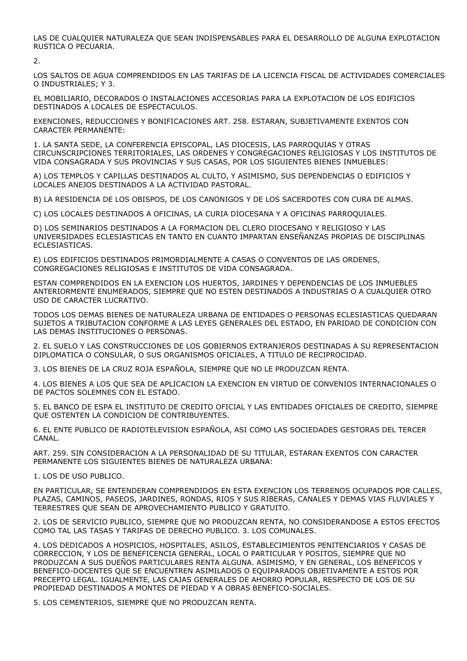LAS DE CUALQUIER NATURALEZA QUE SEAN INDISPENSABLES PARA EL DESARROLLO DE ALGUNA EXPLOTACION RUSTICA O PECUARIA.

2.

LOS SALTOS DE AGUA COMPRENDIDOS EN LAS TARIFAS DE LA LICENCIA FISCAL DE ACTIVIDADES COMERCIALES O INDUSTRIALES; Y 3.

EL MOBILIARIO, DECORADOS O INSTALACIONES ACCESORIAS PARA LA EXPLOTACION DE LOS EDIFICIOS DESTINADOS A LOCALES DE ESPECTACULOS.

EXENCIONES, REDUCCIONES Y BONIFICACIONES ART. 258. ESTARAN, SUBJETIVAMENTE EXENTOS CON CARACTER PERMANENTE:

1. LA SANTA SEDE, LA CONFERENCIA EPISCOPAL, LAS DIOCESIS, LAS PARROQUIAS Y OTRAS CIRCUNSCRIPCIONES TERRITORIALES, LAS ORDENES Y CONGREGACIONES RELIGIOSAS Y LOS INSTITUTOS DE VIDA CONSAGRADA Y SUS PROVINCIAS Y SUS CASAS, POR LOS SIGUIENTES BIENES INMUEBLES:

A) LOS TEMPLOS Y CAPILLAS DESTINADOS AL CULTO, Y ASIMISMO, SUS DEPENDENCIAS O EDIFICIOS Y LOCALES ANEJOS DESTINADOS A LA ACTIVIDAD PASTORAL.

B) LA RESIDENCIA DE LOS OBISPOS, DE LOS CANONIGOS Y DE LOS SACERDOTES CON CURA DE ALMAS.

C) LOS LOCALES DESTINADOS A OFICINAS, LA CURIA DIOCESANA Y A OFICINAS PARROQUIALES.

D) LOS SEMINARIOS DESTINADOS A LA FORMACION DEL CLERO DIOCESANO Y RELIGIOSO Y LAS UNIVERSIDADES ECLESIASTICAS EN TANTO EN CUANTO IMPARTAN ENSEÑANZAS PROPIAS DE DISCIPLINAS **ECLESIASTICAS.** 

E) LOS EDIFICIOS DESTINADOS PRIMORDIALMENTE A CASAS O CONVENTOS DE LAS ORDENES, CONGREGACIONES RELIGIOSAS E INSTITUTOS DE VIDA CONSAGRADA.

ESTAN COMPRENDIDOS EN LA EXENCION LOS HUERTOS, JARDINES Y DEPENDENCIAS DE LOS INMUEBLES ANTERIORMENTE ENUMERADOS, SIEMPRE QUE NO ESTEN DESTINADOS A INDUSTRIAS O A CUALQUIER OTRO USO DE CARACTER LUCRATIVO.

TODOS LOS DEMAS BIENES DE NATURALEZA URBANA DE ENTIDADES O PERSONAS ECLESIASTICAS QUEDARAN SUJETOS A TRIBUTACION CONFORME A LAS LEYES GENERALES DEL ESTADO, EN PARIDAD DE CONDICION CON LAS DEMAS INSTITUCIONES O PERSONAS.

2. EL SUELO Y LAS CONSTRUCCIONES DE LOS GOBIERNOS EXTRANJEROS DESTINADAS A SU REPRESENTACION DIPLOMATICA O CONSULAR, O SUS ORGANISMOS OFICIALES, A TITULO DE RECIPROCIDAD.

3. LOS BIENES DE LA CRUZ ROJA ESPAÑOLA, SIEMPRE QUE NO LE PRODUZCAN RENTA.

4. LOS BIENES A LOS QUE SEA DE APLICACION LA EXENCION EN VIRTUD DE CONVENIOS INTERNACIONALES O DE PACTOS SOLEMNES CON EL ESTADO.

5. EL BANCO DE ESPA EL INSTITUTO DE CREDITO OFICIAL Y LAS ENTIDADES OFICIALES DE CREDITO, SIEMPRE QUE OSTENTEN LA CONDICION DE CONTRIBUYENTES.

6. EL ENTE PUBLICO DE RADIOTELEVISION ESPAÑOLA, ASI COMO LAS SOCIEDADES GESTORAS DEL TERCER CANAL.

ART. 259. SIN CONSIDERACION A LA PERSONALIDAD DE SU TITULAR, ESTARAN EXENTOS CON CARACTER PERMANENTE LOS SIGUIENTES BIENES DE NATURALEZA URBANA:

1. LOS DE USO PUBLICO.

EN PARTICULAR, SE ENTENDERAN COMPRENDIDOS EN ESTA EXENCION LOS TERRENOS OCUPADOS POR CALLES, PLAZAS, CAMINOS, PASEOS, JARDINES, RONDAS, RIOS Y SUS RIBERAS, CANALES Y DEMAS VIAS FLUVIALES Y TERRESTRES QUE SEAN DE APROVECHAMIENTO PUBLICO Y GRATUITO.

2. LOS DE SERVICIO PUBLICO, SIEMPRE QUE NO PRODUZCAN RENTA, NO CONSIDERANDOSE A ESTOS EFECTOS COMO TAL LAS TASAS Y TARIFAS DE DERECHO PUBLICO. 3. LOS COMUNALES.

4. LOS DEDICADOS A HOSPICIOS, HOSPITALES, ASILOS, ESTABLECIMIENTOS PENITENCIARIOS Y CASAS DE CORRECCION, Y LOS DE BENEFICENCIA GENERAL, LOCAL O PARTICULAR Y POSITOS, SIEMPRE QUE NO PRODUZCAN A SUS DUEÑOS PARTICULARES RENTA ALGUNA. ASIMISMO, Y EN GENERAL, LOS BENEFICOS Y BENEFICO-DOCENTES QUE SE ENCUENTREN ASIMILADOS O EQUIPARADOS OBJETIVAMENTE A ESTOS POR PRECEPTO LEGAL. IGUALMENTE, LAS CAJAS GENERALES DE AHORRO POPULAR, RESPECTO DE LOS DE SU PROPIEDAD DESTINADOS A MONTES DE PIEDAD Y A OBRAS BENEFICO-SOCIALES.

5. LOS CEMENTERIOS, SIEMPRE QUE NO PRODUZCAN RENTA.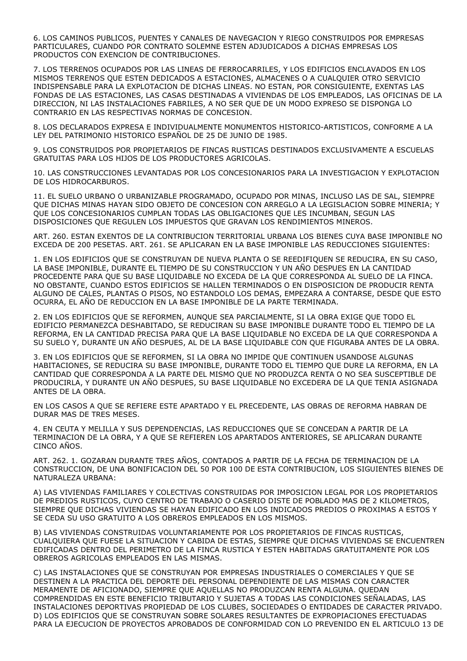6. LOS CAMINOS PUBLICOS, PUENTES Y CANALES DE NAVEGACION Y RIEGO CONSTRUIDOS POR EMPRESAS PARTICULARES, CUANDO POR CONTRATO SOLEMNE ESTEN ADJUDICADOS A DICHAS EMPRESAS LOS PRODUCTOS CON EXENCION DE CONTRIBUCIONES.

7. LOS TERRENOS OCUPADOS POR LAS LINEAS DE FERROCARRILES, Y LOS EDIFICIOS ENCLAVADOS EN LOS MISMOS TERRENOS QUE ESTEN DEDICADOS A ESTACIONES, ALMACENES O A CUALQUIER OTRO SERVICIO INDISPENSABLE PARA LA EXPLOTACION DE DICHAS LINEAS. NO ESTAN, POR CONSIGUIENTE, EXENTAS LAS FONDAS DE LAS ESTACIONES, LAS CASAS DESTINADAS A VIVIENDAS DE LOS EMPLEADOS, LAS OFICINAS DE LA DIRECCION, NI LAS INSTALACIONES FABRILES, A NO SER QUE DE UN MODO EXPRESO SE DISPONGA LO CONTRARIO EN LAS RESPECTIVAS NORMAS DE CONCESION.

8. LOS DECLARADOS EXPRESA E INDIVIDUALMENTE MONUMENTOS HISTORICO-ARTISTICOS, CONFORME A LA LEY DEL PATRIMONIO HISTORICO ESPAÑOL DE 25 DE JUNIO DE 1985.

9. LOS CONSTRUIDOS POR PROPIETARIOS DE FINCAS RUSTICAS DESTINADOS EXCLUSIVAMENTE A ESCUELAS GRATUITAS PARA LOS HIJOS DE LOS PRODUCTORES AGRICOLAS.

10. LAS CONSTRUCCIONES LEVANTADAS POR LOS CONCESIONARIOS PARA LA INVESTIGACION Y EXPLOTACION DE LOS HIDROCARBUROS.

11. EL SUELO URBANO O URBANIZABLE PROGRAMADO, OCUPADO POR MINAS, INCLUSO LAS DE SAL, SIEMPRE QUE DICHAS MINAS HAYAN SIDO OBJETO DE CONCESION CON ARREGLO A LA LEGISLACION SOBRE MINERIA; Y QUE LOS CONCESIONARIOS CUMPLAN TODAS LAS OBLIGACIONES QUE LES INCUMBAN, SEGUN LAS DISPOSICIONES QUE REGULEN LOS IMPUESTOS QUE GRAVAN LOS RENDIMIENTOS MINEROS.

ART. 260. ESTAN EXENTOS DE LA CONTRIBUCION TERRITORIAL URBANA LOS BIENES CUYA BASE IMPONIBLE NO EXCEDA DE 200 PESETAS. ART. 261. SE APLICARAN EN LA BASE IMPONIBLE LAS REDUCCIONES SIGUIENTES:

1. EN LOS EDIFICIOS QUE SE CONSTRUYAN DE NUEVA PLANTA O SE REEDIFIQUEN SE REDUCIRA, EN SU CASO, LA BASE IMPONIBLE, DURANTE EL TIEMPO DE SU CONSTRUCCION Y UN AÑO DESPUES EN LA CANTIDAD PROCEDENTE PARA QUE SU BASE LIQUIDABLE NO EXCEDA DE LA QUE CORRESPONDA AL SUELO DE LA FINCA. NO OBSTANTE, CUANDO ESTOS EDIFICIOS SE HALLEN TERMINADOS O EN DISPOSICION DE PRODUCIR RENTA ALGUNO DE CALES, PLANTAS O PISOS, NO ESTANDOLO LOS DEMAS, EMPEZARA A CONTARSE, DESDE QUE ESTO OCURRA, EL AÑO DE REDUCCION EN LA BASE IMPONIBLE DE LA PARTE TERMINADA.

2. EN LOS EDIFICIOS QUE SE REFORMEN, AUNQUE SEA PARCIALMENTE, SI LA OBRA EXIGE QUE TODO EL EDIFICIO PERMANEZCA DESHABITADO, SE REDUCIRAN SU BASE IMPONIBLE DURANTE TODO EL TIEMPO DE LA REFORMA, EN LA CANTIDAD PRECISA PARA QUE LA BASE LIQUIDABLE NO EXCEDA DE LA QUE CORRESPONDA A SU SUELO Y, DURANTE UN AÑO DESPUES, AL DE LA BASE LIQUIDABLE CON QUE FIGURABA ANTES DE LA OBRA.

3. EN LOS EDIFICIOS QUE SE REFORMEN, SI LA OBRA NO IMPIDE QUE CONTINUEN USANDOSE ALGUNAS HABITACIONES, SE REDUCIRA SU BASE IMPONIBLE, DURANTE TODO EL TIEMPO QUE DURE LA REFORMA, EN LA CANTIDAD QUE CORRESPONDA A LA PARTE DEL MISMO QUE NO PRODUZCA RENTA O NO SEA SUSCEPTIBLE DE PRODUCIRLA, Y DURANTE UN AÑO DESPUES, SU BASE LIQUIDABLE NO EXCEDERA DE LA QUE TENIA ASIGNADA ANTES DE LA OBRA.

EN LOS CASOS A QUE SE REFIERE ESTE APARTADO Y EL PRECEDENTE, LAS OBRAS DE REFORMA HABRAN DE DURAR MAS DE TRES MESES.

4. EN CEUTA Y MELILLA Y SUS DEPENDENCIAS, LAS REDUCCIONES QUE SE CONCEDAN A PARTIR DE LA TERMINACION DE LA OBRA, Y A QUE SE REFIEREN LOS APARTADOS ANTERIORES, SE APLICARAN DURANTE CINCO AÑOS.

ART. 262. 1. GOZARAN DURANTE TRES AÑOS, CONTADOS A PARTIR DE LA FECHA DE TERMINACION DE LA CONSTRUCCION, DE UNA BONIFICACION DEL 50 POR 100 DE ESTA CONTRIBUCION, LOS SIGUIENTES BIENES DE NATURALEZA URBANA:

A) LAS VIVIENDAS FAMILIARES Y COLECTIVAS CONSTRUIDAS POR IMPOSICION LEGAL POR LOS PROPIETARIOS DE PREDIOS RUSTICOS, CUYO CENTRO DE TRABAJO O CASERIO DISTE DE POBLADO MAS DE 2 KILOMETROS, SIEMPRE QUE DICHAS VIVIENDAS SE HAYAN EDIFICADO EN LOS INDICADOS PREDIOS O PROXIMAS A ESTOS Y SE CEDA SU USO GRATUITO A LOS OBREROS EMPLEADOS EN LOS MISMOS.

B) LAS VIVIENDAS CONSTRUIDAS VOLUNTARIAMENTE POR LOS PROPIETARIOS DE FINCAS RUSTICAS, CUALQUIERA QUE FUESE LA SITUACION Y CABIDA DE ESTAS, SIEMPRE QUE DICHAS VIVIENDAS SE ENCUENTREN EDIFICADAS DENTRO DEL PERIMETRO DE LA FINCA RUSTICA Y ESTEN HABITADAS GRATUITAMENTE POR LOS OBREROS AGRICOLAS EMPLEADOS EN LAS MISMAS.

C) LAS INSTALACIONES QUE SE CONSTRUYAN POR EMPRESAS INDUSTRIALES O COMERCIALES Y QUE SE DESTINEN A LA PRACTICA DEL DEPORTE DEL PERSONAL DEPENDIENTE DE LAS MISMAS CON CARACTER MERAMENTE DE AFICIONADO, SIEMPRE QUE AQUELLAS NO PRODUZCAN RENTA ALGUNA. QUEDAN COMPRENDIDAS EN ESTE BENEFICIO TRIBUTARIO Y SUJETAS A TODAS LAS CONDICIONES SEÑALADAS, LAS INSTALACIONES DEPORTIVAS PROPIEDAD DE LOS CLUBES, SOCIEDADES O ENTIDADES DE CARACTER PRIVADO. D) LOS EDIFICIOS QUE SE CONSTRUYAN SOBRE SOLARES RESULTANTES DE EXPROPIACIONES EFECTUADAS PARA LA EJECUCION DE PROYECTOS APROBADOS DE CONFORMIDAD CON LO PREVENIDO EN EL ARTICULO 13 DE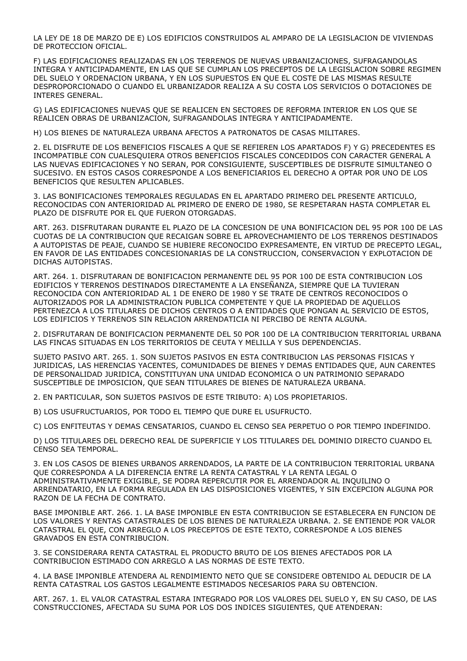LA LEY DE 18 DE MARZO DE E) LOS EDIFICIOS CONSTRUIDOS AL AMPARO DE LA LEGISLACION DE VIVIENDAS DE PROTECCION OFICIAL.

F) LAS EDIFICACIONES REALIZADAS EN LOS TERRENOS DE NUEVAS URBANIZACIONES, SUFRAGANDOLAS INTEGRA Y ANTICIPADAMENTE, EN LAS QUE SE CUMPLAN LOS PRECEPTOS DE LA LEGISLACION SOBRE REGIMEN DEL SUELO Y ORDENACION URBANA, Y EN LOS SUPUESTOS EN QUE EL COSTE DE LAS MISMAS RESULTE DESPROPORCIONADO O CUANDO EL URBANIZADOR REALIZA A SU COSTA LOS SERVICIOS O DOTACIONES DE INTERES GENERAL.

G) LAS EDIFICACIONES NUEVAS QUE SE REALICEN EN SECTORES DE REFORMA INTERIOR EN LOS QUE SE REALICEN OBRAS DE URBANIZACION, SUFRAGANDOLAS INTEGRA Y ANTICIPADAMENTE.

H) LOS BIENES DE NATURALEZA URBANA AFECTOS A PATRONATOS DE CASAS MILITARES.

2. EL DISFRUTE DE LOS BENEFICIOS FISCALES A QUE SE REFIEREN LOS APARTADOS F) Y G) PRECEDENTES ES INCOMPATIBLE CON CUALESQUIERA OTROS BENEFICIOS FISCALES CONCEDIDOS CON CARACTER GENERAL A LAS NUEVAS EDIFICACIONES Y NO SERAN, POR CONSIGUIENTE, SUSCEPTIBLES DE DISFRUTE SIMULTANEO O SUCESIVO. EN ESTOS CASOS CORRESPONDE A LOS BENEFICIARIOS EL DERECHO A OPTAR POR UNO DE LOS BENEFICIOS QUE RESULTEN APLICABLES.

3. LAS BONIFICACIONES TEMPORALES REGULADAS EN EL APARTADO PRIMERO DEL PRESENTE ARTICULO, RECONOCIDAS CON ANTERIORIDAD AL PRIMERO DE ENERO DE 1980, SE RESPETARAN HASTA COMPLETAR EL PLAZO DE DISFRUTE POR EL QUE FUERON OTORGADAS.

ART. 263. DISFRUTARAN DURANTE EL PLAZO DE LA CONCESION DE UNA BONIFICACION DEL 95 POR 100 DE LAS CUOTAS DE LA CONTRIBUCION QUE RECAIGAN SOBRE EL APROVECHAMIENTO DE LOS TERRENOS DESTINADOS A AUTOPISTAS DE PEAJE, CUANDO SE HUBIERE RECONOCIDO EXPRESAMENTE, EN VIRTUD DE PRECEPTO LEGAL, EN FAVOR DE LAS ENTIDADES CONCESIONARIAS DE LA CONSTRUCCION, CONSERVACION Y EXPLOTACION DE DICHAS AUTOPISTAS.

ART. 264. 1. DISFRUTARAN DE BONIFICACION PERMANENTE DEL 95 POR 100 DE ESTA CONTRIBUCION LOS EDIFICIOS Y TERRENOS DESTINADOS DIRECTAMENTE A LA ENSEÑANZA, SIEMPRE QUE LA TUVIERAN RECONOCIDA CON ANTERIORIDAD AL 1 DE ENERO DE 1980 Y SE TRATE DE CENTROS RECONOCIDOS O AUTORIZADOS POR LA ADMINISTRACION PUBLICA COMPETENTE Y QUE LA PROPIEDAD DE AQUELLOS PERTENEZCA A LOS TITULARES DE DICHOS CENTROS O A ENTIDADES QUE PONGAN AL SERVICIO DE ESTOS, LOS EDIFICIOS Y TERRENOS SIN RELACION ARRENDATICIA NI PERCIBO DE RENTA ALGUNA.

2. DISFRUTARAN DE BONIFICACION PERMANENTE DEL 50 POR 100 DE LA CONTRIBUCION TERRITORIAL URBANA LAS FINCAS SITUADAS EN LOS TERRITORIOS DE CEUTA Y MELILLA Y SUS DEPENDENCIAS.

SUJETO PASIVO ART. 265. 1. SON SUJETOS PASIVOS EN ESTA CONTRIBUCION LAS PERSONAS FISICAS Y JURIDICAS, LAS HERENCIAS YACENTES, COMUNIDADES DE BIENES Y DEMAS ENTIDADES QUE, AUN CARENTES DE PERSONALIDAD JURIDICA, CONSTITUYAN UNA UNIDAD ECONOMICA O UN PATRIMONIO SEPARADO SUSCEPTIBLE DE IMPOSICION, QUE SEAN TITULARES DE BIENES DE NATURALEZA URBANA.

2. EN PARTICULAR, SON SUJETOS PASIVOS DE ESTE TRIBUTO: A) LOS PROPIETARIOS.

B) LOS USUFRUCTUARIOS, POR TODO EL TIEMPO QUE DURE EL USUFRUCTO.

C) LOS ENFITEUTAS Y DEMAS CENSATARIOS, CUANDO EL CENSO SEA PERPETUO O POR TIEMPO INDEFINIDO.

D) LOS TITULARES DEL DERECHO REAL DE SUPERFICIE Y LOS TITULARES DEL DOMINIO DIRECTO CUANDO EL CENSO SEA TEMPORAL.

3. EN LOS CASOS DE BIENES URBANOS ARRENDADOS, LA PARTE DE LA CONTRIBUCION TERRITORIAL URBANA QUE CORRESPONDA A LA DIFERENCIA ENTRE LA RENTA CATASTRAL Y LA RENTA LEGAL O ADMINISTRATIVAMENTE EXIGIBLE, SE PODRA REPERCUTIR POR EL ARRENDADOR AL INQUILINO O ARRENDATARIO, EN LA FORMA REGULADA EN LAS DISPOSICIONES VIGENTES, Y SIN EXCEPCION ALGUNA POR RAZON DE LA FECHA DE CONTRATO.

BASE IMPONIBLE ART. 266. 1. LA BASE IMPONIBLE EN ESTA CONTRIBUCION SE ESTABLECERA EN FUNCION DE LOS VALORES Y RENTAS CATASTRALES DE LOS BIENES DE NATURALEZA URBANA. 2. SE ENTIENDE POR VALOR CATASTRAL EL QUE, CON ARREGLO A LOS PRECEPTOS DE ESTE TEXTO, CORRESPONDE A LOS BIENES GRAVADOS EN ESTA CONTRIBUCION.

3. SE CONSIDERARA RENTA CATASTRAL EL PRODUCTO BRUTO DE LOS BIENES AFECTADOS POR LA CONTRIBUCION ESTIMADO CON ARREGLO A LAS NORMAS DE ESTE TEXTO.

4. LA BASE IMPONIBLE ATENDERA AL RENDIMIENTO NETO QUE SE CONSIDERE OBTENIDO AL DEDUCIR DE LA RENTA CATASTRAL LOS GASTOS LEGALMENTE ESTIMADOS NECESARIOS PARA SU OBTENCION.

ART. 267. 1. EL VALOR CATASTRAL ESTARA INTEGRADO POR LOS VALORES DEL SUELO Y, EN SU CASO, DE LAS CONSTRUCCIONES, AFECTADA SU SUMA POR LOS DOS INDICES SIGUIENTES, QUE ATENDERAN: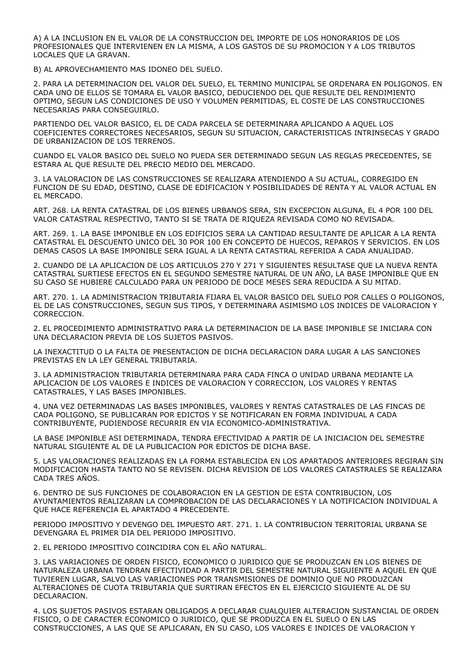A) A LA INCLUSION EN EL VALOR DE LA CONSTRUCCION DEL IMPORTE DE LOS HONORARIOS DE LOS PROFESIONALES QUE INTERVIENEN EN LA MISMA, A LOS GASTOS DE SU PROMOCION Y A LOS TRIBUTOS LOCALES QUE LA GRAVAN.

B) AL APROVECHAMIENTO MAS IDONEO DEL SUELO.

2. PARA LA DETERMINACION DEL VALOR DEL SUELO, EL TERMINO MUNICIPAL SE ORDENARA EN POLIGONOS. EN CADA UNO DE ELLOS SE TOMARA EL VALOR BASICO, DEDUCIENDO DEL QUE RESULTE DEL RENDIMIENTO OPTIMO, SEGUN LAS CONDICIONES DE USO Y VOLUMEN PERMITIDAS, EL COSTE DE LAS CONSTRUCCIONES NECESARIAS PARA CONSEGUIRLO.

PARTIENDO DEL VALOR BASICO, EL DE CADA PARCELA SE DETERMINARA APLICANDO A AQUEL LOS COEFICIENTES CORRECTORES NECESARIOS, SEGUN SU SITUACION, CARACTERISTICAS INTRINSECAS Y GRADO DE URBANIZACION DE LOS TERRENOS.

CUANDO EL VALOR BASICO DEL SUELO NO PUEDA SER DETERMINADO SEGUN LAS REGLAS PRECEDENTES, SE ESTARA AL QUE RESULTE DEL PRECIO MEDIO DEL MERCADO.

3. LA VALORACION DE LAS CONSTRUCCIONES SE REALIZARA ATENDIENDO A SU ACTUAL, CORREGIDO EN FUNCION DE SU EDAD, DESTINO, CLASE DE EDIFICACION Y POSIBILIDADES DE RENTA Y AL VALOR ACTUAL EN EL MERCADO.

ART. 268. LA RENTA CATASTRAL DE LOS BIENES URBANOS SERA, SIN EXCEPCION ALGUNA, EL 4 POR 100 DEL VALOR CATASTRAL RESPECTIVO, TANTO SI SE TRATA DE RIQUEZA REVISADA COMO NO REVISADA.

ART. 269. 1. LA BASE IMPONIBLE EN LOS EDIFICIOS SERA LA CANTIDAD RESULTANTE DE APLICAR A LA RENTA CATASTRAL EL DESCUENTO UNICO DEL 30 POR 100 EN CONCEPTO DE HUECOS, REPAROS Y SERVICIOS. EN LOS DEMAS CASOS LA BASE IMPONIBLE SERA IGUAL A LA RENTA CATASTRAL REFERIDA A CADA ANUALIDAD.

2. CUANDO DE LA APLICACION DE LOS ARTICULOS 270 Y 271 Y SIGUIENTES RESULTASE QUE LA NUEVA RENTA CATASTRAL SURTIESE EFECTOS EN EL SEGUNDO SEMESTRE NATURAL DE UN AÑO, LA BASE IMPONIBLE QUE EN SU CASO SE HUBIERE CALCULADO PARA UN PERIODO DE DOCE MESES SERA REDUCIDA A SU MITAD.

ART. 270. 1. LA ADMINISTRACION TRIBUTARIA FIJARA EL VALOR BASICO DEL SUELO POR CALLES O POLIGONOS, EL DE LAS CONSTRUCCIONES, SEGUN SUS TIPOS, Y DETERMINARA ASIMISMO LOS INDICES DE VALORACION Y CORRECCION.

2. EL PROCEDIMIENTO ADMINISTRATIVO PARA LA DETERMINACION DE LA BASE IMPONIBLE SE INICIARA CON UNA DECLARACION PREVIA DE LOS SUJETOS PASIVOS.

LA INEXACTITUD O LA FALTA DE PRESENTACION DE DICHA DECLARACION DARA LUGAR A LAS SANCIONES PREVISTAS EN LA LEY GENERAL TRIBUTARIA.

3. LA ADMINISTRACION TRIBUTARIA DETERMINARA PARA CADA FINCA O UNIDAD URBANA MEDIANTE LA APLICACION DE LOS VALORES E INDICES DE VALORACION Y CORRECCION, LOS VALORES Y RENTAS CATASTRALES, Y LAS BASES IMPONIBLES.

4. UNA VEZ DETERMINADAS LAS BASES IMPONIBLES, VALORES Y RENTAS CATASTRALES DE LAS FINCAS DE CADA POLIGONO, SE PUBLICARAN POR EDICTOS Y SE NOTIFICARAN EN FORMA INDIVIDUAL A CADA CONTRIBUYENTE, PUDIENDOSE RECURRIR EN VIA ECONOMICO-ADMINISTRATIVA.

LA BASE IMPONIBLE ASI DETERMINADA, TENDRA EFECTIVIDAD A PARTIR DE LA INICIACION DEL SEMESTRE NATURAL SIGUIENTE AL DE LA PUBLICACION POR EDICTOS DE DICHA BASE.

5. LAS VALORACIONES REALIZADAS EN LA FORMA ESTABLECIDA EN LOS APARTADOS ANTERIORES REGIRAN SIN MODIFICACION HASTA TANTO NO SE REVISEN. DICHA REVISION DE LOS VALORES CATASTRALES SE REALIZARA CADA TRES AÑOS.

6. DENTRO DE SUS FUNCIONES DE COLABORACION EN LA GESTION DE ESTA CONTRIBUCION, LOS AYUNTAMIENTOS REALIZARAN LA COMPROBACION DE LAS DECLARACIONES Y LA NOTIFICACION INDIVIDUAL A QUE HACE REFERENCIA EL APARTADO 4 PRECEDENTE.

PERIODO IMPOSITIVO Y DEVENGO DEL IMPUESTO ART. 271. 1. LA CONTRIBUCION TERRITORIAL URBANA SE DEVENGARA EL PRIMER DIA DEL PERIODO IMPOSITIVO.

2. EL PERIODO IMPOSITIVO COINCIDIRA CON EL AÑO NATURAL.

3. LAS VARIACIONES DE ORDEN FISICO, ECONOMICO O JURIDICO QUE SE PRODUZCAN EN LOS BIENES DE NATURALEZA URBANA TENDRAN EFECTIVIDAD A PARTIR DEL SEMESTRE NATURAL SIGUIENTE A AQUEL EN QUE TUVIEREN LUGAR, SALVO LAS VARIACIONES POR TRANSMISIONES DE DOMINIO QUE NO PRODUZCAN ALTERACIONES DE CUOTA TRIBUTARIA QUE SURTIRAN EFECTOS EN EL EJERCICIO SIGUIENTE AL DE SU DECLARACION.

4. LOS SUJETOS PASIVOS ESTARAN OBLIGADOS A DECLARAR CUALQUIER ALTERACION SUSTANCIAL DE ORDEN FISICO, O DE CARACTER ECONOMICO O JURIDICO, QUE SE PRODUZCA EN EL SUELO O EN LAS CONSTRUCCIONES, A LAS QUE SE APLICARAN, EN SU CASO, LOS VALORES E INDICES DE VALORACION Y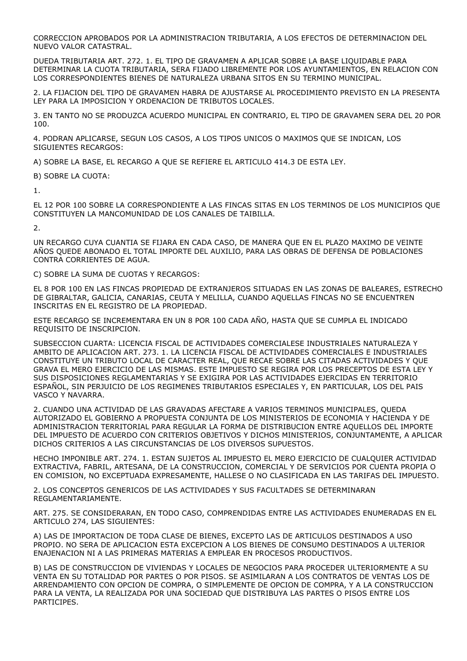CORRECCION APROBADOS POR LA ADMINISTRACION TRIBUTARIA, A LOS EFECTOS DE DETERMINACION DEL NUEVO VALOR CATASTRAL.

DUEDA TRIBUTARIA ART. 272. 1. EL TIPO DE GRAVAMEN A APLICAR SOBRE LA BASE LIQUIDABLE PARA DETERMINAR LA CUOTA TRIBUTARIA, SERA FIJADO LIBREMENTE POR LOS AYUNTAMIENTOS, EN RELACION CON LOS CORRESPONDIENTES BIENES DE NATURALEZA URBANA SITOS EN SU TERMINO MUNICIPAL.

2. LA FIJACION DEL TIPO DE GRAVAMEN HABRA DE AJUSTARSE AL PROCEDIMIENTO PREVISTO EN LA PRESENTA LEY PARA LA IMPOSICION Y ORDENACION DE TRIBUTOS LOCALES.

3. EN TANTO NO SE PRODUZCA ACUERDO MUNICIPAL EN CONTRARIO, EL TIPO DE GRAVAMEN SERA DEL 20 POR 100.

4. PODRAN APLICARSE, SEGUN LOS CASOS, A LOS TIPOS UNICOS O MAXIMOS QUE SE INDICAN, LOS SIGUIENTES RECARGOS:

A) SOBRE LA BASE, EL RECARGO A QUE SE REFIERE EL ARTICULO 414.3 DE ESTA LEY.

B) SOBRE LA CUOTA:

1.

EL 12 POR 100 SOBRE LA CORRESPONDIENTE A LAS FINCAS SITAS EN LOS TERMINOS DE LOS MUNICIPIOS QUE CONSTITUYEN LA MANCOMUNIDAD DE LOS CANALES DE TAIBILLA.

 $\overline{2}$ 

UN RECARGO CUYA CUANTIA SE FIJARA EN CADA CASO, DE MANERA QUE EN EL PLAZO MAXIMO DE VEINTE AÑOS QUEDE ABONADO EL TOTAL IMPORTE DEL AUXILIO, PARA LAS OBRAS DE DEFENSA DE POBLACIONES CONTRA CORRIENTES DE AGUA.

C) SOBRE LA SUMA DE CUOTAS Y RECARGOS:

EL 8 POR 100 EN LAS FINCAS PROPIEDAD DE EXTRANJEROS SITUADAS EN LAS ZONAS DE BALEARES, ESTRECHO DE GIBRALTAR, GALICIA, CANARIAS, CEUTA Y MELILLA, CUANDO AQUELLAS FINCAS NO SE ENCUENTREN INSCRITAS EN EL REGISTRO DE LA PROPIEDAD.

ESTE RECARGO SE INCREMENTARA EN UN 8 POR 100 CADA AÑO, HASTA QUE SE CUMPLA EL INDICADO REQUISITO DE INSCRIPCION.

SUBSECCION CUARTA: LICENCIA FISCAL DE ACTIVIDADES COMERCIALESE INDUSTRIALES NATURALEZA Y AMBITO DE APLICACION ART. 273. 1. LA LICENCIA FISCAL DE ACTIVIDADES COMERCIALES E INDUSTRIALES CONSTITUYE UN TRIBUTO LOCAL DE CARACTER REAL, QUE RECAE SOBRE LAS CITADAS ACTIVIDADES Y QUE GRAVA EL MERO EJERCICIO DE LAS MISMAS. ESTE IMPUESTO SE REGIRA POR LOS PRECEPTOS DE ESTA LEY Y SUS DISPOSICIONES REGLAMENTARIAS Y SE EXIGIRA POR LAS ACTIVIDADES EJERCIDAS EN TERRITORIO ESPAÑOL, SIN PERJUICIO DE LOS REGIMENES TRIBUTARIOS ESPECIALES Y, EN PARTICULAR, LOS DEL PAIS VASCO Y NAVARRA.

2. CUANDO UNA ACTIVIDAD DE LAS GRAVADAS AFECTARE A VARIOS TERMINOS MUNICIPALES, QUEDA AUTORIZADO EL GOBIERNO A PROPUESTA CONJUNTA DE LOS MINISTERIOS DE ECONOMIA Y HACIENDA Y DE ADMINISTRACION TERRITORIAL PARA REGULAR LA FORMA DE DISTRIBUCION ENTRE AQUELLOS DEL IMPORTE DEL IMPUESTO DE ACUERDO CON CRITERIOS OBJETIVOS Y DICHOS MINISTERIOS, CONJUNTAMENTE, A APLICAR DICHOS CRITERIOS A LAS CIRCUNSTANCIAS DE LOS DIVERSOS SUPUESTOS.

HECHO IMPONIBLE ART. 274. 1. ESTAN SUJETOS AL IMPUESTO EL MERO EJERCICIO DE CUALQUIER ACTIVIDAD EXTRACTIVA, FABRIL, ARTESANA, DE LA CONSTRUCCION, COMERCIAL Y DE SERVICIOS POR CUENTA PROPIA O EN COMISION, NO EXCEPTUADA EXPRESAMENTE, HALLESE O NO CLASIFICADA EN LAS TARIFAS DEL IMPUESTO.

2. LOS CONCEPTOS GENERICOS DE LAS ACTIVIDADES Y SUS FACULTADES SE DETERMINARAN REGLAMENTARIAMENTE.

ART. 275. SE CONSIDERARAN, EN TODO CASO, COMPRENDIDAS ENTRE LAS ACTIVIDADES ENUMERADAS EN EL ARTICULO 274, LAS SIGUIENTES:

A) LAS DE IMPORTACION DE TODA CLASE DE BIENES, EXCEPTO LAS DE ARTICULOS DESTINADOS A USO PROPIO. NO SERA DE APLICACION ESTA EXCEPCION A LOS BIENES DE CONSUMO DESTINADOS A ULTERIOR ENAJENACION NI A LAS PRIMERAS MATERIAS A EMPLEAR EN PROCESOS PRODUCTIVOS.

B) LAS DE CONSTRUCCION DE VIVIENDAS Y LOCALES DE NEGOCIOS PARA PROCEDER ULTERIORMENTE A SU VENTA EN SU TOTALIDAD POR PARTES O POR PISOS. SE ASIMILARAN A LOS CONTRATOS DE VENTAS LOS DE ARRENDAMIENTO CON OPCION DE COMPRA, O SIMPLEMENTE DE OPCION DE COMPRA, Y A LA CONSTRUCCION PARA LA VENTA, LA REALIZADA POR UNA SOCIEDAD QUE DISTRIBUYA LAS PARTES O PISOS ENTRE LOS PARTICIPES.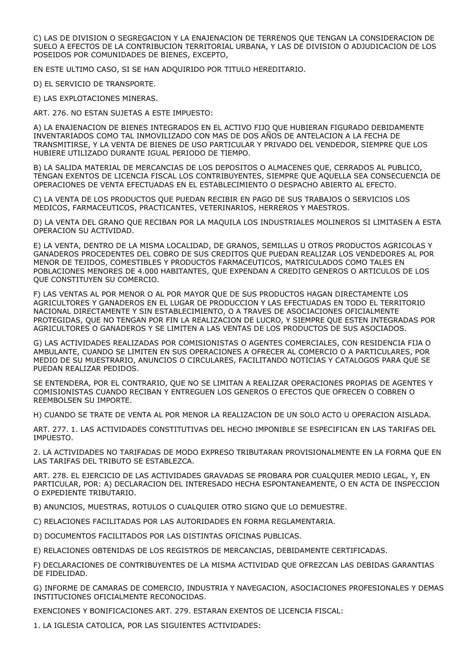C) LAS DE DIVISION O SEGREGACION Y LA ENAJENACION DE TERRENOS QUE TENGAN LA CONSIDERACION DE SUELO A EFECTOS DE LA CONTRIBUCION TERRITORIAL URBANA, Y LAS DE DIVISION O ADJUDICACION DE LOS POSEIDOS POR COMUNIDADES DE BIENES, EXCEPTO,

EN ESTE ULTIMO CASO, SI SE HAN ADQUIRIDO POR TITULO HEREDITARIO.

D) EL SERVICIO DE TRANSPORTE.

E) LAS EXPLOTACIONES MINERAS.

ART. 276. NO ESTAN SUJETAS A ESTE IMPUESTO:

A) LA ENAJENACION DE BIENES INTEGRADOS EN EL ACTIVO FIJO QUE HUBIERAN FIGURADO DEBIDAMENTE INVENTARIADOS COMO TAL INMOVILIZADO CON MAS DE DOS AÑOS DE ANTELACION A LA FECHA DE TRANSMITIRSE, Y LA VENTA DE BIENES DE USO PARTICULAR Y PRIVADO DEL VENDEDOR, SIEMPRE QUE LOS HUBIERE UTILIZADO DURANTE IGUAL PERIODO DE TIEMPO.

B) LA SALIDA MATERIAL DE MERCANCIAS DE LOS DEPOSITOS O ALMACENES QUE, CERRADOS AL PUBLICO, TENGAN EXENTOS DE LICENCIA FISCAL LOS CONTRIBUYENTES, SIEMPRE QUE AQUELLA SEA CONSECUENCIA DE OPERACIONES DE VENTA EFECTUADAS EN EL ESTABLECIMIENTO O DESPACHO ABIERTO AL EFECTO.

C) LA VENTA DE LOS PRODUCTOS QUE PUEDAN RECIBIR EN PAGO DE SUS TRABAJOS O SERVICIOS LOS MEDICOS, FARMACEUTICOS, PRACTICANTES, VETERINARIOS, HERREROS Y MAESTROS.

D) LA VENTA DEL GRANO QUE RECIBAN POR LA MAQUILA LOS INDUSTRIALES MOLINEROS SI LIMITASEN A ESTA OPERACION SU ACTIVIDAD.

E) LA VENTA, DENTRO DE LA MISMA LOCALIDAD, DE GRANOS, SEMILLAS U OTROS PRODUCTOS AGRICOLAS Y GANADEROS PROCEDENTES DEL COBRO DE SUS CREDITOS QUE PUEDAN REALIZAR LOS VENDEDORES AL POR MENOR DE TEJIDOS, COMESTIBLES Y PRODUCTOS FARMACEUTICOS, MATRICULADOS COMO TALES EN POBLACIONES MENORES DE 4.000 HABITANTES, QUE EXPENDAN A CREDITO GENEROS O ARTICULOS DE LOS QUE CONSTITUYEN SU COMERCIO.

F) LAS VENTAS AL POR MENOR O AL POR MAYOR QUE DE SUS PRODUCTOS HAGAN DIRECTAMENTE LOS AGRICULTORES Y GANADEROS EN EL LUGAR DE PRODUCCION Y LAS EFECTUADAS EN TODO EL TERRITORIO NACIONAL DIRECTAMENTE Y SIN ESTABLECIMIENTO, O A TRAVES DE ASOCIACIONES OFICIALMENTE PROTEGIDAS, QUE NO TENGAN POR FIN LA REALIZACION DE LUCRO, Y SIEMPRE QUE ESTEN INTEGRADAS POR AGRICULTORES O GANADEROS Y SE LIMITEN A LAS VENTAS DE LOS PRODUCTOS DE SUS ASOCIADOS.

G) LAS ACTIVIDADES REALIZADAS POR COMISIONISTAS O AGENTES COMERCIALES, CON RESIDENCIA FIJA O AMBULANTE, CUANDO SE LIMITEN EN SUS OPERACIONES A OFRECER AL COMERCIO O A PARTICULARES, POR MEDIO DE SU MUESTRARIO, ANUNCIOS O CIRCULARES, FACILITANDO NOTICIAS Y CATALOGOS PARA QUE SE PUEDAN REALIZAR PEDIDOS.

SE ENTENDERA, POR EL CONTRARIO, QUE NO SE LIMITAN A REALIZAR OPERACIONES PROPIAS DE AGENTES Y COMISIONISTAS CUANDO RECIBAN Y ENTREGUEN LOS GENEROS O EFECTOS QUE OFRECEN O COBREN O REEMBOLSEN SU IMPORTE.

H) CUANDO SE TRATE DE VENTA AL POR MENOR LA REALIZACION DE UN SOLO ACTO U OPERACION AISLADA.

ART. 277. 1. LAS ACTIVIDADES CONSTITUTIVAS DEL HECHO IMPONIBLE SE ESPECIFICAN EN LAS TARIFAS DEL IMPUESTO.

2. LA ACTIVIDADES NO TARIFADAS DE MODO EXPRESO TRIBUTARAN PROVISIONALMENTE EN LA FORMA QUE EN LAS TARIFAS DEL TRIBUTO SE ESTABLEZCA.

ART. 278. EL EJERCICIO DE LAS ACTIVIDADES GRAVADAS SE PROBARA POR CUALQUIER MEDIO LEGAL, Y, EN PARTICULAR, POR: A) DECLARACION DEL INTERESADO HECHA ESPONTANEAMENTE, O EN ACTA DE INSPECCION O EXPEDIENTE TRIBUTARIO.

B) ANUNCIOS, MUESTRAS, ROTULOS O CUALQUIER OTRO SIGNO QUE LO DEMUESTRE.

C) RELACIONES FACILITADAS POR LAS AUTORIDADES EN FORMA REGLAMENTARIA.

D) DOCUMENTOS FACILITADOS POR LAS DISTINTAS OFICINAS PUBLICAS.

E) RELACIONES OBTENIDAS DE LOS REGISTROS DE MERCANCIAS, DEBIDAMENTE CERTIFICADAS.

F) DECLARACIONES DE CONTRIBUYENTES DE LA MISMA ACTIVIDAD QUE OFREZCAN LAS DEBIDAS GARANTIAS DE FIDELIDAD.

G) INFORME DE CAMARAS DE COMERCIO, INDUSTRIA Y NAVEGACION, ASOCIACIONES PROFESIONALES Y DEMAS INSTITUCIONES OFICIALMENTE RECONOCIDAS.

EXENCIONES Y BONIFICACIONES ART. 279. ESTARAN EXENTOS DE LICENCIA FISCAL:

1. LA IGLESIA CATOLICA, POR LAS SIGUIENTES ACTIVIDADES: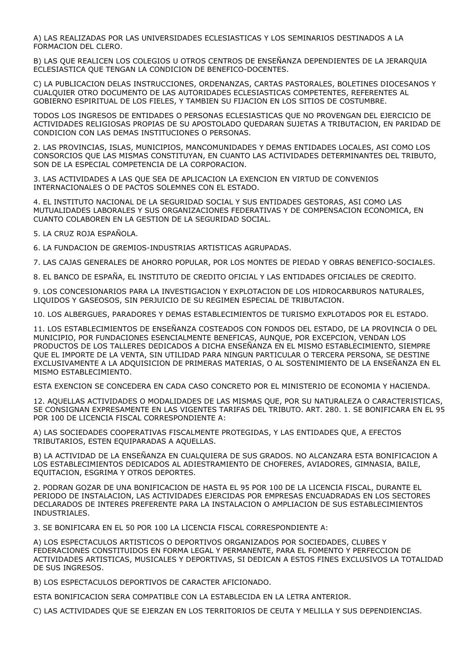A) LAS REALIZADAS POR LAS UNIVERSIDADES ECLESIASTICAS Y LOS SEMINARIOS DESTINADOS A LA FORMACION DEL CLERO.

B) LAS QUE REALICEN LOS COLEGIOS U OTROS CENTROS DE ENSEÑANZA DEPENDIENTES DE LA JERARQUIA ECLESIASTICA QUE TENGAN LA CONDICION DE BENEFICO-DOCENTES.

C) LA PUBLICACION DELAS INSTRUCCIONES, ORDENANZAS, CARTAS PASTORALES, BOLETINES DIOCESANOS Y CUALQUIER OTRO DOCUMENTO DE LAS AUTORIDADES ECLESIASTICAS COMPETENTES, REFERENTES AL GOBIERNO ESPIRITUAL DE LOS FIELES, Y TAMBIEN SU FIJACION EN LOS SITIOS DE COSTUMBRE.

TODOS LOS INGRESOS DE ENTIDADES O PERSONAS ECLESIASTICAS QUE NO PROVENGAN DEL EJERCICIO DE ACTIVIDADES RELIGIOSAS PROPIAS DE SU APOSTOLADO QUEDARAN SUJETAS A TRIBUTACION, EN PARIDAD DE CONDICION CON LAS DEMAS INSTITUCIONES O PERSONAS.

2. LAS PROVINCIAS, ISLAS, MUNICIPIOS, MANCOMUNIDADES Y DEMAS ENTIDADES LOCALES, ASI COMO LOS CONSORCIOS QUE LAS MISMAS CONSTITUYAN, EN CUANTO LAS ACTIVIDADES DETERMINANTES DEL TRIBUTO, SON DE LA ESPECIAL COMPETENCIA DE LA CORPORACION.

3. LAS ACTIVIDADES A LAS QUE SEA DE APLICACION LA EXENCION EN VIRTUD DE CONVENIOS INTERNACIONALES O DE PACTOS SOLEMNES CON EL ESTADO.

4. EL INSTITUTO NACIONAL DE LA SEGURIDAD SOCIAL Y SUS ENTIDADES GESTORAS, ASI COMO LAS MUTUALIDADES LABORALES Y SUS ORGANIZACIONES FEDERATIVAS Y DE COMPENSACION ECONOMICA, EN CUANTO COLABOREN EN LA GESTION DE LA SEGURIDAD SOCIAL.

5. LA CRUZ ROJA ESPAÑOLA.

6. LA FUNDACION DE GREMIOS-INDUSTRIAS ARTISTICAS AGRUPADAS.

7. LAS CAJAS GENERALES DE AHORRO POPULAR, POR LOS MONTES DE PIEDAD Y OBRAS BENEFICO-SOCIALES.

8. EL BANCO DE ESPAÑA, EL INSTITUTO DE CREDITO OFICIAL Y LAS ENTIDADES OFICIALES DE CREDITO.

9. LOS CONCESIONARIOS PARA LA INVESTIGACION Y EXPLOTACION DE LOS HIDROCARBUROS NATURALES, LIQUIDOS Y GASEOSOS, SIN PERJUICIO DE SU REGIMEN ESPECIAL DE TRIBUTACION.

10. LOS ALBERGUES, PARADORES Y DEMAS ESTABLECIMIENTOS DE TURISMO EXPLOTADOS POR EL ESTADO.

11. LOS ESTABLECIMIENTOS DE ENSEÑANZA COSTEADOS CON FONDOS DEL ESTADO, DE LA PROVINCIA O DEL MUNICIPIO, POR FUNDACIONES ESENCIALMENTE BENEFICAS, AUNQUE, POR EXCEPCION, VENDAN LOS PRODUCTOS DE LOS TALLERES DEDICADOS A DICHA ENSEÑANZA EN EL MISMO ESTABLECIMIENTO, SIEMPRE QUE EL IMPORTE DE LA VENTA, SIN UTILIDAD PARA NINGUN PARTICULAR O TERCERA PERSONA, SE DESTINE EXCLUSIVAMENTE A LA ADQUISICION DE PRIMERAS MATERIAS, O AL SOSTENIMIENTO DE LA ENSEÑANZA EN EL MISMO ESTABLECIMIENTO.

ESTA EXENCION SE CONCEDERA EN CADA CASO CONCRETO POR EL MINISTERIO DE ECONOMIA Y HACIENDA.

12. AQUELLAS ACTIVIDADES O MODALIDADES DE LAS MISMAS QUE, POR SU NATURALEZA O CARACTERISTICAS, SE CONSIGNAN EXPRESAMENTE EN LAS VIGENTES TARIFAS DEL TRIBUTO. ART. 280. 1. SE BONIFICARA EN EL 95 POR 100 DE LICENCIA FISCAL CORRESPONDIENTE A:

A) LAS SOCIEDADES COOPERATIVAS FISCALMENTE PROTEGIDAS, Y LAS ENTIDADES QUE, A EFECTOS TRIBUTARIOS, ESTEN EQUIPARADAS A AQUELLAS.

B) LA ACTIVIDAD DE LA ENSEÑANZA EN CUALQUIERA DE SUS GRADOS. NO ALCANZARA ESTA BONIFICACION A LOS ESTABLECIMIENTOS DEDICADOS AL ADIESTRAMIENTO DE CHOFERES, AVIADORES, GIMNASIA, BAILE, EQUITACION, ESGRIMA Y OTROS DEPORTES.

2. PODRAN GOZAR DE UNA BONIFICACION DE HASTA EL 95 POR 100 DE LA LICENCIA FISCAL, DURANTE EL PERIODO DE INSTALACION, LAS ACTIVIDADES EJERCIDAS POR EMPRESAS ENCUADRADAS EN LOS SECTORES DECLARADOS DE INTERES PREFERENTE PARA LA INSTALACION O AMPLIACION DE SUS ESTABLECIMIENTOS INDUSTRIALES.

3. SE BONIFICARA EN EL 50 POR 100 LA LICENCIA FISCAL CORRESPONDIENTE A:

A) LOS ESPECTACULOS ARTISTICOS O DEPORTIVOS ORGANIZADOS POR SOCIEDADES, CLUBES Y FEDERACIONES CONSTITUIDOS EN FORMA LEGAL Y PERMANENTE, PARA EL FOMENTO Y PERFECCION DE ACTIVIDADES ARTISTICAS, MUSICALES Y DEPORTIVAS, SI DEDICAN A ESTOS FINES EXCLUSIVOS LA TOTALIDAD DE SUS INGRESOS.

B) LOS ESPECTACULOS DEPORTIVOS DE CARACTER AFICIONADO.

ESTA BONIFICACION SERA COMPATIBLE CON LA ESTABLECIDA EN LA LETRA ANTERIOR.

C) LAS ACTIVIDADES QUE SE EJERZAN EN LOS TERRITORIOS DE CEUTA Y MELILLA Y SUS DEPENDIENCIAS.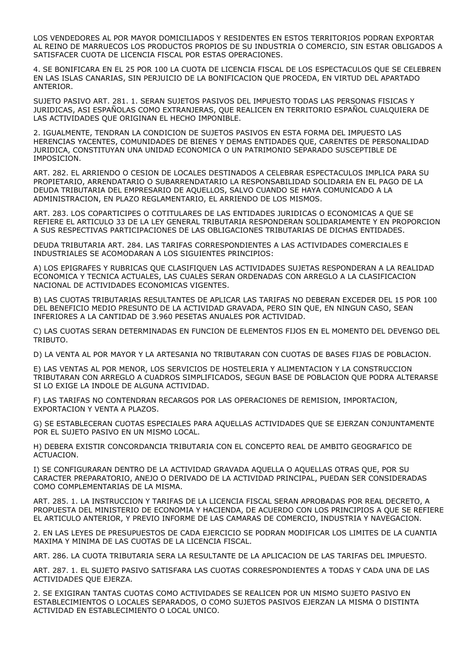LOS VENDEDORES AL POR MAYOR DOMICILIADOS Y RESIDENTES EN ESTOS TERRITORIOS PODRAN EXPORTAR AL REINO DE MARRUECOS LOS PRODUCTOS PROPIOS DE SU INDUSTRIA O COMERCIO, SIN ESTAR OBLIGADOS A SATISFACER CUOTA DE LICENCIA FISCAL POR ESTAS OPERACIONES.

4. SE BONIFICARA EN EL 25 POR 100 LA CUOTA DE LICENCIA FISCAL DE LOS ESPECTACULOS QUE SE CELEBREN EN LAS ISLAS CANARIAS, SIN PERJUICIO DE LA BONIFICACION QUE PROCEDA, EN VIRTUD DEL APARTADO ANTERIOR.

SUJETO PASIVO ART. 281. 1. SERAN SUJETOS PASIVOS DEL IMPUESTO TODAS LAS PERSONAS FISICAS Y JURIDICAS, ASI ESPAÑOLAS COMO EXTRANJERAS, QUE REALICEN EN TERRITORIO ESPAÑOL CUALQUIERA DE LAS ACTIVIDADES QUE ORIGINAN EL HECHO IMPONIBLE.

2. IGUALMENTE, TENDRAN LA CONDICION DE SUJETOS PASIVOS EN ESTA FORMA DEL IMPUESTO LAS HERENCIAS YACENTES, COMUNIDADES DE BIENES Y DEMAS ENTIDADES QUE, CARENTES DE PERSONALIDAD JURIDICA, CONSTITUYAN UNA UNIDAD ECONOMICA O UN PATRIMONIO SEPARADO SUSCEPTIBLE DE IMPOSICION.

ART. 282. EL ARRIENDO O CESION DE LOCALES DESTINADOS A CELEBRAR ESPECTACULOS IMPLICA PARA SU PROPIETARIO, ARRENDATARIO O SUBARRENDATARIO LA RESPONSABILIDAD SOLIDARIA EN EL PAGO DE LA DEUDA TRIBUTARIA DEL EMPRESARIO DE AQUELLOS, SALVO CUANDO SE HAYA COMUNICADO A LA ADMINISTRACION, EN PLAZO REGLAMENTARIO, EL ARRIENDO DE LOS MISMOS.

ART. 283. LOS COPARTICIPES O COTITULARES DE LAS ENTIDADES JURIDICAS O ECONOMICAS A QUE SE REFIERE EL ARTICULO 33 DE LA LEY GENERAL TRIBUTARIA RESPONDERAN SOLIDARIAMENTE Y EN PROPORCION A SUS RESPECTIVAS PARTICIPACIONES DE LAS OBLIGACIONES TRIBUTARIAS DE DICHAS ENTIDADES.

DEUDA TRIBUTARIA ART. 284. LAS TARIFAS CORRESPONDIENTES A LAS ACTIVIDADES COMERCIALES E INDUSTRIALES SE ACOMODARAN A LOS SIGUIENTES PRINCIPIOS:

A) LOS EPIGRAFES Y RUBRICAS QUE CLASIFIQUEN LAS ACTIVIDADES SUJETAS RESPONDERAN A LA REALIDAD ECONOMICA Y TECNICA ACTUALES, LAS CUALES SERAN ORDENADAS CON ARREGLO A LA CLASIFICACION NACIONAL DE ACTIVIDADES ECONOMICAS VIGENTES.

B) LAS CUOTAS TRIBUTARIAS RESULTANTES DE APLICAR LAS TARIFAS NO DEBERAN EXCEDER DEL 15 POR 100 DEL BENEFICIO MEDIO PRESUNTO DE LA ACTIVIDAD GRAVADA, PERO SIN QUE, EN NINGUN CASO, SEAN INFERIORES A LA CANTIDAD DE 3.960 PESETAS ANUALES POR ACTIVIDAD.

C) LAS CUOTAS SERAN DETERMINADAS EN FUNCION DE ELEMENTOS FIJOS EN EL MOMENTO DEL DEVENGO DEL TRIBUTO.

D) LA VENTA AL POR MAYOR Y LA ARTESANIA NO TRIBUTARAN CON CUOTAS DE BASES FIJAS DE POBLACION.

E) LAS VENTAS AL POR MENOR, LOS SERVICIOS DE HOSTELERIA Y ALIMENTACION Y LA CONSTRUCCION TRIBUTARAN CON ARREGLO A CUADROS SIMPLIFICADOS, SEGUN BASE DE POBLACION QUE PODRA ALTERARSE SI LO EXIGE LA INDOLE DE ALGUNA ACTIVIDAD.

F) LAS TARIFAS NO CONTENDRAN RECARGOS POR LAS OPERACIONES DE REMISION, IMPORTACION, EXPORTACION Y VENTA A PLAZOS.

G) SE ESTABLECERAN CUOTAS ESPECIALES PARA AQUELLAS ACTIVIDADES QUE SE EJERZAN CONJUNTAMENTE POR EL SUJETO PASIVO EN UN MISMO LOCAL.

H) DEBERA EXISTIR CONCORDANCIA TRIBUTARIA CON EL CONCEPTO REAL DE AMBITO GEOGRAFICO DE ACTUACION.

I) SE CONFIGURARAN DENTRO DE LA ACTIVIDAD GRAVADA AQUELLA O AQUELLAS OTRAS QUE, POR SU CARACTER PREPARATORIO, ANEJO O DERIVADO DE LA ACTIVIDAD PRINCIPAL, PUEDAN SER CONSIDERADAS COMO COMPLEMENTARIAS DE LA MISMA.

ART. 285. 1. LA INSTRUCCION Y TARIFAS DE LA LICENCIA FISCAL SERAN APROBADAS POR REAL DECRETO, A PROPUESTA DEL MINISTERIO DE ECONOMIA Y HACIENDA, DE ACUERDO CON LOS PRINCIPIOS A QUE SE REFIERE EL ARTICULO ANTERIOR, Y PREVIO INFORME DE LAS CAMARAS DE COMERCIO, INDUSTRIA Y NAVEGACION.

2. EN LAS LEYES DE PRESUPUESTOS DE CADA EJERCICIO SE PODRAN MODIFICAR LOS LIMITES DE LA CUANTIA MAXIMA Y MINIMA DE LAS CUOTAS DE LA LICENCIA FISCAL.

ART. 286. LA CUOTA TRIBUTARIA SERA LA RESULTANTE DE LA APLICACION DE LAS TARIFAS DEL IMPUESTO.

ART. 287. 1. EL SUJETO PASIVO SATISFARA LAS CUOTAS CORRESPONDIENTES A TODAS Y CADA UNA DE LAS ACTIVIDADES QUE EJERZA.

2. SE EXIGIRAN TANTAS CUOTAS COMO ACTIVIDADES SE REALICEN POR UN MISMO SUJETO PASIVO EN ESTABLECIMIENTOS O LOCALES SEPARADOS, O COMO SUJETOS PASIVOS EJERZAN LA MISMA O DISTINTA ACTIVIDAD EN ESTABLECIMIENTO O LOCAL UNICO.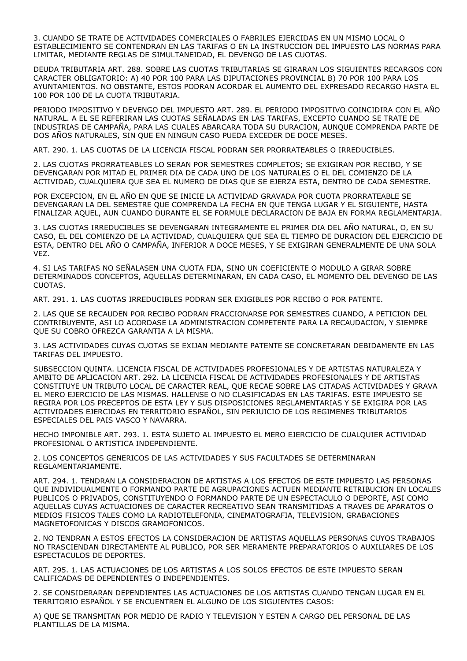3. CUANDO SE TRATE DE ACTIVIDADES COMERCIALES O FABRILES EJERCIDAS EN UN MISMO LOCAL O ESTABLECIMIENTO SE CONTENDRAN EN LAS TARIFAS O EN LA INSTRUCCION DEL IMPUESTO LAS NORMAS PARA LIMITAR, MEDIANTE REGLAS DE SIMULTANEIDAD, EL DEVENGO DE LAS CUOTAS.

DEUDA TRIBUTARIA ART. 288. SOBRE LAS CUOTAS TRIBUTARIAS SE GIRARAN LOS SIGUIENTES RECARGOS CON CARACTER OBLIGATORIO: A) 40 POR 100 PARA LAS DIPUTACIONES PROVINCIAL B) 70 POR 100 PARA LOS AYUNTAMIENTOS. NO OBSTANTE, ESTOS PODRAN ACORDAR EL AUMENTO DEL EXPRESADO RECARGO HASTA EL 100 POR 100 DE LA CUOTA TRIBUTARIA.

PERIODO IMPOSITIVO Y DEVENGO DEL IMPUESTO ART. 289. EL PERIODO IMPOSITIVO COINCIDIRA CON EL AÑO NATURAL. A EL SE REFERIRAN LAS CUOTAS SEÑALADAS EN LAS TARIFAS, EXCEPTO CUANDO SE TRATE DE INDUSTRIAS DE CAMPAÑA, PARA LAS CUALES ABARCARA TODA SU DURACION, AUNQUE COMPRENDA PARTE DE DOS AÑOS NATURALES, SIN QUE EN NINGUN CASO PUEDA EXCEDER DE DOCE MESES.

ART. 290. 1. LAS CUOTAS DE LA LICENCIA FISCAL PODRAN SER PRORRATEABLES O IRREDUCIBLES.

2. LAS CUOTAS PRORRATEABLES LO SERAN POR SEMESTRES COMPLETOS; SE EXIGIRAN POR RECIBO, Y SE DEVENGARAN POR MITAD EL PRIMER DIA DE CADA UNO DE LOS NATURALES O EL DEL COMIENZO DE LA ACTIVIDAD, CUALQUIERA QUE SEA EL NUMERO DE DIAS QUE SE EJERZA ESTA, DENTRO DE CADA SEMESTRE.

POR EXCEPCION, EN EL AÑO EN QUE SE INICIE LA ACTIVIDAD GRAVADA POR CUOTA PRORRATEABLE SE DEVENGARAN LA DEL SEMESTRE QUE COMPRENDA LA FECHA EN QUE TENGA LUGAR Y EL SIGUIENTE, HASTA FINALIZAR AQUEL, AUN CUANDO DURANTE EL SE FORMULE DECLARACION DE BAJA EN FORMA REGLAMENTARIA.

3. LAS CUOTAS IRREDUCIBLES SE DEVENGARAN INTEGRAMENTE EL PRIMER DIA DEL AÑO NATURAL, O, EN SU CASO, EL DEL COMIENZO DE LA ACTIVIDAD, CUALQUIERA QUE SEA EL TIEMPO DE DURACION DEL EJERCICIO DE ESTA, DENTRO DEL AÑO O CAMPAÑA, INFERIOR A DOCE MESES, Y SE EXIGIRAN GENERALMENTE DE UNA SOLA VEZ.

4. SI LAS TARIFAS NO SEÑALASEN UNA CUOTA FIJA, SINO UN COEFICIENTE O MODULO A GIRAR SOBRE DETERMINADOS CONCEPTOS, AQUELLAS DETERMINARAN, EN CADA CASO, EL MOMENTO DEL DEVENGO DE LAS CUOTAS.

ART. 291. 1. LAS CUOTAS IRREDUCIBLES PODRAN SER EXIGIBLES POR RECIBO O POR PATENTE.

2. LAS QUE SE RECAUDEN POR RECIBO PODRAN FRACCIONARSE POR SEMESTRES CUANDO, A PETICION DEL CONTRIBUYENTE, ASI LO ACORDASE LA ADMINISTRACION COMPETENTE PARA LA RECAUDACION, Y SIEMPRE QUE SU COBRO OFREZCA GARANTIA A LA MISMA.

3. LAS ACTIVIDADES CUYAS CUOTAS SE EXIJAN MEDIANTE PATENTE SE CONCRETARAN DEBIDAMENTE EN LAS TARIFAS DEL IMPUESTO.

SUBSECCION QUINTA. LICENCIA FISCAL DE ACTIVIDADES PROFESIONALES Y DE ARTISTAS NATURALEZA Y AMBITO DE APLICACION ART. 292. LA LICENCIA FISCAL DE ACTIVIDADES PROFESIONALES Y DE ARTISTAS CONSTITUYE UN TRIBUTO LOCAL DE CARACTER REAL, QUE RECAE SOBRE LAS CITADAS ACTIVIDADES Y GRAVA EL MERO EJERCICIO DE LAS MISMAS. HALLENSE O NO CLASIFICADAS EN LAS TARIFAS. ESTE IMPUESTO SE REGIRA POR LOS PRECEPTOS DE ESTA LEY Y SUS DISPOSICIONES REGLAMENTARIAS Y SE EXIGIRA POR LAS ACTIVIDADES EJERCIDAS EN TERRITORIO ESPAÑOL, SIN PERJUICIO DE LOS REGIMENES TRIBUTARIOS ESPECIALES DEL PAIS VASCO Y NAVARRA.

HECHO IMPONIBLE ART. 293. 1. ESTA SUJETO AL IMPUESTO EL MERO EJERCICIO DE CUALQUIER ACTIVIDAD PROFESIONAL O ARTISTICA INDEPENDIENTE.

2. LOS CONCEPTOS GENERICOS DE LAS ACTIVIDADES Y SUS FACULTADES SE DETERMINARAN REGLAMENTARIAMENTE.

ART. 294. 1. TENDRAN LA CONSIDERACION DE ARTISTAS A LOS EFECTOS DE ESTE IMPUESTO LAS PERSONAS QUE INDIVIDUALMENTE O FORMANDO PARTE DE AGRUPACIONES ACTUEN MEDIANTE RETRIBUCION EN LOCALES PUBLICOS O PRIVADOS, CONSTITUYENDO O FORMANDO PARTE DE UN ESPECTACULO O DEPORTE, ASI COMO AQUELLAS CUYAS ACTUACIONES DE CARACTER RECREATIVO SEAN TRANSMITIDAS A TRAVES DE APARATOS O MEDIOS FISICOS TALES COMO LA RADIOTELEFONIA, CINEMATOGRAFIA, TELEVISION, GRABACIONES MAGNETOFONICAS Y DISCOS GRAMOFONICOS.

2. NO TENDRAN A ESTOS EFECTOS LA CONSIDERACION DE ARTISTAS AQUELLAS PERSONAS CUYOS TRABAJOS NO TRASCIENDAN DIRECTAMENTE AL PUBLICO, POR SER MERAMENTE PREPARATORIOS O AUXILIARES DE LOS ESPECTACULOS DE DEPORTES.

ART. 295. 1. LAS ACTUACIONES DE LOS ARTISTAS A LOS SOLOS EFECTOS DE ESTE IMPUESTO SERAN CALIFICADAS DE DEPENDIENTES O INDEPENDIENTES.

2. SE CONSIDERARAN DEPENDIENTES LAS ACTUACIONES DE LOS ARTISTAS CUANDO TENGAN LUGAR EN EL TERRITORIO ESPAÑOL Y SE ENCUENTREN EL ALGUNO DE LOS SIGUIENTES CASOS:

A) QUE SE TRANSMITAN POR MEDIO DE RADIO Y TELEVISION Y ESTEN A CARGO DEL PERSONAL DE LAS PLANTILLAS DE LA MISMA.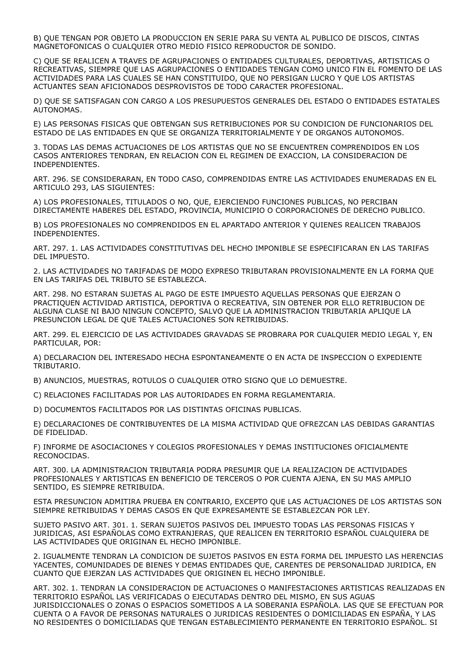B) QUE TENGAN POR OBJETO LA PRODUCCION EN SERIE PARA SU VENTA AL PUBLICO DE DISCOS, CINTAS MAGNETOFONICAS O CUALQUIER OTRO MEDIO FISICO REPRODUCTOR DE SONIDO.

C) QUE SE REALICEN A TRAVES DE AGRUPACIONES O ENTIDADES CULTURALES, DEPORTIVAS, ARTISTICAS O RECREATIVAS, SIEMPRE QUE LAS AGRUPACIONES O ENTIDADES TENGAN COMO UNICO FIN EL FOMENTO DE LAS ACTIVIDADES PARA LAS CUALES SE HAN CONSTITUIDO, QUE NO PERSIGAN LUCRO Y QUE LOS ARTISTAS ACTUANTES SEAN AFICIONADOS DESPROVISTOS DE TODO CARACTER PROFESIONAL.

D) QUE SE SATISFAGAN CON CARGO A LOS PRESUPUESTOS GENERALES DEL ESTADO O ENTIDADES ESTATALES AUTONOMAS.

E) LAS PERSONAS FISICAS QUE OBTENGAN SUS RETRIBUCIONES POR SU CONDICION DE FUNCIONARIOS DEL ESTADO DE LAS ENTIDADES EN QUE SE ORGANIZA TERRITORIALMENTE Y DE ORGANOS AUTONOMOS.

3. TODAS LAS DEMAS ACTUACIONES DE LOS ARTISTAS QUE NO SE ENCUENTREN COMPRENDIDOS EN LOS CASOS ANTERIORES TENDRAN, EN RELACION CON EL REGIMEN DE EXACCION, LA CONSIDERACION DE INDEPENDIENTES.

ART. 296. SE CONSIDERARAN, EN TODO CASO, COMPRENDIDAS ENTRE LAS ACTIVIDADES ENUMERADAS EN EL ARTICULO 293, LAS SIGUIENTES:

A) LOS PROFESIONALES, TITULADOS O NO, QUE, EJERCIENDO FUNCIONES PUBLICAS, NO PERCIBAN DIRECTAMENTE HABERES DEL ESTADO, PROVINCIA, MUNICIPIO O CORPORACIONES DE DERECHO PUBLICO.

B) LOS PROFESIONALES NO COMPRENDIDOS EN EL APARTADO ANTERIOR Y QUIENES REALICEN TRABAJOS INDEPENDIENTES.

ART. 297. 1. LAS ACTIVIDADES CONSTITUTIVAS DEL HECHO IMPONIBLE SE ESPECIFICARAN EN LAS TARIFAS DEL IMPUESTO.

2. LAS ACTIVIDADES NO TARIFADAS DE MODO EXPRESO TRIBUTARAN PROVISIONALMENTE EN LA FORMA QUE EN LAS TARIFAS DEL TRIBUTO SE ESTABLEZCA.

ART. 298. NO ESTARAN SUJETAS AL PAGO DE ESTE IMPUESTO AQUELLAS PERSONAS QUE EJERZAN O PRACTIQUEN ACTIVIDAD ARTISTICA, DEPORTIVA O RECREATIVA, SIN OBTENER POR ELLO RETRIBUCION DE ALGUNA CLASE NI BAJO NINGUN CONCEPTO, SALVO QUE LA ADMINISTRACION TRIBUTARIA APLIQUE LA PRESUNCION LEGAL DE QUE TALES ACTUACIONES SON RETRIBUIDAS.

ART. 299. EL EJERCICIO DE LAS ACTIVIDADES GRAVADAS SE PROBRARA POR CUALQUIER MEDIO LEGAL Y, EN PARTICULAR, POR:

A) DECLARACION DEL INTERESADO HECHA ESPONTANEAMENTE O EN ACTA DE INSPECCION O EXPEDIENTE TRIBUTARIO.

B) ANUNCIOS, MUESTRAS, ROTULOS O CUALQUIER OTRO SIGNO QUE LO DEMUESTRE.

C) RELACIONES FACILITADAS POR LAS AUTORIDADES EN FORMA REGLAMENTARIA.

D) DOCUMENTOS FACILITADOS POR LAS DISTINTAS OFICINAS PUBLICAS.

E) DECLARACIONES DE CONTRIBUYENTES DE LA MISMA ACTIVIDAD QUE OFREZCAN LAS DEBIDAS GARANTIAS DE FIDELIDAD.

F) INFORME DE ASOCIACIONES Y COLEGIOS PROFESIONALES Y DEMAS INSTITUCIONES OFICIALMENTE RECONOCIDAS.

ART. 300. LA ADMINISTRACION TRIBUTARIA PODRA PRESUMIR QUE LA REALIZACION DE ACTIVIDADES PROFESIONALES Y ARTISTICAS EN BENEFICIO DE TERCEROS O POR CUENTA AJENA, EN SU MAS AMPLIO SENTIDO, ES SIEMPRE RETRIBUIDA.

ESTA PRESUNCION ADMITIRA PRUEBA EN CONTRARIO, EXCEPTO QUE LAS ACTUACIONES DE LOS ARTISTAS SON SIEMPRE RETRIBUIDAS Y DEMAS CASOS EN QUE EXPRESAMENTE SE ESTABLEZCAN POR LEY.

SUJETO PASIVO ART. 301. 1. SERAN SUJETOS PASIVOS DEL IMPUESTO TODAS LAS PERSONAS FISICAS Y JURIDICAS, ASI ESPAÑOLAS COMO EXTRANJERAS, QUE REALICEN EN TERRITORIO ESPAÑOL CUALQUIERA DE LAS ACTIVIDADES QUE ORIGINAN EL HECHO IMPONIBLE.

2. IGUALMENTE TENDRAN LA CONDICION DE SUJETOS PASIVOS EN ESTA FORMA DEL IMPUESTO LAS HERENCIAS YACENTES, COMUNIDADES DE BIENES Y DEMAS ENTIDADES QUE, CARENTES DE PERSONALIDAD JURIDICA, EN CUANTO QUE EJERZAN LAS ACTIVIDADES QUE ORIGINEN EL HECHO IMPONIBLE.

ART. 302. 1. TENDRAN LA CONSIDERACION DE ACTUACIONES O MANIFESTACIONES ARTISTICAS REALIZADAS EN TERRITORIO ESPAÑOL LAS VERIFICADAS O EJECUTADAS DENTRO DEL MISMO, EN SUS AGUAS JURISDICCIONALES O ZONAS O ESPACIOS SOMETIDOS A LA SOBERANIA ESPAÑOLA. LAS QUE SE EFECTUAN POR CUENTA O A FAVOR DE PERSONAS NATURALES O JURIDICAS RESIDENTES O DOMICILIADAS EN ESPAÑA, Y LAS NO RESIDENTES O DOMICILIADAS QUE TENGAN ESTABLECIMIENTO PERMANENTE EN TERRITORIO ESPAÑOL. SI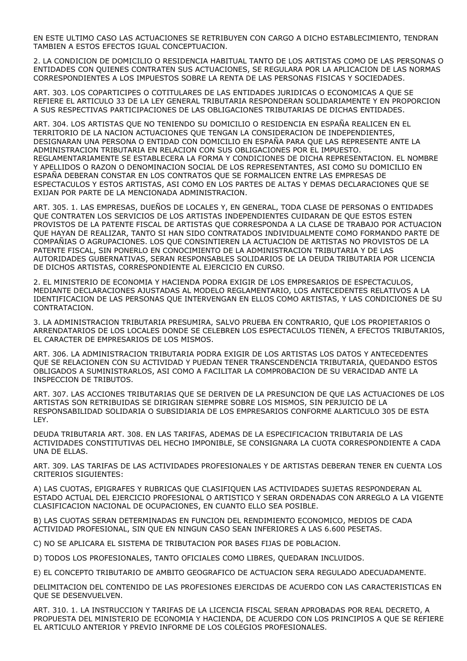EN ESTE ULTIMO CASO LAS ACTUACIONES SE RETRIBUYEN CON CARGO A DICHO ESTABLECIMIENTO, TENDRAN TAMBIEN A ESTOS EFECTOS IGUAL CONCEPTUACION.

2. LA CONDICION DE DOMICILIO O RESIDENCIA HABITUAL TANTO DE LOS ARTISTAS COMO DE LAS PERSONAS O ENTIDADES CON QUIENES CONTRATEN SUS ACTUACIONES, SE REGULARA POR LA APLICACION DE LAS NORMAS CORRESPONDIENTES A LOS IMPUESTOS SOBRE LA RENTA DE LAS PERSONAS FISICAS Y SOCIEDADES.

ART. 303. LOS COPARTICIPES O COTITULARES DE LAS ENTIDADES JURIDICAS O ECONOMICAS A QUE SE REFIERE EL ARTICULO 33 DE LA LEY GENERAL TRIBUTARIA RESPONDERAN SOLIDARIAMENTE Y EN PROPORCION A SUS RESPECTIVAS PARTICIPACIONES DE LAS OBLIGACIONES TRIBUTARIAS DE DICHAS ENTIDADES.

ART. 304. LOS ARTISTAS QUE NO TENIENDO SU DOMICILIO O RESIDENCIA EN ESPAÑA REALICEN EN EL TERRITORIO DE LA NACION ACTUACIONES QUE TENGAN LA CONSIDERACION DE INDEPENDIENTES, DESIGNARAN UNA PERSONA O ENTIDAD CON DOMICILIO EN ESPAÑA PARA QUE LAS REPRESENTE ANTE LA ADMINISTRACION TRIBUTARIA EN RELACION CON SUS OBLIGACIONES POR EL IMPUESTO. REGLAMENTARIAMENTE SE ESTABLECERA LA FORMA Y CONDICIONES DE DICHA REPRESENTACION. EL NOMBRE Y APELLIDOS O RAZON O DENOMINACION SOCIAL DE LOS REPRESENTANTES, ASI COMO SU DOMICILIO EN ESPAÑA DEBERAN CONSTAR EN LOS CONTRATOS QUE SE FORMALICEN ENTRE LAS EMPRESAS DE ESPECTACULOS Y ESTOS ARTISTAS, ASI COMO EN LOS PARTES DE ALTAS Y DEMAS DECLARACIONES QUE SE EXIJAN POR PARTE DE LA MENCIONADA ADMINISTRACION.

ART. 305. 1. LAS EMPRESAS, DUEÑOS DE LOCALES Y, EN GENERAL, TODA CLASE DE PERSONAS O ENTIDADES QUE CONTRATEN LOS SERVICIOS DE LOS ARTISTAS INDEPENDIENTES CUIDARAN DE QUE ESTOS ESTEN PROVISTOS DE LA PATENTE FISCAL DE ARTISTAS QUE CORRESPONDA A LA CLASE DE TRABAJO POR ACTUACION QUE HAYAN DE REALIZAR, TANTO SI HAN SIDO CONTRATADOS INDIVIDUALMENTE COMO FORMANDO PARTE DE COMPAÑIAS O AGRUPACIONES. LOS QUE CONSINTIEREN LA ACTUACION DE ARTISTAS NO PROVISTOS DE LA PATENTE FISCAL, SIN PONERLO EN CONOCIMIENTO DE LA ADMINISTRACION TRIBUTARIA Y DE LAS AUTORIDADES GUBERNATIVAS, SERAN RESPONSABLES SOLIDARIOS DE LA DEUDA TRIBUTARIA POR LICENCIA DE DICHOS ARTISTAS, CORRESPONDIENTE AL EJERCICIO EN CURSO.

2. EL MINISTERIO DE ECONOMIA Y HACIENDA PODRA EXIGIR DE LOS EMPRESARIOS DE ESPECTACULOS, MEDIANTE DECLARACIONES AJUSTADAS AL MODELO REGLAMENTARIO, LOS ANTECEDENTES RELATIVOS A LA IDENTIFICACION DE LAS PERSONAS QUE INTERVENGAN EN ELLOS COMO ARTISTAS, Y LAS CONDICIONES DE SU CONTRATACION.

3. LA ADMINISTRACION TRIBUTARIA PRESUMIRA, SALVO PRUEBA EN CONTRARIO, QUE LOS PROPIETARIOS O ARRENDATARIOS DE LOS LOCALES DONDE SE CELEBREN LOS ESPECTACULOS TIENEN, A EFECTOS TRIBUTARIOS, EL CARACTER DE EMPRESARIOS DE LOS MISMOS.

ART. 306. LA ADMINISTRACION TRIBUTARIA PODRA EXIGIR DE LOS ARTISTAS LOS DATOS Y ANTECEDENTES QUE SE RELACIONEN CON SU ACTIVIDAD Y PUEDAN TENER TRANSCENDENCIA TRIBUTARIA, QUEDANDO ESTOS OBLIGADOS A SUMINISTRARLOS, ASI COMO A FACILITAR LA COMPROBACION DE SU VERACIDAD ANTE LA INSPECCION DE TRIBUTOS.

ART. 307. LAS ACCIONES TRIBUTARIAS QUE SE DERIVEN DE LA PRESUNCION DE QUE LAS ACTUACIONES DE LOS ARTISTAS SON RETRIBUIDAS SE DIRIGIRAN SIEMPRE SOBRE LOS MISMOS, SIN PERJUICIO DE LA RESPONSABILIDAD SOLIDARIA O SUBSIDIARIA DE LOS EMPRESARIOS CONFORME ALARTICULO 305 DE ESTA LEY.

DEUDA TRIBUTARIA ART. 308. EN LAS TARIFAS, ADEMAS DE LA ESPECIFICACION TRIBUTARIA DE LAS ACTIVIDADES CONSTITUTIVAS DEL HECHO IMPONIBLE, SE CONSIGNARA LA CUOTA CORRESPONDIENTE A CADA UNA DE ELLAS.

ART. 309. LAS TARIFAS DE LAS ACTIVIDADES PROFESIONALES Y DE ARTISTAS DEBERAN TENER EN CUENTA LOS CRITERIOS SIGUIENTES:

A) LAS CUOTAS, EPIGRAFES Y RUBRICAS QUE CLASIFIQUEN LAS ACTIVIDADES SUJETAS RESPONDERAN AL ESTADO ACTUAL DEL EJERCICIO PROFESIONAL O ARTISTICO Y SERAN ORDENADAS CON ARREGLO A LA VIGENTE CLASIFICACION NACIONAL DE OCUPACIONES, EN CUANTO ELLO SEA POSIBLE.

B) LAS CUOTAS SERAN DETERMINADAS EN FUNCION DEL RENDIMIENTO ECONOMICO, MEDIOS DE CADA ACTIVIDAD PROFESIONAL, SIN QUE EN NINGUN CASO SEAN INFERIORES A LAS 6.600 PESETAS.

C) NO SE APLICARA EL SISTEMA DE TRIBUTACION POR BASES FIJAS DE POBLACION.

D) TODOS LOS PROFESIONALES, TANTO OFICIALES COMO LIBRES, QUEDARAN INCLUIDOS.

E) EL CONCEPTO TRIBUTARIO DE AMBITO GEOGRAFICO DE ACTUACION SERA REGULADO ADECUADAMENTE.

DELIMITACION DEL CONTENIDO DE LAS PROFESIONES EJERCIDAS DE ACUERDO CON LAS CARACTERISTICAS EN QUE SE DESENVUELVEN.

ART. 310. 1. LA INSTRUCCION Y TARIFAS DE LA LICENCIA FISCAL SERAN APROBADAS POR REAL DECRETO, A PROPUESTA DEL MINISTERIO DE ECONOMIA Y HACIENDA, DE ACUERDO CON LOS PRINCIPIOS A QUE SE REFIERE EL ARTICULO ANTERIOR Y PREVIO INFORME DE LOS COLEGIOS PROFESIONALES.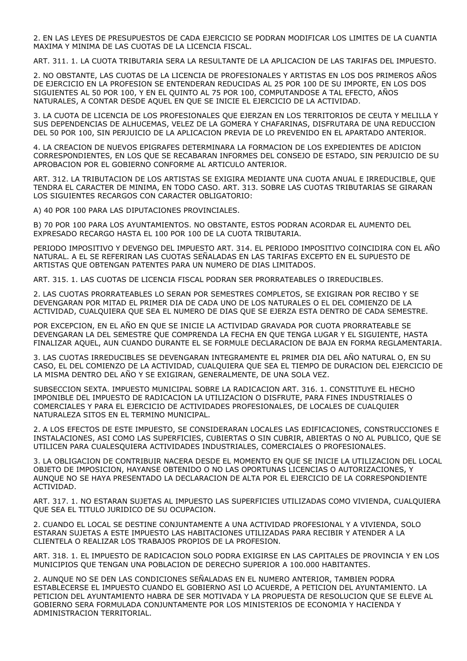2. EN LAS LEYES DE PRESUPUESTOS DE CADA EJERCICIO SE PODRAN MODIFICAR LOS LIMITES DE LA CUANTIA MAXIMA Y MINIMA DE LAS CUOTAS DE LA LICENCIA FISCAL.

ART. 311. 1. LA CUOTA TRIBUTARIA SERA LA RESULTANTE DE LA APLICACION DE LAS TARIFAS DEL IMPUESTO.

2. NO OBSTANTE, LAS CUOTAS DE LA LICENCIA DE PROFESIONALES Y ARTISTAS EN LOS DOS PRIMEROS AÑOS DE EJERCICIO EN LA PROFESION SE ENTENDERAN REDUCIDAS AL 25 POR 100 DE SU IMPORTE, EN LOS DOS SIGUIENTES AL 50 POR 100, Y EN EL QUINTO AL 75 POR 100, COMPUTANDOSE A TAL EFECTO, AÑOS NATURALES, A CONTAR DESDE AQUEL EN QUE SE INICIE EL EJERCICIO DE LA ACTIVIDAD.

3. LA CUOTA DE LICENCIA DE LOS PROFESIONALES QUE EJERZAN EN LOS TERRITORIOS DE CEUTA Y MELILLA Y SUS DEPENDENCIAS DE ALHUCEMAS, VELEZ DE LA GOMERA Y CHAFARINAS, DISFRUTARA DE UNA REDUCCION DEL 50 POR 100, SIN PERJUICIO DE LA APLICACION PREVIA DE LO PREVENIDO EN EL APARTADO ANTERIOR.

4. LA CREACION DE NUEVOS EPIGRAFES DETERMINARA LA FORMACION DE LOS EXPEDIENTES DE ADICION CORRESPONDIENTES, EN LOS QUE SE RECABARAN INFORMES DEL CONSEJO DE ESTADO, SIN PERJUICIO DE SU APROBACION POR EL GOBIERNO CONFORME AL ARTICULO ANTERIOR.

ART. 312. LA TRIBUTACION DE LOS ARTISTAS SE EXIGIRA MEDIANTE UNA CUOTA ANUAL E IRREDUCIBLE, QUE TENDRA EL CARACTER DE MINIMA, EN TODO CASO. ART. 313. SOBRE LAS CUOTAS TRIBUTARIAS SE GIRARAN LOS SIGUIENTES RECARGOS CON CARACTER OBLIGATORIO:

A) 40 POR 100 PARA LAS DIPUTACIONES PROVINCIALES.

B) 70 POR 100 PARA LOS AYUNTAMIENTOS. NO OBSTANTE, ESTOS PODRAN ACORDAR EL AUMENTO DEL EXPRESADO RECARGO HASTA EL 100 POR 100 DE LA CUOTA TRIBUTARIA.

PERIODO IMPOSITIVO Y DEVENGO DEL IMPUESTO ART. 314. EL PERIODO IMPOSITIVO COINCIDIRA CON EL AÑO NATURAL. A EL SE REFERIRAN LAS CUOTAS SEÑALADAS EN LAS TARIFAS EXCEPTO EN EL SUPUESTO DE ARTISTAS QUE OBTENGAN PATENTES PARA UN NUMERO DE DIAS LIMITADOS.

ART. 315. 1. LAS CUOTAS DE LICENCIA FISCAL PODRAN SER PRORRATEABLES O IRREDUCIBLES.

2. LAS CUOTAS PRORRATEABLES LO SERAN POR SEMESTRES COMPLETOS, SE EXIGIRAN POR RECIBO Y SE DEVENGARAN POR MITAD EL PRIMER DIA DE CADA UNO DE LOS NATURALES O EL DEL COMIENZO DE LA ACTIVIDAD, CUALQUIERA QUE SEA EL NUMERO DE DIAS QUE SE EJERZA ESTA DENTRO DE CADA SEMESTRE.

POR EXCEPCION, EN EL AÑO EN QUE SE INICIE LA ACTIVIDAD GRAVADA POR CUOTA PRORRATEABLE SE DEVENGARAN LA DEL SEMESTRE QUE COMPRENDA LA FECHA EN QUE TENGA LUGAR Y EL SIGUIENTE, HASTA FINALIZAR AQUEL, AUN CUANDO DURANTE EL SE FORMULE DECLARACION DE BAJA EN FORMA REGLAMENTARIA.

3. LAS CUOTAS IRREDUCIBLES SE DEVENGARAN INTEGRAMENTE EL PRIMER DIA DEL AÑO NATURAL O, EN SU CASO, EL DEL COMIENZO DE LA ACTIVIDAD, CUALQUIERA QUE SEA EL TIEMPO DE DURACION DEL EJERCICIO DE LA MISMA DENTRO DEL AÑO Y SE EXIGIRAN, GENERALMENTE, DE UNA SOLA VEZ.

SUBSECCION SEXTA. IMPUESTO MUNICIPAL SOBRE LA RADICACION ART. 316. 1. CONSTITUYE EL HECHO IMPONIBLE DEL IMPUESTO DE RADICACION LA UTILIZACION O DISFRUTE, PARA FINES INDUSTRIALES O COMERCIALES Y PARA EL EJERCICIO DE ACTIVIDADES PROFESIONALES, DE LOCALES DE CUALQUIER NATURALEZA SITOS EN EL TERMINO MUNICIPAL.

2. A LOS EFECTOS DE ESTE IMPUESTO, SE CONSIDERARAN LOCALES LAS EDIFICACIONES, CONSTRUCCIONES E INSTALACIONES, ASI COMO LAS SUPERFICIES, CUBIERTAS O SIN CUBRIR, ABIERTAS O NO AL PUBLICO, QUE SE UTILICEN PARA CUALESQUIERA ACTIVIDADES INDUSTRIALES, COMERCIALES O PROFESIONALES.

3. LA OBLIGACION DE CONTRIBUIR NACERA DESDE EL MOMENTO EN QUE SE INICIE LA UTILIZACION DEL LOCAL OBJETO DE IMPOSICION, HAYANSE OBTENIDO O NO LAS OPORTUNAS LICENCIAS O AUTORIZACIONES, Y AUNQUE NO SE HAYA PRESENTADO LA DECLARACION DE ALTA POR EL EJERCICIO DE LA CORRESPONDIENTE ACTIVIDAD.

ART. 317. 1. NO ESTARAN SUJETAS AL IMPUESTO LAS SUPERFICIES UTILIZADAS COMO VIVIENDA, CUALQUIERA QUE SEA EL TITULO JURIDICO DE SU OCUPACION.

2. CUANDO EL LOCAL SE DESTINE CONJUNTAMENTE A UNA ACTIVIDAD PROFESIONAL Y A VIVIENDA, SOLO ESTARAN SUJETAS A ESTE IMPUESTO LAS HABITACIONES UTILIZADAS PARA RECIBIR Y ATENDER A LA CLIENTELA O REALIZAR LOS TRABAJOS PROPIOS DE LA PROFESION.

ART. 318. 1. EL IMPUESTO DE RADICACION SOLO PODRA EXIGIRSE EN LAS CAPITALES DE PROVINCIA Y EN LOS MUNICIPIOS QUE TENGAN UNA POBLACION DE DERECHO SUPERIOR A 100.000 HABITANTES.

2. AUNQUE NO SE DEN LAS CONDICIONES SEÑALADAS EN EL NUMERO ANTERIOR, TAMBIEN PODRA ESTABLECERSE EL IMPUESTO CUANDO EL GOBIERNO ASI LO ACUERDE, A PETICION DEL AYUNTAMIENTO. LA PETICION DEL AYUNTAMIENTO HABRA DE SER MOTIVADA Y LA PROPUESTA DE RESOLUCION QUE SE ELEVE AL GOBIERNO SERA FORMULADA CONJUNTAMENTE POR LOS MINISTERIOS DE ECONOMIA Y HACIENDA Y ADMINISTRACION TERRITORIAL.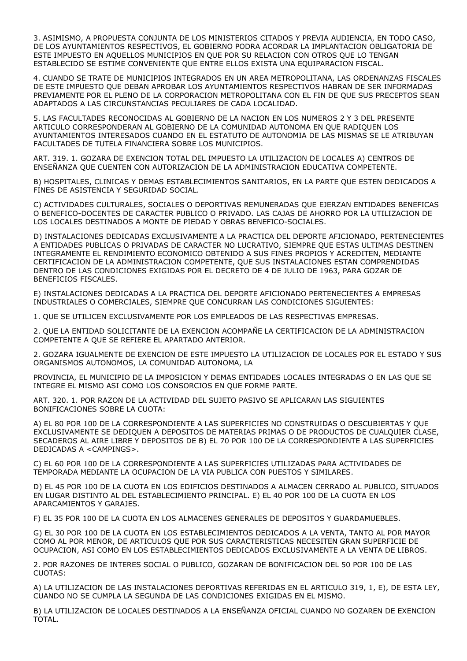3. ASIMISMO, A PROPUESTA CONJUNTA DE LOS MINISTERIOS CITADOS Y PREVIA AUDIENCIA, EN TODO CASO, DE LOS AYUNTAMIENTOS RESPECTIVOS, EL GOBIERNO PODRA ACORDAR LA IMPLANTACION OBLIGATORIA DE ESTE IMPUESTO EN AQUELLOS MUNICIPIOS EN QUE POR SU RELACION CON OTROS QUE LO TENGAN ESTABLECIDO SE ESTIME CONVENIENTE QUE ENTRE ELLOS EXISTA UNA EQUIPARACION FISCAL.

4. CUANDO SE TRATE DE MUNICIPIOS INTEGRADOS EN UN AREA METROPOLITANA, LAS ORDENANZAS FISCALES DE ESTE IMPUESTO QUE DEBAN APROBAR LOS AYUNTAMIENTOS RESPECTIVOS HABRAN DE SER INFORMADAS PREVIAMENTE POR EL PLENO DE LA CORPORACION METROPOLITANA CON EL FIN DE QUE SUS PRECEPTOS SEAN ADAPTADOS A LAS CIRCUNSTANCIAS PECULIARES DE CADA LOCALIDAD.

5. LAS FACULTADES RECONOCIDAS AL GOBIERNO DE LA NACION EN LOS NUMEROS 2 Y 3 DEL PRESENTE ARTICULO CORRESPONDERAN AL GOBIERNO DE LA COMUNIDAD AUTONOMA EN QUE RADIQUEN LOS AYUNTAMIENTOS INTERESADOS CUANDO EN EL ESTATUTO DE AUTONOMIA DE LAS MISMAS SE LE ATRIBUYAN FACULTADES DE TUTELA FINANCIERA SOBRE LOS MUNICIPIOS.

ART. 319. 1. GOZARA DE EXENCION TOTAL DEL IMPUESTO LA UTILIZACION DE LOCALES A) CENTROS DE ENSEÑANZA QUE CUENTEN CON AUTORIZACION DE LA ADMINISTRACION EDUCATIVA COMPETENTE.

B) HOSPITALES, CLINICAS Y DEMAS ESTABLECIMIENTOS SANITARIOS, EN LA PARTE QUE ESTEN DEDICADOS A FINES DE ASISTENCIA Y SEGURIDAD SOCIAL.

C) ACTIVIDADES CULTURALES, SOCIALES O DEPORTIVAS REMUNERADAS QUE EJERZAN ENTIDADES BENEFICAS O BENEFICO-DOCENTES DE CARACTER PUBLICO O PRIVADO. LAS CAJAS DE AHORRO POR LA UTILIZACION DE LOS LOCALES DESTINADOS A MONTE DE PIEDAD Y OBRAS BENEFICO-SOCIALES.

D) INSTALACIONES DEDICADAS EXCLUSIVAMENTE A LA PRACTICA DEL DEPORTE AFICIONADO, PERTENECIENTES A ENTIDADES PUBLICAS O PRIVADAS DE CARACTER NO LUCRATIVO, SIEMPRE QUE ESTAS ULTIMAS DESTINEN INTEGRAMENTE EL RENDIMIENTO ECONOMICO OBTENIDO A SUS FINES PROPIOS Y ACREDITEN, MEDIANTE CERTIFICACION DE LA ADMINISTRACION COMPETENTE, QUE SUS INSTALACIONES ESTAN COMPRENDIDAS DENTRO DE LAS CONDICIONES EXIGIDAS POR EL DECRETO DE 4 DE JULIO DE 1963, PARA GOZAR DE BENEFICIOS FISCALES.

E) INSTALACIONES DEDICADAS A LA PRACTICA DEL DEPORTE AFICIONADO PERTENECIENTES A EMPRESAS INDUSTRIALES O COMERCIALES, SIEMPRE QUE CONCURRAN LAS CONDICIONES SIGUIENTES:

1. QUE SE UTILICEN EXCLUSIVAMENTE POR LOS EMPLEADOS DE LAS RESPECTIVAS EMPRESAS.

2. QUE LA ENTIDAD SOLICITANTE DE LA EXENCION ACOMPAÑE LA CERTIFICACION DE LA ADMINISTRACION COMPETENTE A QUE SE REFIERE EL APARTADO ANTERIOR.

2. GOZARA IGUALMENTE DE EXENCION DE ESTE IMPUESTO LA UTILIZACION DE LOCALES POR EL ESTADO Y SUS ORGANISMOS AUTONOMOS, LA COMUNIDAD AUTONOMA, LA

PROVINCIA, EL MUNICIPIO DE LA IMPOSICION Y DEMAS ENTIDADES LOCALES INTEGRADAS O EN LAS QUE SE INTEGRE EL MISMO ASI COMO LOS CONSORCIOS EN QUE FORME PARTE.

ART. 320. 1. POR RAZON DE LA ACTIVIDAD DEL SUJETO PASIVO SE APLICARAN LAS SIGUIENTES BONIFICACIONES SOBRE LA CUOTA:

A) EL 80 POR 100 DE LA CORRESPONDIENTE A LAS SUPERFICIES NO CONSTRUIDAS O DESCUBIERTAS Y QUE EXCLUSIVAMENTE SE DEDIQUEN A DEPOSITOS DE MATERIAS PRIMAS O DE PRODUCTOS DE CUALQUIER CLASE, SECADEROS AL AIRE LIBRE Y DEPOSITOS DE B) EL 70 POR 100 DE LA CORRESPONDIENTE A LAS SUPERFICIES DEDICADAS A <CAMPINGS>.

C) EL 60 POR 100 DE LA CORRESPONDIENTE A LAS SUPERFICIES UTILIZADAS PARA ACTIVIDADES DE TEMPORADA MEDIANTE LA OCUPACION DE LA VIA PUBLICA CON PUESTOS Y SIMILARES.

D) EL 45 POR 100 DE LA CUOTA EN LOS EDIFICIOS DESTINADOS A ALMACEN CERRADO AL PUBLICO, SITUADOS EN LUGAR DISTINTO AL DEL ESTABLECIMIENTO PRINCIPAL. E) EL 40 POR 100 DE LA CUOTA EN LOS APARCAMIENTOS Y GARAJES.

F) EL 35 POR 100 DE LA CUOTA EN LOS ALMACENES GENERALES DE DEPOSITOS Y GUARDAMUEBLES.

G) EL 30 POR 100 DE LA CUOTA EN LOS ESTABLECIMIENTOS DEDICADOS A LA VENTA, TANTO AL POR MAYOR COMO AL POR MENOR, DE ARTICULOS QUE POR SUS CARACTERISTICAS NECESITEN GRAN SUPERFICIE DE OCUPACION, ASI COMO EN LOS ESTABLECIMIENTOS DEDICADOS EXCLUSIVAMENTE A LA VENTA DE LIBROS.

2. POR RAZONES DE INTERES SOCIAL O PUBLICO, GOZARAN DE BONIFICACION DEL 50 POR 100 DE LAS CUOTAS:

A) LA UTILIZACION DE LAS INSTALACIONES DEPORTIVAS REFERIDAS EN EL ARTICULO 319, 1, E), DE ESTA LEY, CUANDO NO SE CUMPLA LA SEGUNDA DE LAS CONDICIONES EXIGIDAS EN EL MISMO.

B) LA UTILIZACION DE LOCALES DESTINADOS A LA ENSEÑANZA OFICIAL CUANDO NO GOZAREN DE EXENCION TOTAL.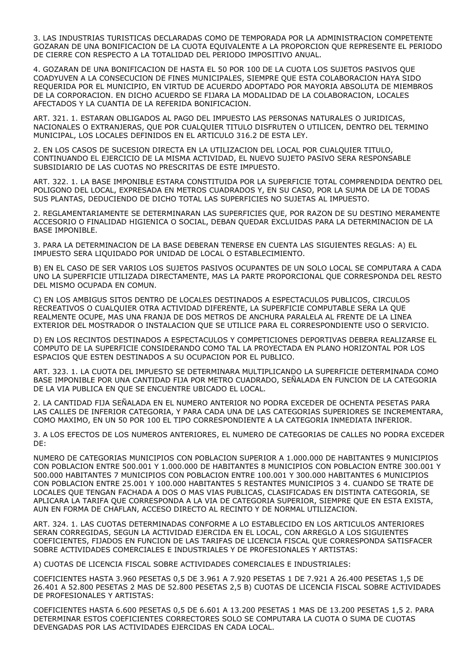3. LAS INDUSTRIAS TURISTICAS DECLARADAS COMO DE TEMPORADA POR LA ADMINISTRACION COMPETENTE GOZARAN DE UNA BONIFICACION DE LA CUOTA EQUIVALENTE A LA PROPORCION QUE REPRESENTE EL PERIODO DE CIERRE CON RESPECTO A LA TOTALIDAD DEL PERIODO IMPOSITIVO ANUAL.

4. GOZARAN DE UNA BONIFICACION DE HASTA EL 50 POR 100 DE LA CUOTA LOS SUJETOS PASIVOS QUE COADYUVEN A LA CONSECUCION DE FINES MUNICIPALES, SIEMPRE QUE ESTA COLABORACION HAYA SIDO REQUERIDA POR EL MUNICIPIO, EN VIRTUD DE ACUERDO ADOPTADO POR MAYORIA ABSOLUTA DE MIEMBROS DE LA CORPORACION. EN DICHO ACUERDO SE FIJARA LA MODALIDAD DE LA COLABORACION, LOCALES AFECTADOS Y LA CUANTIA DE LA REFERIDA BONIFICACION.

ART. 321. 1. ESTARAN OBLIGADOS AL PAGO DEL IMPUESTO LAS PERSONAS NATURALES O JURIDICAS, NACIONALES O EXTRANJERAS, QUE POR CUALQUIER TITULO DISFRUTEN O UTILICEN, DENTRO DEL TERMINO MUNICIPAL, LOS LOCALES DEFINIDOS EN EL ARTICULO 316.2 DE ESTA LEY.

2. EN LOS CASOS DE SUCESION DIRECTA EN LA UTILIZACION DEL LOCAL POR CUALQUIER TITULO, CONTINUANDO EL EJERCICIO DE LA MISMA ACTIVIDAD, EL NUEVO SUJETO PASIVO SERA RESPONSABLE SUBSIDIARIO DE LAS CUOTAS NO PRESCRITAS DE ESTE IMPUESTO.

ART. 322. 1. LA BASE IMPONIBLE ESTARA CONSTITUIDA POR LA SUPERFICIE TOTAL COMPRENDIDA DENTRO DEL POLIGONO DEL LOCAL, EXPRESADA EN METROS CUADRADOS Y, EN SU CASO, POR LA SUMA DE LA DE TODAS SUS PLANTAS, DEDUCIENDO DE DICHO TOTAL LAS SUPERFICIES NO SUJETAS AL IMPUESTO.

2. REGLAMENTARIAMENTE SE DETERMINARAN LAS SUPERFICIES QUE, POR RAZON DE SU DESTINO MERAMENTE ACCESORIO O FINALIDAD HIGIENICA O SOCIAL, DEBAN QUEDAR EXCLUIDAS PARA LA DETERMINACION DE LA BASE IMPONIBLE.

3. PARA LA DETERMINACION DE LA BASE DEBERAN TENERSE EN CUENTA LAS SIGUIENTES REGLAS: A) EL IMPUESTO SERA LIQUIDADO POR UNIDAD DE LOCAL O ESTABLECIMIENTO.

B) EN EL CASO DE SER VARIOS LOS SUJETOS PASIVOS OCUPANTES DE UN SOLO LOCAL SE COMPUTARA A CADA UNO LA SUPERFICIE UTILIZADA DIRECTAMENTE, MAS LA PARTE PROPORCIONAL QUE CORRESPONDA DEL RESTO DEL MISMO OCUPADA EN COMUN.

C) EN LOS AMBIGUS SITOS DENTRO DE LOCALES DESTINADOS A ESPECTACULOS PUBLICOS, CIRCULOS RECREATIVOS O CUALQUIER OTRA ACTIVIDAD DIFERENTE, LA SUPERFICIE COMPUTABLE SERA LA QUE REALMENTE OCUPE, MAS UNA FRANJA DE DOS METROS DE ANCHURA PARALELA AL FRENTE DE LA LINEA EXTERIOR DEL MOSTRADOR O INSTALACION QUE SE UTILICE PARA EL CORRESPONDIENTE USO O SERVICIO.

D) EN LOS RECINTOS DESTINADOS A ESPECTACULOS Y COMPETICIONES DEPORTIVAS DEBERA REALIZARSE EL COMPUTO DE LA SUPERFICIE CONSIDERANDO COMO TAL LA PROYECTADA EN PLANO HORIZONTAL POR LOS ESPACIOS QUE ESTEN DESTINADOS A SU OCUPACION POR EL PUBLICO.

ART. 323. 1. LA CUOTA DEL IMPUESTO SE DETERMINARA MULTIPLICANDO LA SUPERFICIE DETERMINADA COMO BASE IMPONIBLE POR UNA CANTIDAD FIJA POR METRO CUADRADO, SEÑALADA EN FUNCION DE LA CATEGORIA DE LA VIA PUBLICA EN QUE SE ENCUENTRE UBICADO EL LOCAL.

2. LA CANTIDAD FIJA SEÑALADA EN EL NUMERO ANTERIOR NO PODRA EXCEDER DE OCHENTA PESETAS PARA LAS CALLES DE INFERIOR CATEGORIA, Y PARA CADA UNA DE LAS CATEGORIAS SUPERIORES SE INCREMENTARA, COMO MAXIMO, EN UN 50 POR 100 EL TIPO CORRESPONDIENTE A LA CATEGORIA INMEDIATA INFERIOR.

3. A LOS EFECTOS DE LOS NUMEROS ANTERIORES, EL NUMERO DE CATEGORIAS DE CALLES NO PODRA EXCEDER DE:

NUMERO DE CATEGORIAS MUNICIPIOS CON POBLACION SUPERIOR A 1.000.000 DE HABITANTES 9 MUNICIPIOS CON POBLACION ENTRE 500.001 Y 1.000.000 DE HABITANTES 8 MUNICIPIOS CON POBLACION ENTRE 300.001 Y 500.000 HABITANTES 7 MUNICIPIOS CON POBLACION ENTRE 100.001 Y 300.000 HABITANTES 6 MUNICIPIOS CON POBLACION ENTRE 25.001 Y 100.000 HABITANTES 5 RESTANTES MUNICIPIOS 3 4. CUANDO SE TRATE DE LOCALES QUE TENGAN FACHADA A DOS O MAS VIAS PUBLICAS, CLASIFICADAS EN DISTINTA CATEGORIA, SE APLICARA LA TARIFA QUE CORRESPONDA A LA VIA DE CATEGORIA SUPERIOR, SIEMPRE QUE EN ESTA EXISTA, AUN EN FORMA DE CHAFLAN, ACCESO DIRECTO AL RECINTO Y DE NORMAL UTILIZACION.

ART. 324. 1. LAS CUOTAS DETERMINADAS CONFORME A LO ESTABLECIDO EN LOS ARTICULOS ANTERIORES SERAN CORREGIDAS, SEGUN LA ACTIVIDAD EJERCIDA EN EL LOCAL, CON ARREGLO A LOS SIGUIENTES COEFICIENTES, FIJADOS EN FUNCION DE LAS TARIFAS DE LICENCIA FISCAL QUE CORRESPONDA SATISFACER SOBRE ACTIVIDADES COMERCIALES E INDUSTRIALES Y DE PROFESIONALES Y ARTISTAS:

A) CUOTAS DE LICENCIA FISCAL SOBRE ACTIVIDADES COMERCIALES E INDUSTRIALES:

COEFICIENTES HASTA 3.960 PESETAS 0,5 DE 3.961 A 7.920 PESETAS 1 DE 7.921 A 26.400 PESETAS 1,5 DE 26.401 A 52.800 PESETAS 2 MAS DE 52.800 PESETAS 2,5 B) CUOTAS DE LICENCIA FISCAL SOBRE ACTIVIDADES DE PROFESIONALES Y ARTISTAS:

COEFICIENTES HASTA 6.600 PESETAS 0,5 DE 6.601 A 13.200 PESETAS 1 MAS DE 13.200 PESETAS 1,5 2. PARA DETERMINAR ESTOS COEFICIENTES CORRECTORES SOLO SE COMPUTARA LA CUOTA O SUMA DE CUOTAS DEVENGADAS POR LAS ACTIVIDADES EJERCIDAS EN CADA LOCAL.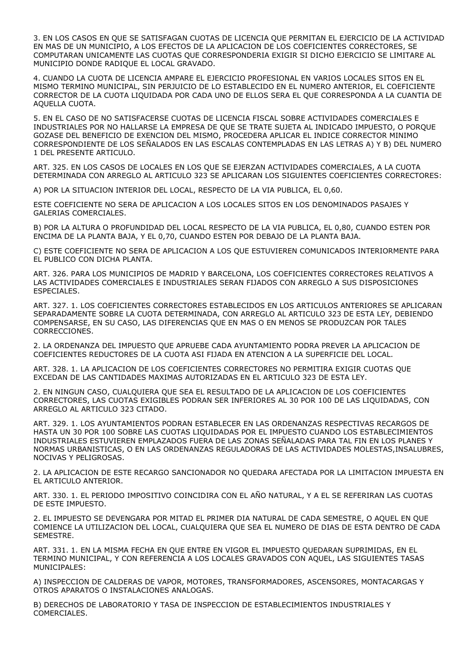3. EN LOS CASOS EN QUE SE SATISFAGAN CUOTAS DE LICENCIA QUE PERMITAN EL EJERCICIO DE LA ACTIVIDAD EN MAS DE UN MUNICIPIO, A LOS EFECTOS DE LA APLICACION DE LOS COEFICIENTES CORRECTORES, SE COMPUTARAN UNICAMENTE LAS CUOTAS QUE CORRESPONDERIA EXIGIR SI DICHO EJERCICIO SE LIMITARE AL MUNICIPIO DONDE RADIQUE EL LOCAL GRAVADO.

4. CUANDO LA CUOTA DE LICENCIA AMPARE EL EJERCICIO PROFESIONAL EN VARIOS LOCALES SITOS EN EL MISMO TERMINO MUNICIPAL, SIN PERJUICIO DE LO ESTABLECIDO EN EL NUMERO ANTERIOR, EL COEFICIENTE CORRECTOR DE LA CUOTA LIQUIDADA POR CADA UNO DE ELLOS SERA EL QUE CORRESPONDA A LA CUANTIA DE AQUELLA CUOTA.

5. EN EL CASO DE NO SATISFACERSE CUOTAS DE LICENCIA FISCAL SOBRE ACTIVIDADES COMERCIALES E INDUSTRIALES POR NO HALLARSE LA EMPRESA DE QUE SE TRATE SUJETA AL INDICADO IMPUESTO, O PORQUE GOZASE DEL BENEFICIO DE EXENCION DEL MISMO, PROCEDERA APLICAR EL INDICE CORRECTOR MINIMO CORRESPONDIENTE DE LOS SEÑALADOS EN LAS ESCALAS CONTEMPLADAS EN LAS LETRAS A) Y B) DEL NUMERO 1 DEL PRESENTE ARTICULO.

ART. 325. EN LOS CASOS DE LOCALES EN LOS QUE SE EJERZAN ACTIVIDADES COMERCIALES, A LA CUOTA DETERMINADA CON ARREGLO AL ARTICULO 323 SE APLICARAN LOS SIGUIENTES COEFICIENTES CORRECTORES:

A) POR LA SITUACION INTERIOR DEL LOCAL, RESPECTO DE LA VIA PUBLICA, EL 0,60.

ESTE COEFICIENTE NO SERA DE APLICACION A LOS LOCALES SITOS EN LOS DENOMINADOS PASAJES Y GALERIAS COMERCIALES.

B) POR LA ALTURA O PROFUNDIDAD DEL LOCAL RESPECTO DE LA VIA PUBLICA, EL 0,80, CUANDO ESTEN POR ENCIMA DE LA PLANTA BAJA, Y EL 0,70, CUANDO ESTEN POR DEBAJO DE LA PLANTA BAJA.

C) ESTE COEFICIENTE NO SERA DE APLICACION A LOS QUE ESTUVIEREN COMUNICADOS INTERIORMENTE PARA EL PUBLICO CON DICHA PLANTA.

ART. 326. PARA LOS MUNICIPIOS DE MADRID Y BARCELONA, LOS COEFICIENTES CORRECTORES RELATIVOS A LAS ACTIVIDADES COMERCIALES E INDUSTRIALES SERAN FIJADOS CON ARREGLO A SUS DISPOSICIONES ESPECIALES.

ART. 327. 1. LOS COEFICIENTES CORRECTORES ESTABLECIDOS EN LOS ARTICULOS ANTERIORES SE APLICARAN SEPARADAMENTE SOBRE LA CUOTA DETERMINADA, CON ARREGLO AL ARTICULO 323 DE ESTA LEY, DEBIENDO COMPENSARSE, EN SU CASO, LAS DIFERENCIAS QUE EN MAS O EN MENOS SE PRODUZCAN POR TALES CORRECCIONES.

2. LA ORDENANZA DEL IMPUESTO QUE APRUEBE CADA AYUNTAMIENTO PODRA PREVER LA APLICACION DE COEFICIENTES REDUCTORES DE LA CUOTA ASI FIJADA EN ATENCION A LA SUPERFICIE DEL LOCAL.

ART. 328. 1. LA APLICACION DE LOS COEFICIENTES CORRECTORES NO PERMITIRA EXIGIR CUOTAS QUE EXCEDAN DE LAS CANTIDADES MAXIMAS AUTORIZADAS EN EL ARTICULO 323 DE ESTA LEY.

2. EN NINGUN CASO, CUALQUIERA QUE SEA EL RESULTADO DE LA APLICACION DE LOS COEFICIENTES CORRECTORES, LAS CUOTAS EXIGIBLES PODRAN SER INFERIORES AL 30 POR 100 DE LAS LIQUIDADAS, CON ARREGLO AL ARTICULO 323 CITADO.

ART. 329. 1. LOS AYUNTAMIENTOS PODRAN ESTABLECER EN LAS ORDENANZAS RESPECTIVAS RECARGOS DE HASTA UN 30 POR 100 SOBRE LAS CUOTAS LIQUIDADAS POR EL IMPUESTO CUANDO LOS ESTABLECIMIENTOS INDUSTRIALES ESTUVIEREN EMPLAZADOS FUERA DE LAS ZONAS SEÑALADAS PARA TAL FIN EN LOS PLANES Y NORMAS URBANISTICAS, O EN LAS ORDENANZAS REGULADORAS DE LAS ACTIVIDADES MOLESTAS,INSALUBRES, NOCIVAS Y PELIGROSAS.

2. LA APLICACION DE ESTE RECARGO SANCIONADOR NO QUEDARA AFECTADA POR LA LIMITACION IMPUESTA EN EL ARTICULO ANTERIOR.

ART. 330. 1. EL PERIODO IMPOSITIVO COINCIDIRA CON EL AÑO NATURAL, Y A EL SE REFERIRAN LAS CUOTAS DE ESTE IMPUESTO.

2. EL IMPUESTO SE DEVENGARA POR MITAD EL PRIMER DIA NATURAL DE CADA SEMESTRE, O AQUEL EN QUE COMIENCE LA UTILIZACION DEL LOCAL, CUALQUIERA QUE SEA EL NUMERO DE DIAS DE ESTA DENTRO DE CADA SEMESTRE.

ART. 331. 1. EN LA MISMA FECHA EN QUE ENTRE EN VIGOR EL IMPUESTO QUEDARAN SUPRIMIDAS, EN EL TERMINO MUNICIPAL, Y CON REFERENCIA A LOS LOCALES GRAVADOS CON AQUEL, LAS SIGUIENTES TASAS MUNICIPALES:

A) INSPECCION DE CALDERAS DE VAPOR, MOTORES, TRANSFORMADORES, ASCENSORES, MONTACARGAS Y OTROS APARATOS O INSTALACIONES ANALOGAS.

B) DERECHOS DE LABORATORIO Y TASA DE INSPECCION DE ESTABLECIMIENTOS INDUSTRIALES Y COMERCIALES.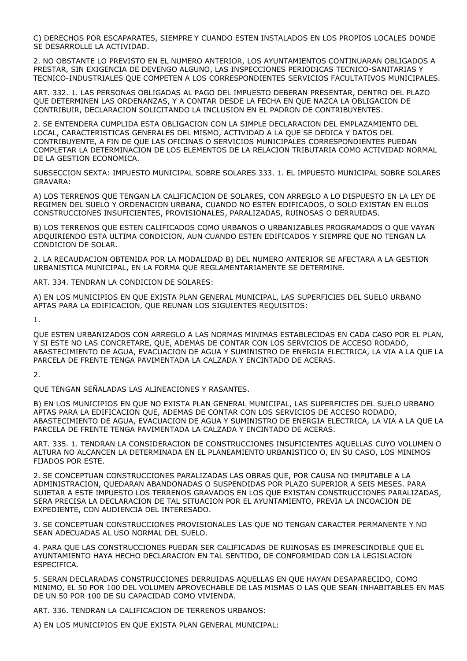C) DERECHOS POR ESCAPARATES, SIEMPRE Y CUANDO ESTEN INSTALADOS EN LOS PROPIOS LOCALES DONDE SE DESARROLLE LA ACTIVIDAD.

2. NO OBSTANTE LO PREVISTO EN EL NUMERO ANTERIOR, LOS AYUNTAMIENTOS CONTINUARAN OBLIGADOS A PRESTAR, SIN EXIGENCIA DE DEVENGO ALGUNO, LAS INSPECCIONES PERIODICAS TECNICO-SANITARIAS Y TECNICO-INDUSTRIALES QUE COMPETEN A LOS CORRESPONDIENTES SERVICIOS FACULTATIVOS MUNICIPALES.

ART. 332. 1. LAS PERSONAS OBLIGADAS AL PAGO DEL IMPUESTO DEBERAN PRESENTAR, DENTRO DEL PLAZO QUE DETERMINEN LAS ORDENANZAS, Y A CONTAR DESDE LA FECHA EN QUE NAZCA LA OBLIGACION DE CONTRIBUIR, DECLARACION SOLICITANDO LA INCLUSION EN EL PADRON DE CONTRIBUYENTES.

2. SE ENTENDERA CUMPLIDA ESTA OBLIGACION CON LA SIMPLE DECLARACION DEL EMPLAZAMIENTO DEL LOCAL, CARACTERISTICAS GENERALES DEL MISMO, ACTIVIDAD A LA QUE SE DEDICA Y DATOS DEL CONTRIBUYENTE, A FIN DE QUE LAS OFICINAS O SERVICIOS MUNICIPALES CORRESPONDIENTES PUEDAN COMPLETAR LA DETERMINACION DE LOS ELEMENTOS DE LA RELACION TRIBUTARIA COMO ACTIVIDAD NORMAL DE LA GESTION ECONOMICA.

SUBSECCION SEXTA: IMPUESTO MUNICIPAL SOBRE SOLARES 333. 1. EL IMPUESTO MUNICIPAL SOBRE SOLARES GRAVARA:

A) LOS TERRENOS QUE TENGAN LA CALIFICACION DE SOLARES, CON ARREGLO A LO DISPUESTO EN LA LEY DE REGIMEN DEL SUELO Y ORDENACION URBANA, CUANDO NO ESTEN EDIFICADOS, O SOLO EXISTAN EN ELLOS CONSTRUCCIONES INSUFICIENTES, PROVISIONALES, PARALIZADAS, RUINOSAS O DERRUIDAS.

B) LOS TERRENOS QUE ESTEN CALIFICADOS COMO URBANOS O URBANIZABLES PROGRAMADOS O QUE VAYAN ADQUIRIENDO ESTA ULTIMA CONDICION, AUN CUANDO ESTEN EDIFICADOS Y SIEMPRE QUE NO TENGAN LA CONDICION DE SOLAR.

2. LA RECAUDACION OBTENIDA POR LA MODALIDAD B) DEL NUMERO ANTERIOR SE AFECTARA A LA GESTION URBANISTICA MUNICIPAL, EN LA FORMA QUE REGLAMENTARIAMENTE SE DETERMINE.

ART. 334. TENDRAN LA CONDICION DE SOLARES:

A) EN LOS MUNICIPIOS EN QUE EXISTA PLAN GENERAL MUNICIPAL, LAS SUPERFICIES DEL SUELO URBANO APTAS PARA LA EDIFICACION, QUE REUNAN LOS SIGUIENTES REQUISITOS:

1.

QUE ESTEN URBANIZADOS CON ARREGLO A LAS NORMAS MINIMAS ESTABLECIDAS EN CADA CASO POR EL PLAN, Y SI ESTE NO LAS CONCRETARE, QUE, ADEMAS DE CONTAR CON LOS SERVICIOS DE ACCESO RODADO, ABASTECIMIENTO DE AGUA, EVACUACION DE AGUA Y SUMINISTRO DE ENERGIA ELECTRICA, LA VIA A LA QUE LA PARCELA DE FRENTE TENGA PAVIMENTADA LA CALZADA Y ENCINTADO DE ACERAS.

2.

QUE TENGAN SEÑALADAS LAS ALINEACIONES Y RASANTES.

B) EN LOS MUNICIPIOS EN QUE NO EXISTA PLAN GENERAL MUNICIPAL, LAS SUPERFICIES DEL SUELO URBANO APTAS PARA LA EDIFICACION QUE, ADEMAS DE CONTAR CON LOS SERVICIOS DE ACCESO RODADO, ABASTECIMIENTO DE AGUA, EVACUACION DE AGUA Y SUMINISTRO DE ENERGIA ELECTRICA, LA VIA A LA QUE LA PARCELA DE FRENTE TENGA PAVIMENTADA LA CALZADA Y ENCINTADO DE ACERAS.

ART. 335. 1. TENDRAN LA CONSIDERACION DE CONSTRUCCIONES INSUFICIENTES AQUELLAS CUYO VOLUMEN O ALTURA NO ALCANCEN LA DETERMINADA EN EL PLANEAMIENTO URBANISTICO O, EN SU CASO, LOS MINIMOS FIJADOS POR ESTE.

2. SE CONCEPTUAN CONSTRUCCIONES PARALIZADAS LAS OBRAS QUE, POR CAUSA NO IMPUTABLE A LA ADMINISTRACION, QUEDARAN ABANDONADAS O SUSPENDIDAS POR PLAZO SUPERIOR A SEIS MESES. PARA SUJETAR A ESTE IMPUESTO LOS TERRENOS GRAVADOS EN LOS QUE EXISTAN CONSTRUCCIONES PARALIZADAS, SERA PRECISA LA DECLARACION DE TAL SITUACION POR EL AYUNTAMIENTO, PREVIA LA INCOACION DE EXPEDIENTE, CON AUDIENCIA DEL INTERESADO.

3. SE CONCEPTUAN CONSTRUCCIONES PROVISIONALES LAS QUE NO TENGAN CARACTER PERMANENTE Y NO SEAN ADECUADAS AL USO NORMAL DEL SUELO.

4. PARA QUE LAS CONSTRUCCIONES PUEDAN SER CALIFICADAS DE RUINOSAS ES IMPRESCINDIBLE QUE EL AYUNTAMIENTO HAYA HECHO DECLARACION EN TAL SENTIDO, DE CONFORMIDAD CON LA LEGISLACION ESPECIFICA.

5. SERAN DECLARADAS CONSTRUCCIONES DERRUIDAS AQUELLAS EN QUE HAYAN DESAPARECIDO, COMO MINIMO, EL 50 POR 100 DEL VOLUMEN APROVECHABLE DE LAS MISMAS O LAS QUE SEAN INHABITABLES EN MAS DE UN 50 POR 100 DE SU CAPACIDAD COMO VIVIENDA.

ART. 336. TENDRAN LA CALIFICACION DE TERRENOS URBANOS:

A) EN LOS MUNICIPIOS EN QUE EXISTA PLAN GENERAL MUNICIPAL: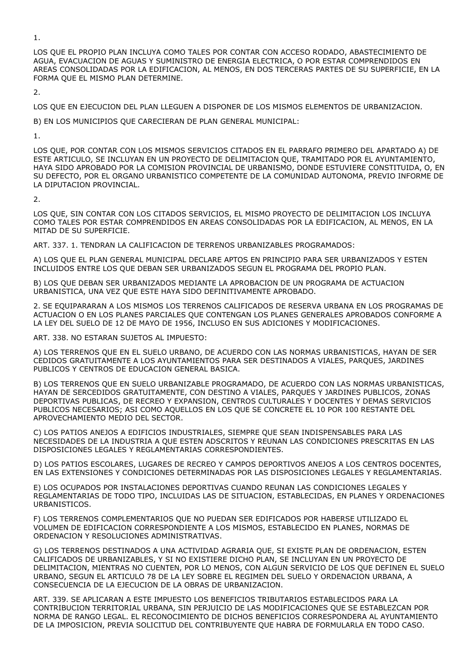1.

LOS QUE EL PROPIO PLAN INCLUYA COMO TALES POR CONTAR CON ACCESO RODADO, ABASTECIMIENTO DE AGUA, EVACUACION DE AGUAS Y SUMINISTRO DE ENERGIA ELECTRICA, O POR ESTAR COMPRENDIDOS EN AREAS CONSOLIDADAS POR LA EDIFICACION, AL MENOS, EN DOS TERCERAS PARTES DE SU SUPERFICIE, EN LA FORMA QUE EL MISMO PLAN DETERMINE.

2.

LOS QUE EN EJECUCION DEL PLAN LLEGUEN A DISPONER DE LOS MISMOS ELEMENTOS DE URBANIZACION.

B) EN LOS MUNICIPIOS QUE CARECIERAN DE PLAN GENERAL MUNICIPAL:

1.

LOS QUE, POR CONTAR CON LOS MISMOS SERVICIOS CITADOS EN EL PARRAFO PRIMERO DEL APARTADO A) DE ESTE ARTICULO, SE INCLUYAN EN UN PROYECTO DE DELIMITACION QUE, TRAMITADO POR EL AYUNTAMIENTO, HAYA SIDO APROBADO POR LA COMISION PROVINCIAL DE URBANISMO, DONDE ESTUVIERE CONSTITUIDA, O, EN SU DEFECTO, POR EL ORGANO URBANISTICO COMPETENTE DE LA COMUNIDAD AUTONOMA, PREVIO INFORME DE LA DIPUTACION PROVINCIAL.

 $\overline{2}$ 

LOS QUE, SIN CONTAR CON LOS CITADOS SERVICIOS, EL MISMO PROYECTO DE DELIMITACION LOS INCLUYA COMO TALES POR ESTAR COMPRENDIDOS EN AREAS CONSOLIDADAS POR LA EDIFICACION, AL MENOS, EN LA MITAD DE SU SUPERFICIE.

ART. 337. 1. TENDRAN LA CALIFICACION DE TERRENOS URBANIZABLES PROGRAMADOS:

A) LOS QUE EL PLAN GENERAL MUNICIPAL DECLARE APTOS EN PRINCIPIO PARA SER URBANIZADOS Y ESTEN INCLUIDOS ENTRE LOS QUE DEBAN SER URBANIZADOS SEGUN EL PROGRAMA DEL PROPIO PLAN.

B) LOS QUE DEBAN SER URBANIZADOS MEDIANTE LA APROBACION DE UN PROGRAMA DE ACTUACION URBANISTICA, UNA VEZ QUE ESTE HAYA SIDO DEFINITIVAMENTE APROBADO.

2. SE EQUIPARARAN A LOS MISMOS LOS TERRENOS CALIFICADOS DE RESERVA URBANA EN LOS PROGRAMAS DE ACTUACION O EN LOS PLANES PARCIALES QUE CONTENGAN LOS PLANES GENERALES APROBADOS CONFORME A LA LEY DEL SUELO DE 12 DE MAYO DE 1956, INCLUSO EN SUS ADICIONES Y MODIFICACIONES.

ART. 338. NO ESTARAN SUJETOS AL IMPUESTO:

A) LOS TERRENOS QUE EN EL SUELO URBANO, DE ACUERDO CON LAS NORMAS URBANISTICAS, HAYAN DE SER CEDIDOS GRATUITAMENTE A LOS AYUNTAMIENTOS PARA SER DESTINADOS A VIALES, PARQUES, JARDINES PUBLICOS Y CENTROS DE EDUCACION GENERAL BASICA.

B) LOS TERRENOS QUE EN SUELO URBANIZABLE PROGRAMADO, DE ACUERDO CON LAS NORMAS URBANISTICAS, HAYAN DE SERCEDIDOS GRATUITAMENTE, CON DESTINO A VIALES, PARQUES Y JARDINES PUBLICOS, ZONAS DEPORTIVAS PUBLICAS, DE RECREO Y EXPANSION, CENTROS CULTURALES Y DOCENTES Y DEMAS SERVICIOS PUBLICOS NECESARIOS; ASI COMO AQUELLOS EN LOS QUE SE CONCRETE EL 10 POR 100 RESTANTE DEL APROVECHAMIENTO MEDIO DEL SECTOR.

C) LOS PATIOS ANEJOS A EDIFICIOS INDUSTRIALES, SIEMPRE QUE SEAN INDISPENSABLES PARA LAS NECESIDADES DE LA INDUSTRIA A QUE ESTEN ADSCRITOS Y REUNAN LAS CONDICIONES PRESCRITAS EN LAS DISPOSICIONES LEGALES Y REGLAMENTARIAS CORRESPONDIENTES.

D) LOS PATIOS ESCOLARES, LUGARES DE RECREO Y CAMPOS DEPORTIVOS ANEJOS A LOS CENTROS DOCENTES, EN LAS EXTENSIONES Y CONDICIONES DETERMINADAS POR LAS DISPOSICIONES LEGALES Y REGLAMENTARIAS.

E) LOS OCUPADOS POR INSTALACIONES DEPORTIVAS CUANDO REUNAN LAS CONDICIONES LEGALES Y REGLAMENTARIAS DE TODO TIPO, INCLUIDAS LAS DE SITUACION, ESTABLECIDAS, EN PLANES Y ORDENACIONES URBANISTICOS.

F) LOS TERRENOS COMPLEMENTARIOS QUE NO PUEDAN SER EDIFICADOS POR HABERSE UTILIZADO EL VOLUMEN DE EDIFICACION CORRESPONDIENTE A LOS MISMOS, ESTABLECIDO EN PLANES, NORMAS DE ORDENACION Y RESOLUCIONES ADMINISTRATIVAS.

G) LOS TERRENOS DESTINADOS A UNA ACTIVIDAD AGRARIA QUE, SI EXISTE PLAN DE ORDENACION, ESTEN CALIFICADOS DE URBANIZABLES, Y SI NO EXISTIERE DICHO PLAN, SE INCLUYAN EN UN PROYECTO DE DELIMITACION, MIENTRAS NO CUENTEN, POR LO MENOS, CON ALGUN SERVICIO DE LOS QUE DEFINEN EL SUELO URBANO, SEGUN EL ARTICULO 78 DE LA LEY SOBRE EL REGIMEN DEL SUELO Y ORDENACION URBANA, A CONSECUENCIA DE LA EJECUCION DE LA OBRAS DE URBANIZACION.

ART. 339. SE APLICARAN A ESTE IMPUESTO LOS BENEFICIOS TRIBUTARIOS ESTABLECIDOS PARA LA CONTRIBUCION TERRITORIAL URBANA, SIN PERJUICIO DE LAS MODIFICACIONES QUE SE ESTABLEZCAN POR NORMA DE RANGO LEGAL. EL RECONOCIMIENTO DE DICHOS BENEFICIOS CORRESPONDERA AL AYUNTAMIENTO DE LA IMPOSICION, PREVIA SOLICITUD DEL CONTRIBUYENTE QUE HABRA DE FORMULARLA EN TODO CASO.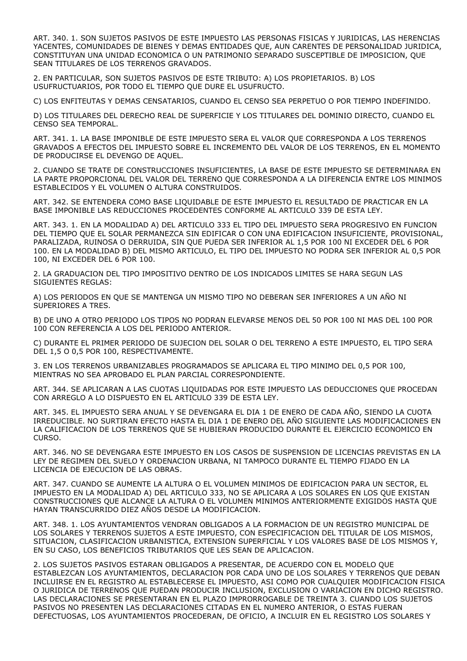ART. 340. 1. SON SUJETOS PASIVOS DE ESTE IMPUESTO LAS PERSONAS FISICAS Y JURIDICAS, LAS HERENCIAS YACENTES, COMUNIDADES DE BIENES Y DEMAS ENTIDADES QUE, AUN CARENTES DE PERSONALIDAD JURIDICA, CONSTITUYAN UNA UNIDAD ECONOMICA O UN PATRIMONIO SEPARADO SUSCEPTIBLE DE IMPOSICION, QUE SEAN TITULARES DE LOS TERRENOS GRAVADOS.

2. EN PARTICULAR, SON SUJETOS PASIVOS DE ESTE TRIBUTO: A) LOS PROPIETARIOS. B) LOS USUFRUCTUARIOS, POR TODO EL TIEMPO QUE DURE EL USUFRUCTO.

C) LOS ENFITEUTAS Y DEMAS CENSATARIOS, CUANDO EL CENSO SEA PERPETUO O POR TIEMPO INDEFINIDO.

D) LOS TITULARES DEL DERECHO REAL DE SUPERFICIE Y LOS TITULARES DEL DOMINIO DIRECTO, CUANDO EL CENSO SEA TEMPORAL.

ART. 341. 1. LA BASE IMPONIBLE DE ESTE IMPUESTO SERA EL VALOR QUE CORRESPONDA A LOS TERRENOS GRAVADOS A EFECTOS DEL IMPUESTO SOBRE EL INCREMENTO DEL VALOR DE LOS TERRENOS, EN EL MOMENTO DE PRODUCIRSE EL DEVENGO DE AQUEL.

2. CUANDO SE TRATE DE CONSTRUCCIONES INSUFICIENTES, LA BASE DE ESTE IMPUESTO SE DETERMINARA EN LA PARTE PROPORCIONAL DEL VALOR DEL TERRENO QUE CORRESPONDA A LA DIFERENCIA ENTRE LOS MINIMOS ESTABLECIDOS Y EL VOLUMEN O ALTURA CONSTRUIDOS.

ART. 342. SE ENTENDERA COMO BASE LIQUIDABLE DE ESTE IMPUESTO EL RESULTADO DE PRACTICAR EN LA BASE IMPONIBLE LAS REDUCCIONES PROCEDENTES CONFORME AL ARTICULO 339 DE ESTA LEY.

ART. 343. 1. EN LA MODALIDAD A) DEL ARTICULO 333 EL TIPO DEL IMPUESTO SERA PROGRESIVO EN FUNCION DEL TIEMPO QUE EL SOLAR PERMANEZCA SIN EDIFICAR O CON UNA EDIFICACION INSUFICIENTE, PROVISIONAL, PARALIZADA, RUINOSA O DERRUIDA, SIN QUE PUEDA SER INFERIOR AL 1,5 POR 100 NI EXCEDER DEL 6 POR 100. EN LA MODALIDAD B) DEL MISMO ARTICULO, EL TIPO DEL IMPUESTO NO PODRA SER INFERIOR AL 0,5 POR 100, NI EXCEDER DEL 6 POR 100.

2. LA GRADUACION DEL TIPO IMPOSITIVO DENTRO DE LOS INDICADOS LIMITES SE HARA SEGUN LAS SIGUIENTES REGLAS:

A) LOS PERIODOS EN QUE SE MANTENGA UN MISMO TIPO NO DEBERAN SER INFERIORES A UN AÑO NI SUPERIORES A TRES.

B) DE UNO A OTRO PERIODO LOS TIPOS NO PODRAN ELEVARSE MENOS DEL 50 POR 100 NI MAS DEL 100 POR 100 CON REFERENCIA A LOS DEL PERIODO ANTERIOR.

C) DURANTE EL PRIMER PERIODO DE SUJECION DEL SOLAR O DEL TERRENO A ESTE IMPUESTO, EL TIPO SERA DEL 1,5 O 0,5 POR 100, RESPECTIVAMENTE.

3. EN LOS TERRENOS URBANIZABLES PROGRAMADOS SE APLICARA EL TIPO MINIMO DEL 0,5 POR 100, MIENTRAS NO SEA APROBADO EL PLAN PARCIAL CORRESPONDIENTE.

ART. 344. SE APLICARAN A LAS CUOTAS LIQUIDADAS POR ESTE IMPUESTO LAS DEDUCCIONES QUE PROCEDAN CON ARREGLO A LO DISPUESTO EN EL ARTICULO 339 DE ESTA LEY.

ART. 345. EL IMPUESTO SERA ANUAL Y SE DEVENGARA EL DIA 1 DE ENERO DE CADA AÑO, SIENDO LA CUOTA IRREDUCIBLE. NO SURTIRAN EFECTO HASTA EL DIA 1 DE ENERO DEL AÑO SIGUIENTE LAS MODIFICACIONES EN LA CALIFICACION DE LOS TERRENOS QUE SE HUBIERAN PRODUCIDO DURANTE EL EJERCICIO ECONOMICO EN CURSO.

ART. 346. NO SE DEVENGARA ESTE IMPUESTO EN LOS CASOS DE SUSPENSION DE LICENCIAS PREVISTAS EN LA LEY DE REGIMEN DEL SUELO Y ORDENACION URBANA, NI TAMPOCO DURANTE EL TIEMPO FIJADO EN LA LICENCIA DE EJECUCION DE LAS OBRAS.

ART. 347. CUANDO SE AUMENTE LA ALTURA O EL VOLUMEN MINIMOS DE EDIFICACION PARA UN SECTOR, EL IMPUESTO EN LA MODALIDAD A) DEL ARTICULO 333, NO SE APLICARA A LOS SOLARES EN LOS QUE EXISTAN CONSTRUCCIONES QUE ALCANCE LA ALTURA O EL VOLUMEN MINIMOS ANTERIORMENTE EXIGIDOS HASTA QUE HAYAN TRANSCURRIDO DIEZ AÑOS DESDE LA MODIFICACION.

ART. 348. 1. LOS AYUNTAMIENTOS VENDRAN OBLIGADOS A LA FORMACION DE UN REGISTRO MUNICIPAL DE LOS SOLARES Y TERRENOS SUJETOS A ESTE IMPUESTO, CON ESPECIFICACION DEL TITULAR DE LOS MISMOS, SITUACION, CLASIFICACION URBANISTICA, EXTENSION SUPERFICIAL Y LOS VALORES BASE DE LOS MISMOS Y, EN SU CASO, LOS BENEFICIOS TRIBUTARIOS QUE LES SEAN DE APLICACION.

2. LOS SUJETOS PASIVOS ESTARAN OBLIGADOS A PRESENTAR, DE ACUERDO CON EL MODELO QUE ESTABLEZCAN LOS AYUNTAMIENTOS, DECLARACION POR CADA UNO DE LOS SOLARES Y TERRENOS QUE DEBAN INCLUIRSE EN EL REGISTRO AL ESTABLECERSE EL IMPUESTO, ASI COMO POR CUALQUIER MODIFICACION FISICA O JURIDICA DE TERRENOS QUE PUEDAN PRODUCIR INCLUSION, EXCLUSION O VARIACION EN DICHO REGISTRO. LAS DECLARACIONES SE PRESENTARAN EN EL PLAZO IMPRORROGABLE DE TREINTA 3. CUANDO LOS SUJETOS PASIVOS NO PRESENTEN LAS DECLARACIONES CITADAS EN EL NUMERO ANTERIOR, O ESTAS FUERAN DEFECTUOSAS, LOS AYUNTAMIENTOS PROCEDERAN, DE OFICIO, A INCLUIR EN EL REGISTRO LOS SOLARES Y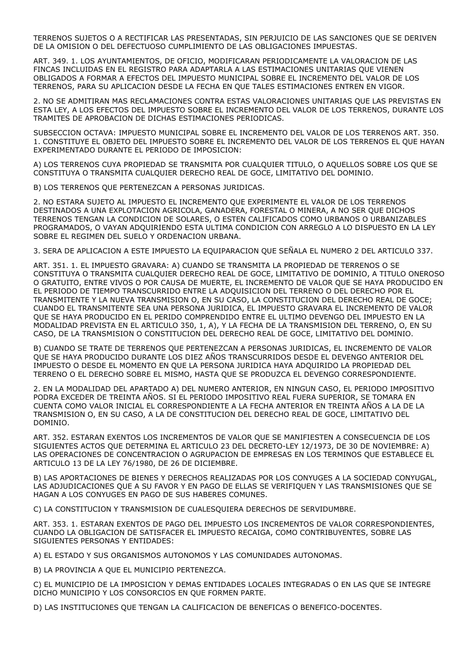TERRENOS SUJETOS O A RECTIFICAR LAS PRESENTADAS, SIN PERJUICIO DE LAS SANCIONES QUE SE DERIVEN DE LA OMISION O DEL DEFECTUOSO CUMPLIMIENTO DE LAS OBLIGACIONES IMPUESTAS.

ART. 349. 1. LOS AYUNTAMIENTOS, DE OFICIO, MODIFICARAN PERIODICAMENTE LA VALORACION DE LAS FINCAS INCLUIDAS EN EL REGISTRO PARA ADAPTARLA A LAS ESTIMACIONES UNITARIAS QUE VIENEN OBLIGADOS A FORMAR A EFECTOS DEL IMPUESTO MUNICIPAL SOBRE EL INCREMENTO DEL VALOR DE LOS TERRENOS, PARA SU APLICACION DESDE LA FECHA EN QUE TALES ESTIMACIONES ENTREN EN VIGOR.

2. NO SE ADMITIRAN MAS RECLAMACIONES CONTRA ESTAS VALORACIONES UNITARIAS QUE LAS PREVISTAS EN ESTA LEY, A LOS EFECTOS DEL IMPUESTO SOBRE EL INCREMENTO DEL VALOR DE LOS TERRENOS, DURANTE LOS TRAMITES DE APROBACION DE DICHAS ESTIMACIONES PERIODICAS.

SUBSECCION OCTAVA: IMPUESTO MUNICIPAL SOBRE EL INCREMENTO DEL VALOR DE LOS TERRENOS ART. 350. 1. CONSTITUYE EL OBJETO DEL IMPUESTO SOBRE EL INCREMENTO DEL VALOR DE LOS TERRENOS EL QUE HAYAN EXPERIMENTADO DURANTE EL PERIODO DE IMPOSICION:

A) LOS TERRENOS CUYA PROPIEDAD SE TRANSMITA POR CUALQUIER TITULO, O AQUELLOS SOBRE LOS QUE SE CONSTITUYA O TRANSMITA CUALQUIER DERECHO REAL DE GOCE, LIMITATIVO DEL DOMINIO.

B) LOS TERRENOS QUE PERTENEZCAN A PERSONAS JURIDICAS.

2. NO ESTARA SUJETO AL IMPUESTO EL INCREMENTO QUE EXPERIMENTE EL VALOR DE LOS TERRENOS DESTINADOS A UNA EXPLOTACION AGRICOLA, GANADERA, FORESTAL O MINERA, A NO SER QUE DICHOS TERRENOS TENGAN LA CONDICION DE SOLARES, O ESTEN CALIFICADOS COMO URBANOS O URBANIZABLES PROGRAMADOS, O VAYAN ADQUIRIENDO ESTA ULTIMA CONDICION CON ARREGLO A LO DISPUESTO EN LA LEY SOBRE EL REGIMEN DEL SUELO Y ORDENACION URBANA.

3. SERA DE APLICACION A ESTE IMPUESTO LA EQUIPARACION QUE SEÑALA EL NUMERO 2 DEL ARTICULO 337.

ART. 351. 1. EL IMPUESTO GRAVARA: A) CUANDO SE TRANSMITA LA PROPIEDAD DE TERRENOS O SE CONSTITUYA O TRANSMITA CUALQUIER DERECHO REAL DE GOCE, LIMITATIVO DE DOMINIO, A TITULO ONEROSO O GRATUITO, ENTRE VIVOS O POR CAUSA DE MUERTE, EL INCREMENTO DE VALOR QUE SE HAYA PRODUCIDO EN EL PERIODO DE TIEMPO TRANSCURRIDO ENTRE LA ADQUISICION DEL TERRENO O DEL DERECHO POR EL TRANSMITENTE Y LA NUEVA TRANSMISION O, EN SU CASO, LA CONSTITUCION DEL DERECHO REAL DE GOCE; CUANDO EL TRANSMITENTE SEA UNA PERSONA JURIDICA, EL IMPUESTO GRAVARA EL INCREMENTO DE VALOR QUE SE HAYA PRODUCIDO EN EL PERIDO COMPRENDIDO ENTRE EL ULTIMO DEVENGO DEL IMPUESTO EN LA MODALIDAD PREVISTA EN EL ARTICULO 350, 1, A), Y LA FECHA DE LA TRANSMISION DEL TERRENO, O, EN SU CASO, DE LA TRANSMISION O CONSTITUCION DEL DERECHO REAL DE GOCE, LIMITATIVO DEL DOMINIO.

B) CUANDO SE TRATE DE TERRENOS QUE PERTENEZCAN A PERSONAS JURIDICAS, EL INCREMENTO DE VALOR QUE SE HAYA PRODUCIDO DURANTE LOS DIEZ AÑOS TRANSCURRIDOS DESDE EL DEVENGO ANTERIOR DEL IMPUESTO O DESDE EL MOMENTO EN QUE LA PERSONA JURIDICA HAYA ADQUIRIDO LA PROPIEDAD DEL TERRENO O EL DERECHO SOBRE EL MISMO, HASTA QUE SE PRODUZCA EL DEVENGO CORRESPONDIENTE.

2. EN LA MODALIDAD DEL APARTADO A) DEL NUMERO ANTERIOR, EN NINGUN CASO, EL PERIODO IMPOSITIVO PODRA EXCEDER DE TREINTA AÑOS. SI EL PERIODO IMPOSITIVO REAL FUERA SUPERIOR, SE TOMARA EN CUENTA COMO VALOR INICIAL EL CORRESPONDIENTE A LA FECHA ANTERIOR EN TREINTA AÑOS A LA DE LA TRANSMISION O, EN SU CASO, A LA DE CONSTITUCION DEL DERECHO REAL DE GOCE, LIMITATIVO DEL DOMINIO.

ART. 352. ESTARAN EXENTOS LOS INCREMENTOS DE VALOR QUE SE MANIFIESTEN A CONSECUENCIA DE LOS SIGUIENTES ACTOS QUE DETERMINA EL ARTICULO 23 DEL DECRETO-LEY 12/1973, DE 30 DE NOVIEMBRE: A) LAS OPERACIONES DE CONCENTRACION O AGRUPACION DE EMPRESAS EN LOS TERMINOS QUE ESTABLECE EL ARTICULO 13 DE LA LEY 76/1980, DE 26 DE DICIEMBRE.

B) LAS APORTACIONES DE BIENES Y DERECHOS REALIZADAS POR LOS CONYUGES A LA SOCIEDAD CONYUGAL, LAS ADJUDICACIONES QUE A SU FAVOR Y EN PAGO DE ELLAS SE VERIFIQUEN Y LAS TRANSMISIONES QUE SE HAGAN A LOS CONYUGES EN PAGO DE SUS HABERES COMUNES.

C) LA CONSTITUCION Y TRANSMISION DE CUALESQUIERA DERECHOS DE SERVIDUMBRE.

ART. 353. 1. ESTARAN EXENTOS DE PAGO DEL IMPUESTO LOS INCREMENTOS DE VALOR CORRESPONDIENTES, CUANDO LA OBLIGACION DE SATISFACER EL IMPUESTO RECAIGA, COMO CONTRIBUYENTES, SOBRE LAS SIGUIENTES PERSONAS Y ENTIDADES:

A) EL ESTADO Y SUS ORGANISMOS AUTONOMOS Y LAS COMUNIDADES AUTONOMAS.

B) LA PROVINCIA A QUE EL MUNICIPIO PERTENEZCA.

C) EL MUNICIPIO DE LA IMPOSICION Y DEMAS ENTIDADES LOCALES INTEGRADAS O EN LAS QUE SE INTEGRE DICHO MUNICIPIO Y LOS CONSORCIOS EN QUE FORMEN PARTE.

D) LAS INSTITUCIONES QUE TENGAN LA CALIFICACION DE BENEFICAS O BENEFICO-DOCENTES.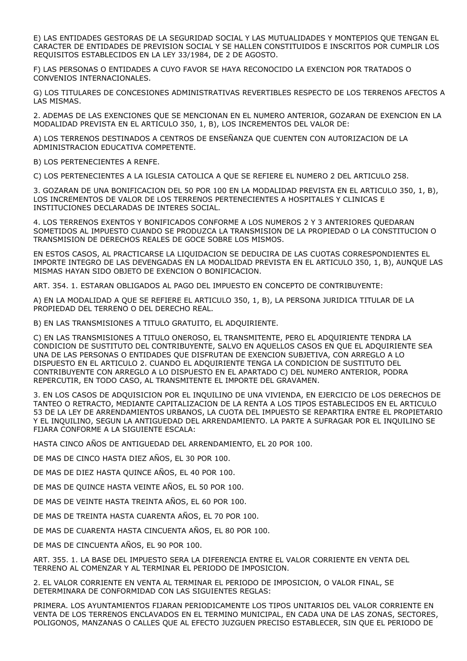E) LAS ENTIDADES GESTORAS DE LA SEGURIDAD SOCIAL Y LAS MUTUALIDADES Y MONTEPIOS QUE TENGAN EL CARACTER DE ENTIDADES DE PREVISION SOCIAL Y SE HALLEN CONSTITUIDOS E INSCRITOS POR CUMPLIR LOS REQUISITOS ESTABLECIDOS EN LA LEY 33/1984, DE 2 DE AGOSTO.

F) LAS PERSONAS O ENTIDADES A CUYO FAVOR SE HAYA RECONOCIDO LA EXENCION POR TRATADOS O CONVENIOS INTERNACIONALES.

G) LOS TITULARES DE CONCESIONES ADMINISTRATIVAS REVERTIBLES RESPECTO DE LOS TERRENOS AFECTOS A LAS MISMAS.

2. ADEMAS DE LAS EXENCIONES QUE SE MENCIONAN EN EL NUMERO ANTERIOR, GOZARAN DE EXENCION EN LA MODALIDAD PREVISTA EN EL ARTICULO 350, 1, B), LOS INCREMENTOS DEL VALOR DE:

A) LOS TERRENOS DESTINADOS A CENTROS DE ENSEÑANZA QUE CUENTEN CON AUTORIZACION DE LA ADMINISTRACION EDUCATIVA COMPETENTE.

B) LOS PERTENECIENTES A RENFE.

C) LOS PERTENECIENTES A LA IGLESIA CATOLICA A QUE SE REFIERE EL NUMERO 2 DEL ARTICULO 258.

3. GOZARAN DE UNA BONIFICACION DEL 50 POR 100 EN LA MODALIDAD PREVISTA EN EL ARTICULO 350, 1, B), LOS INCREMENTOS DE VALOR DE LOS TERRENOS PERTENECIENTES A HOSPITALES Y CLINICAS E INSTITUCIONES DECLARADAS DE INTERES SOCIAL.

4. LOS TERRENOS EXENTOS Y BONIFICADOS CONFORME A LOS NUMEROS 2 Y 3 ANTERIORES QUEDARAN SOMETIDOS AL IMPUESTO CUANDO SE PRODUZCA LA TRANSMISION DE LA PROPIEDAD O LA CONSTITUCION O TRANSMISION DE DERECHOS REALES DE GOCE SOBRE LOS MISMOS.

EN ESTOS CASOS, AL PRACTICARSE LA LIQUIDACION SE DEDUCIRA DE LAS CUOTAS CORRESPONDIENTES EL IMPORTE INTEGRO DE LAS DEVENGADAS EN LA MODALIDAD PREVISTA EN EL ARTICULO 350, 1, B), AUNQUE LAS MISMAS HAYAN SIDO OBJETO DE EXENCION O BONIFICACION.

ART. 354. 1. ESTARAN OBLIGADOS AL PAGO DEL IMPUESTO EN CONCEPTO DE CONTRIBUYENTE:

A) EN LA MODALIDAD A QUE SE REFIERE EL ARTICULO 350, 1, B), LA PERSONA JURIDICA TITULAR DE LA PROPIEDAD DEL TERRENO O DEL DERECHO REAL.

B) EN LAS TRANSMISIONES A TITULO GRATUITO, EL ADQUIRIENTE.

C) EN LAS TRANSMISIONES A TITULO ONEROSO, EL TRANSMITENTE, PERO EL ADQUIRIENTE TENDRA LA CONDICION DE SUSTITUTO DEL CONTRIBUYENTE, SALVO EN AQUELLOS CASOS EN QUE EL ADQUIRIENTE SEA UNA DE LAS PERSONAS O ENTIDADES QUE DISFRUTAN DE EXENCION SUBJETIVA, CON ARREGLO A LO DISPUESTO EN EL ARTICULO 2. CUANDO EL ADQUIRIENTE TENGA LA CONDICION DE SUSTITUTO DEL CONTRIBUYENTE CON ARREGLO A LO DISPUESTO EN EL APARTADO C) DEL NUMERO ANTERIOR, PODRA REPERCUTIR, EN TODO CASO, AL TRANSMITENTE EL IMPORTE DEL GRAVAMEN.

3. EN LOS CASOS DE ADQUISICION POR EL INQUILINO DE UNA VIVIENDA, EN EJERCICIO DE LOS DERECHOS DE TANTEO O RETRACTO, MEDIANTE CAPITALIZACION DE LA RENTA A LOS TIPOS ESTABLECIDOS EN EL ARTICULO 53 DE LA LEY DE ARRENDAMIENTOS URBANOS, LA CUOTA DEL IMPUESTO SE REPARTIRA ENTRE EL PROPIETARIO Y EL INQUILINO, SEGUN LA ANTIGUEDAD DEL ARRENDAMIENTO. LA PARTE A SUFRAGAR POR EL INQUILINO SE FIJARA CONFORME A LA SIGUIENTE ESCALA:

HASTA CINCO AÑOS DE ANTIGUEDAD DEL ARRENDAMIENTO, EL 20 POR 100.

DE MAS DE CINCO HASTA DIEZ AÑOS, EL 30 POR 100.

DE MAS DE DIEZ HASTA QUINCE AÑOS, EL 40 POR 100.

DE MAS DE QUINCE HASTA VEINTE AÑOS, EL 50 POR 100.

DE MAS DE VEINTE HASTA TREINTA AÑOS, EL 60 POR 100.

DE MAS DE TREINTA HASTA CUARENTA AÑOS, EL 70 POR 100.

DE MAS DE CUARENTA HASTA CINCUENTA AÑOS, EL 80 POR 100.

DE MAS DE CINCUENTA AÑOS, EL 90 POR 100.

ART. 355. 1. LA BASE DEL IMPUESTO SERA LA DIFERENCIA ENTRE EL VALOR CORRIENTE EN VENTA DEL TERRENO AL COMENZAR Y AL TERMINAR EL PERIODO DE IMPOSICION.

2. EL VALOR CORRIENTE EN VENTA AL TERMINAR EL PERIODO DE IMPOSICION, O VALOR FINAL, SE DETERMINARA DE CONFORMIDAD CON LAS SIGUIENTES REGLAS:

PRIMERA. LOS AYUNTAMIENTOS FIJARAN PERIODICAMENTE LOS TIPOS UNITARIOS DEL VALOR CORRIENTE EN VENTA DE LOS TERRENOS ENCLAVADOS EN EL TERMINO MUNICIPAL, EN CADA UNA DE LAS ZONAS, SECTORES, POLIGONOS, MANZANAS O CALLES QUE AL EFECTO JUZGUEN PRECISO ESTABLECER, SIN QUE EL PERIODO DE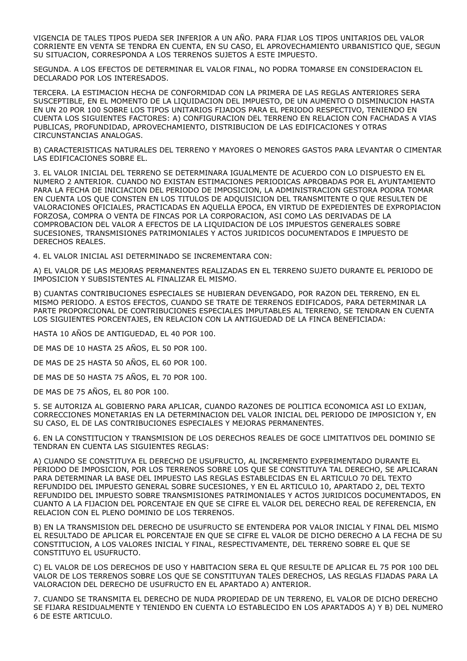VIGENCIA DE TALES TIPOS PUEDA SER INFERIOR A UN AÑO. PARA FIJAR LOS TIPOS UNITARIOS DEL VALOR CORRIENTE EN VENTA SE TENDRA EN CUENTA, EN SU CASO, EL APROVECHAMIENTO URBANISTICO QUE, SEGUN SU SITUACION, CORRESPONDA A LOS TERRENOS SUJETOS A ESTE IMPUESTO.

SEGUNDA. A LOS EFECTOS DE DETERMINAR EL VALOR FINAL, NO PODRA TOMARSE EN CONSIDERACION EL DECLARADO POR LOS INTERESADOS.

TERCERA. LA ESTIMACION HECHA DE CONFORMIDAD CON LA PRIMERA DE LAS REGLAS ANTERIORES SERA SUSCEPTIBLE, EN EL MOMENTO DE LA LIQUIDACION DEL IMPUESTO, DE UN AUMENTO O DISMINUCION HASTA EN UN 20 POR 100 SOBRE LOS TIPOS UNITARIOS FIJADOS PARA EL PERIODO RESPECTIVO, TENIENDO EN CUENTA LOS SIGUIENTES FACTORES: A) CONFIGURACION DEL TERRENO EN RELACION CON FACHADAS A VIAS PUBLICAS, PROFUNDIDAD, APROVECHAMIENTO, DISTRIBUCION DE LAS EDIFICACIONES Y OTRAS CIRCUNSTANCIAS ANALOGAS.

B) CARACTERISTICAS NATURALES DEL TERRENO Y MAYORES O MENORES GASTOS PARA LEVANTAR O CIMENTAR LAS EDIFICACIONES SOBRE EL.

3. EL VALOR INICIAL DEL TERRENO SE DETERMINARA IGUALMENTE DE ACUERDO CON LO DISPUESTO EN EL NUMERO 2 ANTERIOR. CUANDO NO EXISTAN ESTIMACIONES PERIODICAS APROBADAS POR EL AYUNTAMIENTO PARA LA FECHA DE INICIACION DEL PERIODO DE IMPOSICION, LA ADMINISTRACION GESTORA PODRA TOMAR EN CUENTA LOS QUE CONSTEN EN LOS TITULOS DE ADQUISICION DEL TRANSMITENTE O QUE RESULTEN DE VALORACIONES OFICIALES, PRACTICADAS EN AQUELLA EPOCA, EN VIRTUD DE EXPEDIENTES DE EXPROPIACION FORZOSA, COMPRA O VENTA DE FINCAS POR LA CORPORACION, ASI COMO LAS DERIVADAS DE LA COMPROBACION DEL VALOR A EFECTOS DE LA LIQUIDACION DE LOS IMPUESTOS GENERALES SOBRE SUCESIONES, TRANSMISIONES PATRIMONIALES Y ACTOS JURIDICOS DOCUMENTADOS E IMPUESTO DE DERECHOS REALES.

4. EL VALOR INICIAL ASI DETERMINADO SE INCREMENTARA CON:

A) EL VALOR DE LAS MEJORAS PERMANENTES REALIZADAS EN EL TERRENO SUJETO DURANTE EL PERIODO DE IMPOSICION Y SUBSISTENTES AL FINALIZAR EL MISMO.

B) CUANTAS CONTRIBUCIONES ESPECIALES SE HUBIERAN DEVENGADO, POR RAZON DEL TERRENO, EN EL MISMO PERIODO. A ESTOS EFECTOS, CUANDO SE TRATE DE TERRENOS EDIFICADOS, PARA DETERMINAR LA PARTE PROPORCIONAL DE CONTRIBUCIONES ESPECIALES IMPUTABLES AL TERRENO, SE TENDRAN EN CUENTA LOS SIGUIENTES PORCENTAJES, EN RELACION CON LA ANTIGUEDAD DE LA FINCA BENEFICIADA:

HASTA 10 AÑOS DE ANTIGUEDAD, EL 40 POR 100.

DE MAS DE 10 HASTA 25 AÑOS, EL 50 POR 100.

DE MAS DE 25 HASTA 50 AÑOS, EL 60 POR 100.

DE MAS DE 50 HASTA 75 AÑOS, EL 70 POR 100.

DE MAS DE 75 AÑOS, EL 80 POR 100.

5. SE AUTORIZA AL GOBIERNO PARA APLICAR, CUANDO RAZONES DE POLITICA ECONOMICA ASI LO EXIJAN, CORRECCIONES MONETARIAS EN LA DETERMINACION DEL VALOR INICIAL DEL PERIODO DE IMPOSICION Y, EN SU CASO, EL DE LAS CONTRIBUCIONES ESPECIALES Y MEJORAS PERMANENTES.

6. EN LA CONSTITUCION Y TRANSMISION DE LOS DERECHOS REALES DE GOCE LIMITATIVOS DEL DOMINIO SE TENDRAN EN CUENTA LAS SIGUIENTES REGLAS:

A) CUANDO SE CONSTITUYA EL DERECHO DE USUFRUCTO, AL INCREMENTO EXPERIMENTADO DURANTE EL PERIODO DE IMPOSICION, POR LOS TERRENOS SOBRE LOS QUE SE CONSTITUYA TAL DERECHO, SE APLICARAN PARA DETERMINAR LA BASE DEL IMPUESTO LAS REGLAS ESTABLECIDAS EN EL ARTICULO 70 DEL TEXTO REFUNDIDO DEL IMPUESTO GENERAL SOBRE SUCESIONES, Y EN EL ARTICULO 10, APARTADO 2, DEL TEXTO REFUNDIDO DEL IMPUESTO SOBRE TRANSMISIONES PATRIMONIALES Y ACTOS JURIDICOS DOCUMENTADOS, EN CUANTO A LA FIJACION DEL PORCENTAJE EN QUE SE CIFRE EL VALOR DEL DERECHO REAL DE REFERENCIA, EN RELACION CON EL PLENO DOMINIO DE LOS TERRENOS.

B) EN LA TRANSMISION DEL DERECHO DE USUFRUCTO SE ENTENDERA POR VALOR INICIAL Y FINAL DEL MISMO EL RESULTADO DE APLICAR EL PORCENTAJE EN QUE SE CIFRE EL VALOR DE DICHO DERECHO A LA FECHA DE SU CONSTITUCION, A LOS VALORES INICIAL Y FINAL, RESPECTIVAMENTE, DEL TERRENO SOBRE EL QUE SE CONSTITUYO EL USUFRUCTO.

C) EL VALOR DE LOS DERECHOS DE USO Y HABITACION SERA EL QUE RESULTE DE APLICAR EL 75 POR 100 DEL VALOR DE LOS TERRENOS SOBRE LOS QUE SE CONSTITUYAN TALES DERECHOS, LAS REGLAS FIJADAS PARA LA VALORACION DEL DERECHO DE USUFRUCTO EN EL APARTADO A) ANTERIOR.

7. CUANDO SE TRANSMITA EL DERECHO DE NUDA PROPIEDAD DE UN TERRENO, EL VALOR DE DICHO DERECHO SE FIJARA RESIDUALMENTE Y TENIENDO EN CUENTA LO ESTABLECIDO EN LOS APARTADOS A) Y B) DEL NUMERO 6 DE ESTE ARTICULO.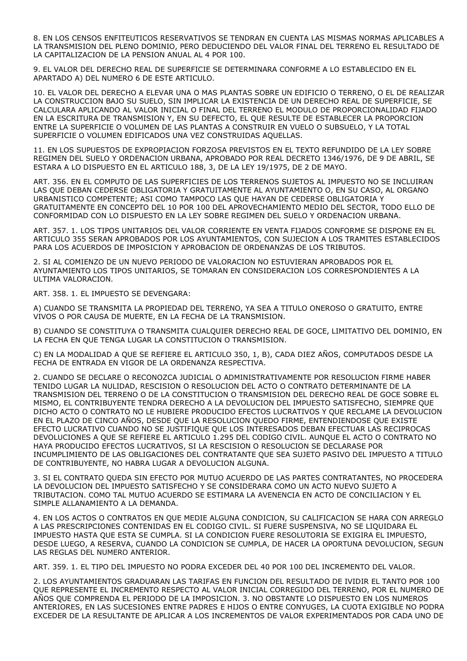8. EN LOS CENSOS ENFITEUTICOS RESERVATIVOS SE TENDRAN EN CUENTA LAS MISMAS NORMAS APLICABLES A LA TRANSMISION DEL PLENO DOMINIO, PERO DEDUCIENDO DEL VALOR FINAL DEL TERRENO EL RESULTADO DE LA CAPITALIZACION DE LA PENSION ANUAL AL 4 POR 100.

9. EL VALOR DEL DERECHO REAL DE SUPERFICIE SE DETERMINARA CONFORME A LO ESTABLECIDO EN EL APARTADO A) DEL NUMERO 6 DE ESTE ARTICULO.

10. EL VALOR DEL DERECHO A ELEVAR UNA O MAS PLANTAS SOBRE UN EDIFICIO O TERRENO, O EL DE REALIZAR LA CONSTRUCCION BAJO SU SUELO, SIN IMPLICAR LA EXISTENCIA DE UN DERECHO REAL DE SUPERFICIE, SE CALCULARA APLICANDO AL VALOR INICIAL O FINAL DEL TERRENO EL MODULO DE PROPORCIONALIDAD FIJADO EN LA ESCRITURA DE TRANSMISION Y, EN SU DEFECTO, EL QUE RESULTE DE ESTABLECER LA PROPORCION ENTRE LA SUPERFICIE O VOLUMEN DE LAS PLANTAS A CONSTRUIR EN VUELO O SUBSUELO, Y LA TOTAL SUPERFICIE O VOLUMEN EDIFICADOS UNA VEZ CONSTRUIDAS AQUELLAS.

11. EN LOS SUPUESTOS DE EXPROPIACION FORZOSA PREVISTOS EN EL TEXTO REFUNDIDO DE LA LEY SOBRE REGIMEN DEL SUELO Y ORDENACION URBANA, APROBADO POR REAL DECRETO 1346/1976, DE 9 DE ABRIL, SE ESTARA A LO DISPUESTO EN EL ARTICULO 188, 3, DE LA LEY 19/1975, DE 2 DE MAYO.

ART. 356. EN EL COMPUTO DE LAS SUPERFICIES DE LOS TERRENOS SUJETOS AL IMPUESTO NO SE INCLUIRAN LAS QUE DEBAN CEDERSE OBLIGATORIA Y GRATUITAMENTE AL AYUNTAMIENTO O, EN SU CASO, AL ORGANO URBANISTICO COMPETENTE; ASI COMO TAMPOCO LAS QUE HAYAN DE CEDERSE OBLIGATORIA Y GRATUITAMENTE EN CONCEPTO DEL 10 POR 100 DEL APROVECHAMIENTO MEDIO DEL SECTOR, TODO ELLO DE CONFORMIDAD CON LO DISPUESTO EN LA LEY SOBRE REGIMEN DEL SUELO Y ORDENACION URBANA.

ART. 357. 1. LOS TIPOS UNITARIOS DEL VALOR CORRIENTE EN VENTA FIJADOS CONFORME SE DISPONE EN EL ARTICULO 355 SERAN APROBADOS POR LOS AYUNTAMIENTOS, CON SUJECION A LOS TRAMITES ESTABLECIDOS PARA LOS ACUERDOS DE IMPOSICION Y APROBACION DE ORDENANZAS DE LOS TRIBUTOS.

2. SI AL COMIENZO DE UN NUEVO PERIODO DE VALORACION NO ESTUVIERAN APROBADOS POR EL AYUNTAMIENTO LOS TIPOS UNITARIOS, SE TOMARAN EN CONSIDERACION LOS CORRESPONDIENTES A LA ULTIMA VALORACION.

ART. 358. 1. EL IMPUESTO SE DEVENGARA:

A) CUANDO SE TRANSMITA LA PROPIEDAD DEL TERRENO, YA SEA A TITULO ONEROSO O GRATUITO, ENTRE VIVOS O POR CAUSA DE MUERTE, EN LA FECHA DE LA TRANSMISION.

B) CUANDO SE CONSTITUYA O TRANSMITA CUALQUIER DERECHO REAL DE GOCE, LIMITATIVO DEL DOMINIO, EN LA FECHA EN QUE TENGA LUGAR LA CONSTITUCION O TRANSMISION.

C) EN LA MODALIDAD A QUE SE REFIERE EL ARTICULO 350, 1, B), CADA DIEZ AÑOS, COMPUTADOS DESDE LA FECHA DE ENTRADA EN VIGOR DE LA ORDENANZA RESPECTIVA.

2. CUANDO SE DECLARE O RECONOZCA JUDICIAL O ADMINISTRATIVAMENTE POR RESOLUCION FIRME HABER TENIDO LUGAR LA NULIDAD, RESCISION O RESOLUCION DEL ACTO O CONTRATO DETERMINANTE DE LA TRANSMISION DEL TERRENO O DE LA CONSTITUCION O TRANSMISION DEL DERECHO REAL DE GOCE SOBRE EL MISMO, EL CONTRIBUYENTE TENDRA DERECHO A LA DEVOLUCION DEL IMPUESTO SATISFECHO, SIEMPRE QUE DICHO ACTO O CONTRATO NO LE HUBIERE PRODUCIDO EFECTOS LUCRATIVOS Y QUE RECLAME LA DEVOLUCION EN EL PLAZO DE CINCO AÑOS, DESDE QUE LA RESOLUCION QUEDO FIRME, ENTENDIENDOSE QUE EXISTE EFECTO LUCRATIVO CUANDO NO SE JUSTIFIQUE QUE LOS INTERESADOS DEBAN EFECTUAR LAS RECIPROCAS DEVOLUCIONES A QUE SE REFIERE EL ARTICULO 1.295 DEL CODIGO CIVIL. AUNQUE EL ACTO O CONTRATO NO HAYA PRODUCIDO EFECTOS LUCRATIVOS, SI LA RESCISION O RESOLUCION SE DECLARASE POR INCUMPLIMIENTO DE LAS OBLIGACIONES DEL CONTRATANTE QUE SEA SUJETO PASIVO DEL IMPUESTO A TITULO DE CONTRIBUYENTE, NO HABRA LUGAR A DEVOLUCION ALGUNA.

3. SI EL CONTRATO QUEDA SIN EFECTO POR MUTUO ACUERDO DE LAS PARTES CONTRATANTES, NO PROCEDERA LA DEVOLUCION DEL IMPUESTO SATISFECHO Y SE CONSIDERARA COMO UN ACTO NUEVO SUJETO A TRIBUTACION. COMO TAL MUTUO ACUERDO SE ESTIMARA LA AVENENCIA EN ACTO DE CONCILIACION Y EL SIMPLE ALLANAMIENTO A LA DEMANDA.

4. EN LOS ACTOS O CONTRATOS EN QUE MEDIE ALGUNA CONDICION, SU CALIFICACION SE HARA CON ARREGLO A LAS PRESCRIPCIONES CONTENIDAS EN EL CODIGO CIVIL. SI FUERE SUSPENSIVA, NO SE LIQUIDARA EL IMPUESTO HASTA QUE ESTA SE CUMPLA. SI LA CONDICION FUERE RESOLUTORIA SE EXIGIRA EL IMPUESTO, DESDE LUEGO, A RESERVA, CUANDO LA CONDICION SE CUMPLA, DE HACER LA OPORTUNA DEVOLUCION, SEGUN LAS REGLAS DEL NUMERO ANTERIOR.

ART. 359. 1. EL TIPO DEL IMPUESTO NO PODRA EXCEDER DEL 40 POR 100 DEL INCREMENTO DEL VALOR.

2. LOS AYUNTAMIENTOS GRADUARAN LAS TARIFAS EN FUNCION DEL RESULTADO DE IVIDIR EL TANTO POR 100 QUE REPRESENTE EL INCREMENTO RESPECTO AL VALOR INICIAL CORREGIDO DEL TERRENO, POR EL NUMERO DE AÑOS QUE COMPRENDA EL PERIODO DE LA IMPOSICION. 3. NO OBSTANTE LO DISPUESTO EN LOS NUMEROS ANTERIORES, EN LAS SUCESIONES ENTRE PADRES E HIJOS O ENTRE CONYUGES, LA CUOTA EXIGIBLE NO PODRA EXCEDER DE LA RESULTANTE DE APLICAR A LOS INCREMENTOS DE VALOR EXPERIMENTADOS POR CADA UNO DE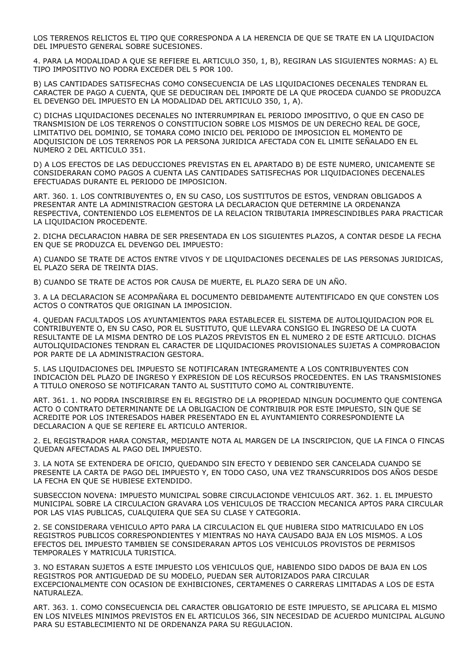LOS TERRENOS RELICTOS EL TIPO QUE CORRESPONDA A LA HERENCIA DE QUE SE TRATE EN LA LIQUIDACION DEL IMPUESTO GENERAL SOBRE SUCESIONES.

4. PARA LA MODALIDAD A QUE SE REFIERE EL ARTICULO 350, 1, B), REGIRAN LAS SIGUIENTES NORMAS: A) EL TIPO IMPOSITIVO NO PODRA EXCEDER DEL 5 POR 100.

B) LAS CANTIDADES SATISFECHAS COMO CONSECUENCIA DE LAS LIQUIDACIONES DECENALES TENDRAN EL CARACTER DE PAGO A CUENTA, QUE SE DEDUCIRAN DEL IMPORTE DE LA QUE PROCEDA CUANDO SE PRODUZCA EL DEVENGO DEL IMPUESTO EN LA MODALIDAD DEL ARTICULO 350, 1, A).

C) DICHAS LIQUIDACIONES DECENALES NO INTERRUMPIRAN EL PERIODO IMPOSITIVO, O QUE EN CASO DE TRANSMISION DE LOS TERRENOS O CONSTITUCION SOBRE LOS MISMOS DE UN DERECHO REAL DE GOCE, LIMITATIVO DEL DOMINIO, SE TOMARA COMO INICIO DEL PERIODO DE IMPOSICION EL MOMENTO DE ADQUISICION DE LOS TERRENOS POR LA PERSONA JURIDICA AFECTADA CON EL LIMITE SEÑALADO EN EL NUMERO 2 DEL ARTICULO 351.

D) A LOS EFECTOS DE LAS DEDUCCIONES PREVISTAS EN EL APARTADO B) DE ESTE NUMERO, UNICAMENTE SE CONSIDERARAN COMO PAGOS A CUENTA LAS CANTIDADES SATISFECHAS POR LIQUIDACIONES DECENALES EFECTUADAS DURANTE EL PERIODO DE IMPOSICION.

ART. 360. 1. LOS CONTRIBUYENTES O, EN SU CASO, LOS SUSTITUTOS DE ESTOS, VENDRAN OBLIGADOS A PRESENTAR ANTE LA ADMINISTRACION GESTORA LA DECLARACION QUE DETERMINE LA ORDENANZA RESPECTIVA, CONTENIENDO LOS ELEMENTOS DE LA RELACION TRIBUTARIA IMPRESCINDIBLES PARA PRACTICAR LA LIQUIDACION PROCEDENTE.

2. DICHA DECLARACION HABRA DE SER PRESENTADA EN LOS SIGUIENTES PLAZOS, A CONTAR DESDE LA FECHA EN QUE SE PRODUZCA EL DEVENGO DEL IMPUESTO:

A) CUANDO SE TRATE DE ACTOS ENTRE VIVOS Y DE LIQUIDACIONES DECENALES DE LAS PERSONAS JURIDICAS, EL PLAZO SERA DE TREINTA DIAS.

B) CUANDO SE TRATE DE ACTOS POR CAUSA DE MUERTE, EL PLAZO SERA DE UN AÑO.

3. A LA DECLARACION SE ACOMPAÑARA EL DOCUMENTO DEBIDAMENTE AUTENTIFICADO EN QUE CONSTEN LOS ACTOS O CONTRATOS QUE ORIGINAN LA IMPOSICION.

4. QUEDAN FACULTADOS LOS AYUNTAMIENTOS PARA ESTABLECER EL SISTEMA DE AUTOLIQUIDACION POR EL CONTRIBUYENTE O, EN SU CASO, POR EL SUSTITUTO, QUE LLEVARA CONSIGO EL INGRESO DE LA CUOTA RESULTANTE DE LA MISMA DENTRO DE LOS PLAZOS PREVISTOS EN EL NUMERO 2 DE ESTE ARTICULO. DICHAS AUTOLIQUIDACIONES TENDRAN EL CARACTER DE LIQUIDACIONES PROVISIONALES SUJETAS A COMPROBACION POR PARTE DE LA ADMINISTRACION GESTORA.

5. LAS LIQUIDACIONES DEL IMPUESTO SE NOTIFICARAN INTEGRAMENTE A LOS CONTRIBUYENTES CON INDICACION DEL PLAZO DE INGRESO Y EXPRESION DE LOS RECURSOS PROCEDENTES. EN LAS TRANSMISIONES A TITULO ONEROSO SE NOTIFICARAN TANTO AL SUSTITUTO COMO AL CONTRIBUYENTE.

ART. 361. 1. NO PODRA INSCRIBIRSE EN EL REGISTRO DE LA PROPIEDAD NINGUN DOCUMENTO QUE CONTENGA ACTO O CONTRATO DETERMINANTE DE LA OBLIGACION DE CONTRIBUIR POR ESTE IMPUESTO, SIN QUE SE ACREDITE POR LOS INTERESADOS HABER PRESENTADO EN EL AYUNTAMIENTO CORRESPONDIENTE LA DECLARACION A QUE SE REFIERE EL ARTICULO ANTERIOR.

2. EL REGISTRADOR HARA CONSTAR, MEDIANTE NOTA AL MARGEN DE LA INSCRIPCION, QUE LA FINCA O FINCAS QUEDAN AFECTADAS AL PAGO DEL IMPUESTO.

3. LA NOTA SE EXTENDERA DE OFICIO, QUEDANDO SIN EFECTO Y DEBIENDO SER CANCELADA CUANDO SE PRESENTE LA CARTA DE PAGO DEL IMPUESTO Y, EN TODO CASO, UNA VEZ TRANSCURRIDOS DOS AÑOS DESDE LA FECHA EN QUE SE HUBIESE EXTENDIDO.

SUBSECCION NOVENA: IMPUESTO MUNICIPAL SOBRE CIRCULACIONDE VEHICULOS ART. 362. 1. EL IMPUESTO MUNICIPAL SOBRE LA CIRCULACION GRAVARA LOS VEHICULOS DE TRACCION MECANICA APTOS PARA CIRCULAR POR LAS VIAS PUBLICAS, CUALQUIERA QUE SEA SU CLASE Y CATEGORIA.

2. SE CONSIDERARA VEHICULO APTO PARA LA CIRCULACION EL QUE HUBIERA SIDO MATRICULADO EN LOS REGISTROS PUBLICOS CORRESPONDIENTES Y MIENTRAS NO HAYA CAUSADO BAJA EN LOS MISMOS. A LOS EFECTOS DEL IMPUESTO TAMBIEN SE CONSIDERARAN APTOS LOS VEHICULOS PROVISTOS DE PERMISOS TEMPORALES Y MATRICULA TURISTICA.

3. NO ESTARAN SUJETOS A ESTE IMPUESTO LOS VEHICULOS QUE, HABIENDO SIDO DADOS DE BAJA EN LOS REGISTROS POR ANTIGUEDAD DE SU MODELO, PUEDAN SER AUTORIZADOS PARA CIRCULAR EXCEPCIONALMENTE CON OCASION DE EXHIBICIONES, CERTAMENES O CARRERAS LIMITADAS A LOS DE ESTA NATURALEZA.

ART. 363. 1. COMO CONSECUENCIA DEL CARACTER OBLIGATORIO DE ESTE IMPUESTO, SE APLICARA EL MISMO EN LOS NIVELES MINIMOS PREVISTOS EN EL ARTICULOS 366, SIN NECESIDAD DE ACUERDO MUNICIPAL ALGUNO PARA SU ESTABLECIMIENTO NI DE ORDENANZA PARA SU REGULACION.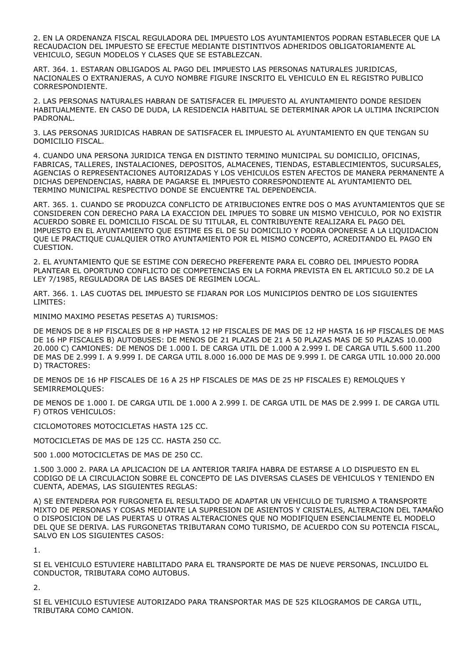2. EN LA ORDENANZA FISCAL REGULADORA DEL IMPUESTO LOS AYUNTAMIENTOS PODRAN ESTABLECER QUE LA RECAUDACION DEL IMPUESTO SE EFECTUE MEDIANTE DISTINTIVOS ADHERIDOS OBLIGATORIAMENTE AL VEHICULO, SEGUN MODELOS Y CLASES QUE SE ESTABLEZCAN.

ART. 364. 1. ESTARAN OBLIGADOS AL PAGO DEL IMPUESTO LAS PERSONAS NATURALES JURIDICAS, NACIONALES O EXTRANJERAS, A CUYO NOMBRE FIGURE INSCRITO EL VEHICULO EN EL REGISTRO PUBLICO CORRESPONDIENTE.

2. LAS PERSONAS NATURALES HABRAN DE SATISFACER EL IMPUESTO AL AYUNTAMIENTO DONDE RESIDEN HABITUALMENTE. EN CASO DE DUDA, LA RESIDENCIA HABITUAL SE DETERMINAR APOR LA ULTIMA INCRIPCION PADRONAL.

3. LAS PERSONAS JURIDICAS HABRAN DE SATISFACER EL IMPUESTO AL AYUNTAMIENTO EN QUE TENGAN SU DOMICILIO FISCAL.

4. CUANDO UNA PERSONA JURIDICA TENGA EN DISTINTO TERMINO MUNICIPAL SU DOMICILIO, OFICINAS, FABRICAS, TALLERES, INSTALACIONES, DEPOSITOS, ALMACENES, TIENDAS, ESTABLECIMIENTOS, SUCURSALES, AGENCIAS O REPRESENTACIONES AUTORIZADAS Y LOS VEHICULOS ESTEN AFECTOS DE MANERA PERMANENTE A DICHAS DEPENDENCIAS, HABRA DE PAGARSE EL IMPUESTO CORRESPONDIENTE AL AYUNTAMIENTO DEL TERMINO MUNICIPAL RESPECTIVO DONDE SE ENCUENTRE TAL DEPENDENCIA.

ART. 365. 1. CUANDO SE PRODUZCA CONFLICTO DE ATRIBUCIONES ENTRE DOS O MAS AYUNTAMIENTOS QUE SE CONSIDEREN CON DERECHO PARA LA EXACCION DEL IMPUES TO SOBRE UN MISMO VEHICULO, POR NO EXISTIR ACUERDO SOBRE EL DOMICILIO FISCAL DE SU TITULAR, EL CONTRIBUYENTE REALIZARA EL PAGO DEL IMPUESTO EN EL AYUNTAMIENTO QUE ESTIME ES EL DE SU DOMICILIO Y PODRA OPONERSE A LA LIQUIDACION QUE LE PRACTIQUE CUALQUIER OTRO AYUNTAMIENTO POR EL MISMO CONCEPTO, ACREDITANDO EL PAGO EN CUESTION.

2. EL AYUNTAMIENTO QUE SE ESTIME CON DERECHO PREFERENTE PARA EL COBRO DEL IMPUESTO PODRA PLANTEAR EL OPORTUNO CONFLICTO DE COMPETENCIAS EN LA FORMA PREVISTA EN EL ARTICULO 50.2 DE LA LEY 7/1985, REGULADORA DE LAS BASES DE REGIMEN LOCAL.

ART. 366. 1. LAS CUOTAS DEL IMPUESTO SE FIJARAN POR LOS MUNICIPIOS DENTRO DE LOS SIGUIENTES LIMITES:

MINIMO MAXIMO PESETAS PESETAS A) TURISMOS:

DE MENOS DE 8 HP FISCALES DE 8 HP HASTA 12 HP FISCALES DE MAS DE 12 HP HASTA 16 HP FISCALES DE MAS DE 16 HP FISCALES B) AUTOBUSES: DE MENOS DE 21 PLAZAS DE 21 A 50 PLAZAS MAS DE 50 PLAZAS 10.000 20.000 C) CAMIONES: DE MENOS DE 1.000 I. DE CARGA UTIL DE 1.000 A 2.999 I. DE CARGA UTIL 5.600 11.200 DE MAS DE 2.999 I. A 9.999 I. DE CARGA UTIL 8.000 16.000 DE MAS DE 9.999 I. DE CARGA UTIL 10.000 20.000 D) TRACTORES:

DE MENOS DE 16 HP FISCALES DE 16 A 25 HP FISCALES DE MAS DE 25 HP FISCALES E) REMOLQUES Y SEMIRREMOLQUES:

DE MENOS DE 1.000 I. DE CARGA UTIL DE 1.000 A 2.999 I. DE CARGA UTIL DE MAS DE 2.999 I. DE CARGA UTIL F) OTROS VEHICULOS:

CICLOMOTORES MOTOCICLETAS HASTA 125 CC.

MOTOCICLETAS DE MAS DE 125 CC. HASTA 250 CC.

500 1.000 MOTOCICLETAS DE MAS DE 250 CC.

1.500 3.000 2. PARA LA APLICACION DE LA ANTERIOR TARIFA HABRA DE ESTARSE A LO DISPUESTO EN EL CODIGO DE LA CIRCULACION SOBRE EL CONCEPTO DE LAS DIVERSAS CLASES DE VEHICULOS Y TENIENDO EN CUENTA, ADEMAS, LAS SIGUIENTES REGLAS:

A) SE ENTENDERA POR FURGONETA EL RESULTADO DE ADAPTAR UN VEHICULO DE TURISMO A TRANSPORTE MIXTO DE PERSONAS Y COSAS MEDIANTE LA SUPRESION DE ASIENTOS Y CRISTALES, ALTERACION DEL TAMAÑO O DISPOSICION DE LAS PUERTAS U OTRAS ALTERACIONES QUE NO MODIFIQUEN ESENCIALMENTE EL MODELO DEL QUE SE DERIVA. LAS FURGONETAS TRIBUTARAN COMO TURISMO, DE ACUERDO CON SU POTENCIA FISCAL, SALVO EN LOS SIGUIENTES CASOS:

1.

SI EL VEHICULO ESTUVIERE HABILITADO PARA EL TRANSPORTE DE MAS DE NUEVE PERSONAS, INCLUIDO EL CONDUCTOR, TRIBUTARA COMO AUTOBUS.

2.

SI EL VEHICULO ESTUVIESE AUTORIZADO PARA TRANSPORTAR MAS DE 525 KILOGRAMOS DE CARGA UTIL, TRIBUTARA COMO CAMION.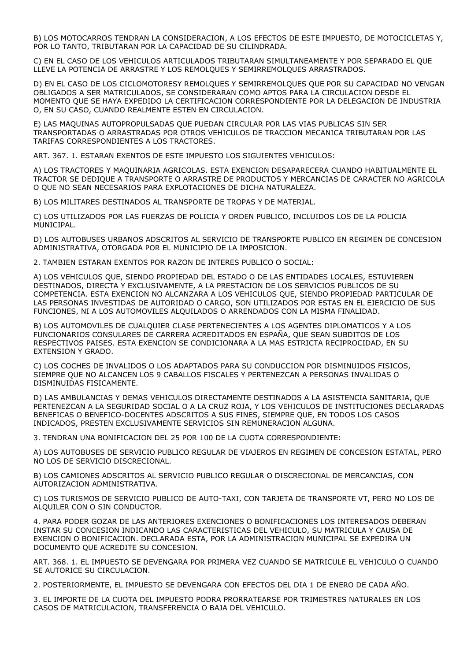B) LOS MOTOCARROS TENDRAN LA CONSIDERACION, A LOS EFECTOS DE ESTE IMPUESTO, DE MOTOCICLETAS Y, POR LO TANTO, TRIBUTARAN POR LA CAPACIDAD DE SU CILINDRADA.

C) EN EL CASO DE LOS VEHICULOS ARTICULADOS TRIBUTARAN SIMULTANEAMENTE Y POR SEPARADO EL QUE LLEVE LA POTENCIA DE ARRASTRE Y LOS REMOLQUES Y SEMIRREMOLQUES ARRASTRADOS.

D) EN EL CASO DE LOS CICLOMOTORESY REMOLQUES Y SEMIRREMOLQUES QUE POR SU CAPACIDAD NO VENGAN OBLIGADOS A SER MATRICULADOS, SE CONSIDERARAN COMO APTOS PARA LA CIRCULACION DESDE EL MOMENTO QUE SE HAYA EXPEDIDO LA CERTIFICACION CORRESPONDIENTE POR LA DELEGACION DE INDUSTRIA O, EN SU CASO, CUANDO REALMENTE ESTEN EN CIRCULACION.

E) LAS MAQUINAS AUTOPROPULSADAS QUE PUEDAN CIRCULAR POR LAS VIAS PUBLICAS SIN SER TRANSPORTADAS O ARRASTRADAS POR OTROS VEHICULOS DE TRACCION MECANICA TRIBUTARAN POR LAS TARIFAS CORRESPONDIENTES A LOS TRACTORES.

ART. 367. 1. ESTARAN EXENTOS DE ESTE IMPUESTO LOS SIGUIENTES VEHICULOS:

A) LOS TRACTORES Y MAQUINARIA AGRICOLAS. ESTA EXENCION DESAPARECERA CUANDO HABITUALMENTE EL TRACTOR SE DEDIQUE A TRANSPORTE O ARRASTRE DE PRODUCTOS Y MERCANCIAS DE CARACTER NO AGRICOLA O QUE NO SEAN NECESARIOS PARA EXPLOTACIONES DE DICHA NATURALEZA.

B) LOS MILITARES DESTINADOS AL TRANSPORTE DE TROPAS Y DE MATERIAL.

C) LOS UTILIZADOS POR LAS FUERZAS DE POLICIA Y ORDEN PUBLICO, INCLUIDOS LOS DE LA POLICIA MUNICIPAL.

D) LOS AUTOBUSES URBANOS ADSCRITOS AL SERVICIO DE TRANSPORTE PUBLICO EN REGIMEN DE CONCESION ADMINISTRATIVA, OTORGADA POR EL MUNICIPIO DE LA IMPOSICION.

2. TAMBIEN ESTARAN EXENTOS POR RAZON DE INTERES PUBLICO O SOCIAL:

A) LOS VEHICULOS QUE, SIENDO PROPIEDAD DEL ESTADO O DE LAS ENTIDADES LOCALES, ESTUVIEREN DESTINADOS, DIRECTA Y EXCLUSIVAMENTE, A LA PRESTACION DE LOS SERVICIOS PUBLICOS DE SU COMPETENCIA. ESTA EXENCION NO ALCANZARA A LOS VEHICULOS QUE, SIENDO PROPIEDAD PARTICULAR DE LAS PERSONAS INVESTIDAS DE AUTORIDAD O CARGO, SON UTILIZADOS POR ESTAS EN EL EJERCICIO DE SUS FUNCIONES, NI A LOS AUTOMOVILES ALQUILADOS O ARRENDADOS CON LA MISMA FINALIDAD.

B) LOS AUTOMOVILES DE CUALQUIER CLASE PERTENECIENTES A LOS AGENTES DIPLOMATICOS Y A LOS FUNCIONARIOS CONSULARES DE CARRERA ACREDITADOS EN ESPAÑA, QUE SEAN SUBDITOS DE LOS RESPECTIVOS PAISES. ESTA EXENCION SE CONDICIONARA A LA MAS ESTRICTA RECIPROCIDAD, EN SU EXTENSION Y GRADO.

C) LOS COCHES DE INVALIDOS O LOS ADAPTADOS PARA SU CONDUCCION POR DISMINUIDOS FISICOS, SIEMPRE QUE NO ALCANCEN LOS 9 CABALLOS FISCALES Y PERTENEZCAN A PERSONAS INVALIDAS O DISMINUIDAS FISICAMENTE.

D) LAS AMBULANCIAS Y DEMAS VEHICULOS DIRECTAMENTE DESTINADOS A LA ASISTENCIA SANITARIA, QUE PERTENEZCAN A LA SEGURIDAD SOCIAL O A LA CRUZ ROJA, Y LOS VEHICULOS DE INSTITUCIONES DECLARADAS BENEFICAS O BENEFICO-DOCENTES ADSCRITOS A SUS FINES, SIEMPRE QUE, EN TODOS LOS CASOS INDICADOS, PRESTEN EXCLUSIVAMENTE SERVICIOS SIN REMUNERACION ALGUNA.

3. TENDRAN UNA BONIFICACION DEL 25 POR 100 DE LA CUOTA CORRESPONDIENTE:

A) LOS AUTOBUSES DE SERVICIO PUBLICO REGULAR DE VIAJEROS EN REGIMEN DE CONCESION ESTATAL, PERO NO LOS DE SERVICIO DISCRECIONAL.

B) LOS CAMIONES ADSCRITOS AL SERVICIO PUBLICO REGULAR O DISCRECIONAL DE MERCANCIAS, CON AUTORIZACION ADMINISTRATIVA.

C) LOS TURISMOS DE SERVICIO PUBLICO DE AUTO-TAXI, CON TARJETA DE TRANSPORTE VT, PERO NO LOS DE ALQUILER CON O SIN CONDUCTOR.

4. PARA PODER GOZAR DE LAS ANTERIORES EXENCIONES O BONIFICACIONES LOS INTERESADOS DEBERAN INSTAR SU CONCESION INDICANDO LAS CARACTERISTICAS DEL VEHICULO, SU MATRICULA Y CAUSA DE EXENCION O BONIFICACION. DECLARADA ESTA, POR LA ADMINISTRACION MUNICIPAL SE EXPEDIRA UN DOCUMENTO QUE ACREDITE SU CONCESION.

ART. 368. 1. EL IMPUESTO SE DEVENGARA POR PRIMERA VEZ CUANDO SE MATRICULE EL VEHICULO O CUANDO SE AUTORICE SU CIRCULACION.

2. POSTERIORMENTE, EL IMPUESTO SE DEVENGARA CON EFECTOS DEL DIA 1 DE ENERO DE CADA AÑO.

3. EL IMPORTE DE LA CUOTA DEL IMPUESTO PODRA PRORRATEARSE POR TRIMESTRES NATURALES EN LOS CASOS DE MATRICULACION, TRANSFERENCIA O BAJA DEL VEHICULO.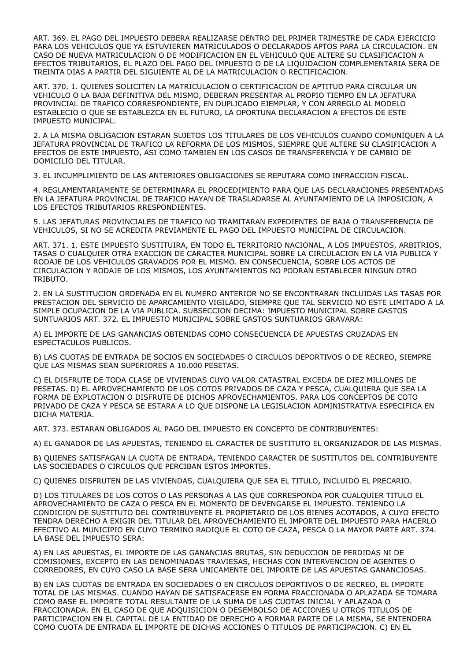ART. 369. EL PAGO DEL IMPUESTO DEBERA REALIZARSE DENTRO DEL PRIMER TRIMESTRE DE CADA EJERCICIO PARA LOS VEHICULOS QUE YA ESTUVIEREN MATRICULADOS O DECLARADOS APTOS PARA LA CIRCULACION. EN CASO DE NUEVA MATRICULACION O DE MODIFICACION EN EL VEHICULO QUE ALTERE SU CLASIFICACION A EFECTOS TRIBUTARIOS, EL PLAZO DEL PAGO DEL IMPUESTO O DE LA LIQUIDACION COMPLEMENTARIA SERA DE TREINTA DIAS A PARTIR DEL SIGUIENTE AL DE LA MATRICULACION O RECTIFICACION.

ART. 370. 1. QUIENES SOLICITEN LA MATRICULACION O CERTIFICACION DE APTITUD PARA CIRCULAR UN VEHICULO O LA BAJA DEFINITIVA DEL MISMO, DEBERAN PRESENTAR AL PROPIO TIEMPO EN LA JEFATURA PROVINCIAL DE TRAFICO CORRESPONDIENTE, EN DUPLICADO EJEMPLAR, Y CON ARREGLO AL MODELO ESTABLECIO O QUE SE ESTABLEZCA EN EL FUTURO, LA OPORTUNA DECLARACION A EFECTOS DE ESTE IMPUESTO MUNICIPAL.

2. A LA MISMA OBLIGACION ESTARAN SUJETOS LOS TITULARES DE LOS VEHICULOS CUANDO COMUNIQUEN A LA JEFATURA PROVINCIAL DE TRAFICO LA REFORMA DE LOS MISMOS, SIEMPRE QUE ALTERE SU CLASIFICACION A EFECTOS DE ESTE IMPUESTO, ASI COMO TAMBIEN EN LOS CASOS DE TRANSFERENCIA Y DE CAMBIO DE DOMICILIO DEL TITULAR.

3. EL INCUMPLIMIENTO DE LAS ANTERIORES OBLIGACIONES SE REPUTARA COMO INFRACCION FISCAL.

4. REGLAMENTARIAMENTE SE DETERMINARA EL PROCEDIMIENTO PARA QUE LAS DECLARACIONES PRESENTADAS EN LA JEFATURA PROVINCIAL DE TRAFICO HAYAN DE TRASLADARSE AL AYUNTAMIENTO DE LA IMPOSICION, A LOS EFECTOS TRIBUTARIOS RRESPONDIENTES.

5. LAS JEFATURAS PROVINCIALES DE TRAFICO NO TRAMITARAN EXPEDIENTES DE BAJA O TRANSFERENCIA DE VEHICULOS, SI NO SE ACREDITA PREVIAMENTE EL PAGO DEL IMPUESTO MUNICIPAL DE CIRCULACION.

ART. 371. 1. ESTE IMPUESTO SUSTITUIRA, EN TODO EL TERRITORIO NACIONAL, A LOS IMPUESTOS, ARBITRIOS, TASAS O CUALQUIER OTRA EXACCION DE CARACTER MUNICIPAL SOBRE LA CIRCULACION EN LA VIA PUBLICA Y RODAJE DE LOS VEHICULOS GRAVADOS POR EL MISMO. EN CONSECUENCIA, SOBRE LOS ACTOS DE CIRCULACION Y RODAJE DE LOS MISMOS, LOS AYUNTAMIENTOS NO PODRAN ESTABLECER NINGUN OTRO TRIBUTO.

2. EN LA SUSTITUCION ORDENADA EN EL NUMERO ANTERIOR NO SE ENCONTRARAN INCLUIDAS LAS TASAS POR PRESTACION DEL SERVICIO DE APARCAMIENTO VIGILADO, SIEMPRE QUE TAL SERVICIO NO ESTE LIMITADO A LA SIMPLE OCUPACION DE LA VIA PUBLICA. SUBSECCION DECIMA: IMPUESTO MUNICIPAL SOBRE GASTOS SUNTUARIOS ART. 372. EL IMPUESTO MUNICIPAL SOBRE GASTOS SUNTUARIOS GRAVARA:

A) EL IMPORTE DE LAS GANANCIAS OBTENIDAS COMO CONSECUENCIA DE APUESTAS CRUZADAS EN ESPECTACULOS PUBLICOS.

B) LAS CUOTAS DE ENTRADA DE SOCIOS EN SOCIEDADES O CIRCULOS DEPORTIVOS O DE RECREO, SIEMPRE QUE LAS MISMAS SEAN SUPERIORES A 10.000 PESETAS.

C) EL DISFRUTE DE TODA CLASE DE VIVIENDAS CUYO VALOR CATASTRAL EXCEDA DE DIEZ MILLONES DE PESETAS. D) EL APROVECHAMIENTO DE LOS COTOS PRIVADOS DE CAZA Y PESCA, CUALQUIERA QUE SEA LA FORMA DE EXPLOTACION O DISFRUTE DE DICHOS APROVECHAMIENTOS. PARA LOS CONCEPTOS DE COTO PRIVADO DE CAZA Y PESCA SE ESTARA A LO QUE DISPONE LA LEGISLACION ADMINISTRATIVA ESPECIFICA EN DICHA MATERIA.

ART. 373. ESTARAN OBLIGADOS AL PAGO DEL IMPUESTO EN CONCEPTO DE CONTRIBUYENTES:

A) EL GANADOR DE LAS APUESTAS, TENIENDO EL CARACTER DE SUSTITUTO EL ORGANIZADOR DE LAS MISMAS.

B) QUIENES SATISFAGAN LA CUOTA DE ENTRADA, TENIENDO CARACTER DE SUSTITUTOS DEL CONTRIBUYENTE LAS SOCIEDADES O CIRCULOS QUE PERCIBAN ESTOS IMPORTES.

C) QUIENES DISFRUTEN DE LAS VIVIENDAS, CUALQUIERA QUE SEA EL TITULO, INCLUIDO EL PRECARIO.

D) LOS TITULARES DE LOS COTOS O LAS PERSONAS A LAS QUE CORRESPONDA POR CUALQUIER TITULO EL APROVECHAMIENTO DE CAZA O PESCA EN EL MOMENTO DE DEVENGARSE EL IMPUESTO. TENIENDO LA CONDICION DE SUSTITUTO DEL CONTRIBUYENTE EL PROPIETARIO DE LOS BIENES ACOTADOS, A CUYO EFECTO TENDRA DERECHO A EXIGIR DEL TITULAR DEL APROVECHAMIENTO EL IMPORTE DEL IMPUESTO PARA HACERLO EFECTIVO AL MUNICIPIO EN CUYO TERMINO RADIQUE EL COTO DE CAZA, PESCA O LA MAYOR PARTE ART. 374. LA BASE DEL IMPUESTO SERA:

A) EN LAS APUESTAS, EL IMPORTE DE LAS GANANCIAS BRUTAS, SIN DEDUCCION DE PERDIDAS NI DE COMISIONES, EXCEPTO EN LAS DENOMINADAS TRAVIESAS, HECHAS CON INTERVENCION DE AGENTES O CORREDORES, EN CUYO CASO LA BASE SERA UNICAMENTE DEL IMPORTE DE LAS APUESTAS GANANCIOSAS.

B) EN LAS CUOTAS DE ENTRADA EN SOCIEDADES O EN CIRCULOS DEPORTIVOS O DE RECREO, EL IMPORTE TOTAL DE LAS MISMAS. CUANDO HAYAN DE SATISFACERSE EN FORMA FRACCIONADA O APLAZADA SE TOMARA COMO BASE EL IMPORTE TOTAL RESULTANTE DE LA SUMA DE LAS CUOTAS INICIAL Y APLAZADA O FRACCIONADA. EN EL CASO DE QUE ADQUISICION O DESEMBOLSO DE ACCIONES U OTROS TITULOS DE PARTICIPACION EN EL CAPITAL DE LA ENTIDAD DE DERECHO A FORMAR PARTE DE LA MISMA, SE ENTENDERA COMO CUOTA DE ENTRADA EL IMPORTE DE DICHAS ACCIONES O TITULOS DE PARTICIPACION. C) EN EL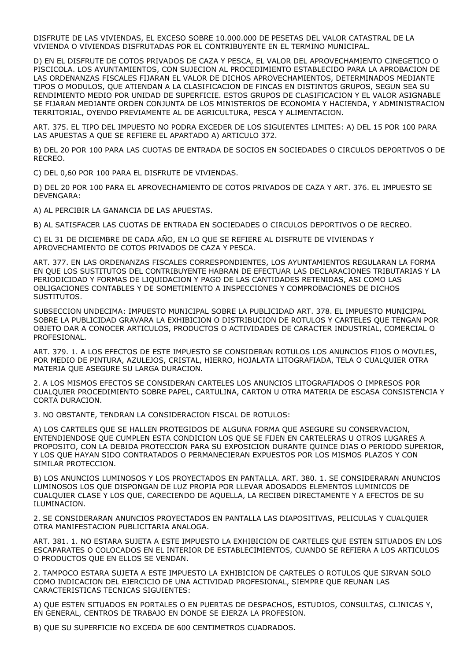DISFRUTE DE LAS VIVIENDAS, EL EXCESO SOBRE 10.000.000 DE PESETAS DEL VALOR CATASTRAL DE LA VIVIENDA O VIVIENDAS DISFRUTADAS POR EL CONTRIBUYENTE EN EL TERMINO MUNICIPAL.

D) EN EL DISFRUTE DE COTOS PRIVADOS DE CAZA Y PESCA, EL VALOR DEL APROVECHAMIENTO CINEGETICO O PISCICOLA. LOS AYUNTAMIENTOS, CON SUJECION AL PROCEDIMIENTO ESTABLECIDO PARA LA APROBACION DE LAS ORDENANZAS FISCALES FIJARAN EL VALOR DE DICHOS APROVECHAMIENTOS, DETERMINADOS MEDIANTE TIPOS O MODULOS, QUE ATIENDAN A LA CLASIFICACION DE FINCAS EN DISTINTOS GRUPOS, SEGUN SEA SU RENDIMIENTO MEDIO POR UNIDAD DE SUPERFICIE. ESTOS GRUPOS DE CLASIFICACION Y EL VALOR ASIGNABLE SE FIJARAN MEDIANTE ORDEN CONJUNTA DE LOS MINISTERIOS DE ECONOMIA Y HACIENDA, Y ADMINISTRACION TERRITORIAL, OYENDO PREVIAMENTE AL DE AGRICULTURA, PESCA Y ALIMENTACION.

ART. 375. EL TIPO DEL IMPUESTO NO PODRA EXCEDER DE LOS SIGUIENTES LIMITES: A) DEL 15 POR 100 PARA LAS APUESTAS A QUE SE REFIERE EL APARTADO A) ARTICULO 372.

B) DEL 20 POR 100 PARA LAS CUOTAS DE ENTRADA DE SOCIOS EN SOCIEDADES O CIRCULOS DEPORTIVOS O DE RECREO.

C) DEL 0,60 POR 100 PARA EL DISFRUTE DE VIVIENDAS.

D) DEL 20 POR 100 PARA EL APROVECHAMIENTO DE COTOS PRIVADOS DE CAZA Y ART. 376. EL IMPUESTO SE DEVENGARA:

A) AL PERCIBIR LA GANANCIA DE LAS APUESTAS.

B) AL SATISFACER LAS CUOTAS DE ENTRADA EN SOCIEDADES O CIRCULOS DEPORTIVOS O DE RECREO.

C) EL 31 DE DICIEMBRE DE CADA AÑO, EN LO QUE SE REFIERE AL DISFRUTE DE VIVIENDAS Y APROVECHAMIENTO DE COTOS PRIVADOS DE CAZA Y PESCA.

ART. 377. EN LAS ORDENANZAS FISCALES CORRESPONDIENTES, LOS AYUNTAMIENTOS REGULARAN LA FORMA EN QUE LOS SUSTITUTOS DEL CONTRIBUYENTE HABRAN DE EFECTUAR LAS DECLARACIONES TRIBUTARIAS Y LA PERIODICIDAD Y FORMAS DE LIQUIDACION Y PAGO DE LAS CANTIDADES RETENIDAS, ASI COMO LAS OBLIGACIONES CONTABLES Y DE SOMETIMIENTO A INSPECCIONES Y COMPROBACIONES DE DICHOS SUSTITUTOS.

SUBSECCION UNDECIMA: IMPUESTO MUNICIPAL SOBRE LA PUBLICIDAD ART. 378. EL IMPUESTO MUNICIPAL SOBRE LA PUBLICIDAD GRAVARA LA EXHIBICION O DISTRIBUCION DE ROTULOS Y CARTELES QUE TENGAN POR OBJETO DAR A CONOCER ARTICULOS, PRODUCTOS O ACTIVIDADES DE CARACTER INDUSTRIAL, COMERCIAL O PROFESIONAL.

ART. 379. 1. A LOS EFECTOS DE ESTE IMPUESTO SE CONSIDERAN ROTULOS LOS ANUNCIOS FIJOS O MOVILES, POR MEDIO DE PINTURA, AZULEJOS, CRISTAL, HIERRO, HOJALATA LITOGRAFIADA, TELA O CUALQUIER OTRA MATERIA QUE ASEGURE SU LARGA DURACION.

2. A LOS MISMOS EFECTOS SE CONSIDERAN CARTELES LOS ANUNCIOS LITOGRAFIADOS O IMPRESOS POR CUALQUIER PROCEDIMIENTO SOBRE PAPEL, CARTULINA, CARTON U OTRA MATERIA DE ESCASA CONSISTENCIA Y CORTA DURACION.

3. NO OBSTANTE, TENDRAN LA CONSIDERACION FISCAL DE ROTULOS:

A) LOS CARTELES QUE SE HALLEN PROTEGIDOS DE ALGUNA FORMA QUE ASEGURE SU CONSERVACION, ENTENDIENDOSE QUE CUMPLEN ESTA CONDICION LOS QUE SE FIJEN EN CARTELERAS U OTROS LUGARES A PROPOSITO, CON LA DEBIDA PROTECCION PARA SU EXPOSICION DURANTE QUINCE DIAS O PERIODO SUPERIOR, Y LOS QUE HAYAN SIDO CONTRATADOS O PERMANECIERAN EXPUESTOS POR LOS MISMOS PLAZOS Y CON SIMILAR PROTECCION.

B) LOS ANUNCIOS LUMINOSOS Y LOS PROYECTADOS EN PANTALLA. ART. 380. 1. SE CONSIDERARAN ANUNCIOS LUMINOSOS LOS QUE DISPONGAN DE LUZ PROPIA POR LLEVAR ADOSADOS ELEMENTOS LUMINICOS DE CUALQUIER CLASE Y LOS QUE, CARECIENDO DE AQUELLA, LA RECIBEN DIRECTAMENTE Y A EFECTOS DE SU ILUMINACION.

2. SE CONSIDERARAN ANUNCIOS PROYECTADOS EN PANTALLA LAS DIAPOSITIVAS, PELICULAS Y CUALQUIER OTRA MANIFESTACION PUBLICITARIA ANALOGA.

ART. 381. 1. NO ESTARA SUJETA A ESTE IMPUESTO LA EXHIBICION DE CARTELES QUE ESTEN SITUADOS EN LOS ESCAPARATES O COLOCADOS EN EL INTERIOR DE ESTABLECIMIENTOS, CUANDO SE REFIERA A LOS ARTICULOS O PRODUCTOS QUE EN ELLOS SE VENDAN.

2. TAMPOCO ESTARA SUJETA A ESTE IMPUESTO LA EXHIBICION DE CARTELES O ROTULOS QUE SIRVAN SOLO COMO INDICACION DEL EJERCICIO DE UNA ACTIVIDAD PROFESIONAL, SIEMPRE QUE REUNAN LAS CARACTERISTICAS TECNICAS SIGUIENTES:

A) QUE ESTEN SITUADOS EN PORTALES O EN PUERTAS DE DESPACHOS, ESTUDIOS, CONSULTAS, CLINICAS Y, EN GENERAL, CENTROS DE TRABAJO EN DONDE SE EJERZA LA PROFESION.

B) QUE SU SUPERFICIE NO EXCEDA DE 600 CENTIMETROS CUADRADOS.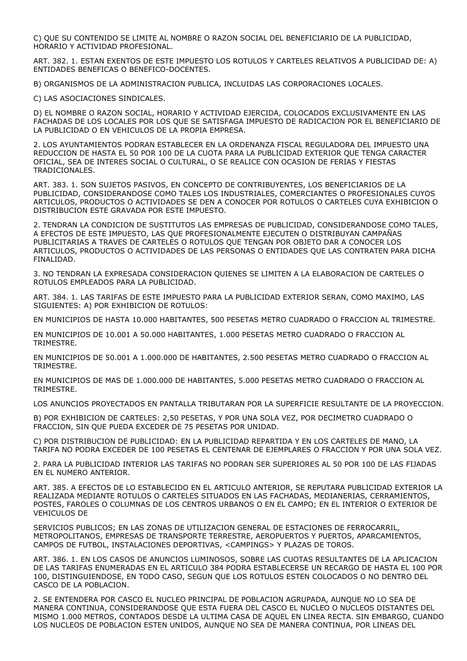C) QUE SU CONTENIDO SE LIMITE AL NOMBRE O RAZON SOCIAL DEL BENEFICIARIO DE LA PUBLICIDAD, HORARIO Y ACTIVIDAD PROFESIONAL.

ART. 382. 1. ESTAN EXENTOS DE ESTE IMPUESTO LOS ROTULOS Y CARTELES RELATIVOS A PUBLICIDAD DE: A) ENTIDADES BENEFICAS O BENEFICO-DOCENTES.

B) ORGANISMOS DE LA ADMINISTRACION PUBLICA, INCLUIDAS LAS CORPORACIONES LOCALES.

C) LAS ASOCIACIONES SINDICALES.

D) EL NOMBRE O RAZON SOCIAL, HORARIO Y ACTIVIDAD EJERCIDA, COLOCADOS EXCLUSIVAMENTE EN LAS FACHADAS DE LOS LOCALES POR LOS QUE SE SATISFAGA IMPUESTO DE RADICACION POR EL BENEFICIARIO DE LA PUBLICIDAD O EN VEHICULOS DE LA PROPIA EMPRESA.

2. LOS AYUNTAMIENTOS PODRAN ESTABLECER EN LA ORDENANZA FISCAL REGULADORA DEL IMPUESTO UNA REDUCCION DE HASTA EL 50 POR 100 DE LA CUOTA PARA LA PUBLICIDAD EXTERIOR QUE TENGA CARACTER OFICIAL, SEA DE INTERES SOCIAL O CULTURAL, O SE REALICE CON OCASION DE FERIAS Y FIESTAS TRADICIONALES.

ART. 383. 1. SON SUJETOS PASIVOS, EN CONCEPTO DE CONTRIBUYENTES, LOS BENEFICIARIOS DE LA PUBLICIDAD, CONSIDERANDOSE COMO TALES LOS INDUSTRIALES, COMERCIANTES O PROFESIONALES CUYOS ARTICULOS, PRODUCTOS O ACTIVIDADES SE DEN A CONOCER POR ROTULOS O CARTELES CUYA EXHIBICION O DISTRIBUCION ESTE GRAVADA POR ESTE IMPUESTO.

2. TENDRAN LA CONDICION DE SUSTITUTOS LAS EMPRESAS DE PUBLICIDAD, CONSIDERANDOSE COMO TALES, A EFECTOS DE ESTE IMPUESTO, LAS QUE PROFESIONALMENTE EJECUTEN O DISTRIBUYAN CAMPAÑAS PUBLICITARIAS A TRAVES DE CARTELES O ROTULOS QUE TENGAN POR OBJETO DAR A CONOCER LOS ARTICULOS, PRODUCTOS O ACTIVIDADES DE LAS PERSONAS O ENTIDADES QUE LAS CONTRATEN PARA DICHA FINALIDAD.

3. NO TENDRAN LA EXPRESADA CONSIDERACION QUIENES SE LIMITEN A LA ELABORACION DE CARTELES O ROTULOS EMPLEADOS PARA LA PUBLICIDAD.

ART. 384. 1. LAS TARIFAS DE ESTE IMPUESTO PARA LA PUBLICIDAD EXTERIOR SERAN, COMO MAXIMO, LAS SIGUIENTES: A) POR EXHIBICION DE ROTULOS:

EN MUNICIPIOS DE HASTA 10.000 HABITANTES, 500 PESETAS METRO CUADRADO O FRACCION AL TRIMESTRE.

EN MUNICIPIOS DE 10.001 A 50.000 HABITANTES, 1.000 PESETAS METRO CUADRADO O FRACCION AL TRIMESTRE.

EN MUNICIPIOS DE 50.001 A 1.000.000 DE HABITANTES, 2.500 PESETAS METRO CUADRADO O FRACCION AL TRIMESTRE.

EN MUNICIPIOS DE MAS DE 1.000.000 DE HABITANTES, 5.000 PESETAS METRO CUADRADO O FRACCION AL TRIMESTRE.

LOS ANUNCIOS PROYECTADOS EN PANTALLA TRIBUTARAN POR LA SUPERFICIE RESULTANTE DE LA PROYECCION.

B) POR EXHIBICION DE CARTELES: 2,50 PESETAS, Y POR UNA SOLA VEZ, POR DECIMETRO CUADRADO O FRACCION, SIN QUE PUEDA EXCEDER DE 75 PESETAS POR UNIDAD.

C) POR DISTRIBUCION DE PUBLICIDAD: EN LA PUBLICIDAD REPARTIDA Y EN LOS CARTELES DE MANO, LA TARIFA NO PODRA EXCEDER DE 100 PESETAS EL CENTENAR DE EJEMPLARES O FRACCION Y POR UNA SOLA VEZ.

2. PARA LA PUBLICIDAD INTERIOR LAS TARIFAS NO PODRAN SER SUPERIORES AL 50 POR 100 DE LAS FIJADAS EN EL NUMERO ANTERIOR.

ART. 385. A EFECTOS DE LO ESTABLECIDO EN EL ARTICULO ANTERIOR, SE REPUTARA PUBLICIDAD EXTERIOR LA REALIZADA MEDIANTE ROTULOS O CARTELES SITUADOS EN LAS FACHADAS, MEDIANERIAS, CERRAMIENTOS, POSTES, FAROLES O COLUMNAS DE LOS CENTROS URBANOS O EN EL CAMPO; EN EL INTERIOR O EXTERIOR DE VEHICULOS DE

SERVICIOS PUBLICOS; EN LAS ZONAS DE UTILIZACION GENERAL DE ESTACIONES DE FERROCARRIL, METROPOLITANOS, EMPRESAS DE TRANSPORTE TERRESTRE, AEROPUERTOS Y PUERTOS, APARCAMIENTOS, CAMPOS DE FUTBOL, INSTALACIONES DEPORTIVAS, <CAMPINGS> Y PLAZAS DE TOROS.

ART. 386. 1. EN LOS CASOS DE ANUNCIOS LUMINOSOS, SOBRE LAS CUOTAS RESULTANTES DE LA APLICACION DE LAS TARIFAS ENUMERADAS EN EL ARTICULO 384 PODRA ESTABLECERSE UN RECARGO DE HASTA EL 100 POR 100, DISTINGUIENDOSE, EN TODO CASO, SEGUN QUE LOS ROTULOS ESTEN COLOCADOS O NO DENTRO DEL CASCO DE LA POBLACION.

2. SE ENTENDERA POR CASCO EL NUCLEO PRINCIPAL DE POBLACION AGRUPADA, AUNQUE NO LO SEA DE MANERA CONTINUA, CONSIDERANDOSE QUE ESTA FUERA DEL CASCO EL NUCLEO O NUCLEOS DISTANTES DEL MISMO 1.000 METROS, CONTADOS DESDE LA ULTIMA CASA DE AQUEL EN LINEA RECTA. SIN EMBARGO, CUANDO LOS NUCLEOS DE POBLACION ESTEN UNIDOS, AUNQUE NO SEA DE MANERA CONTINUA, POR LINEAS DEL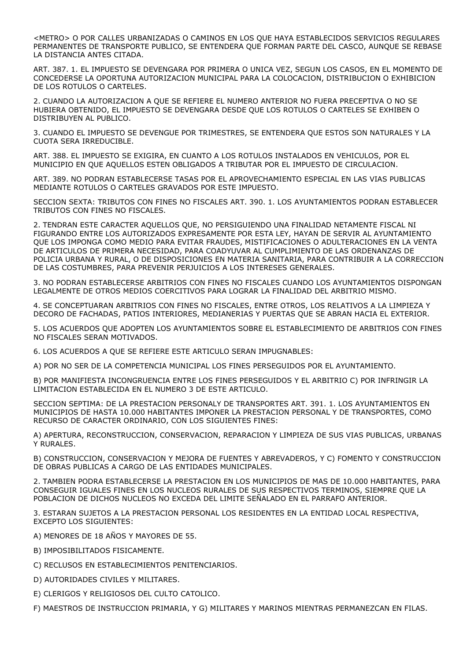<METRO> O POR CALLES URBANIZADAS O CAMINOS EN LOS QUE HAYA ESTABLECIDOS SERVICIOS REGULARES PERMANENTES DE TRANSPORTE PUBLICO, SE ENTENDERA QUE FORMAN PARTE DEL CASCO, AUNQUE SE REBASE LA DISTANCIA ANTES CITADA.

ART. 387. 1. EL IMPUESTO SE DEVENGARA POR PRIMERA O UNICA VEZ, SEGUN LOS CASOS, EN EL MOMENTO DE CONCEDERSE LA OPORTUNA AUTORIZACION MUNICIPAL PARA LA COLOCACION, DISTRIBUCION O EXHIBICION DE LOS ROTULOS O CARTELES.

2. CUANDO LA AUTORIZACION A QUE SE REFIERE EL NUMERO ANTERIOR NO FUERA PRECEPTIVA O NO SE HUBIERA OBTENIDO, EL IMPUESTO SE DEVENGARA DESDE QUE LOS ROTULOS O CARTELES SE EXHIBEN O DISTRIBUYEN AL PUBLICO.

3. CUANDO EL IMPUESTO SE DEVENGUE POR TRIMESTRES, SE ENTENDERA QUE ESTOS SON NATURALES Y LA CUOTA SERA IRREDUCIBLE.

ART. 388. EL IMPUESTO SE EXIGIRA, EN CUANTO A LOS ROTULOS INSTALADOS EN VEHICULOS, POR EL MUNICIPIO EN QUE AQUELLOS ESTEN OBLIGADOS A TRIBUTAR POR EL IMPUESTO DE CIRCULACION.

ART. 389. NO PODRAN ESTABLECERSE TASAS POR EL APROVECHAMIENTO ESPECIAL EN LAS VIAS PUBLICAS MEDIANTE ROTULOS O CARTELES GRAVADOS POR ESTE IMPUESTO.

SECCION SEXTA: TRIBUTOS CON FINES NO FISCALES ART. 390. 1. LOS AYUNTAMIENTOS PODRAN ESTABLECER TRIBUTOS CON FINES NO FISCALES.

2. TENDRAN ESTE CARACTER AQUELLOS QUE, NO PERSIGUIENDO UNA FINALIDAD NETAMENTE FISCAL NI FIGURANDO ENTRE LOS AUTORIZADOS EXPRESAMENTE POR ESTA LEY, HAYAN DE SERVIR AL AYUNTAMIENTO QUE LOS IMPONGA COMO MEDIO PARA EVITAR FRAUDES, MISTIFICACIONES O ADULTERACIONES EN LA VENTA DE ARTICULOS DE PRIMERA NECESIDAD, PARA COADYUVAR AL CUMPLIMIENTO DE LAS ORDENANZAS DE POLICIA URBANA Y RURAL, O DE DISPOSICIONES EN MATERIA SANITARIA, PARA CONTRIBUIR A LA CORRECCION DE LAS COSTUMBRES, PARA PREVENIR PERJUICIOS A LOS INTERESES GENERALES.

3. NO PODRAN ESTABLECERSE ARBITRIOS CON FINES NO FISCALES CUANDO LOS AYUNTAMIENTOS DISPONGAN LEGALMENTE DE OTROS MEDIOS COERCITIVOS PARA LOGRAR LA FINALIDAD DEL ARBITRIO MISMO.

4. SE CONCEPTUARAN ARBITRIOS CON FINES NO FISCALES, ENTRE OTROS, LOS RELATIVOS A LA LIMPIEZA Y DECORO DE FACHADAS, PATIOS INTERIORES, MEDIANERIAS Y PUERTAS QUE SE ABRAN HACIA EL EXTERIOR.

5. LOS ACUERDOS QUE ADOPTEN LOS AYUNTAMIENTOS SOBRE EL ESTABLECIMIENTO DE ARBITRIOS CON FINES NO FISCALES SERAN MOTIVADOS.

6. LOS ACUERDOS A QUE SE REFIERE ESTE ARTICULO SERAN IMPUGNABLES:

A) POR NO SER DE LA COMPETENCIA MUNICIPAL LOS FINES PERSEGUIDOS POR EL AYUNTAMIENTO.

B) POR MANIFIESTA INCONGRUENCIA ENTRE LOS FINES PERSEGUIDOS Y EL ARBITRIO C) POR INFRINGIR LA LIMITACION ESTABLECIDA EN EL NUMERO 3 DE ESTE ARTICULO.

SECCION SEPTIMA: DE LA PRESTACION PERSONALY DE TRANSPORTES ART. 391. 1. LOS AYUNTAMIENTOS EN MUNICIPIOS DE HASTA 10.000 HABITANTES IMPONER LA PRESTACION PERSONAL Y DE TRANSPORTES, COMO RECURSO DE CARACTER ORDINARIO, CON LOS SIGUIENTES FINES:

A) APERTURA, RECONSTRUCCION, CONSERVACION, REPARACION Y LIMPIEZA DE SUS VIAS PUBLICAS, URBANAS Y RURALES.

B) CONSTRUCCION, CONSERVACION Y MEJORA DE FUENTES Y ABREVADEROS, Y C) FOMENTO Y CONSTRUCCION DE OBRAS PUBLICAS A CARGO DE LAS ENTIDADES MUNICIPALES.

2. TAMBIEN PODRA ESTABLECERSE LA PRESTACION EN LOS MUNICIPIOS DE MAS DE 10.000 HABITANTES, PARA CONSEGUIR IGUALES FINES EN LOS NUCLEOS RURALES DE SUS RESPECTIVOS TERMINOS, SIEMPRE QUE LA POBLACION DE DICHOS NUCLEOS NO EXCEDA DEL LIMITE SEÑALADO EN EL PARRAFO ANTERIOR.

3. ESTARAN SUJETOS A LA PRESTACION PERSONAL LOS RESIDENTES EN LA ENTIDAD LOCAL RESPECTIVA, EXCEPTO LOS SIGUIENTES:

A) MENORES DE 18 AÑOS Y MAYORES DE 55.

- B) IMPOSIBILITADOS FISICAMENTE.
- C) RECLUSOS EN ESTABLECIMIENTOS PENITENCIARIOS.
- D) AUTORIDADES CIVILES Y MILITARES.
- E) CLERIGOS Y RELIGIOSOS DEL CULTO CATOLICO.

F) MAESTROS DE INSTRUCCION PRIMARIA, Y G) MILITARES Y MARINOS MIENTRAS PERMANEZCAN EN FILAS.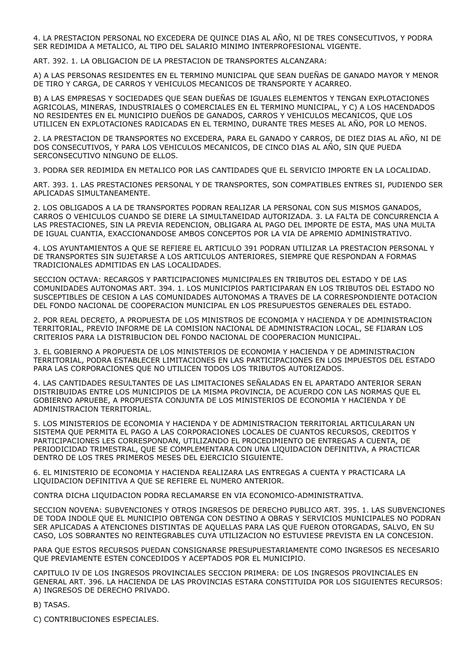4. LA PRESTACION PERSONAL NO EXCEDERA DE QUINCE DIAS AL AÑO, NI DE TRES CONSECUTIVOS, Y PODRA SER REDIMIDA A METALICO, AL TIPO DEL SALARIO MINIMO INTERPROFESIONAL VIGENTE.

ART. 392. 1. LA OBLIGACION DE LA PRESTACION DE TRANSPORTES ALCANZARA:

A) A LAS PERSONAS RESIDENTES EN EL TERMINO MUNICIPAL QUE SEAN DUEÑAS DE GANADO MAYOR Y MENOR DE TIRO Y CARGA, DE CARROS Y VEHICULOS MECANICOS DE TRANSPORTE Y ACARREO.

B) A LAS EMPRESAS Y SOCIEDADES QUE SEAN DUEÑAS DE IGUALES ELEMENTOS Y TENGAN EXPLOTACIONES AGRICOLAS, MINERAS, INDUSTRIALES O COMERCIALES EN EL TERMINO MUNICIPAL, Y C) A LOS HACENDADOS NO RESIDENTES EN EL MUNICIPIO DUEÑOS DE GANADOS, CARROS Y VEHICULOS MECANICOS, QUE LOS UTILICEN EN EXPLOTACIONES RADICADAS EN EL TERMINO, DURANTE TRES MESES AL AÑO, POR LO MENOS.

2. LA PRESTACION DE TRANSPORTES NO EXCEDERA, PARA EL GANADO Y CARROS, DE DIEZ DIAS AL AÑO, NI DE DOS CONSECUTIVOS, Y PARA LOS VEHICULOS MECANICOS, DE CINCO DIAS AL AÑO, SIN QUE PUEDA SERCONSECUTIVO NINGUNO DE ELLOS.

3. PODRA SER REDIMIDA EN METALICO POR LAS CANTIDADES QUE EL SERVICIO IMPORTE EN LA LOCALIDAD.

ART. 393. 1. LAS PRESTACIONES PERSONAL Y DE TRANSPORTES, SON COMPATIBLES ENTRES SI, PUDIENDO SER APLICADAS SIMULTANEAMENTE.

2. LOS OBLIGADOS A LA DE TRANSPORTES PODRAN REALIZAR LA PERSONAL CON SUS MISMOS GANADOS, CARROS O VEHICULOS CUANDO SE DIERE LA SIMULTANEIDAD AUTORIZADA. 3. LA FALTA DE CONCURRENCIA A LAS PRESTACIONES, SIN LA PREVIA REDENCION, OBLIGARA AL PAGO DEL IMPORTE DE ESTA, MAS UNA MULTA DE IGUAL CUANTIA, EXACCIONANDOSE AMBOS CONCEPTOS POR LA VIA DE APREMIO ADMINISTRATIVO.

4. LOS AYUNTAMIENTOS A QUE SE REFIERE EL ARTICULO 391 PODRAN UTILIZAR LA PRESTACION PERSONAL Y DE TRANSPORTES SIN SUJETARSE A LOS ARTICULOS ANTERIORES, SIEMPRE QUE RESPONDAN A FORMAS TRADICIONALES ADMITIDAS EN LAS LOCALIDADES.

SECCION OCTAVA: RECARGOS Y PARTICIPACIONES MUNICIPALES EN TRIBUTOS DEL ESTADO Y DE LAS COMUNIDADES AUTONOMAS ART. 394. 1. LOS MUNICIPIOS PARTICIPARAN EN LOS TRIBUTOS DEL ESTADO NO SUSCEPTIBLES DE CESION A LAS COMUNIDADES AUTONOMAS A TRAVES DE LA CORRESPONDIENTE DOTACION DEL FONDO NACIONAL DE COOPERACION MUNICIPAL EN LOS PRESUPUESTOS GENERALES DEL ESTADO.

2. POR REAL DECRETO, A PROPUESTA DE LOS MINISTROS DE ECONOMIA Y HACIENDA Y DE ADMINISTRACION TERRITORIAL, PREVIO INFORME DE LA COMISION NACIONAL DE ADMINISTRACION LOCAL, SE FIJARAN LOS CRITERIOS PARA LA DISTRIBUCION DEL FONDO NACIONAL DE COOPERACION MUNICIPAL.

3. EL GOBIERNO A PROPUESTA DE LOS MINISTERIOS DE ECONOMIA Y HACIENDA Y DE ADMINISTRACION TERRITORIAL, PODRA ESTABLECER LIMITACIONES EN LAS PARTICIPACIONES EN LOS IMPUESTOS DEL ESTADO PARA LAS CORPORACIONES QUE NO UTILICEN TODOS LOS TRIBUTOS AUTORIZADOS.

4. LAS CANTIDADES RESULTANTES DE LAS LIMITACIONES SEÑALADAS EN EL APARTADO ANTERIOR SERAN DISTRIBUIDAS ENTRE LOS MUNICIPIOS DE LA MISMA PROVINCIA, DE ACUERDO CON LAS NORMAS QUE EL GOBIERNO APRUEBE, A PROPUESTA CONJUNTA DE LOS MINISTERIOS DE ECONOMIA Y HACIENDA Y DE ADMINISTRACION TERRITORIAL.

5. LOS MINISTERIOS DE ECONOMIA Y HACIENDA Y DE ADMINISTRACION TERRITORIAL ARTICULARAN UN SISTEMA QUE PERMITA EL PAGO A LAS CORPORACIONES LOCALES DE CUANTOS RECURSOS, CREDITOS Y PARTICIPACIONES LES CORRESPONDAN, UTILIZANDO EL PROCEDIMIENTO DE ENTREGAS A CUENTA, DE PERIODICIDAD TRIMESTRAL, QUE SE COMPLEMENTARA CON UNA LIQUIDACION DEFINITIVA, A PRACTICAR DENTRO DE LOS TRES PRIMEROS MESES DEL EJERCICIO SIGUIENTE.

6. EL MINISTERIO DE ECONOMIA Y HACIENDA REALIZARA LAS ENTREGAS A CUENTA Y PRACTICARA LA LIQUIDACION DEFINITIVA A QUE SE REFIERE EL NUMERO ANTERIOR.

CONTRA DICHA LIQUIDACION PODRA RECLAMARSE EN VIA ECONOMICO-ADMINISTRATIVA.

SECCION NOVENA: SUBVENCIONES Y OTROS INGRESOS DE DERECHO PUBLICO ART. 395. 1. LAS SUBVENCIONES DE TODA INDOLE QUE EL MUNICIPIO OBTENGA CON DESTINO A OBRAS Y SERVICIOS MUNICIPALES NO PODRAN SER APLICADAS A ATENCIONES DISTINTAS DE AQUELLAS PARA LAS QUE FUERON OTORGADAS, SALVO, EN SU CASO, LOS SOBRANTES NO REINTEGRABLES CUYA UTILIZACION NO ESTUVIESE PREVISTA EN LA CONCESION.

PARA QUE ESTOS RECURSOS PUEDAN CONSIGNARSE PRESUPUESTARIAMENTE COMO INGRESOS ES NECESARIO QUE PREVIAMENTE ESTEN CONCEDIDOS Y ACEPTADOS POR EL MUNICIPIO.

CAPITULO IV DE LOS INGRESOS PROVINCIALES SECCION PRIMERA: DE LOS INGRESOS PROVINCIALES EN GENERAL ART. 396. LA HACIENDA DE LAS PROVINCIAS ESTARA CONSTITUIDA POR LOS SIGUIENTES RECURSOS: A) INGRESOS DE DERECHO PRIVADO.

B) TASAS.

C) CONTRIBUCIONES ESPECIALES.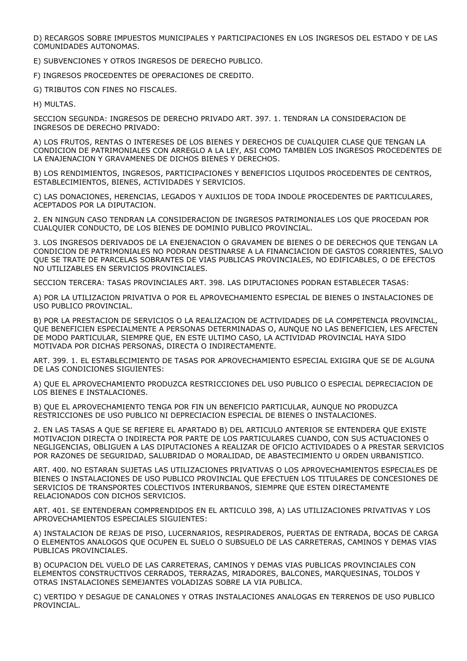D) RECARGOS SOBRE IMPUESTOS MUNICIPALES Y PARTICIPACIONES EN LOS INGRESOS DEL ESTADO Y DE LAS COMUNIDADES AUTONOMAS.

E) SUBVENCIONES Y OTROS INGRESOS DE DERECHO PUBLICO.

F) INGRESOS PROCEDENTES DE OPERACIONES DE CREDITO.

G) TRIBUTOS CON FINES NO FISCALES.

H) MULTAS.

SECCION SEGUNDA: INGRESOS DE DERECHO PRIVADO ART. 397. 1. TENDRAN LA CONSIDERACION DE INGRESOS DE DERECHO PRIVADO:

A) LOS FRUTOS, RENTAS O INTERESES DE LOS BIENES Y DERECHOS DE CUALQUIER CLASE QUE TENGAN LA CONDICION DE PATRIMONIALES CON ARREGLO A LA LEY, ASI COMO TAMBIEN LOS INGRESOS PROCEDENTES DE LA ENAJENACION Y GRAVAMENES DE DICHOS BIENES Y DERECHOS.

B) LOS RENDIMIENTOS, INGRESOS, PARTICIPACIONES Y BENEFICIOS LIQUIDOS PROCEDENTES DE CENTROS, ESTABLECIMIENTOS, BIENES, ACTIVIDADES Y SERVICIOS.

C) LAS DONACIONES, HERENCIAS, LEGADOS Y AUXILIOS DE TODA INDOLE PROCEDENTES DE PARTICULARES, ACEPTADOS POR LA DIPUTACION.

2. EN NINGUN CASO TENDRAN LA CONSIDERACION DE INGRESOS PATRIMONIALES LOS QUE PROCEDAN POR CUALQUIER CONDUCTO, DE LOS BIENES DE DOMINIO PUBLICO PROVINCIAL.

3. LOS INGRESOS DERIVADOS DE LA ENEJENACION O GRAVAMEN DE BIENES O DE DERECHOS QUE TENGAN LA CONDICION DE PATRIMONIALES NO PODRAN DESTINARSE A LA FINANCIACION DE GASTOS CORRIENTES, SALVO QUE SE TRATE DE PARCELAS SOBRANTES DE VIAS PUBLICAS PROVINCIALES, NO EDIFICABLES, O DE EFECTOS NO UTILIZABLES EN SERVICIOS PROVINCIALES.

SECCION TERCERA: TASAS PROVINCIALES ART. 398. LAS DIPUTACIONES PODRAN ESTABLECER TASAS:

A) POR LA UTILIZACION PRIVATIVA O POR EL APROVECHAMIENTO ESPECIAL DE BIENES O INSTALACIONES DE USO PUBLICO PROVINCIAL.

B) POR LA PRESTACION DE SERVICIOS O LA REALIZACION DE ACTIVIDADES DE LA COMPETENCIA PROVINCIAL, QUE BENEFICIEN ESPECIALMENTE A PERSONAS DETERMINADAS O, AUNQUE NO LAS BENEFICIEN, LES AFECTEN DE MODO PARTICULAR, SIEMPRE QUE, EN ESTE ULTIMO CASO, LA ACTIVIDAD PROVINCIAL HAYA SIDO MOTIVADA POR DICHAS PERSONAS, DIRECTA O INDIRECTAMENTE.

ART. 399. 1. EL ESTABLECIMIENTO DE TASAS POR APROVECHAMIENTO ESPECIAL EXIGIRA QUE SE DE ALGUNA DE LAS CONDICIONES SIGUIENTES:

A) QUE EL APROVECHAMIENTO PRODUZCA RESTRICCIONES DEL USO PUBLICO O ESPECIAL DEPRECIACION DE LOS BIENES E INSTALACIONES.

B) QUE EL APROVECHAMIENTO TENGA POR FIN UN BENEFICIO PARTICULAR, AUNQUE NO PRODUZCA RESTRICCIONES DE USO PUBLICO NI DEPRECIACION ESPECIAL DE BIENES O INSTALACIONES.

2. EN LAS TASAS A QUE SE REFIERE EL APARTADO B) DEL ARTICULO ANTERIOR SE ENTENDERA QUE EXISTE MOTIVACION DIRECTA O INDIRECTA POR PARTE DE LOS PARTICULARES CUANDO, CON SUS ACTUACIONES O NEGLIGENCIAS, OBLIGUEN A LAS DIPUTACIONES A REALIZAR DE OFICIO ACTIVIDADES O A PRESTAR SERVICIOS POR RAZONES DE SEGURIDAD, SALUBRIDAD O MORALIDAD, DE ABASTECIMIENTO U ORDEN URBANISTICO.

ART. 400. NO ESTARAN SUJETAS LAS UTILIZACIONES PRIVATIVAS O LOS APROVECHAMIENTOS ESPECIALES DE BIENES O INSTALACIONES DE USO PUBLICO PROVINCIAL QUE EFECTUEN LOS TITULARES DE CONCESIONES DE SERVICIOS DE TRANSPORTES COLECTIVOS INTERURBANOS, SIEMPRE QUE ESTEN DIRECTAMENTE RELACIONADOS CON DICHOS SERVICIOS.

ART. 401. SE ENTENDERAN COMPRENDIDOS EN EL ARTICULO 398, A) LAS UTILIZACIONES PRIVATIVAS Y LOS APROVECHAMIENTOS ESPECIALES SIGUIENTES:

A) INSTALACION DE REJAS DE PISO, LUCERNARIOS, RESPIRADEROS, PUERTAS DE ENTRADA, BOCAS DE CARGA O ELEMENTOS ANALOGOS QUE OCUPEN EL SUELO O SUBSUELO DE LAS CARRETERAS, CAMINOS Y DEMAS VIAS PUBLICAS PROVINCIALES.

B) OCUPACION DEL VUELO DE LAS CARRETERAS, CAMINOS Y DEMAS VIAS PUBLICAS PROVINCIALES CON ELEMENTOS CONSTRUCTIVOS CERRADOS, TERRAZAS, MIRADORES, BALCONES, MARQUESINAS, TOLDOS Y OTRAS INSTALACIONES SEMEJANTES VOLADIZAS SOBRE LA VIA PUBLICA.

C) VERTIDO Y DESAGUE DE CANALONES Y OTRAS INSTALACIONES ANALOGAS EN TERRENOS DE USO PUBLICO PROVINCIAL.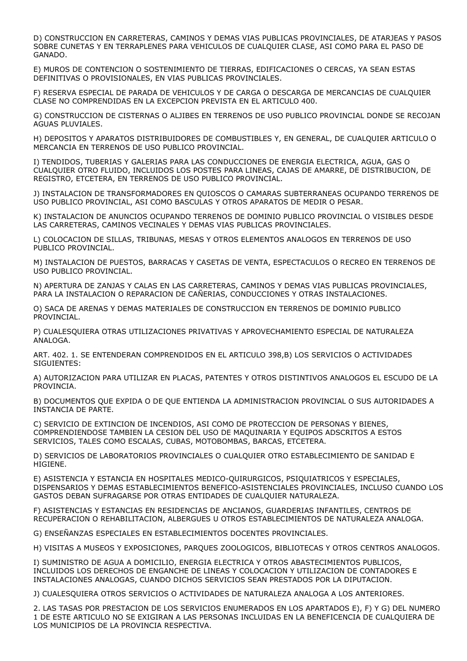D) CONSTRUCCION EN CARRETERAS, CAMINOS Y DEMAS VIAS PUBLICAS PROVINCIALES, DE ATARJEAS Y PASOS SOBRE CUNETAS Y EN TERRAPLENES PARA VEHICULOS DE CUALQUIER CLASE, ASI COMO PARA EL PASO DE GANADO.

E) MUROS DE CONTENCION O SOSTENIMIENTO DE TIERRAS, EDIFICACIONES O CERCAS, YA SEAN ESTAS DEFINITIVAS O PROVISIONALES, EN VIAS PUBLICAS PROVINCIALES.

F) RESERVA ESPECIAL DE PARADA DE VEHICULOS Y DE CARGA O DESCARGA DE MERCANCIAS DE CUALQUIER CLASE NO COMPRENDIDAS EN LA EXCEPCION PREVISTA EN EL ARTICULO 400.

G) CONSTRUCCION DE CISTERNAS O ALJIBES EN TERRENOS DE USO PUBLICO PROVINCIAL DONDE SE RECOJAN AGUAS PLUVIALES.

H) DEPOSITOS Y APARATOS DISTRIBUIDORES DE COMBUSTIBLES Y, EN GENERAL, DE CUALQUIER ARTICULO O MERCANCIA EN TERRENOS DE USO PUBLICO PROVINCIAL.

I) TENDIDOS, TUBERIAS Y GALERIAS PARA LAS CONDUCCIONES DE ENERGIA ELECTRICA, AGUA, GAS O CUALQUIER OTRO FLUIDO, INCLUIDOS LOS POSTES PARA LINEAS, CAJAS DE AMARRE, DE DISTRIBUCION, DE REGISTRO, ETCETERA, EN TERRENOS DE USO PUBLICO PROVINCIAL.

J) INSTALACION DE TRANSFORMADORES EN QUIOSCOS O CAMARAS SUBTERRANEAS OCUPANDO TERRENOS DE USO PUBLICO PROVINCIAL, ASI COMO BASCULAS Y OTROS APARATOS DE MEDIR O PESAR.

K) INSTALACION DE ANUNCIOS OCUPANDO TERRENOS DE DOMINIO PUBLICO PROVINCIAL O VISIBLES DESDE LAS CARRETERAS, CAMINOS VECINALES Y DEMAS VIAS PUBLICAS PROVINCIALES.

L) COLOCACION DE SILLAS, TRIBUNAS, MESAS Y OTROS ELEMENTOS ANALOGOS EN TERRENOS DE USO PUBLICO PROVINCIAL.

M) INSTALACION DE PUESTOS, BARRACAS Y CASETAS DE VENTA, ESPECTACULOS O RECREO EN TERRENOS DE USO PUBLICO PROVINCIAL.

N) APERTURA DE ZANJAS Y CALAS EN LAS CARRETERAS, CAMINOS Y DEMAS VIAS PUBLICAS PROVINCIALES, PARA LA INSTALACION O REPARACION DE CAÑERIAS, CONDUCCIONES Y OTRAS INSTALACIONES.

O) SACA DE ARENAS Y DEMAS MATERIALES DE CONSTRUCCION EN TERRENOS DE DOMINIO PUBLICO PROVINCIAL.

P) CUALESQUIERA OTRAS UTILIZACIONES PRIVATIVAS Y APROVECHAMIENTO ESPECIAL DE NATURALEZA ANALOGA.

ART. 402. 1. SE ENTENDERAN COMPRENDIDOS EN EL ARTICULO 398,B) LOS SERVICIOS O ACTIVIDADES SIGUIENTES:

A) AUTORIZACION PARA UTILIZAR EN PLACAS, PATENTES Y OTROS DISTINTIVOS ANALOGOS EL ESCUDO DE LA PROVINCIA.

B) DOCUMENTOS QUE EXPIDA O DE QUE ENTIENDA LA ADMINISTRACION PROVINCIAL O SUS AUTORIDADES A INSTANCIA DE PARTE.

C) SERVICIO DE EXTINCION DE INCENDIOS, ASI COMO DE PROTECCION DE PERSONAS Y BIENES, COMPRENDIENDOSE TAMBIEN LA CESION DEL USO DE MAQUINARIA Y EQUIPOS ADSCRITOS A ESTOS SERVICIOS, TALES COMO ESCALAS, CUBAS, MOTOBOMBAS, BARCAS, ETCETERA.

D) SERVICIOS DE LABORATORIOS PROVINCIALES O CUALQUIER OTRO ESTABLECIMIENTO DE SANIDAD E HIGIENE.

E) ASISTENCIA Y ESTANCIA EN HOSPITALES MEDICO-QUIRURGICOS, PSIQUIATRICOS Y ESPECIALES, DISPENSARIOS Y DEMAS ESTABLECIMIENTOS BENEFICO-ASISTENCIALES PROVINCIALES, INCLUSO CUANDO LOS GASTOS DEBAN SUFRAGARSE POR OTRAS ENTIDADES DE CUALQUIER NATURALEZA.

F) ASISTENCIAS Y ESTANCIAS EN RESIDENCIAS DE ANCIANOS, GUARDERIAS INFANTILES, CENTROS DE RECUPERACION O REHABILITACION, ALBERGUES U OTROS ESTABLECIMIENTOS DE NATURALEZA ANALOGA.

G) ENSEÑANZAS ESPECIALES EN ESTABLECIMIENTOS DOCENTES PROVINCIALES.

H) VISITAS A MUSEOS Y EXPOSICIONES, PARQUES ZOOLOGICOS, BIBLIOTECAS Y OTROS CENTROS ANALOGOS.

I) SUMINISTRO DE AGUA A DOMICILIO, ENERGIA ELECTRICA Y OTROS ABASTECIMIENTOS PUBLICOS, INCLUIDOS LOS DERECHOS DE ENGANCHE DE LINEAS Y COLOCACION Y UTILIZACION DE CONTADORES E INSTALACIONES ANALOGAS, CUANDO DICHOS SERVICIOS SEAN PRESTADOS POR LA DIPUTACION.

J) CUALESQUIERA OTROS SERVICIOS O ACTIVIDADES DE NATURALEZA ANALOGA A LOS ANTERIORES.

2. LAS TASAS POR PRESTACION DE LOS SERVICIOS ENUMERADOS EN LOS APARTADOS E), F) Y G) DEL NUMERO 1 DE ESTE ARTICULO NO SE EXIGIRAN A LAS PERSONAS INCLUIDAS EN LA BENEFICENCIA DE CUALQUIERA DE LOS MUNICIPIOS DE LA PROVINCIA RESPECTIVA.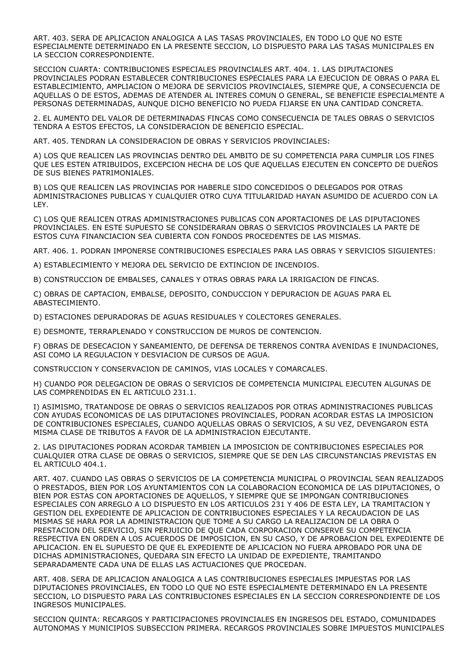ART. 403. SERA DE APLICACION ANALOGICA A LAS TASAS PROVINCIALES, EN TODO LO QUE NO ESTE ESPECIALMENTE DETERMINADO EN LA PRESENTE SECCION, LO DISPUESTO PARA LAS TASAS MUNICIPALES EN LA SECCION CORRESPONDIENTE.

SECCION CUARTA: CONTRIBUCIONES ESPECIALES PROVINCIALES ART. 404. 1. LAS DIPUTACIONES PROVINCIALES PODRAN ESTABLECER CONTRIBUCIONES ESPECIALES PARA LA EJECUCION DE OBRAS O PARA EL ESTABLECIMIENTO, AMPLIACION O MEJORA DE SERVICIOS PROVINCIALES, SIEMPRE QUE, A CONSECUENCIA DE AQUELLAS O DE ESTOS, ADEMAS DE ATENDER AL INTERES COMUN O GENERAL, SE BENEFICIE ESPECIALMENTE A PERSONAS DETERMINADAS, AUNQUE DICHO BENEFICIO NO PUEDA FIJARSE EN UNA CANTIDAD CONCRETA.

2. EL AUMENTO DEL VALOR DE DETERMINADAS FINCAS COMO CONSECUENCIA DE TALES OBRAS O SERVICIOS TENDRA A ESTOS EFECTOS, LA CONSIDERACION DE BENEFICIO ESPECIAL.

ART. 405. TENDRAN LA CONSIDERACION DE OBRAS Y SERVICIOS PROVINCIALES:

A) LOS QUE REALICEN LAS PROVINCIAS DENTRO DEL AMBITO DE SU COMPETENCIA PARA CUMPLIR LOS FINES QUE LES ESTEN ATRIBUIDOS, EXCEPCION HECHA DE LOS QUE AQUELLAS EJECUTEN EN CONCEPTO DE DUEÑOS DE SUS BIENES PATRIMONIALES.

B) LOS QUE REALICEN LAS PROVINCIAS POR HABERLE SIDO CONCEDIDOS O DELEGADOS POR OTRAS ADMINISTRACIONES PUBLICAS Y CUALQUIER OTRO CUYA TITULARIDAD HAYAN ASUMIDO DE ACUERDO CON LA LEY.

C) LOS QUE REALICEN OTRAS ADMINISTRACIONES PUBLICAS CON APORTACIONES DE LAS DIPUTACIONES PROVINCIALES. EN ESTE SUPUESTO SE CONSIDERARAN OBRAS O SERVICIOS PROVINCIALES LA PARTE DE ESTOS CUYA FINANCIACION SEA CUBIERTA CON FONDOS PROCEDENTES DE LAS MISMAS.

ART. 406. 1. PODRAN IMPONERSE CONTRIBUCIONES ESPECIALES PARA LAS OBRAS Y SERVICIOS SIGUIENTES:

A) ESTABLECIMIENTO Y MEJORA DEL SERVICIO DE EXTINCION DE INCENDIOS.

B) CONSTRUCCION DE EMBALSES, CANALES Y OTRAS OBRAS PARA LA IRRIGACION DE FINCAS.

C) OBRAS DE CAPTACION, EMBALSE, DEPOSITO, CONDUCCION Y DEPURACION DE AGUAS PARA EL ABASTECIMIENTO.

D) ESTACIONES DEPURADORAS DE AGUAS RESIDUALES Y COLECTORES GENERALES.

E) DESMONTE, TERRAPLENADO Y CONSTRUCCION DE MUROS DE CONTENCION.

F) OBRAS DE DESECACION Y SANEAMIENTO, DE DEFENSA DE TERRENOS CONTRA AVENIDAS E INUNDACIONES, ASI COMO LA REGULACION Y DESVIACION DE CURSOS DE AGUA.

CONSTRUCCION Y CONSERVACION DE CAMINOS, VIAS LOCALES Y COMARCALES.

H) CUANDO POR DELEGACION DE OBRAS O SERVICIOS DE COMPETENCIA MUNICIPAL EJECUTEN ALGUNAS DE LAS COMPRENDIDAS EN EL ARTICULO 231.1.

I) ASIMISMO, TRATANDOSE DE OBRAS O SERVICIOS REALIZADOS POR OTRAS ADMINISTRACIONES PUBLICAS CON AYUDAS ECONOMICAS DE LAS DIPUTACIONES PROVINCIALES, PODRAN ACORDAR ESTAS LA IMPOSICION DE CONTRIBUCIONES ESPECIALES, CUANDO AQUELLAS OBRAS O SERVICIOS, A SU VEZ, DEVENGARON ESTA MISMA CLASE DE TRIBUTOS A FAVOR DE LA ADMINISTRACION EJECUTANTE.

2. LAS DIPUTACIONES PODRAN ACORDAR TAMBIEN LA IMPOSICION DE CONTRIBUCIONES ESPECIALES POR CUALQUIER OTRA CLASE DE OBRAS O SERVICIOS, SIEMPRE QUE SE DEN LAS CIRCUNSTANCIAS PREVISTAS EN EL ARTICULO 404.1.

ART. 407. CUANDO LAS OBRAS O SERVICIOS DE LA COMPETENCIA MUNICIPAL O PROVINCIAL SEAN REALIZADOS O PRESTADOS, BIEN POR LOS AYUNTAMIENTOS CON LA COLABORACION ECONOMICA DE LAS DIPUTACIONES, O BIEN POR ESTAS CON APORTACIONES DE AQUELLOS, Y SIEMPRE QUE SE IMPONGAN CONTRIBUCIONES ESPECIALES CON ARREGLO A LO DISPUESTO EN LOS ARTICULOS 231 Y 406 DE ESTA LEY, LA TRAMITACION Y GESTION DEL EXPEDIENTE DE APLICACION DE CONTRIBUCIONES ESPECIALES Y LA RECAUDACION DE LAS MISMAS SE HARA POR LA ADMINISTRACION QUE TOME A SU CARGO LA REALIZACION DE LA OBRA O PRESTACION DEL SERVICIO, SIN PERJUICIO DE QUE CADA CORPORACION CONSERVE SU COMPETENCIA RESPECTIVA EN ORDEN A LOS ACUERDOS DE IMPOSICION, EN SU CASO, Y DE APROBACION DEL EXPEDIENTE DE APLICACION. EN EL SUPUESTO DE QUE EL EXPEDIENTE DE APLICACION NO FUERA APROBADO POR UNA DE DICHAS ADMINISTRACIONES, QUEDARA SIN EFECTO LA UNIDAD DE EXPEDIENTE, TRAMITANDO SEPARADAMENTE CADA UNA DE ELLAS LAS ACTUACIONES QUE PROCEDAN.

ART. 408. SERA DE APLICACION ANALOGICA A LAS CONTRIBUCIONES ESPECIALES IMPUESTAS POR LAS DIPUTACIONES PROVINCIALES, EN TODO LO QUE NO ESTE ESPECIALMENTE DETERMINADO EN LA PRESENTE SECCION, LO DISPUESTO PARA LAS CONTRIBUCIONES ESPECIALES EN LA SECCION CORRESPONDIENTE DE LOS INGRESOS MUNICIPALES.

SECCION QUINTA: RECARGOS Y PARTICIPACIONES PROVINCIALES EN INGRESOS DEL ESTADO, COMUNIDADES AUTONOMAS Y MUNICIPIOS SUBSECCION PRIMERA. RECARGOS PROVINCIALES SOBRE IMPUESTOS MUNICIPALES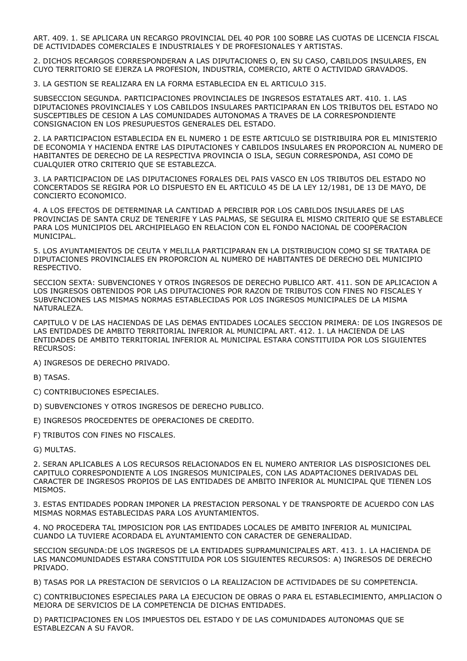ART. 409. 1. SE APLICARA UN RECARGO PROVINCIAL DEL 40 POR 100 SOBRE LAS CUOTAS DE LICENCIA FISCAL DE ACTIVIDADES COMERCIALES E INDUSTRIALES Y DE PROFESIONALES Y ARTISTAS.

2. DICHOS RECARGOS CORRESPONDERAN A LAS DIPUTACIONES O, EN SU CASO, CABILDOS INSULARES, EN CUYO TERRITORIO SE EJERZA LA PROFESION, INDUSTRIA, COMERCIO, ARTE O ACTIVIDAD GRAVADOS.

3. LA GESTION SE REALIZARA EN LA FORMA ESTABLECIDA EN EL ARTICULO 315.

SUBSECCION SEGUNDA. PARTICIPACIONES PROVINCIALES DE INGRESOS ESTATALES ART. 410. 1. LAS DIPUTACIONES PROVINCIALES Y LOS CABILDOS INSULARES PARTICIPARAN EN LOS TRIBUTOS DEL ESTADO NO SUSCEPTIBLES DE CESION A LAS COMUNIDADES AUTONOMAS A TRAVES DE LA CORRESPONDIENTE CONSIGNACION EN LOS PRESUPUESTOS GENERALES DEL ESTADO.

2. LA PARTICIPACION ESTABLECIDA EN EL NUMERO 1 DE ESTE ARTICULO SE DISTRIBUIRA POR EL MINISTERIO DE ECONOMIA Y HACIENDA ENTRE LAS DIPUTACIONES Y CABILDOS INSULARES EN PROPORCION AL NUMERO DE HABITANTES DE DERECHO DE LA RESPECTIVA PROVINCIA O ISLA, SEGUN CORRESPONDA, ASI COMO DE CUALQUIER OTRO CRITERIO QUE SE ESTABLEZCA.

3. LA PARTICIPACION DE LAS DIPUTACIONES FORALES DEL PAIS VASCO EN LOS TRIBUTOS DEL ESTADO NO CONCERTADOS SE REGIRA POR LO DISPUESTO EN EL ARTICULO 45 DE LA LEY 12/1981, DE 13 DE MAYO, DE CONCIERTO ECONOMICO.

4. A LOS EFECTOS DE DETERMINAR LA CANTIDAD A PERCIBIR POR LOS CABILDOS INSULARES DE LAS PROVINCIAS DE SANTA CRUZ DE TENERIFE Y LAS PALMAS, SE SEGUIRA EL MISMO CRITERIO QUE SE ESTABLECE PARA LOS MUNICIPIOS DEL ARCHIPIELAGO EN RELACION CON EL FONDO NACIONAL DE COOPERACION MUNICIPAL.

5. LOS AYUNTAMIENTOS DE CEUTA Y MELILLA PARTICIPARAN EN LA DISTRIBUCION COMO SI SE TRATARA DE DIPUTACIONES PROVINCIALES EN PROPORCION AL NUMERO DE HABITANTES DE DERECHO DEL MUNICIPIO RESPECTIVO.

SECCION SEXTA: SUBVENCIONES Y OTROS INGRESOS DE DERECHO PUBLICO ART. 411. SON DE APLICACION A LOS INGRESOS OBTENIDOS POR LAS DIPUTACIONES POR RAZON DE TRIBUTOS CON FINES NO FISCALES Y SUBVENCIONES LAS MISMAS NORMAS ESTABLECIDAS POR LOS INGRESOS MUNICIPALES DE LA MISMA NATURALEZA.

CAPITULO V DE LAS HACIENDAS DE LAS DEMAS ENTIDADES LOCALES SECCION PRIMERA: DE LOS INGRESOS DE LAS ENTIDADES DE AMBITO TERRITORIAL INFERIOR AL MUNICIPAL ART. 412. 1. LA HACIENDA DE LAS ENTIDADES DE AMBITO TERRITORIAL INFERIOR AL MUNICIPAL ESTARA CONSTITUIDA POR LOS SIGUIENTES RECURSOS:

A) INGRESOS DE DERECHO PRIVADO.

B) TASAS.

C) CONTRIBUCIONES ESPECIALES.

D) SUBVENCIONES Y OTROS INGRESOS DE DERECHO PUBLICO.

E) INGRESOS PROCEDENTES DE OPERACIONES DE CREDITO.

F) TRIBUTOS CON FINES NO FISCALES.

G) MULTAS.

2. SERAN APLICABLES A LOS RECURSOS RELACIONADOS EN EL NUMERO ANTERIOR LAS DISPOSICIONES DEL CAPITULO CORRESPONDIENTE A LOS INGRESOS MUNICIPALES, CON LAS ADAPTACIONES DERIVADAS DEL CARACTER DE INGRESOS PROPIOS DE LAS ENTIDADES DE AMBITO INFERIOR AL MUNICIPAL QUE TIENEN LOS MISMOS.

3. ESTAS ENTIDADES PODRAN IMPONER LA PRESTACION PERSONAL Y DE TRANSPORTE DE ACUERDO CON LAS MISMAS NORMAS ESTABLECIDAS PARA LOS AYUNTAMIENTOS.

4. NO PROCEDERA TAL IMPOSICION POR LAS ENTIDADES LOCALES DE AMBITO INFERIOR AL MUNICIPAL CUANDO LA TUVIERE ACORDADA EL AYUNTAMIENTO CON CARACTER DE GENERALIDAD.

SECCION SEGUNDA:DE LOS INGRESOS DE LA ENTIDADES SUPRAMUNICIPALES ART. 413. 1. LA HACIENDA DE LAS MANCOMUNIDADES ESTARA CONSTITUIDA POR LOS SIGUIENTES RECURSOS: A) INGRESOS DE DERECHO PRIVADO.

B) TASAS POR LA PRESTACION DE SERVICIOS O LA REALIZACION DE ACTIVIDADES DE SU COMPETENCIA.

C) CONTRIBUCIONES ESPECIALES PARA LA EJECUCION DE OBRAS O PARA EL ESTABLECIMIENTO, AMPLIACION O MEJORA DE SERVICIOS DE LA COMPETENCIA DE DICHAS ENTIDADES.

D) PARTICIPACIONES EN LOS IMPUESTOS DEL ESTADO Y DE LAS COMUNIDADES AUTONOMAS QUE SE ESTABLEZCAN A SU FAVOR.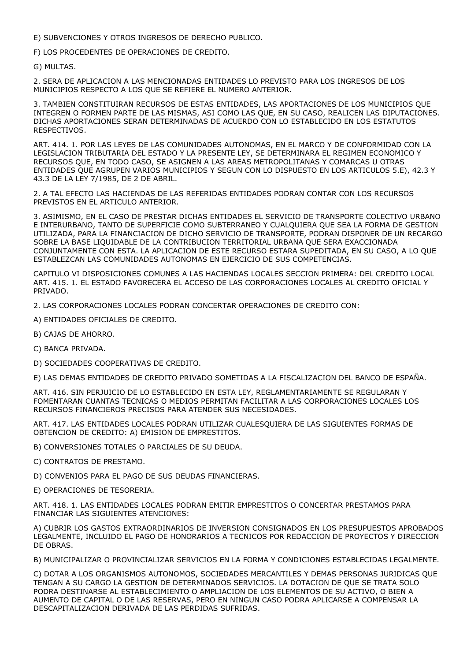E) SUBVENCIONES Y OTROS INGRESOS DE DERECHO PUBLICO.

F) LOS PROCEDENTES DE OPERACIONES DE CREDITO.

G) MULTAS.

2. SERA DE APLICACION A LAS MENCIONADAS ENTIDADES LO PREVISTO PARA LOS INGRESOS DE LOS MUNICIPIOS RESPECTO A LOS QUE SE REFIERE EL NUMERO ANTERIOR.

3. TAMBIEN CONSTITUIRAN RECURSOS DE ESTAS ENTIDADES, LAS APORTACIONES DE LOS MUNICIPIOS QUE INTEGREN O FORMEN PARTE DE LAS MISMAS, ASI COMO LAS QUE, EN SU CASO, REALICEN LAS DIPUTACIONES. DICHAS APORTACIONES SERAN DETERMINADAS DE ACUERDO CON LO ESTABLECIDO EN LOS ESTATUTOS RESPECTIVOS.

ART. 414. 1. POR LAS LEYES DE LAS COMUNIDADES AUTONOMAS, EN EL MARCO Y DE CONFORMIDAD CON LA LEGISLACION TRIBUTARIA DEL ESTADO Y LA PRESENTE LEY, SE DETERMINARA EL REGIMEN ECONOMICO Y RECURSOS QUE, EN TODO CASO, SE ASIGNEN A LAS AREAS METROPOLITANAS Y COMARCAS U OTRAS ENTIDADES QUE AGRUPEN VARIOS MUNICIPIOS Y SEGUN CON LO DISPUESTO EN LOS ARTICULOS 5.E), 42.3 Y 43.3 DE LA LEY 7/1985, DE 2 DE ABRIL.

2. A TAL EFECTO LAS HACIENDAS DE LAS REFERIDAS ENTIDADES PODRAN CONTAR CON LOS RECURSOS PREVISTOS EN EL ARTICULO ANTERIOR.

3. ASIMISMO, EN EL CASO DE PRESTAR DICHAS ENTIDADES EL SERVICIO DE TRANSPORTE COLECTIVO URBANO E INTERURBANO, TANTO DE SUPERFICIE COMO SUBTERRANEO Y CUALQUIERA QUE SEA LA FORMA DE GESTION UTILIZADA, PARA LA FINANCIACION DE DICHO SERVICIO DE TRANSPORTE, PODRAN DISPONER DE UN RECARGO SOBRE LA BASE LIQUIDABLE DE LA CONTRIBUCION TERRITORIAL URBANA QUE SERA EXACCIONADA CONJUNTAMENTE CON ESTA. LA APLICACION DE ESTE RECURSO ESTARA SUPEDITADA, EN SU CASO, A LO QUE ESTABLEZCAN LAS COMUNIDADES AUTONOMAS EN EJERCICIO DE SUS COMPETENCIAS.

CAPITULO VI DISPOSICIONES COMUNES A LAS HACIENDAS LOCALES SECCION PRIMERA: DEL CREDITO LOCAL ART. 415. 1. EL ESTADO FAVORECERA EL ACCESO DE LAS CORPORACIONES LOCALES AL CREDITO OFICIAL Y PRIVADO.

2. LAS CORPORACIONES LOCALES PODRAN CONCERTAR OPERACIONES DE CREDITO CON:

- A) ENTIDADES OFICIALES DE CREDITO.
- B) CAJAS DE AHORRO.
- C) BANCA PRIVADA.
- D) SOCIEDADES COOPERATIVAS DE CREDITO.

E) LAS DEMAS ENTIDADES DE CREDITO PRIVADO SOMETIDAS A LA FISCALIZACION DEL BANCO DE ESPAÑA.

ART. 416. SIN PERJUICIO DE LO ESTABLECIDO EN ESTA LEY, REGLAMENTARIAMENTE SE REGULARAN Y FOMENTARAN CUANTAS TECNICAS O MEDIOS PERMITAN FACILITAR A LAS CORPORACIONES LOCALES LOS RECURSOS FINANCIEROS PRECISOS PARA ATENDER SUS NECESIDADES.

ART. 417. LAS ENTIDADES LOCALES PODRAN UTILIZAR CUALESQUIERA DE LAS SIGUIENTES FORMAS DE OBTENCION DE CREDITO: A) EMISION DE EMPRESTITOS.

B) CONVERSIONES TOTALES O PARCIALES DE SU DEUDA.

- C) CONTRATOS DE PRESTAMO.
- D) CONVENIOS PARA EL PAGO DE SUS DEUDAS FINANCIERAS.
- E) OPERACIONES DE TESORERIA.

ART. 418. 1. LAS ENTIDADES LOCALES PODRAN EMITIR EMPRESTITOS O CONCERTAR PRESTAMOS PARA FINANCIAR LAS SIGUIENTES ATENCIONES:

A) CUBRIR LOS GASTOS EXTRAORDINARIOS DE INVERSION CONSIGNADOS EN LOS PRESUPUESTOS APROBADOS LEGALMENTE, INCLUIDO EL PAGO DE HONORARIOS A TECNICOS POR REDACCION DE PROYECTOS Y DIRECCION DE OBRAS.

B) MUNICIPALIZAR O PROVINCIALIZAR SERVICIOS EN LA FORMA Y CONDICIONES ESTABLECIDAS LEGALMENTE.

C) DOTAR A LOS ORGANISMOS AUTONOMOS, SOCIEDADES MERCANTILES Y DEMAS PERSONAS JURIDICAS QUE TENGAN A SU CARGO LA GESTION DE DETERMINADOS SERVICIOS. LA DOTACION DE QUE SE TRATA SOLO PODRA DESTINARSE AL ESTABLECIMIENTO O AMPLIACION DE LOS ELEMENTOS DE SU ACTIVO, O BIEN A AUMENTO DE CAPITAL O DE LAS RESERVAS, PERO EN NINGUN CASO PODRA APLICARSE A COMPENSAR LA DESCAPITALIZACION DERIVADA DE LAS PERDIDAS SUFRIDAS.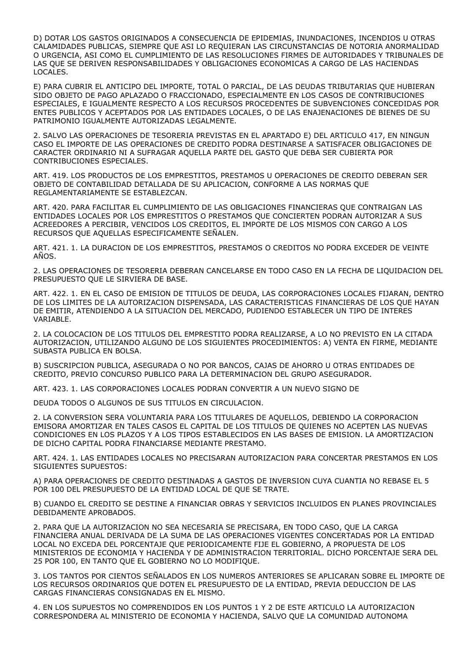D) DOTAR LOS GASTOS ORIGINADOS A CONSECUENCIA DE EPIDEMIAS, INUNDACIONES, INCENDIOS U OTRAS CALAMIDADES PUBLICAS, SIEMPRE QUE ASI LO REQUIERAN LAS CIRCUNSTANCIAS DE NOTORIA ANORMALIDAD O URGENCIA, ASI COMO EL CUMPLIMIENTO DE LAS RESOLUCIONES FIRMES DE AUTORIDADES Y TRIBUNALES DE LAS QUE SE DERIVEN RESPONSABILIDADES Y OBLIGACIONES ECONOMICAS A CARGO DE LAS HACIENDAS LOCALES.

E) PARA CUBRIR EL ANTICIPO DEL IMPORTE, TOTAL O PARCIAL, DE LAS DEUDAS TRIBUTARIAS QUE HUBIERAN SIDO OBJETO DE PAGO APLAZADO O FRACCIONADO, ESPECIALMENTE EN LOS CASOS DE CONTRIBUCIONES ESPECIALES, E IGUALMENTE RESPECTO A LOS RECURSOS PROCEDENTES DE SUBVENCIONES CONCEDIDAS POR ENTES PUBLICOS Y ACEPTADOS POR LAS ENTIDADES LOCALES, O DE LAS ENAJENACIONES DE BIENES DE SU PATRIMONIO IGUALMENTE AUTORIZADAS LEGALMENTE.

2. SALVO LAS OPERACIONES DE TESORERIA PREVISTAS EN EL APARTADO E) DEL ARTICULO 417, EN NINGUN CASO EL IMPORTE DE LAS OPERACIONES DE CREDITO PODRA DESTINARSE A SATISFACER OBLIGACIONES DE CARACTER ORDINARIO NI A SUFRAGAR AQUELLA PARTE DEL GASTO QUE DEBA SER CUBIERTA POR CONTRIBUCIONES ESPECIALES.

ART. 419. LOS PRODUCTOS DE LOS EMPRESTITOS, PRESTAMOS U OPERACIONES DE CREDITO DEBERAN SER OBJETO DE CONTABILIDAD DETALLADA DE SU APLICACION, CONFORME A LAS NORMAS QUE REGLAMENTARIAMENTE SE ESTABLEZCAN.

ART. 420. PARA FACILITAR EL CUMPLIMIENTO DE LAS OBLIGACIONES FINANCIERAS QUE CONTRAIGAN LAS ENTIDADES LOCALES POR LOS EMPRESTITOS O PRESTAMOS QUE CONCIERTEN PODRAN AUTORIZAR A SUS ACREEDORES A PERCIBIR, VENCIDOS LOS CREDITOS, EL IMPORTE DE LOS MISMOS CON CARGO A LOS RECURSOS QUE AQUELLAS ESPECIFICAMENTE SEÑALEN.

ART. 421. 1. LA DURACION DE LOS EMPRESTITOS, PRESTAMOS O CREDITOS NO PODRA EXCEDER DE VEINTE AÑOS.

2. LAS OPERACIONES DE TESORERIA DEBERAN CANCELARSE EN TODO CASO EN LA FECHA DE LIQUIDACION DEL PRESUPUESTO QUE LE SIRVIERA DE BASE.

ART. 422. 1. EN EL CASO DE EMISION DE TITULOS DE DEUDA, LAS CORPORACIONES LOCALES FIJARAN, DENTRO DE LOS LIMITES DE LA AUTORIZACION DISPENSADA, LAS CARACTERISTICAS FINANCIERAS DE LOS QUE HAYAN DE EMITIR, ATENDIENDO A LA SITUACION DEL MERCADO, PUDIENDO ESTABLECER UN TIPO DE INTERES VARIABLE.

2. LA COLOCACION DE LOS TITULOS DEL EMPRESTITO PODRA REALIZARSE, A LO NO PREVISTO EN LA CITADA AUTORIZACION, UTILIZANDO ALGUNO DE LOS SIGUIENTES PROCEDIMIENTOS: A) VENTA EN FIRME, MEDIANTE SUBASTA PUBLICA EN BOLSA.

B) SUSCRIPCION PUBLICA, ASEGURADA O NO POR BANCOS, CAJAS DE AHORRO U OTRAS ENTIDADES DE CREDITO, PREVIO CONCURSO PUBLICO PARA LA DETERMINACION DEL GRUPO ASEGURADOR.

ART. 423. 1. LAS CORPORACIONES LOCALES PODRAN CONVERTIR A UN NUEVO SIGNO DE

DEUDA TODOS O ALGUNOS DE SUS TITULOS EN CIRCULACION.

2. LA CONVERSION SERA VOLUNTARIA PARA LOS TITULARES DE AQUELLOS, DEBIENDO LA CORPORACION EMISORA AMORTIZAR EN TALES CASOS EL CAPITAL DE LOS TITULOS DE QUIENES NO ACEPTEN LAS NUEVAS CONDICIONES EN LOS PLAZOS Y A LOS TIPOS ESTABLECIDOS EN LAS BASES DE EMISION. LA AMORTIZACION DE DICHO CAPITAL PODRA FINANCIARSE MEDIANTE PRESTAMO.

ART. 424. 1. LAS ENTIDADES LOCALES NO PRECISARAN AUTORIZACION PARA CONCERTAR PRESTAMOS EN LOS SIGUIENTES SUPUESTOS:

A) PARA OPERACIONES DE CREDITO DESTINADAS A GASTOS DE INVERSION CUYA CUANTIA NO REBASE EL 5 POR 100 DEL PRESUPUESTO DE LA ENTIDAD LOCAL DE QUE SE TRATE.

B) CUANDO EL CREDITO SE DESTINE A FINANCIAR OBRAS Y SERVICIOS INCLUIDOS EN PLANES PROVINCIALES DEBIDAMENTE APROBADOS.

2. PARA QUE LA AUTORIZACION NO SEA NECESARIA SE PRECISARA, EN TODO CASO, QUE LA CARGA FINANCIERA ANUAL DERIVADA DE LA SUMA DE LAS OPERACIONES VIGENTES CONCERTADAS POR LA ENTIDAD LOCAL NO EXCEDA DEL PORCENTAJE QUE PERIODICAMENTE FIJE EL GOBIERNO, A PROPUESTA DE LOS MINISTERIOS DE ECONOMIA Y HACIENDA Y DE ADMINISTRACION TERRITORIAL. DICHO PORCENTAJE SERA DEL 25 POR 100, EN TANTO QUE EL GOBIERNO NO LO MODIFIQUE.

3. LOS TANTOS POR CIENTOS SEÑALADOS EN LOS NUMEROS ANTERIORES SE APLICARAN SOBRE EL IMPORTE DE LOS RECURSOS ORDINARIOS QUE DOTEN EL PRESUPUESTO DE LA ENTIDAD, PREVIA DEDUCCION DE LAS CARGAS FINANCIERAS CONSIGNADAS EN EL MISMO.

4. EN LOS SUPUESTOS NO COMPRENDIDOS EN LOS PUNTOS 1 Y 2 DE ESTE ARTICULO LA AUTORIZACION CORRESPONDERA AL MINISTERIO DE ECONOMIA Y HACIENDA, SALVO QUE LA COMUNIDAD AUTONOMA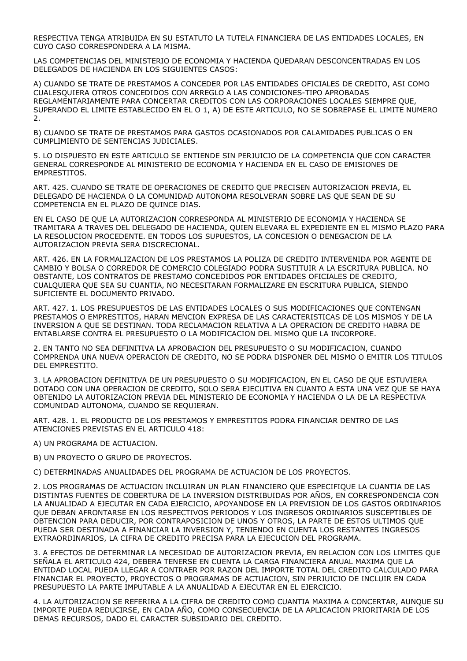RESPECTIVA TENGA ATRIBUIDA EN SU ESTATUTO LA TUTELA FINANCIERA DE LAS ENTIDADES LOCALES, EN CUYO CASO CORRESPONDERA A LA MISMA.

LAS COMPETENCIAS DEL MINISTERIO DE ECONOMIA Y HACIENDA QUEDARAN DESCONCENTRADAS EN LOS DELEGADOS DE HACIENDA EN LOS SIGUIENTES CASOS:

A) CUANDO SE TRATE DE PRESTAMOS A CONCEDER POR LAS ENTIDADES OFICIALES DE CREDITO, ASI COMO CUALESQUIERA OTROS CONCEDIDOS CON ARREGLO A LAS CONDICIONES-TIPO APROBADAS REGLAMENTARIAMENTE PARA CONCERTAR CREDITOS CON LAS CORPORACIONES LOCALES SIEMPRE QUE, SUPERANDO EL LIMITE ESTABLECIDO EN EL O 1, A) DE ESTE ARTICULO, NO SE SOBREPASE EL LIMITE NUMERO 2.

B) CUANDO SE TRATE DE PRESTAMOS PARA GASTOS OCASIONADOS POR CALAMIDADES PUBLICAS O EN CUMPLIMIENTO DE SENTENCIAS JUDICIALES.

5. LO DISPUESTO EN ESTE ARTICULO SE ENTIENDE SIN PERJUICIO DE LA COMPETENCIA QUE CON CARACTER GENERAL CORRESPONDE AL MINISTERIO DE ECONOMIA Y HACIENDA EN EL CASO DE EMISIONES DE EMPRESTITOS.

ART. 425. CUANDO SE TRATE DE OPERACIONES DE CREDITO QUE PRECISEN AUTORIZACION PREVIA, EL DELEGADO DE HACIENDA O LA COMUNIDAD AUTONOMA RESOLVERAN SOBRE LAS QUE SEAN DE SU COMPETENCIA EN EL PLAZO DE QUINCE DIAS.

EN EL CASO DE QUE LA AUTORIZACION CORRESPONDA AL MINISTERIO DE ECONOMIA Y HACIENDA SE TRAMITARA A TRAVES DEL DELEGADO DE HACIENDA, QUIEN ELEVARA EL EXPEDIENTE EN EL MISMO PLAZO PARA LA RESOLUCION PROCEDENTE. EN TODOS LOS SUPUESTOS, LA CONCESION O DENEGACION DE LA AUTORIZACION PREVIA SERA DISCRECIONAL.

ART. 426. EN LA FORMALIZACION DE LOS PRESTAMOS LA POLIZA DE CREDITO INTERVENIDA POR AGENTE DE CAMBIO Y BOLSA O CORREDOR DE COMERCIO COLEGIADO PODRA SUSTITUIR A LA ESCRITURA PUBLICA. NO OBSTANTE, LOS CONTRATOS DE PRESTAMO CONCEDIDOS POR ENTIDADES OFICIALES DE CREDITO, CUALQUIERA QUE SEA SU CUANTIA, NO NECESITARAN FORMALIZARE EN ESCRITURA PUBLICA, SIENDO SUFICIENTE EL DOCUMENTO PRIVADO.

ART. 427. 1. LOS PRESUPUESTOS DE LAS ENTIDADES LOCALES O SUS MODIFICACIONES QUE CONTENGAN PRESTAMOS O EMPRESTITOS, HARAN MENCION EXPRESA DE LAS CARACTERISTICAS DE LOS MISMOS Y DE LA INVERSION A QUE SE DESTINAN. TODA RECLAMACION RELATIVA A LA OPERACION DE CREDITO HABRA DE ENTABLARSE CONTRA EL PRESUPUESTO O LA MODIFICACION DEL MISMO QUE LA INCORPORE.

2. EN TANTO NO SEA DEFINITIVA LA APROBACION DEL PRESUPUESTO O SU MODIFICACION, CUANDO COMPRENDA UNA NUEVA OPERACION DE CREDITO, NO SE PODRA DISPONER DEL MISMO O EMITIR LOS TITULOS DEL EMPRESTITO.

3. LA APROBACION DEFINITIVA DE UN PRESUPUESTO O SU MODIFICACION, EN EL CASO DE QUE ESTUVIERA DOTADO CON UNA OPERACION DE CREDITO, SOLO SERA EJECUTIVA EN CUANTO A ESTA UNA VEZ QUE SE HAYA OBTENIDO LA AUTORIZACION PREVIA DEL MINISTERIO DE ECONOMIA Y HACIENDA O LA DE LA RESPECTIVA COMUNIDAD AUTONOMA, CUANDO SE REQUIERAN.

ART. 428. 1. EL PRODUCTO DE LOS PRESTAMOS Y EMPRESTITOS PODRA FINANCIAR DENTRO DE LAS ATENCIONES PREVISTAS EN EL ARTICULO 418:

A) UN PROGRAMA DE ACTUACION.

B) UN PROYECTO O GRUPO DE PROYECTOS.

C) DETERMINADAS ANUALIDADES DEL PROGRAMA DE ACTUACION DE LOS PROYECTOS.

2. LOS PROGRAMAS DE ACTUACION INCLUIRAN UN PLAN FINANCIERO QUE ESPECIFIQUE LA CUANTIA DE LAS DISTINTAS FUENTES DE COBERTURA DE LA INVERSION DISTRIBUIDAS POR AÑOS, EN CORRESPONDENCIA CON LA ANUALIDAD A EJECUTAR EN CADA EJERCICIO, APOYANDOSE EN LA PREVISION DE LOS GASTOS ORDINARIOS QUE DEBAN AFRONTARSE EN LOS RESPECTIVOS PERIODOS Y LOS INGRESOS ORDINARIOS SUSCEPTIBLES DE OBTENCION PARA DEDUCIR, POR CONTRAPOSICION DE UNOS Y OTROS, LA PARTE DE ESTOS ULTIMOS QUE PUEDA SER DESTINADA A FINANCIAR LA INVERSION Y, TENIENDO EN CUENTA LOS RESTANTES INGRESOS EXTRAORDINARIOS, LA CIFRA DE CREDITO PRECISA PARA LA EJECUCION DEL PROGRAMA.

3. A EFECTOS DE DETERMINAR LA NECESIDAD DE AUTORIZACION PREVIA, EN RELACION CON LOS LIMITES QUE SEÑALA EL ARTICULO 424, DEBERA TENERSE EN CUENTA LA CARGA FINANCIERA ANUAL MAXIMA QUE LA ENTIDAD LOCAL PUEDA LLEGAR A CONTRAER POR RAZON DEL IMPORTE TOTAL DEL CREDITO CALCULADO PARA FINANCIAR EL PROYECTO, PROYECTOS O PROGRAMAS DE ACTUACION, SIN PERJUICIO DE INCLUIR EN CADA PRESUPUESTO LA PARTE IMPUTABLE A LA ANUALIDAD A EJECUTAR EN EL EJERCICIO.

4. LA AUTORIZACION SE REFERIRA A LA CIFRA DE CREDITO COMO CUANTIA MAXIMA A CONCERTAR, AUNQUE SU IMPORTE PUEDA REDUCIRSE, EN CADA AÑO, COMO CONSECUENCIA DE LA APLICACION PRIORITARIA DE LOS DEMAS RECURSOS, DADO EL CARACTER SUBSIDARIO DEL CREDITO.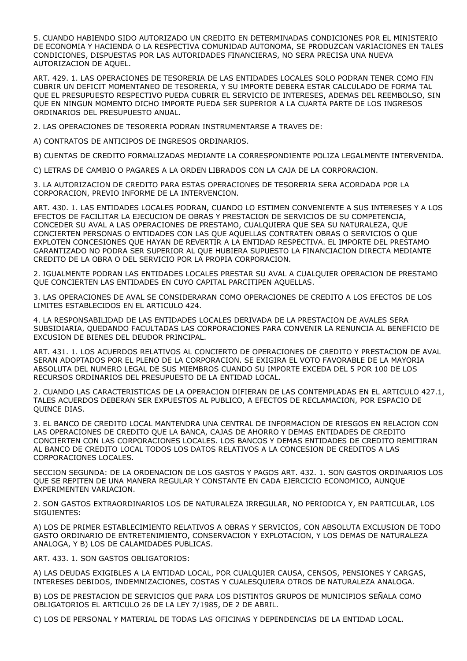5. CUANDO HABIENDO SIDO AUTORIZADO UN CREDITO EN DETERMINADAS CONDICIONES POR EL MINISTERIO DE ECONOMIA Y HACIENDA O LA RESPECTIVA COMUNIDAD AUTONOMA, SE PRODUZCAN VARIACIONES EN TALES CONDICIONES, DISPUESTAS POR LAS AUTORIDADES FINANCIERAS, NO SERA PRECISA UNA NUEVA AUTORIZACION DE AQUEL.

ART. 429. 1. LAS OPERACIONES DE TESORERIA DE LAS ENTIDADES LOCALES SOLO PODRAN TENER COMO FIN CUBRIR UN DEFICIT MOMENTANEO DE TESORERIA, Y SU IMPORTE DEBERA ESTAR CALCULADO DE FORMA TAL QUE EL PRESUPUESTO RESPECTIVO PUEDA CUBRIR EL SERVICIO DE INTERESES, ADEMAS DEL REEMBOLSO, SIN QUE EN NINGUN MOMENTO DICHO IMPORTE PUEDA SER SUPERIOR A LA CUARTA PARTE DE LOS INGRESOS ORDINARIOS DEL PRESUPUESTO ANUAL.

2. LAS OPERACIONES DE TESORERIA PODRAN INSTRUMENTARSE A TRAVES DE:

A) CONTRATOS DE ANTICIPOS DE INGRESOS ORDINARIOS.

B) CUENTAS DE CREDITO FORMALIZADAS MEDIANTE LA CORRESPONDIENTE POLIZA LEGALMENTE INTERVENIDA.

C) LETRAS DE CAMBIO O PAGARES A LA ORDEN LIBRADOS CON LA CAJA DE LA CORPORACION.

3. LA AUTORIZACION DE CREDITO PARA ESTAS OPERACIONES DE TESORERIA SERA ACORDADA POR LA CORPORACION, PREVIO INFORME DE LA INTERVENCION.

ART. 430. 1. LAS ENTIDADES LOCALES PODRAN, CUANDO LO ESTIMEN CONVENIENTE A SUS INTERESES Y A LOS EFECTOS DE FACILITAR LA EJECUCION DE OBRAS Y PRESTACION DE SERVICIOS DE SU COMPETENCIA, CONCEDER SU AVAL A LAS OPERACIONES DE PRESTAMO, CUALQUIERA QUE SEA SU NATURALEZA, QUE CONCIERTEN PERSONAS O ENTIDADES CON LAS QUE AQUELLAS CONTRATEN OBRAS O SERVICIOS O QUE EXPLOTEN CONCESIONES QUE HAYAN DE REVERTIR A LA ENTIDAD RESPECTIVA. EL IMPORTE DEL PRESTAMO GARANTIZADO NO PODRA SER SUPERIOR AL QUE HUBIERA SUPUESTO LA FINANCIACION DIRECTA MEDIANTE CREDITO DE LA OBRA O DEL SERVICIO POR LA PROPIA CORPORACION.

2. IGUALMENTE PODRAN LAS ENTIDADES LOCALES PRESTAR SU AVAL A CUALQUIER OPERACION DE PRESTAMO QUE CONCIERTEN LAS ENTIDADES EN CUYO CAPITAL PARCITIPEN AQUELLAS.

3. LAS OPERACIONES DE AVAL SE CONSIDERARAN COMO OPERACIONES DE CREDITO A LOS EFECTOS DE LOS LIMITES ESTABLECIDOS EN EL ARTICULO 424.

4. LA RESPONSABILIDAD DE LAS ENTIDADES LOCALES DERIVADA DE LA PRESTACION DE AVALES SERA SUBSIDIARIA, QUEDANDO FACULTADAS LAS CORPORACIONES PARA CONVENIR LA RENUNCIA AL BENEFICIO DE EXCUSION DE BIENES DEL DEUDOR PRINCIPAL.

ART. 431. 1. LOS ACUERDOS RELATIVOS AL CONCIERTO DE OPERACIONES DE CREDITO Y PRESTACION DE AVAL SERAN ADOPTADOS POR EL PLENO DE LA CORPORACION. SE EXIGIRA EL VOTO FAVORABLE DE LA MAYORIA ABSOLUTA DEL NUMERO LEGAL DE SUS MIEMBROS CUANDO SU IMPORTE EXCEDA DEL 5 POR 100 DE LOS RECURSOS ORDINARIOS DEL PRESUPUESTO DE LA ENTIDAD LOCAL.

2. CUANDO LAS CARACTERISTICAS DE LA OPERACION DIFIERAN DE LAS CONTEMPLADAS EN EL ARTICULO 427.1, TALES ACUERDOS DEBERAN SER EXPUESTOS AL PUBLICO, A EFECTOS DE RECLAMACION, POR ESPACIO DE QUINCE DIAS.

3. EL BANCO DE CREDITO LOCAL MANTENDRA UNA CENTRAL DE INFORMACION DE RIESGOS EN RELACION CON LAS OPERACIONES DE CREDITO QUE LA BANCA, CAJAS DE AHORRO Y DEMAS ENTIDADES DE CREDITO CONCIERTEN CON LAS CORPORACIONES LOCALES. LOS BANCOS Y DEMAS ENTIDADES DE CREDITO REMITIRAN AL BANCO DE CREDITO LOCAL TODOS LOS DATOS RELATIVOS A LA CONCESION DE CREDITOS A LAS CORPORACIONES LOCALES.

SECCION SEGUNDA: DE LA ORDENACION DE LOS GASTOS Y PAGOS ART. 432. 1. SON GASTOS ORDINARIOS LOS QUE SE REPITEN DE UNA MANERA REGULAR Y CONSTANTE EN CADA EJERCICIO ECONOMICO, AUNQUE EXPERIMENTEN VARIACION.

2. SON GASTOS EXTRAORDINARIOS LOS DE NATURALEZA IRREGULAR, NO PERIODICA Y, EN PARTICULAR, LOS SIGUIENTES:

A) LOS DE PRIMER ESTABLECIMIENTO RELATIVOS A OBRAS Y SERVICIOS, CON ABSOLUTA EXCLUSION DE TODO GASTO ORDINARIO DE ENTRETENIMIENTO, CONSERVACION Y EXPLOTACION, Y LOS DEMAS DE NATURALEZA ANALOGA, Y B) LOS DE CALAMIDADES PUBLICAS.

ART. 433. 1. SON GASTOS OBLIGATORIOS:

A) LAS DEUDAS EXIGIBLES A LA ENTIDAD LOCAL, POR CUALQUIER CAUSA, CENSOS, PENSIONES Y CARGAS, INTERESES DEBIDOS, INDEMNIZACIONES, COSTAS Y CUALESQUIERA OTROS DE NATURALEZA ANALOGA.

B) LOS DE PRESTACION DE SERVICIOS QUE PARA LOS DISTINTOS GRUPOS DE MUNICIPIOS SEÑALA COMO OBLIGATORIOS EL ARTICULO 26 DE LA LEY 7/1985, DE 2 DE ABRIL.

C) LOS DE PERSONAL Y MATERIAL DE TODAS LAS OFICINAS Y DEPENDENCIAS DE LA ENTIDAD LOCAL.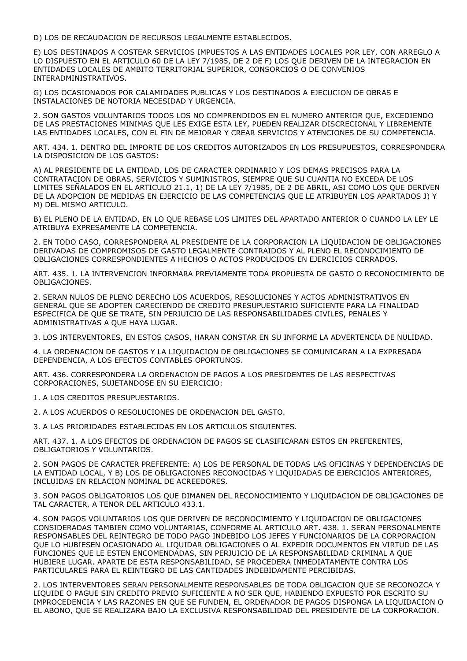D) LOS DE RECAUDACION DE RECURSOS LEGALMENTE ESTABLECIDOS.

E) LOS DESTINADOS A COSTEAR SERVICIOS IMPUESTOS A LAS ENTIDADES LOCALES POR LEY, CON ARREGLO A LO DISPUESTO EN EL ARTICULO 60 DE LA LEY 7/1985, DE 2 DE F) LOS QUE DERIVEN DE LA INTEGRACION EN ENTIDADES LOCALES DE AMBITO TERRITORIAL SUPERIOR, CONSORCIOS O DE CONVENIOS INTERADMINISTRATIVOS.

G) LOS OCASIONADOS POR CALAMIDADES PUBLICAS Y LOS DESTINADOS A EJECUCION DE OBRAS E INSTALACIONES DE NOTORIA NECESIDAD Y URGENCIA.

2. SON GASTOS VOLUNTARIOS TODOS LOS NO COMPRENDIDOS EN EL NUMERO ANTERIOR QUE, EXCEDIENDO DE LAS PRESTACIONES MINIMAS QUE LES EXIGE ESTA LEY, PUEDEN REALIZAR DISCRECIONAL Y LIBREMENTE LAS ENTIDADES LOCALES, CON EL FIN DE MEJORAR Y CREAR SERVICIOS Y ATENCIONES DE SU COMPETENCIA.

ART. 434. 1. DENTRO DEL IMPORTE DE LOS CREDITOS AUTORIZADOS EN LOS PRESUPUESTOS, CORRESPONDERA LA DISPOSICION DE LOS GASTOS:

A) AL PRESIDENTE DE LA ENTIDAD, LOS DE CARACTER ORDINARIO Y LOS DEMAS PRECISOS PARA LA CONTRATACION DE OBRAS, SERVICIOS Y SUMINISTROS, SIEMPRE QUE SU CUANTIA NO EXCEDA DE LOS LIMITES SEÑALADOS EN EL ARTICULO 21.1, 1) DE LA LEY 7/1985, DE 2 DE ABRIL, ASI COMO LOS QUE DERIVEN DE LA ADOPCION DE MEDIDAS EN EJERCICIO DE LAS COMPETENCIAS QUE LE ATRIBUYEN LOS APARTADOS J) Y M) DEL MISMO ARTICULO.

B) EL PLENO DE LA ENTIDAD, EN LO QUE REBASE LOS LIMITES DEL APARTADO ANTERIOR O CUANDO LA LEY LE ATRIBUYA EXPRESAMENTE LA COMPETENCIA.

2. EN TODO CASO, CORRESPONDERA AL PRESIDENTE DE LA CORPORACION LA LIQUIDACION DE OBLIGACIONES DERIVADAS DE COMPROMISOS DE GASTO LEGALMENTE CONTRAIDOS Y AL PLENO EL RECONOCIMIENTO DE OBLIGACIONES CORRESPONDIENTES A HECHOS O ACTOS PRODUCIDOS EN EJERCICIOS CERRADOS.

ART. 435. 1. LA INTERVENCION INFORMARA PREVIAMENTE TODA PROPUESTA DE GASTO O RECONOCIMIENTO DE OBLIGACIONES.

2. SERAN NULOS DE PLENO DERECHO LOS ACUERDOS, RESOLUCIONES Y ACTOS ADMINISTRATIVOS EN GENERAL QUE SE ADOPTEN CARECIENDO DE CREDITO PRESUPUESTARIO SUFICIENTE PARA LA FINALIDAD ESPECIFICA DE QUE SE TRATE, SIN PERJUICIO DE LAS RESPONSABILIDADES CIVILES, PENALES Y ADMINISTRATIVAS A QUE HAYA LUGAR.

3. LOS INTERVENTORES, EN ESTOS CASOS, HARAN CONSTAR EN SU INFORME LA ADVERTENCIA DE NULIDAD.

4. LA ORDENACION DE GASTOS Y LA LIQUIDACION DE OBLIGACIONES SE COMUNICARAN A LA EXPRESADA DEPENDENCIA, A LOS EFECTOS CONTABLES OPORTUNOS.

ART. 436. CORRESPONDERA LA ORDENACION DE PAGOS A LOS PRESIDENTES DE LAS RESPECTIVAS CORPORACIONES, SUJETANDOSE EN SU EJERCICIO:

1. A LOS CREDITOS PRESUPUESTARIOS.

2. A LOS ACUERDOS O RESOLUCIONES DE ORDENACION DEL GASTO.

3. A LAS PRIORIDADES ESTABLECIDAS EN LOS ARTICULOS SIGUIENTES.

ART. 437. 1. A LOS EFECTOS DE ORDENACION DE PAGOS SE CLASIFICARAN ESTOS EN PREFERENTES, OBLIGATORIOS Y VOLUNTARIOS.

2. SON PAGOS DE CARACTER PREFERENTE: A) LOS DE PERSONAL DE TODAS LAS OFICINAS Y DEPENDENCIAS DE LA ENTIDAD LOCAL, Y B) LOS DE OBLIGACIONES RECONOCIDAS Y LIQUIDADAS DE EJERCICIOS ANTERIORES, INCLUIDAS EN RELACION NOMINAL DE ACREEDORES.

3. SON PAGOS OBLIGATORIOS LOS QUE DIMANEN DEL RECONOCIMIENTO Y LIQUIDACION DE OBLIGACIONES DE TAL CARACTER, A TENOR DEL ARTICULO 433.1.

4. SON PAGOS VOLUNTARIOS LOS QUE DERIVEN DE RECONOCIMIENTO Y LIQUIDACION DE OBLIGACIONES CONSIDERADAS TAMBIEN COMO VOLUNTARIAS, CONFORME AL ARTICULO ART. 438. 1. SERAN PERSONALMENTE RESPONSABLES DEL REINTEGRO DE TODO PAGO INDEBIDO LOS JEFES Y FUNCIONARIOS DE LA CORPORACION QUE LO HUBIESEN OCASIONADO AL LIQUIDAR OBLIGACIONES O AL EXPEDIR DOCUMENTOS EN VIRTUD DE LAS FUNCIONES QUE LE ESTEN ENCOMENDADAS, SIN PERJUICIO DE LA RESPONSABILIDAD CRIMINAL A QUE HUBIERE LUGAR. APARTE DE ESTA RESPONSABILIDAD, SE PROCEDERA INMEDIATAMENTE CONTRA LOS PARTICULARES PARA EL REINTEGRO DE LAS CANTIDADES INDEBIDAMENTE PERCIBIDAS.

2. LOS INTERVENTORES SERAN PERSONALMENTE RESPONSABLES DE TODA OBLIGACION QUE SE RECONOZCA Y LIQUIDE O PAGUE SIN CREDITO PREVIO SUFICIENTE A NO SER QUE, HABIENDO EXPUESTO POR ESCRITO SU IMPROCEDENCIA Y LAS RAZONES EN QUE SE FUNDEN, EL ORDENADOR DE PAGOS DISPONGA LA LIQUIDACION O EL ABONO, QUE SE REALIZARA BAJO LA EXCLUSIVA RESPONSABILIDAD DEL PRESIDENTE DE LA CORPORACION.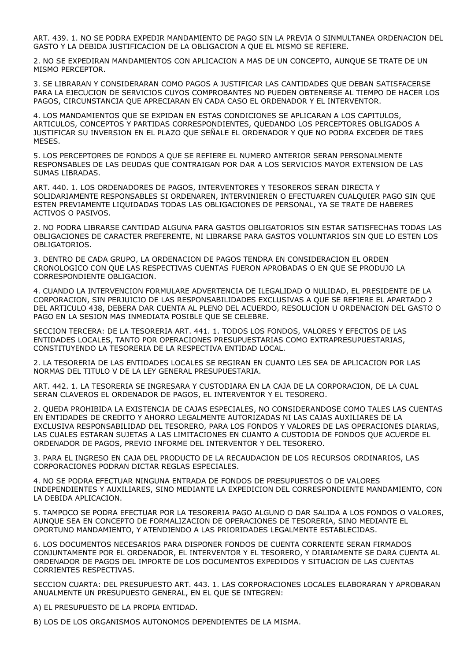ART. 439. 1. NO SE PODRA EXPEDIR MANDAMIENTO DE PAGO SIN LA PREVIA O SINMULTANEA ORDENACION DEL GASTO Y LA DEBIDA JUSTIFICACION DE LA OBLIGACION A QUE EL MISMO SE REFIERE.

2. NO SE EXPEDIRAN MANDAMIENTOS CON APLICACION A MAS DE UN CONCEPTO, AUNQUE SE TRATE DE UN MISMO PERCEPTOR.

3. SE LIBRARAN Y CONSIDERARAN COMO PAGOS A JUSTIFICAR LAS CANTIDADES QUE DEBAN SATISFACERSE PARA LA EJECUCION DE SERVICIOS CUYOS COMPROBANTES NO PUEDEN OBTENERSE AL TIEMPO DE HACER LOS PAGOS, CIRCUNSTANCIA QUE APRECIARAN EN CADA CASO EL ORDENADOR Y EL INTERVENTOR.

4. LOS MANDAMIENTOS QUE SE EXPIDAN EN ESTAS CONDICIONES SE APLICARAN A LOS CAPITULOS, ARTICULOS, CONCEPTOS Y PARTIDAS CORRESPONDIENTES, QUEDANDO LOS PERCEPTORES OBLIGADOS A JUSTIFICAR SU INVERSION EN EL PLAZO QUE SEÑALE EL ORDENADOR Y QUE NO PODRA EXCEDER DE TRES MESES.

5. LOS PERCEPTORES DE FONDOS A QUE SE REFIERE EL NUMERO ANTERIOR SERAN PERSONALMENTE RESPONSABLES DE LAS DEUDAS QUE CONTRAIGAN POR DAR A LOS SERVICIOS MAYOR EXTENSION DE LAS SUMAS LIBRADAS.

ART. 440. 1. LOS ORDENADORES DE PAGOS, INTERVENTORES Y TESOREROS SERAN DIRECTA Y SOLIDARIAMENTE RESPONSABLES SI ORDENAREN, INTERVINIEREN O EFECTUAREN CUALQUIER PAGO SIN QUE ESTEN PREVIAMENTE LIQUIDADAS TODAS LAS OBLIGACIONES DE PERSONAL, YA SE TRATE DE HABERES ACTIVOS O PASIVOS.

2. NO PODRA LIBRARSE CANTIDAD ALGUNA PARA GASTOS OBLIGATORIOS SIN ESTAR SATISFECHAS TODAS LAS OBLIGACIONES DE CARACTER PREFERENTE, NI LIBRARSE PARA GASTOS VOLUNTARIOS SIN QUE LO ESTEN LOS OBLIGATORIOS.

3. DENTRO DE CADA GRUPO, LA ORDENACION DE PAGOS TENDRA EN CONSIDERACION EL ORDEN CRONOLOGICO CON QUE LAS RESPECTIVAS CUENTAS FUERON APROBADAS O EN QUE SE PRODUJO LA CORRESPONDIENTE OBLIGACION.

4. CUANDO LA INTERVENCION FORMULARE ADVERTENCIA DE ILEGALIDAD O NULIDAD, EL PRESIDENTE DE LA CORPORACION, SIN PERJUICIO DE LAS RESPONSABILIDADES EXCLUSIVAS A QUE SE REFIERE EL APARTADO 2 DEL ARTICULO 438, DEBERA DAR CUENTA AL PLENO DEL ACUERDO, RESOLUCION U ORDENACION DEL GASTO O PAGO EN LA SESION MAS INMEDIATA POSIBLE QUE SE CELEBRE.

SECCION TERCERA: DE LA TESORERIA ART. 441. 1. TODOS LOS FONDOS, VALORES Y EFECTOS DE LAS ENTIDADES LOCALES, TANTO POR OPERACIONES PRESUPUESTARIAS COMO EXTRAPRESUPUESTARIAS, CONSTITUYENDO LA TESORERIA DE LA RESPECTIVA ENTIDAD LOCAL.

2. LA TESORERIA DE LAS ENTIDADES LOCALES SE REGIRAN EN CUANTO LES SEA DE APLICACION POR LAS NORMAS DEL TITULO V DE LA LEY GENERAL PRESUPUESTARIA.

ART. 442. 1. LA TESORERIA SE INGRESARA Y CUSTODIARA EN LA CAJA DE LA CORPORACION, DE LA CUAL SERAN CLAVEROS EL ORDENADOR DE PAGOS, EL INTERVENTOR Y EL TESORERO.

2. QUEDA PROHIBIDA LA EXISTENCIA DE CAJAS ESPECIALES, NO CONSIDERANDOSE COMO TALES LAS CUENTAS EN ENTIDADES DE CREDITO Y AHORRO LEGALMENTE AUTORIZADAS NI LAS CAJAS AUXILIARES DE LA EXCLUSIVA RESPONSABILIDAD DEL TESORERO, PARA LOS FONDOS Y VALORES DE LAS OPERACIONES DIARIAS, LAS CUALES ESTARAN SUJETAS A LAS LIMITACIONES EN CUANTO A CUSTODIA DE FONDOS QUE ACUERDE EL ORDENADOR DE PAGOS, PREVIO INFORME DEL INTERVENTOR Y DEL TESORERO.

3. PARA EL INGRESO EN CAJA DEL PRODUCTO DE LA RECAUDACION DE LOS RECURSOS ORDINARIOS, LAS CORPORACIONES PODRAN DICTAR REGLAS ESPECIALES.

4. NO SE PODRA EFECTUAR NINGUNA ENTRADA DE FONDOS DE PRESUPUESTOS O DE VALORES INDEPENDIENTES Y AUXILIARES, SINO MEDIANTE LA EXPEDICION DEL CORRESPONDIENTE MANDAMIENTO, CON LA DEBIDA APLICACION.

5. TAMPOCO SE PODRA EFECTUAR POR LA TESORERIA PAGO ALGUNO O DAR SALIDA A LOS FONDOS O VALORES, AUNQUE SEA EN CONCEPTO DE FORMALIZACION DE OPERACIONES DE TESORERIA, SINO MEDIANTE EL OPORTUNO MANDAMIENTO, Y ATENDIENDO A LAS PRIORIDADES LEGALMENTE ESTABLECIDAS.

6. LOS DOCUMENTOS NECESARIOS PARA DISPONER FONDOS DE CUENTA CORRIENTE SERAN FIRMADOS CONJUNTAMENTE POR EL ORDENADOR, EL INTERVENTOR Y EL TESORERO, Y DIARIAMENTE SE DARA CUENTA AL ORDENADOR DE PAGOS DEL IMPORTE DE LOS DOCUMENTOS EXPEDIDOS Y SITUACION DE LAS CUENTAS CORRIENTES RESPECTIVAS.

SECCION CUARTA: DEL PRESUPUESTO ART. 443. 1. LAS CORPORACIONES LOCALES ELABORARAN Y APROBARAN ANUALMENTE UN PRESUPUESTO GENERAL, EN EL QUE SE INTEGREN:

A) EL PRESUPUESTO DE LA PROPIA ENTIDAD.

B) LOS DE LOS ORGANISMOS AUTONOMOS DEPENDIENTES DE LA MISMA.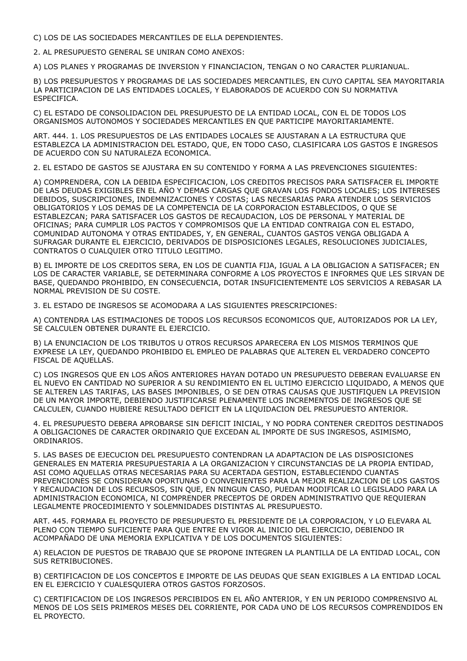C) LOS DE LAS SOCIEDADES MERCANTILES DE ELLA DEPENDIENTES.

2. AL PRESUPUESTO GENERAL SE UNIRAN COMO ANEXOS:

A) LOS PLANES Y PROGRAMAS DE INVERSION Y FINANCIACION, TENGAN O NO CARACTER PLURIANUAL.

B) LOS PRESUPUESTOS Y PROGRAMAS DE LAS SOCIEDADES MERCANTILES, EN CUYO CAPITAL SEA MAYORITARIA LA PARTICIPACION DE LAS ENTIDADES LOCALES, Y ELABORADOS DE ACUERDO CON SU NORMATIVA ESPECIFICA.

C) EL ESTADO DE CONSOLIDACION DEL PRESUPUESTO DE LA ENTIDAD LOCAL, CON EL DE TODOS LOS ORGANISMOS AUTONOMOS Y SOCIEDADES MERCANTILES EN QUE PARTICIPE MAYORITARIAMENTE.

ART. 444. 1. LOS PRESUPUESTOS DE LAS ENTIDADES LOCALES SE AJUSTARAN A LA ESTRUCTURA QUE ESTABLEZCA LA ADMINISTRACION DEL ESTADO, QUE, EN TODO CASO, CLASIFICARA LOS GASTOS E INGRESOS DE ACUERDO CON SU NATURALEZA ECONOMICA.

2. EL ESTADO DE GASTOS SE AJUSTARA EN SU CONTENIDO Y FORMA A LAS PREVENCIONES SIGUIENTES:

A) COMPRENDERA, CON LA DEBIDA ESPECIFICACION, LOS CREDITOS PRECISOS PARA SATISFACER EL IMPORTE DE LAS DEUDAS EXIGIBLES EN EL AÑO Y DEMAS CARGAS QUE GRAVAN LOS FONDOS LOCALES; LOS INTERESES DEBIDOS, SUSCRIPCIONES, INDEMNIZACIONES Y COSTAS; LAS NECESARIAS PARA ATENDER LOS SERVICIOS OBLIGATORIOS Y LOS DEMAS DE LA COMPETENCIA DE LA CORPORACION ESTABLECIDOS, O QUE SE ESTABLEZCAN; PARA SATISFACER LOS GASTOS DE RECAUDACION, LOS DE PERSONAL Y MATERIAL DE OFICINAS; PARA CUMPLIR LOS PACTOS Y COMPROMISOS QUE LA ENTIDAD CONTRAIGA CON EL ESTADO, COMUNIDAD AUTONOMA Y OTRAS ENTIDADES, Y, EN GENERAL, CUANTOS GASTOS VENGA OBLIGADA A SUFRAGAR DURANTE EL EJERCICIO, DERIVADOS DE DISPOSICIONES LEGALES, RESOLUCIONES JUDICIALES, CONTRATOS O CUALQUIER OTRO TITULO LEGITIMO.

B) EL IMPORTE DE LOS CREDITOS SERA, EN LOS DE CUANTIA FIJA, IGUAL A LA OBLIGACION A SATISFACER; EN LOS DE CARACTER VARIABLE, SE DETERMINARA CONFORME A LOS PROYECTOS E INFORMES QUE LES SIRVAN DE BASE, QUEDANDO PROHIBIDO, EN CONSECUENCIA, DOTAR INSUFICIENTEMENTE LOS SERVICIOS A REBASAR LA NORMAL PREVISION DE SU COSTE.

3. EL ESTADO DE INGRESOS SE ACOMODARA A LAS SIGUIENTES PRESCRIPCIONES:

A) CONTENDRA LAS ESTIMACIONES DE TODOS LOS RECURSOS ECONOMICOS QUE, AUTORIZADOS POR LA LEY, SE CALCULEN OBTENER DURANTE EL EJERCICIO.

B) LA ENUNCIACION DE LOS TRIBUTOS U OTROS RECURSOS APARECERA EN LOS MISMOS TERMINOS QUE EXPRESE LA LEY, QUEDANDO PROHIBIDO EL EMPLEO DE PALABRAS QUE ALTEREN EL VERDADERO CONCEPTO FISCAL DE AQUELLAS.

C) LOS INGRESOS QUE EN LOS AÑOS ANTERIORES HAYAN DOTADO UN PRESUPUESTO DEBERAN EVALUARSE EN EL NUEVO EN CANTIDAD NO SUPERIOR A SU RENDIMIENTO EN EL ULTIMO EJERCICIO LIQUIDADO, A MENOS QUE SE ALTEREN LAS TARIFAS, LAS BASES IMPONIBLES, O SE DEN OTRAS CAUSAS QUE JUSTIFIQUEN LA PREVISION DE UN MAYOR IMPORTE, DEBIENDO JUSTIFICARSE PLENAMENTE LOS INCREMENTOS DE INGRESOS QUE SE CALCULEN, CUANDO HUBIERE RESULTADO DEFICIT EN LA LIQUIDACION DEL PRESUPUESTO ANTERIOR.

4. EL PRESUPUESTO DEBERA APROBARSE SIN DEFICIT INICIAL, Y NO PODRA CONTENER CREDITOS DESTINADOS A OBLIGACIONES DE CARACTER ORDINARIO QUE EXCEDAN AL IMPORTE DE SUS INGRESOS, ASIMISMO, ORDINARIOS.

5. LAS BASES DE EJECUCION DEL PRESUPUESTO CONTENDRAN LA ADAPTACION DE LAS DISPOSICIONES GENERALES EN MATERIA PRESUPUESTARIA A LA ORGANIZACION Y CIRCUNSTANCIAS DE LA PROPIA ENTIDAD, ASI COMO AQUELLAS OTRAS NECESARIAS PARA SU ACERTADA GESTION, ESTABLECIENDO CUANTAS PREVENCIONES SE CONSIDERAN OPORTUNAS O CONVENIENTES PARA LA MEJOR REALIZACION DE LOS GASTOS Y RECAUDACION DE LOS RECURSOS, SIN QUE, EN NINGUN CASO, PUEDAN MODIFICAR LO LEGISLADO PARA LA ADMINISTRACION ECONOMICA, NI COMPRENDER PRECEPTOS DE ORDEN ADMINISTRATIVO QUE REQUIERAN LEGALMENTE PROCEDIMIENTO Y SOLEMNIDADES DISTINTAS AL PRESUPUESTO.

ART. 445. FORMARA EL PROYECTO DE PRESUPUESTO EL PRESIDENTE DE LA CORPORACION, Y LO ELEVARA AL PLENO CON TIEMPO SUFICIENTE PARA QUE ENTRE EN VIGOR AL INICIO DEL EJERCICIO, DEBIENDO IR ACOMPAÑADO DE UNA MEMORIA EXPLICATIVA Y DE LOS DOCUMENTOS SIGUIENTES:

A) RELACION DE PUESTOS DE TRABAJO QUE SE PROPONE INTEGREN LA PLANTILLA DE LA ENTIDAD LOCAL, CON SUS RETRIBUCIONES.

B) CERTIFICACION DE LOS CONCEPTOS E IMPORTE DE LAS DEUDAS QUE SEAN EXIGIBLES A LA ENTIDAD LOCAL EN EL EJERCICIO Y CUALESQUIERA OTROS GASTOS FORZOSOS.

C) CERTIFICACION DE LOS INGRESOS PERCIBIDOS EN EL AÑO ANTERIOR, Y EN UN PERIODO COMPRENSIVO AL MENOS DE LOS SEIS PRIMEROS MESES DEL CORRIENTE, POR CADA UNO DE LOS RECURSOS COMPRENDIDOS EN EL PROYECTO.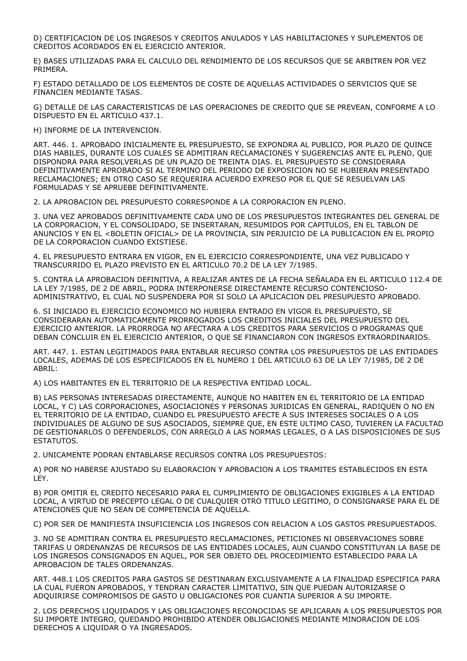D) CERTIFICACION DE LOS INGRESOS Y CREDITOS ANULADOS Y LAS HABILITACIONES Y SUPLEMENTOS DE CREDITOS ACORDADOS EN EL EJERCICIO ANTERIOR.

E) BASES UTILIZADAS PARA EL CALCULO DEL RENDIMIENTO DE LOS RECURSOS QUE SE ARBITREN POR VEZ PRIMERA.

F) ESTADO DETALLADO DE LOS ELEMENTOS DE COSTE DE AQUELLAS ACTIVIDADES O SERVICIOS QUE SE FINANCIEN MEDIANTE TASAS.

G) DETALLE DE LAS CARACTERISTICAS DE LAS OPERACIONES DE CREDITO QUE SE PREVEAN, CONFORME A LO DISPUESTO EN EL ARTICULO 437.1.

H) INFORME DE LA INTERVENCION.

ART. 446. 1. APROBADO INICIALMENTE EL PRESUPUESTO, SE EXPONDRA AL PUBLICO, POR PLAZO DE QUINCE DIAS HABILES, DURANTE LOS CUALES SE ADMITIRAN RECLAMACIONES Y SUGERENCIAS ANTE EL PLENO, QUE DISPONDRA PARA RESOLVERLAS DE UN PLAZO DE TREINTA DIAS. EL PRESUPUESTO SE CONSIDERARA DEFINITIVAMENTE APROBADO SI AL TERMINO DEL PERIODO DE EXPOSICION NO SE HUBIERAN PRESENTADO RECLAMACIONES; EN OTRO CASO SE REQUERIRA ACUERDO EXPRESO POR EL QUE SE RESUELVAN LAS FORMULADAS Y SE APRUEBE DEFINITIVAMENTE.

2. LA APROBACION DEL PRESUPUESTO CORRESPONDE A LA CORPORACION EN PLENO.

3. UNA VEZ APROBADOS DEFINITIVAMENTE CADA UNO DE LOS PRESUPUESTOS INTEGRANTES DEL GENERAL DE LA CORPORACION, Y EL CONSOLIDADO, SE INSERTARAN, RESUMIDOS POR CAPITULOS, EN EL TABLON DE ANUNCIOS Y EN EL <BOLETIN OFICIAL> DE LA PROVINCIA, SIN PERJUICIO DE LA PUBLICACION EN EL PROPIO DE LA CORPORACION CUANDO EXISTIESE.

4. EL PRESUPUESTO ENTRARA EN VIGOR, EN EL EJERCICIO CORRESPONDIENTE, UNA VEZ PUBLICADO Y TRANSCURRIDO EL PLAZO PREVISTO EN EL ARTICULO 70.2 DE LA LEY 7/1985.

5. CONTRA LA APROBACION DEFINITIVA, A REALIZAR ANTES DE LA FECHA SEÑALADA EN EL ARTICULO 112.4 DE LA LEY 7/1985, DE 2 DE ABRIL, PODRA INTERPONERSE DIRECTAMENTE RECURSO CONTENCIOSO-ADMINISTRATIVO, EL CUAL NO SUSPENDERA POR SI SOLO LA APLICACION DEL PRESUPUESTO APROBADO.

6. SI INICIADO EL EJERCICIO ECONOMICO NO HUBIERA ENTRADO EN VIGOR EL PRESUPUESTO, SE CONSIDERARAN AUTOMATICAMENTE PRORROGADOS LOS CREDITOS INICIALES DEL PRESUPUESTO DEL EJERCICIO ANTERIOR. LA PRORROGA NO AFECTARA A LOS CREDITOS PARA SERVICIOS O PROGRAMAS QUE DEBAN CONCLUIR EN EL EJERCICIO ANTERIOR, O QUE SE FINANCIARON CON INGRESOS EXTRAORDINARIOS.

ART. 447. 1. ESTAN LEGITIMADOS PARA ENTABLAR RECURSO CONTRA LOS PRESUPUESTOS DE LAS ENTIDADES LOCALES, ADEMAS DE LOS ESPECIFICADOS EN EL NUMERO 1 DEL ARTICULO 63 DE LA LEY 7/1985, DE 2 DE ABRIL:

A) LOS HABITANTES EN EL TERRITORIO DE LA RESPECTIVA ENTIDAD LOCAL.

B) LAS PERSONAS INTERESADAS DIRECTAMENTE, AUNQUE NO HABITEN EN EL TERRITORIO DE LA ENTIDAD LOCAL, Y C) LAS CORPORACIONES, ASOCIACIONES Y PERSONAS JURIDICAS EN GENERAL, RADIQUEN O NO EN EL TERRITORIO DE LA ENTIDAD, CUANDO EL PRESUPUESTO AFECTE A SUS INTERESES SOCIALES O A LOS INDIVIDUALES DE ALGUNO DE SUS ASOCIADOS, SIEMPRE QUE, EN ESTE ULTIMO CASO, TUVIEREN LA FACULTAD DE GESTIONARLOS O DEFENDERLOS, CON ARREGLO A LAS NORMAS LEGALES, O A LAS DISPOSICIONES DE SUS ESTATUTOS.

2. UNICAMENTE PODRAN ENTABLARSE RECURSOS CONTRA LOS PRESUPUESTOS:

A) POR NO HABERSE AJUSTADO SU ELABORACION Y APROBACION A LOS TRAMITES ESTABLECIDOS EN ESTA LEY.

B) POR OMITIR EL CREDITO NECESARIO PARA EL CUMPLIMIENTO DE OBLIGACIONES EXIGIBLES A LA ENTIDAD LOCAL, A VIRTUD DE PRECEPTO LEGAL O DE CUALQUIER OTRO TITULO LEGITIMO, O CONSIGNARSE PARA EL DE ATENCIONES QUE NO SEAN DE COMPETENCIA DE AQUELLA.

C) POR SER DE MANIFIESTA INSUFICIENCIA LOS INGRESOS CON RELACION A LOS GASTOS PRESUPUESTADOS.

3. NO SE ADMITIRAN CONTRA EL PRESUPUESTO RECLAMACIONES, PETICIONES NI OBSERVACIONES SOBRE TARIFAS U ORDENANZAS DE RECURSOS DE LAS ENTIDADES LOCALES, AUN CUANDO CONSTITUYAN LA BASE DE LOS INGRESOS CONSIGNADOS EN AQUEL, POR SER OBJETO DEL PROCEDIMIENTO ESTABLECIDO PARA LA APROBACION DE TALES ORDENANZAS.

ART. 448.1 LOS CREDITOS PARA GASTOS SE DESTINARAN EXCLUSIVAMENTE A LA FINALIDAD ESPECIFICA PARA LA CUAL FUERON APROBADOS, Y TENDRAN CARACTER LIMITATIVO, SIN QUE PUEDAN AUTORIZARSE O ADQUIRIRSE COMPROMISOS DE GASTO U OBLIGACIONES POR CUANTIA SUPERIOR A SU IMPORTE.

2. LOS DERECHOS LIQUIDADOS Y LAS OBLIGACIONES RECONOCIDAS SE APLICARAN A LOS PRESUPUESTOS POR SU IMPORTE INTEGRO, QUEDANDO PROHIBIDO ATENDER OBLIGACIONES MEDIANTE MINORACION DE LOS DERECHOS A LIQUIDAR O YA INGRESADOS.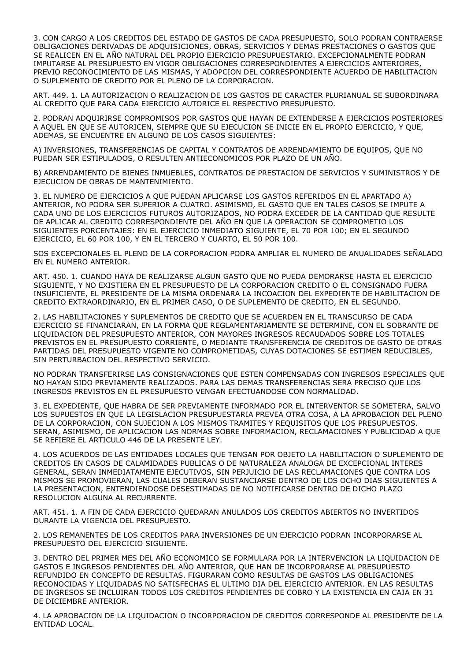3. CON CARGO A LOS CREDITOS DEL ESTADO DE GASTOS DE CADA PRESUPUESTO, SOLO PODRAN CONTRAERSE OBLIGACIONES DERIVADAS DE ADQUISICIONES, OBRAS, SERVICIOS Y DEMAS PRESTACIONES O GASTOS QUE SE REALICEN EN EL AÑO NATURAL DEL PROPIO EJERCICIO PRESUPUESTARIO. EXCEPCIONALMENTE PODRAN IMPUTARSE AL PRESUPUESTO EN VIGOR OBLIGACIONES CORRESPONDIENTES A EJERCICIOS ANTERIORES, PREVIO RECONOCIMIENTO DE LAS MISMAS, Y ADOPCION DEL CORRESPONDIENTE ACUERDO DE HABILITACION O SUPLEMENTO DE CREDITO POR EL PLENO DE LA CORPORACION.

ART. 449. 1. LA AUTORIZACION O REALIZACION DE LOS GASTOS DE CARACTER PLURIANUAL SE SUBORDINARA AL CREDITO QUE PARA CADA EJERCICIO AUTORICE EL RESPECTIVO PRESUPUESTO.

2. PODRAN ADQUIRIRSE COMPROMISOS POR GASTOS QUE HAYAN DE EXTENDERSE A EJERCICIOS POSTERIORES A AQUEL EN QUE SE AUTORICEN, SIEMPRE QUE SU EJECUCION SE INICIE EN EL PROPIO EJERCICIO, Y QUE, ADEMAS, SE ENCUENTRE EN ALGUNO DE LOS CASOS SIGUIENTES:

A) INVERSIONES, TRANSFERENCIAS DE CAPITAL Y CONTRATOS DE ARRENDAMIENTO DE EQUIPOS, QUE NO PUEDAN SER ESTIPULADOS, O RESULTEN ANTIECONOMICOS POR PLAZO DE UN AÑO.

B) ARRENDAMIENTO DE BIENES INMUEBLES, CONTRATOS DE PRESTACION DE SERVICIOS Y SUMINISTROS Y DE EJECUCION DE OBRAS DE MANTENIMIENTO.

3. EL NUMERO DE EJERCICIOS A QUE PUEDAN APLICARSE LOS GASTOS REFERIDOS EN EL APARTADO A) ANTERIOR, NO PODRA SER SUPERIOR A CUATRO. ASIMISMO, EL GASTO QUE EN TALES CASOS SE IMPUTE A CADA UNO DE LOS EJERCICIOS FUTUROS AUTORIZADOS, NO PODRA EXCEDER DE LA CANTIDAD QUE RESULTE DE APLICAR AL CREDITO CORRESPONDIENTE DEL AÑO EN QUE LA OPERACION SE COMPROMETIO LOS SIGUIENTES PORCENTAJES: EN EL EJERCICIO INMEDIATO SIGUIENTE, EL 70 POR 100; EN EL SEGUNDO EJERCICIO, EL 60 POR 100, Y EN EL TERCERO Y CUARTO, EL 50 POR 100.

SOS EXCEPCIONALES EL PLENO DE LA CORPORACION PODRA AMPLIAR EL NUMERO DE ANUALIDADES SEÑALADO EN EL NUMERO ANTERIOR.

ART. 450. 1. CUANDO HAYA DE REALIZARSE ALGUN GASTO QUE NO PUEDA DEMORARSE HASTA EL EJERCICIO SIGUIENTE, Y NO EXISTIERA EN EL PRESUPUESTO DE LA CORPORACION CREDITO O EL CONSIGNADO FUERA INSUFICIENTE, EL PRESIDENTE DE LA MISMA ORDENARA LA INCOACION DEL EXPEDIENTE DE HABILITACION DE CREDITO EXTRAORDINARIO, EN EL PRIMER CASO, O DE SUPLEMENTO DE CREDITO, EN EL SEGUNDO.

2. LAS HABILITACIONES Y SUPLEMENTOS DE CREDITO QUE SE ACUERDEN EN EL TRANSCURSO DE CADA EJERCICIO SE FINANCIARAN, EN LA FORMA QUE REGLAMENTARIAMENTE SE DETERMINE, CON EL SOBRANTE DE LIQUIDACION DEL PRESUPUESTO ANTERIOR, CON MAYORES INGRESOS RECAUDADOS SOBRE LOS TOTALES PREVISTOS EN EL PRESUPUESTO CORRIENTE, O MEDIANTE TRANSFERENCIA DE CREDITOS DE GASTO DE OTRAS PARTIDAS DEL PRESUPUESTO VIGENTE NO COMPROMETIDAS, CUYAS DOTACIONES SE ESTIMEN REDUCIBLES, SIN PERTURBACION DEL RESPECTIVO SERVICIO.

NO PODRAN TRANSFERIRSE LAS CONSIGNACIONES QUE ESTEN COMPENSADAS CON INGRESOS ESPECIALES QUE NO HAYAN SIDO PREVIAMENTE REALIZADOS. PARA LAS DEMAS TRANSFERENCIAS SERA PRECISO QUE LOS INGRESOS PREVISTOS EN EL PRESUPUESTO VENGAN EFECTUANDOSE CON NORMALIDAD.

3. EL EXPEDIENTE, QUE HABRA DE SER PREVIAMENTE INFORMADO POR EL INTERVENTOR SE SOMETERA, SALVO LOS SUPUESTOS EN QUE LA LEGISLACION PRESUPUESTARIA PREVEA OTRA COSA, A LA APROBACION DEL PLENO DE LA CORPORACION, CON SUJECION A LOS MISMOS TRAMITES Y REQUISITOS QUE LOS PRESUPUESTOS. SERAN, ASIMISMO, DE APLICACION LAS NORMAS SOBRE INFORMACION, RECLAMACIONES Y PUBLICIDAD A QUE SE REFIERE EL ARTICULO 446 DE LA PRESENTE LEY.

4. LOS ACUERDOS DE LAS ENTIDADES LOCALES QUE TENGAN POR OBJETO LA HABILITACION O SUPLEMENTO DE CREDITOS EN CASOS DE CALAMIDADES PUBLICAS O DE NATURALEZA ANALOGA DE EXCEPCIONAL INTERES GENERAL, SERAN INMEDIATAMENTE EJECUTIVOS, SIN PERJUICIO DE LAS RECLAMACIONES QUE CONTRA LOS MISMOS SE PROMOVIERAN, LAS CUALES DEBERAN SUSTANCIARSE DENTRO DE LOS OCHO DIAS SIGUIENTES A LA PRESENTACION, ENTENDIENDOSE DESESTIMADAS DE NO NOTIFICARSE DENTRO DE DICHO PLAZO RESOLUCION ALGUNA AL RECURRENTE.

ART. 451. 1. A FIN DE CADA EJERCICIO QUEDARAN ANULADOS LOS CREDITOS ABIERTOS NO INVERTIDOS DURANTE LA VIGENCIA DEL PRESUPUESTO.

2. LOS REMANENTES DE LOS CREDITOS PARA INVERSIONES DE UN EJERCICIO PODRAN INCORPORARSE AL PRESUPUESTO DEL EJERCICIO SIGUIENTE.

3. DENTRO DEL PRIMER MES DEL AÑO ECONOMICO SE FORMULARA POR LA INTERVENCION LA LIQUIDACION DE GASTOS E INGRESOS PENDIENTES DEL AÑO ANTERIOR, QUE HAN DE INCORPORARSE AL PRESUPUESTO REFUNDIDO EN CONCEPTO DE RESULTAS. FIGURARAN COMO RESULTAS DE GASTOS LAS OBLIGACIONES RECONOCIDAS Y LIQUIDADAS NO SATISFECHAS EL ULTIMO DIA DEL EJERCICIO ANTERIOR. EN LAS RESULTAS DE INGRESOS SE INCLUIRAN TODOS LOS CREDITOS PENDIENTES DE COBRO Y LA EXISTENCIA EN CAJA EN 31 DE DICIEMBRE ANTERIOR.

4. LA APROBACION DE LA LIQUIDACION O INCORPORACION DE CREDITOS CORRESPONDE AL PRESIDENTE DE LA ENTIDAD LOCAL.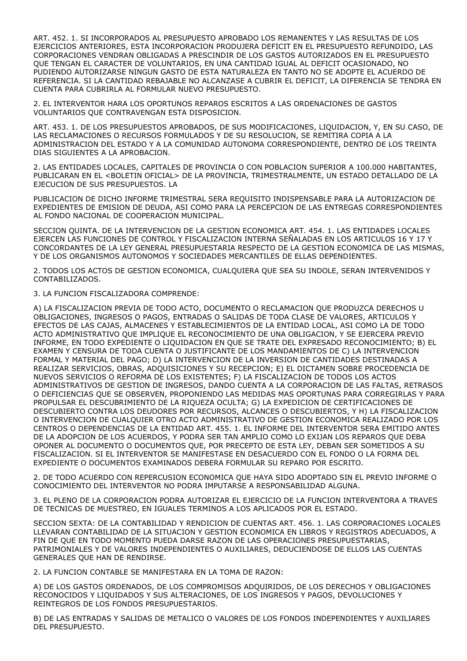ART. 452. 1. SI INCORPORADOS AL PRESUPUESTO APROBADO LOS REMANENTES Y LAS RESULTAS DE LOS EJERCICIOS ANTERIORES, ESTA INCORPORACION PRODUJERA DEFICIT EN EL PRESUPUESTO REFUNDIDO, LAS CORPORACIONES VENDRAN OBLIGADAS A PRESCINDIR DE LOS GASTOS AUTORIZADOS EN EL PRESUPUESTO QUE TENGAN EL CARACTER DE VOLUNTARIOS, EN UNA CANTIDAD IGUAL AL DEFICIT OCASIONADO, NO PUDIENDO AUTORIZARSE NINGUN GASTO DE ESTA NATURALEZA EN TANTO NO SE ADOPTE EL ACUERDO DE REFERENCIA. SI LA CANTIDAD REBAJABLE NO ALCANZASE A CUBRIR EL DEFICIT, LA DIFERENCIA SE TENDRA EN CUENTA PARA CUBRIRLA AL FORMULAR NUEVO PRESUPUESTO.

2. EL INTERVENTOR HARA LOS OPORTUNOS REPAROS ESCRITOS A LAS ORDENACIONES DE GASTOS VOLUNTARIOS QUE CONTRAVENGAN ESTA DISPOSICION.

ART. 453. 1. DE LOS PRESUPUESTOS APROBADOS, DE SUS MODIFICACIONES, LIQUIDACION, Y, EN SU CASO, DE LAS RECLAMACIONES O RECURSOS FORMULADOS Y DE SU RESOLUCION, SE REMITIRA COPIA A LA ADMINISTRACION DEL ESTADO Y A LA COMUNIDAD AUTONOMA CORRESPONDIENTE, DENTRO DE LOS TREINTA DIAS SIGUIENTES A LA APROBACION.

2. LAS ENTIDADES LOCALES, CAPITALES DE PROVINCIA O CON POBLACION SUPERIOR A 100.000 HABITANTES, PUBLICARAN EN EL <BOLETIN OFICIAL> DE LA PROVINCIA, TRIMESTRALMENTE, UN ESTADO DETALLADO DE LA EJECUCION DE SUS PRESUPUESTOS. LA

PUBLICACION DE DICHO INFORME TRIMESTRAL SERA REQUISITO INDISPENSABLE PARA LA AUTORIZACION DE EXPEDIENTES DE EMISION DE DEUDA, ASI COMO PARA LA PERCEPCION DE LAS ENTREGAS CORRESPONDIENTES AL FONDO NACIONAL DE COOPERACION MUNICIPAL.

SECCION QUINTA. DE LA INTERVENCION DE LA GESTION ECONOMICA ART. 454. 1. LAS ENTIDADES LOCALES EJERCEN LAS FUNCIONES DE CONTROL Y FISCALIZACION INTERNA SEÑALADAS EN LOS ARTICULOS 16 Y 17 Y CONCORDANTES DE LA LEY GENERAL PRESUPUESTARIA RESPECTO DE LA GESTION ECONOMICA DE LAS MISMAS, Y DE LOS ORGANISMOS AUTONOMOS Y SOCIEDADES MERCANTILES DE ELLAS DEPENDIENTES.

2. TODOS LOS ACTOS DE GESTION ECONOMICA, CUALQUIERA QUE SEA SU INDOLE, SERAN INTERVENIDOS Y CONTABILIZADOS.

3. LA FUNCION FISCALIZADORA COMPRENDE:

A) LA FISCALIZACION PREVIA DE TODO ACTO, DOCUMENTO O RECLAMACION QUE PRODUZCA DERECHOS U OBLIGACIONES, INGRESOS O PAGOS, ENTRADAS O SALIDAS DE TODA CLASE DE VALORES, ARTICULOS Y EFECTOS DE LAS CAJAS, ALMACENES Y ESTABLECIMIENTOS DE LA ENTIDAD LOCAL, ASI COMO LA DE TODO ACTO ADMINISTRATIVO QUE IMPLIQUE EL RECONOCIMIENTO DE UNA OBLIGACION, Y SE EJERCERA PREVIO INFORME, EN TODO EXPEDIENTE O LIQUIDACION EN QUE SE TRATE DEL EXPRESADO RECONOCIMIENTO; B) EL EXAMEN Y CENSURA DE TODA CUENTA O JUSTIFICANTE DE LOS MANDAMIENTOS DE C) LA INTERVENCION FORMAL Y MATERIAL DEL PAGO; D) LA INTERVENCION DE LA INVERSION DE CANTIDADES DESTINADAS A REALIZAR SERVICIOS, OBRAS, ADQUISICIONES Y SU RECEPCION; E) EL DICTAMEN SOBRE PROCEDENCIA DE NUEVOS SERVICIOS O REFORMA DE LOS EXISTENTES; F) LA FISCALIZACION DE TODOS LOS ACTOS ADMINISTRATIVOS DE GESTION DE INGRESOS, DANDO CUENTA A LA CORPORACION DE LAS FALTAS, RETRASOS O DEFICIENCIAS QUE SE OBSERVEN, PROPONIENDO LAS MEDIDAS MAS OPORTUNAS PARA CORREGIRLAS Y PARA PROPULSAR EL DESCUBRIMIENTO DE LA RIQUEZA OCULTA; G) LA EXPEDICION DE CERTIFICACIONES DE DESCUBIERTO CONTRA LOS DEUDORES POR RECURSOS, ALCANCES O DESCUBIERTOS, Y H) LA FISCALIZACION O INTERVENCION DE CUALQUIER OTRO ACTO ADMINISTRATIVO DE GESTION ECONOMICA REALIZADO POR LOS CENTROS O DEPENDENCIAS DE LA ENTIDAD ART. 455. 1. EL INFORME DEL INTERVENTOR SERA EMITIDO ANTES DE LA ADOPCION DE LOS ACUERDOS, Y PODRA SER TAN AMPLIO COMO LO EXIJAN LOS REPAROS QUE DEBA OPONER AL DOCUMENTO O DOCUMENTOS QUE, POR PRECEPTO DE ESTA LEY, DEBAN SER SOMETIDOS A SU FISCALIZACION. SI EL INTERVENTOR SE MANIFESTASE EN DESACUERDO CON EL FONDO O LA FORMA DEL EXPEDIENTE O DOCUMENTOS EXAMINADOS DEBERA FORMULAR SU REPARO POR ESCRITO.

2. DE TODO ACUERDO CON REPERCUSION ECONOMICA QUE HAYA SIDO ADOPTADO SIN EL PREVIO INFORME O CONOCIMIENTO DEL INTERVENTOR NO PODRA IMPUTARSE A RESPONSABILIDAD ALGUNA.

3. EL PLENO DE LA CORPORACION PODRA AUTORIZAR EL EJERCICIO DE LA FUNCION INTERVENTORA A TRAVES DE TECNICAS DE MUESTREO, EN IGUALES TERMINOS A LOS APLICADOS POR EL ESTADO.

SECCION SEXTA: DE LA CONTABILIDAD Y RENDICION DE CUENTAS ART. 456. 1. LAS CORPORACIONES LOCALES LLEVARAN CONTABILIDAD DE LA SITUACION Y GESTION ECONOMICA EN LIBROS Y REGISTROS ADECUADOS, A FIN DE QUE EN TODO MOMENTO PUEDA DARSE RAZON DE LAS OPERACIONES PRESUPUESTARIAS, PATRIMONIALES Y DE VALORES INDEPENDIENTES O AUXILIARES, DEDUCIENDOSE DE ELLOS LAS CUENTAS GENERALES QUE HAN DE RENDIRSE.

2. LA FUNCION CONTABLE SE MANIFESTARA EN LA TOMA DE RAZON:

A) DE LOS GASTOS ORDENADOS, DE LOS COMPROMISOS ADQUIRIDOS, DE LOS DERECHOS Y OBLIGACIONES RECONOCIDOS Y LIQUIDADOS Y SUS ALTERACIONES, DE LOS INGRESOS Y PAGOS, DEVOLUCIONES Y REINTEGROS DE LOS FONDOS PRESUPUESTARIOS.

B) DE LAS ENTRADAS Y SALIDAS DE METALICO O VALORES DE LOS FONDOS INDEPENDIENTES Y AUXILIARES DEL PRESUPUESTO.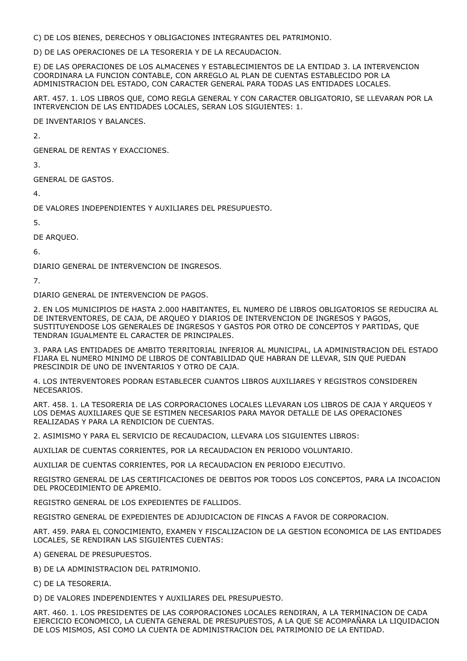C) DE LOS BIENES, DERECHOS Y OBLIGACIONES INTEGRANTES DEL PATRIMONIO.

D) DE LAS OPERACIONES DE LA TESORERIA Y DE LA RECAUDACION.

E) DE LAS OPERACIONES DE LOS ALMACENES Y ESTABLECIMIENTOS DE LA ENTIDAD 3. LA INTERVENCION COORDINARA LA FUNCION CONTABLE, CON ARREGLO AL PLAN DE CUENTAS ESTABLECIDO POR LA ADMINISTRACION DEL ESTADO, CON CARACTER GENERAL PARA TODAS LAS ENTIDADES LOCALES.

ART. 457. 1. LOS LIBROS QUE, COMO REGLA GENERAL Y CON CARACTER OBLIGATORIO, SE LLEVARAN POR LA INTERVENCION DE LAS ENTIDADES LOCALES, SERAN LOS SIGUIENTES: 1.

DE INVENTARIOS Y BALANCES.

 $\mathcal{L}$ 

GENERAL DE RENTAS Y EXACCIONES.

3.

GENERAL DE GASTOS.

4.

DE VALORES INDEPENDIENTES Y AUXILIARES DEL PRESUPUESTO.

5.

DE ARQUEO.

6.

DIARIO GENERAL DE INTERVENCION DE INGRESOS.

7.

DIARIO GENERAL DE INTERVENCION DE PAGOS.

2. EN LOS MUNICIPIOS DE HASTA 2.000 HABITANTES, EL NUMERO DE LIBROS OBLIGATORIOS SE REDUCIRA AL DE INTERVENTORES, DE CAJA, DE ARQUEO Y DIARIOS DE INTERVENCION DE INGRESOS Y PAGOS, SUSTITUYENDOSE LOS GENERALES DE INGRESOS Y GASTOS POR OTRO DE CONCEPTOS Y PARTIDAS, QUE TENDRAN IGUALMENTE EL CARACTER DE PRINCIPALES.

3. PARA LAS ENTIDADES DE AMBITO TERRITORIAL INFERIOR AL MUNICIPAL, LA ADMINISTRACION DEL ESTADO FIJARA EL NUMERO MINIMO DE LIBROS DE CONTABILIDAD QUE HABRAN DE LLEVAR, SIN QUE PUEDAN PRESCINDIR DE UNO DE INVENTARIOS Y OTRO DE CAJA.

4. LOS INTERVENTORES PODRAN ESTABLECER CUANTOS LIBROS AUXILIARES Y REGISTROS CONSIDEREN NECESARIOS.

ART. 458. 1. LA TESORERIA DE LAS CORPORACIONES LOCALES LLEVARAN LOS LIBROS DE CAJA Y ARQUEOS Y LOS DEMAS AUXILIARES QUE SE ESTIMEN NECESARIOS PARA MAYOR DETALLE DE LAS OPERACIONES REALIZADAS Y PARA LA RENDICION DE CUENTAS.

2. ASIMISMO Y PARA EL SERVICIO DE RECAUDACION, LLEVARA LOS SIGUIENTES LIBROS:

AUXILIAR DE CUENTAS CORRIENTES, POR LA RECAUDACION EN PERIODO VOLUNTARIO.

AUXILIAR DE CUENTAS CORRIENTES, POR LA RECAUDACION EN PERIODO EJECUTIVO.

REGISTRO GENERAL DE LAS CERTIFICACIONES DE DEBITOS POR TODOS LOS CONCEPTOS, PARA LA INCOACION DEL PROCEDIMIENTO DE APREMIO.

REGISTRO GENERAL DE LOS EXPEDIENTES DE FALLIDOS.

REGISTRO GENERAL DE EXPEDIENTES DE ADJUDICACION DE FINCAS A FAVOR DE CORPORACION.

ART. 459. PARA EL CONOCIMIENTO, EXAMEN Y FISCALIZACION DE LA GESTION ECONOMICA DE LAS ENTIDADES LOCALES, SE RENDIRAN LAS SIGUIENTES CUENTAS:

A) GENERAL DE PRESUPUESTOS.

B) DE LA ADMINISTRACION DEL PATRIMONIO.

C) DE LA TESORERIA.

D) DE VALORES INDEPENDIENTES Y AUXILIARES DEL PRESUPUESTO.

ART. 460. 1. LOS PRESIDENTES DE LAS CORPORACIONES LOCALES RENDIRAN, A LA TERMINACION DE CADA EJERCICIO ECONOMICO, LA CUENTA GENERAL DE PRESUPUESTOS, A LA QUE SE ACOMPAÑARA LA LIQUIDACION DE LOS MISMOS, ASI COMO LA CUENTA DE ADMINISTRACION DEL PATRIMONIO DE LA ENTIDAD.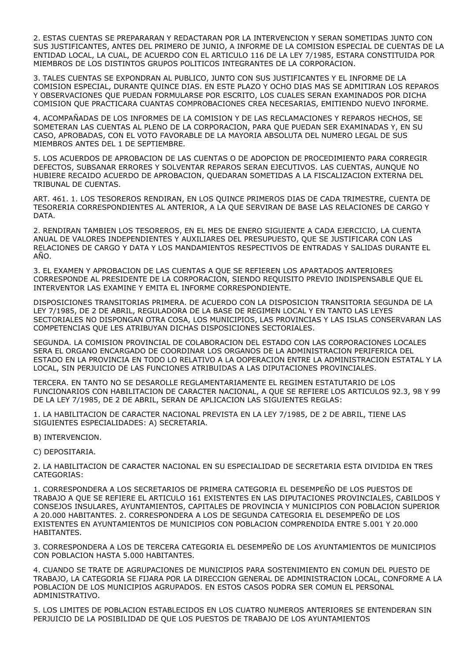2. ESTAS CUENTAS SE PREPARARAN Y REDACTARAN POR LA INTERVENCION Y SERAN SOMETIDAS JUNTO CON SUS JUSTIFICANTES, ANTES DEL PRIMERO DE JUNIO, A INFORME DE LA COMISION ESPECIAL DE CUENTAS DE LA ENTIDAD LOCAL, LA CUAL, DE ACUERDO CON EL ARTICULO 116 DE LA LEY 7/1985, ESTARA CONSTITUIDA POR MIEMBROS DE LOS DISTINTOS GRUPOS POLITICOS INTEGRANTES DE LA CORPORACION.

3. TALES CUENTAS SE EXPONDRAN AL PUBLICO, JUNTO CON SUS JUSTIFICANTES Y EL INFORME DE LA COMISION ESPECIAL, DURANTE QUINCE DIAS. EN ESTE PLAZO Y OCHO DIAS MAS SE ADMITIRAN LOS REPAROS Y OBSERVACIONES QUE PUEDAN FORMULARSE POR ESCRITO, LOS CUALES SERAN EXAMINADOS POR DICHA COMISION QUE PRACTICARA CUANTAS COMPROBACIONES CREA NECESARIAS, EMITIENDO NUEVO INFORME.

4. ACOMPAÑADAS DE LOS INFORMES DE LA COMISION Y DE LAS RECLAMACIONES Y REPAROS HECHOS, SE SOMETERAN LAS CUENTAS AL PLENO DE LA CORPORACION, PARA QUE PUEDAN SER EXAMINADAS Y, EN SU CASO, APROBADAS, CON EL VOTO FAVORABLE DE LA MAYORIA ABSOLUTA DEL NUMERO LEGAL DE SUS MIEMBROS ANTES DEL 1 DE SEPTIEMBRE.

5. LOS ACUERDOS DE APROBACION DE LAS CUENTAS O DE ADOPCION DE PROCEDIMIENTO PARA CORREGIR DEFECTOS, SUBSANAR ERRORES Y SOLVENTAR REPAROS SERAN EJECUTIVOS. LAS CUENTAS, AUNQUE NO HUBIERE RECAIDO ACUERDO DE APROBACION, QUEDARAN SOMETIDAS A LA FISCALIZACION EXTERNA DEL TRIBUNAL DE CUENTAS.

ART. 461. 1. LOS TESOREROS RENDIRAN, EN LOS QUINCE PRIMEROS DIAS DE CADA TRIMESTRE, CUENTA DE TESORERIA CORRESPONDIENTES AL ANTERIOR, A LA QUE SERVIRAN DE BASE LAS RELACIONES DE CARGO Y DATA.

2. RENDIRAN TAMBIEN LOS TESOREROS, EN EL MES DE ENERO SIGUIENTE A CADA EJERCICIO, LA CUENTA ANUAL DE VALORES INDEPENDIENTES Y AUXILIARES DEL PRESUPUESTO, QUE SE JUSTIFICARA CON LAS RELACIONES DE CARGO Y DATA Y LOS MANDAMIENTOS RESPECTIVOS DE ENTRADAS Y SALIDAS DURANTE EL AÑO.

3. EL EXAMEN Y APROBACION DE LAS CUENTAS A QUE SE REFIEREN LOS APARTADOS ANTERIORES CORRESPONDE AL PRESIDENTE DE LA CORPORACION, SIENDO REQUISITO PREVIO INDISPENSABLE QUE EL INTERVENTOR LAS EXAMINE Y EMITA EL INFORME CORRESPONDIENTE.

DISPOSICIONES TRANSITORIAS PRIMERA. DE ACUERDO CON LA DISPOSICION TRANSITORIA SEGUNDA DE LA LEY 7/1985, DE 2 DE ABRIL, REGULADORA DE LA BASE DE REGIMEN LOCAL Y EN TANTO LAS LEYES SECTORIALES NO DISPONGAN OTRA COSA, LOS MUNICIPIOS, LAS PROVINCIAS Y LAS ISLAS CONSERVARAN LAS COMPETENCIAS QUE LES ATRIBUYAN DICHAS DISPOSICIONES SECTORIALES.

SEGUNDA. LA COMISION PROVINCIAL DE COLABORACION DEL ESTADO CON LAS CORPORACIONES LOCALES SERA EL ORGANO ENCARGADO DE COORDINAR LOS ORGANOS DE LA ADMINISTRACION PERIFERICA DEL ESTADO EN LA PROVINCIA EN TODO LO RELATIVO A LA OOPERACION ENTRE LA ADMINISTRACION ESTATAL Y LA LOCAL, SIN PERJUICIO DE LAS FUNCIONES ATRIBUIDAS A LAS DIPUTACIONES PROVINCIALES.

TERCERA. EN TANTO NO SE DESAROLLE REGLAMENTARIAMENTE EL REGIMEN ESTATUTARIO DE LOS FUNCIONARIOS CON HABILITACION DE CARACTER NACIONAL, A QUE SE REFIERE LOS ARTICULOS 92.3, 98 Y 99 DE LA LEY 7/1985, DE 2 DE ABRIL, SERAN DE APLICACION LAS SIGUIENTES REGLAS:

1. LA HABILITACION DE CARACTER NACIONAL PREVISTA EN LA LEY 7/1985, DE 2 DE ABRIL, TIENE LAS SIGUIENTES ESPECIALIDADES: A) SECRETARIA.

B) INTERVENCION.

C) DEPOSITARIA.

2. LA HABILITACION DE CARACTER NACIONAL EN SU ESPECIALIDAD DE SECRETARIA ESTA DIVIDIDA EN TRES CATEGORIAS:

1. CORRESPONDERA A LOS SECRETARIOS DE PRIMERA CATEGORIA EL DESEMPEÑO DE LOS PUESTOS DE TRABAJO A QUE SE REFIERE EL ARTICULO 161 EXISTENTES EN LAS DIPUTACIONES PROVINCIALES, CABILDOS Y CONSEJOS INSULARES, AYUNTAMIENTOS, CAPITALES DE PROVINCIA Y MUNICIPIOS CON POBLACION SUPERIOR A 20.000 HABITANTES. 2. CORRESPONDERA A LOS DE SEGUNDA CATEGORIA EL DESEMPEÑO DE LOS EXISTENTES EN AYUNTAMIENTOS DE MUNICIPIOS CON POBLACION COMPRENDIDA ENTRE 5.001 Y 20.000 HABITANTES.

3. CORRESPONDERA A LOS DE TERCERA CATEGORIA EL DESEMPEÑO DE LOS AYUNTAMIENTOS DE MUNICIPIOS CON POBLACION HASTA 5.000 HABITANTES.

4. CUANDO SE TRATE DE AGRUPACIONES DE MUNICIPIOS PARA SOSTENIMIENTO EN COMUN DEL PUESTO DE TRABAJO, LA CATEGORIA SE FIJARA POR LA DIRECCION GENERAL DE ADMINISTRACION LOCAL, CONFORME A LA POBLACION DE LOS MUNICIPIOS AGRUPADOS. EN ESTOS CASOS PODRA SER COMUN EL PERSONAL ADMINISTRATIVO.

5. LOS LIMITES DE POBLACION ESTABLECIDOS EN LOS CUATRO NUMEROS ANTERIORES SE ENTENDERAN SIN PERJUICIO DE LA POSIBILIDAD DE QUE LOS PUESTOS DE TRABAJO DE LOS AYUNTAMIENTOS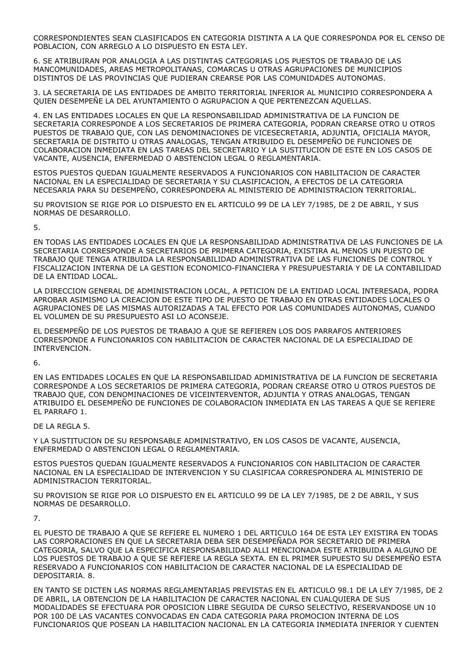CORRESPONDIENTES SEAN CLASIFICADOS EN CATEGORIA DISTINTA A LA QUE CORRESPONDA POR EL CENSO DE POBLACION, CON ARREGLO A LO DISPUESTO EN ESTA LEY.

6. SE ATRIBUIRAN POR ANALOGIA A LAS DISTINTAS CATEGORIAS LOS PUESTOS DE TRABAJO DE LAS MANCOMUNIDADES, AREAS METROPOLITANAS, COMARCAS U OTRAS AGRUPACIONES DE MUNICIPIOS DISTINTOS DE LAS PROVINCIAS QUE PUDIERAN CREARSE POR LAS COMUNIDADES AUTONOMAS.

3. LA SECRETARIA DE LAS ENTIDADES DE AMBITO TERRITORIAL INFERIOR AL MUNICIPIO CORRESPONDERA A QUIEN DESEMPEÑE LA DEL AYUNTAMIENTO O AGRUPACION A QUE PERTENEZCAN AQUELLAS.

4. EN LAS ENTIDADES LOCALES EN QUE LA RESPONSABILIDAD ADMINISTRATIVA DE LA FUNCION DE SECRETARIA CORRESPONDE A LOS SECRETARIOS DE PRIMERA CATEGORIA, PODRAN CREARSE OTRO U OTROS PUESTOS DE TRABAJO QUE, CON LAS DENOMINACIONES DE VICESECRETARIA, ADJUNTIA, OFICIALIA MAYOR, SECRETARIA DE DISTRITO U OTRAS ANALOGAS, TENGAN ATRIBUIDO EL DESEMPEÑO DE FUNCIONES DE COLABORACION INMEDIATA EN LAS TAREAS DEL SECRETARIO Y LA SUSTITUCION DE ESTE EN LOS CASOS DE VACANTE, AUSENCIA, ENFERMEDAD O ABSTENCION LEGAL O REGLAMENTARIA.

ESTOS PUESTOS QUEDAN IGUALMENTE RESERVADOS A FUNCIONARIOS CON HABILITACION DE CARACTER NACIONAL EN LA ESPECIALIDAD DE SECRETARIA Y SU CLASIFICACION, A EFECTOS DE LA CATEGORIA NECESARIA PARA SU DESEMPEÑO, CORRESPONDERA AL MINISTERIO DE ADMINISTRACION TERRITORIAL.

SU PROVISION SE RIGE POR LO DISPUESTO EN EL ARTICULO 99 DE LA LEY 7/1985, DE 2 DE ABRIL, Y SUS NORMAS DE DESARROLLO.

5.

EN TODAS LAS ENTIDADES LOCALES EN QUE LA RESPONSABILIDAD ADMINISTRATIVA DE LAS FUNCIONES DE LA SECRETARIA CORRESPONDE A SECRETARIOS DE PRIMERA CATEGORIA, EXISTIRA AL MENOS UN PUESTO DE TRABAJO QUE TENGA ATRIBUIDA LA RESPONSABILIDAD ADMINISTRATIVA DE LAS FUNCIONES DE CONTROL Y FISCALIZACION INTERNA DE LA GESTION ECONOMICO-FINANCIERA Y PRESUPUESTARIA Y DE LA CONTABILIDAD DE LA ENTIDAD LOCAL.

LA DIRECCION GENERAL DE ADMINISTRACION LOCAL, A PETICION DE LA ENTIDAD LOCAL INTERESADA, PODRA APROBAR ASIMISMO LA CREACION DE ESTE TIPO DE PUESTO DE TRABAJO EN OTRAS ENTIDADES LOCALES O AGRUPACIONES DE LAS MISMAS AUTORIZADAS A TAL EFECTO POR LAS COMUNIDADES AUTONOMAS, CUANDO EL VOLUMEN DE SU PRESUPUESTO ASI LO ACONSEJE.

EL DESEMPEÑO DE LOS PUESTOS DE TRABAJO A QUE SE REFIEREN LOS DOS PARRAFOS ANTERIORES CORRESPONDE A FUNCIONARIOS CON HABILITACION DE CARACTER NACIONAL DE LA ESPECIALIDAD DE INTERVENCION.

6.

EN LAS ENTIDADES LOCALES EN QUE LA RESPONSABILIDAD ADMINISTRATIVA DE LA FUNCION DE SECRETARIA CORRESPONDE A LOS SECRETARIOS DE PRIMERA CATEGORIA, PODRAN CREARSE OTRO U OTROS PUESTOS DE TRABAJO QUE, CON DENOMINACIONES DE VICEINTERVENTOR, ADJUNTIA Y OTRAS ANALOGAS, TENGAN ATRIBUIDO EL DESEMPEÑO DE FUNCIONES DE COLABORACION INMEDIATA EN LAS TAREAS A QUE SE REFIERE EL PARRAFO 1.

DE LA REGLA 5.

Y LA SUSTITUCION DE SU RESPONSABLE ADMINISTRATIVO, EN LOS CASOS DE VACANTE, AUSENCIA, ENFERMEDAD O ABSTENCION LEGAL O REGLAMENTARIA.

ESTOS PUESTOS QUEDAN IGUALMENTE RESERVADOS A FUNCIONARIOS CON HABILITACION DE CARACTER NACIONAL EN LA ESPECIALIDAD DE INTERVENCION Y SU CLASIFICAA CORRESPONDERA AL MINISTERIO DE ADMINISTRACION TERRITORIAL.

SU PROVISION SE RIGE POR LO DISPUESTO EN EL ARTICULO 99 DE LA LEY 7/1985, DE 2 DE ABRIL, Y SUS NORMAS DE DESARROLLO.

7.

EL PUESTO DE TRABAJO A QUE SE REFIERE EL NUMERO 1 DEL ARTICULO 164 DE ESTA LEY EXISTIRA EN TODAS LAS CORPORACIONES EN QUE LA SECRETARIA DEBA SER DESEMPEÑADA POR SECRETARIO DE PRIMERA CATEGORIA, SALVO QUE LA ESPECIFICA RESPONSABILIDAD ALLI MENCIONADA ESTE ATRIBUIDA A ALGUNO DE LOS PUESTOS DE TRABAJO A QUE SE REFIERE LA REGLA SEXTA. EN EL PRIMER SUPUESTO SU DESEMPEÑO ESTA RESERVADO A FUNCIONARIOS CON HABILITACION DE CARACTER NACIONAL DE LA ESPECIALIDAD DE DEPOSITARIA. 8.

EN TANTO SE DICTEN LAS NORMAS REGLAMENTARIAS PREVISTAS EN EL ARTICULO 98.1 DE LA LEY 7/1985, DE 2 DE ABRIL, LA OBTENCION DE LA HABILITACION DE CARACTER NACIONAL EN CUALQUIERA DE SUS MODALIDADES SE EFECTUARA POR OPOSICION LIBRE SEGUIDA DE CURSO SELECTIVO, RESERVANDOSE UN 10 POR 100 DE LAS VACANTES CONVOCADAS EN CADA CATEGORIA PARA PROMOCION INTERNA DE LOS FUNCIONARIOS QUE POSEAN LA HABILITACION NACIONAL EN LA CATEGORIA INMEDIATA INFERIOR Y CUENTEN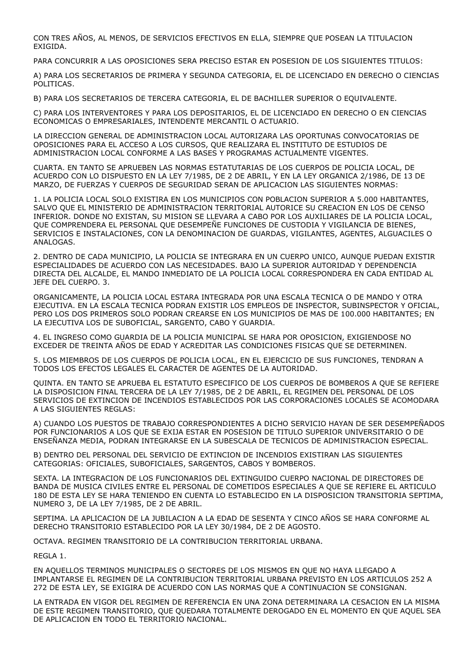CON TRES AÑOS, AL MENOS, DE SERVICIOS EFECTIVOS EN ELLA, SIEMPRE QUE POSEAN LA TITULACION EXIGIDA.

PARA CONCURRIR A LAS OPOSICIONES SERA PRECISO ESTAR EN POSESION DE LOS SIGUIENTES TITULOS:

A) PARA LOS SECRETARIOS DE PRIMERA Y SEGUNDA CATEGORIA, EL DE LICENCIADO EN DERECHO O CIENCIAS POLITICAS.

B) PARA LOS SECRETARIOS DE TERCERA CATEGORIA, EL DE BACHILLER SUPERIOR O EQUIVALENTE.

C) PARA LOS INTERVENTORES Y PARA LOS DEPOSITARIOS, EL DE LICENCIADO EN DERECHO O EN CIENCIAS ECONOMICAS O EMPRESARIALES, INTENDENTE MERCANTIL O ACTUARIO.

LA DIRECCION GENERAL DE ADMINISTRACION LOCAL AUTORIZARA LAS OPORTUNAS CONVOCATORIAS DE OPOSICIONES PARA EL ACCESO A LOS CURSOS, QUE REALIZARA EL INSTITUTO DE ESTUDIOS DE ADMINISTRACION LOCAL CONFORME A LAS BASES Y PROGRAMAS ACTUALMENTE VIGENTES.

CUARTA. EN TANTO SE APRUEBEN LAS NORMAS ESTATUTARIAS DE LOS CUERPOS DE POLICIA LOCAL, DE ACUERDO CON LO DISPUESTO EN LA LEY 7/1985, DE 2 DE ABRIL, Y EN LA LEY ORGANICA 2/1986, DE 13 DE MARZO, DE FUERZAS Y CUERPOS DE SEGURIDAD SERAN DE APLICACION LAS SIGUIENTES NORMAS:

1. LA POLICIA LOCAL SOLO EXISTIRA EN LOS MUNICIPIOS CON POBLACION SUPERIOR A 5.000 HABITANTES, SALVO QUE EL MINISTERIO DE ADMINISTRACION TERRITORIAL AUTORICE SU CREACION EN LOS DE CENSO INFERIOR. DONDE NO EXISTAN, SU MISION SE LLEVARA A CABO POR LOS AUXILIARES DE LA POLICIA LOCAL, QUE COMPRENDERA EL PERSONAL QUE DESEMPEÑE FUNCIONES DE CUSTODIA Y VIGILANCIA DE BIENES, SERVICIOS E INSTALACIONES, CON LA DENOMINACION DE GUARDAS, VIGILANTES, AGENTES, ALGUACILES O ANALOGAS.

2. DENTRO DE CADA MUNICIPIO, LA POLICIA SE INTEGRARA EN UN CUERPO UNICO, AUNQUE PUEDAN EXISTIR ESPECIALIDADES DE ACUERDO CON LAS NECESIDADES. BAJO LA SUPERIOR AUTORIDAD Y DEPENDENCIA DIRECTA DEL ALCALDE, EL MANDO INMEDIATO DE LA POLICIA LOCAL CORRESPONDERA EN CADA ENTIDAD AL JEFE DEL CUERPO. 3.

ORGANICAMENTE, LA POLICIA LOCAL ESTARA INTEGRADA POR UNA ESCALA TECNICA O DE MANDO Y OTRA EJECUTIVA. EN LA ESCALA TECNICA PODRAN EXISTIR LOS EMPLEOS DE INSPECTOR, SUBINSPECTOR Y OFICIAL, PERO LOS DOS PRIMEROS SOLO PODRAN CREARSE EN LOS MUNICIPIOS DE MAS DE 100.000 HABITANTES; EN LA EJECUTIVA LOS DE SUBOFICIAL, SARGENTO, CABO Y GUARDIA.

4. EL INGRESO COMO GUARDIA DE LA POLICIA MUNICIPAL SE HARA POR OPOSICION, EXIGIENDOSE NO EXCEDER DE TREINTA AÑOS DE EDAD Y ACREDITAR LAS CONDICIONES FISICAS QUE SE DETERMINEN.

5. LOS MIEMBROS DE LOS CUERPOS DE POLICIA LOCAL, EN EL EJERCICIO DE SUS FUNCIONES, TENDRAN A TODOS LOS EFECTOS LEGALES EL CARACTER DE AGENTES DE LA AUTORIDAD.

QUINTA. EN TANTO SE APRUEBA EL ESTATUTO ESPECIFICO DE LOS CUERPOS DE BOMBEROS A QUE SE REFIERE LA DISPOSICION FINAL TERCERA DE LA LEY 7/1985, DE 2 DE ABRIL, EL REGIMEN DEL PERSONAL DE LOS SERVICIOS DE EXTINCION DE INCENDIOS ESTABLECIDOS POR LAS CORPORACIONES LOCALES SE ACOMODARA A LAS SIGUIENTES REGLAS:

A) CUANDO LOS PUESTOS DE TRABAJO CORRESPONDIENTES A DICHO SERVICIO HAYAN DE SER DESEMPEÑADOS POR FUNCIONARIOS A LOS QUE SE EXIJA ESTAR EN POSESION DE TITULO SUPERIOR UNIVERSITARIO O DE ENSEÑANZA MEDIA, PODRAN INTEGRARSE EN LA SUBESCALA DE TECNICOS DE ADMINISTRACION ESPECIAL.

B) DENTRO DEL PERSONAL DEL SERVICIO DE EXTINCION DE INCENDIOS EXISTIRAN LAS SIGUIENTES CATEGORIAS: OFICIALES, SUBOFICIALES, SARGENTOS, CABOS Y BOMBEROS.

SEXTA. LA INTEGRACION DE LOS FUNCIONARIOS DEL EXTINGUIDO CUERPO NACIONAL DE DIRECTORES DE BANDA DE MUSICA CIVILES ENTRE EL PERSONAL DE COMETIDOS ESPECIALES A QUE SE REFIERE EL ARTICULO 180 DE ESTA LEY SE HARA TENIENDO EN CUENTA LO ESTABLECIDO EN LA DISPOSICION TRANSITORIA SEPTIMA, NUMERO 3, DE LA LEY 7/1985, DE 2 DE ABRIL.

SEPTIMA. LA APLICACION DE LA JUBILACION A LA EDAD DE SESENTA Y CINCO AÑOS SE HARA CONFORME AL DERECHO TRANSITORIO ESTABLECIDO POR LA LEY 30/1984, DE 2 DE AGOSTO.

OCTAVA. REGIMEN TRANSITORIO DE LA CONTRIBUCION TERRITORIAL URBANA.

REGLA 1.

EN AQUELLOS TERMINOS MUNICIPALES O SECTORES DE LOS MISMOS EN QUE NO HAYA LLEGADO A IMPLANTARSE EL REGIMEN DE LA CONTRIBUCION TERRITORIAL URBANA PREVISTO EN LOS ARTICULOS 252 A 272 DE ESTA LEY, SE EXIGIRA DE ACUERDO CON LAS NORMAS QUE A CONTINUACION SE CONSIGNAN.

LA ENTRADA EN VIGOR DEL REGIMEN DE REFERENCIA EN UNA ZONA DETERMINARA LA CESACION EN LA MISMA DE ESTE REGIMEN TRANSITORIO, QUE QUEDARA TOTALMENTE DEROGADO EN EL MOMENTO EN QUE AQUEL SEA DE APLICACION EN TODO EL TERRITORIO NACIONAL.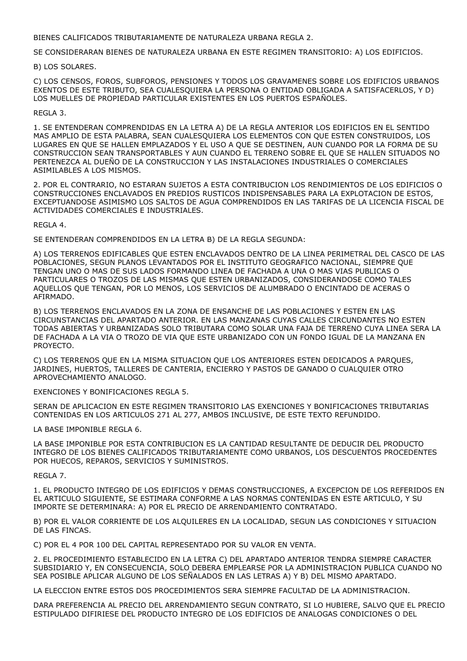BIENES CALIFICADOS TRIBUTARIAMENTE DE NATURALEZA URBANA REGLA 2.

SE CONSIDERARAN BIENES DE NATURALEZA URBANA EN ESTE REGIMEN TRANSITORIO: A) LOS EDIFICIOS.

B) LOS SOLARES.

C) LOS CENSOS, FOROS, SUBFOROS, PENSIONES Y TODOS LOS GRAVAMENES SOBRE LOS EDIFICIOS URBANOS EXENTOS DE ESTE TRIBUTO, SEA CUALESQUIERA LA PERSONA O ENTIDAD OBLIGADA A SATISFACERLOS, Y D) LOS MUELLES DE PROPIEDAD PARTICULAR EXISTENTES EN LOS PUERTOS ESPAÑOLES.

#### REGLA 3.

1. SE ENTENDERAN COMPRENDIDAS EN LA LETRA A) DE LA REGLA ANTERIOR LOS EDIFICIOS EN EL SENTIDO MAS AMPLIO DE ESTA PALABRA, SEAN CUALESQUIERA LOS ELEMENTOS CON QUE ESTEN CONSTRUIDOS, LOS LUGARES EN QUE SE HALLEN EMPLAZADOS Y EL USO A QUE SE DESTINEN, AUN CUANDO POR LA FORMA DE SU CONSTRUCCION SEAN TRANSPORTABLES Y AUN CUANDO EL TERRENO SOBRE EL QUE SE HALLEN SITUADOS NO PERTENEZCA AL DUEÑO DE LA CONSTRUCCION Y LAS INSTALACIONES INDUSTRIALES O COMERCIALES ASIMILABLES A LOS MISMOS.

2. POR EL CONTRARIO, NO ESTARAN SUJETOS A ESTA CONTRIBUCION LOS RENDIMIENTOS DE LOS EDIFICIOS O CONSTRUCCIONES ENCLAVADOS EN PREDIOS RUSTICOS INDISPENSABLES PARA LA EXPLOTACION DE ESTOS, EXCEPTUANDOSE ASIMISMO LOS SALTOS DE AGUA COMPRENDIDOS EN LAS TARIFAS DE LA LICENCIA FISCAL DE ACTIVIDADES COMERCIALES E INDUSTRIALES.

REGLA 4.

SE ENTENDERAN COMPRENDIDOS EN LA LETRA B) DE LA REGLA SEGUNDA:

A) LOS TERRENOS EDIFICABLES QUE ESTEN ENCLAVADOS DENTRO DE LA LINEA PERIMETRAL DEL CASCO DE LAS POBLACIONES, SEGUN PLANOS LEVANTADOS POR EL INSTITUTO GEOGRAFICO NACIONAL, SIEMPRE QUE TENGAN UNO O MAS DE SUS LADOS FORMANDO LINEA DE FACHADA A UNA O MAS VIAS PUBLICAS O PARTICULARES O TROZOS DE LAS MISMAS QUE ESTEN URBANIZADOS, CONSIDERANDOSE COMO TALES AQUELLOS QUE TENGAN, POR LO MENOS, LOS SERVICIOS DE ALUMBRADO O ENCINTADO DE ACERAS O AFIRMADO.

B) LOS TERRENOS ENCLAVADOS EN LA ZONA DE ENSANCHE DE LAS POBLACIONES Y ESTEN EN LAS CIRCUNSTANCIAS DEL APARTADO ANTERIOR. EN LAS MANZANAS CUYAS CALLES CIRCUNDANTES NO ESTEN TODAS ABIERTAS Y URBANIZADAS SOLO TRIBUTARA COMO SOLAR UNA FAJA DE TERRENO CUYA LINEA SERA LA DE FACHADA A LA VIA O TROZO DE VIA QUE ESTE URBANIZADO CON UN FONDO IGUAL DE LA MANZANA EN PROYECTO.

C) LOS TERRENOS QUE EN LA MISMA SITUACION QUE LOS ANTERIORES ESTEN DEDICADOS A PARQUES, JARDINES, HUERTOS, TALLERES DE CANTERIA, ENCIERRO Y PASTOS DE GANADO O CUALQUIER OTRO APROVECHAMIENTO ANALOGO.

EXENCIONES Y BONIFICACIONES REGLA 5.

SERAN DE APLICACION EN ESTE REGIMEN TRANSITORIO LAS EXENCIONES Y BONIFICACIONES TRIBUTARIAS CONTENIDAS EN LOS ARTICULOS 271 AL 277, AMBOS INCLUSIVE, DE ESTE TEXTO REFUNDIDO.

LA BASE IMPONIBLE REGLA 6.

LA BASE IMPONIBLE POR ESTA CONTRIBUCION ES LA CANTIDAD RESULTANTE DE DEDUCIR DEL PRODUCTO INTEGRO DE LOS BIENES CALIFICADOS TRIBUTARIAMENTE COMO URBANOS, LOS DESCUENTOS PROCEDENTES POR HUECOS, REPAROS, SERVICIOS Y SUMINISTROS.

REGLA 7.

1. EL PRODUCTO INTEGRO DE LOS EDIFICIOS Y DEMAS CONSTRUCCIONES, A EXCEPCION DE LOS REFERIDOS EN EL ARTICULO SIGUIENTE, SE ESTIMARA CONFORME A LAS NORMAS CONTENIDAS EN ESTE ARTICULO, Y SU IMPORTE SE DETERMINARA: A) POR EL PRECIO DE ARRENDAMIENTO CONTRATADO.

B) POR EL VALOR CORRIENTE DE LOS ALQUILERES EN LA LOCALIDAD, SEGUN LAS CONDICIONES Y SITUACION DE LAS FINCAS.

C) POR EL 4 POR 100 DEL CAPITAL REPRESENTADO POR SU VALOR EN VENTA.

2. EL PROCEDIMIENTO ESTABLECIDO EN LA LETRA C) DEL APARTADO ANTERIOR TENDRA SIEMPRE CARACTER SUBSIDIARIO Y, EN CONSECUENCIA, SOLO DEBERA EMPLEARSE POR LA ADMINISTRACION PUBLICA CUANDO NO SEA POSIBLE APLICAR ALGUNO DE LOS SEÑALADOS EN LAS LETRAS A) Y B) DEL MISMO APARTADO.

LA ELECCION ENTRE ESTOS DOS PROCEDIMIENTOS SERA SIEMPRE FACULTAD DE LA ADMINISTRACION.

DARA PREFERENCIA AL PRECIO DEL ARRENDAMIENTO SEGUN CONTRATO, SI LO HUBIERE, SALVO QUE EL PRECIO ESTIPULADO DIFIRIESE DEL PRODUCTO INTEGRO DE LOS EDIFICIOS DE ANALOGAS CONDICIONES O DEL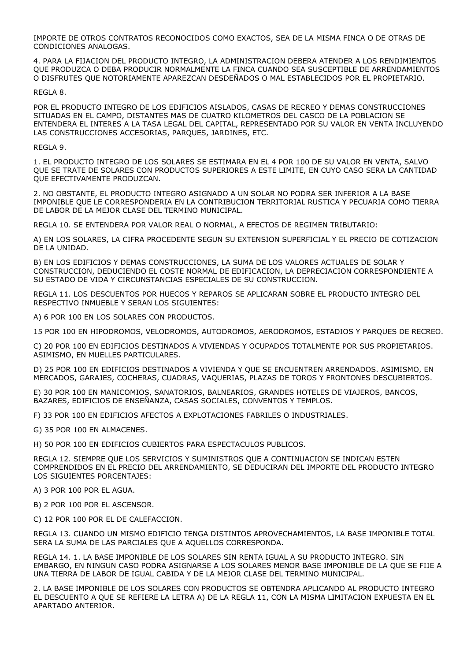IMPORTE DE OTROS CONTRATOS RECONOCIDOS COMO EXACTOS, SEA DE LA MISMA FINCA O DE OTRAS DE CONDICIONES ANALOGAS.

4. PARA LA FIJACION DEL PRODUCTO INTEGRO, LA ADMINISTRACION DEBERA ATENDER A LOS RENDIMIENTOS QUE PRODUZCA O DEBA PRODUCIR NORMALMENTE LA FINCA CUANDO SEA SUSCEPTIBLE DE ARRENDAMIENTOS O DISFRUTES QUE NOTORIAMENTE APAREZCAN DESDEÑADOS O MAL ESTABLECIDOS POR EL PROPIETARIO.

### REGLA 8.

POR EL PRODUCTO INTEGRO DE LOS EDIFICIOS AISLADOS, CASAS DE RECREO Y DEMAS CONSTRUCCIONES SITUADAS EN EL CAMPO, DISTANTES MAS DE CUATRO KILOMETROS DEL CASCO DE LA POBLACION SE ENTENDERA EL INTERES A LA TASA LEGAL DEL CAPITAL, REPRESENTADO POR SU VALOR EN VENTA INCLUYENDO LAS CONSTRUCCIONES ACCESORIAS, PARQUES, JARDINES, ETC.

### REGLA 9.

1. EL PRODUCTO INTEGRO DE LOS SOLARES SE ESTIMARA EN EL 4 POR 100 DE SU VALOR EN VENTA, SALVO QUE SE TRATE DE SOLARES CON PRODUCTOS SUPERIORES A ESTE LIMITE, EN CUYO CASO SERA LA CANTIDAD QUE EFECTIVAMENTE PRODUZCAN.

2. NO OBSTANTE, EL PRODUCTO INTEGRO ASIGNADO A UN SOLAR NO PODRA SER INFERIOR A LA BASE IMPONIBLE QUE LE CORRESPONDERIA EN LA CONTRIBUCION TERRITORIAL RUSTICA Y PECUARIA COMO TIERRA DE LABOR DE LA MEJOR CLASE DEL TERMINO MUNICIPAL.

REGLA 10. SE ENTENDERA POR VALOR REAL O NORMAL, A EFECTOS DE REGIMEN TRIBUTARIO:

A) EN LOS SOLARES, LA CIFRA PROCEDENTE SEGUN SU EXTENSION SUPERFICIAL Y EL PRECIO DE COTIZACION DE LA UNIDAD.

B) EN LOS EDIFICIOS Y DEMAS CONSTRUCCIONES, LA SUMA DE LOS VALORES ACTUALES DE SOLAR Y CONSTRUCCION, DEDUCIENDO EL COSTE NORMAL DE EDIFICACION, LA DEPRECIACION CORRESPONDIENTE A SU ESTADO DE VIDA Y CIRCUNSTANCIAS ESPECIALES DE SU CONSTRUCCION.

REGLA 11. LOS DESCUENTOS POR HUECOS Y REPAROS SE APLICARAN SOBRE EL PRODUCTO INTEGRO DEL RESPECTIVO INMUEBLE Y SERAN LOS SIGUIENTES:

A) 6 POR 100 EN LOS SOLARES CON PRODUCTOS.

15 POR 100 EN HIPODROMOS, VELODROMOS, AUTODROMOS, AERODROMOS, ESTADIOS Y PARQUES DE RECREO.

C) 20 POR 100 EN EDIFICIOS DESTINADOS A VIVIENDAS Y OCUPADOS TOTALMENTE POR SUS PROPIETARIOS. ASIMISMO, EN MUELLES PARTICULARES.

D) 25 POR 100 EN EDIFICIOS DESTINADOS A VIVIENDA Y QUE SE ENCUENTREN ARRENDADOS. ASIMISMO, EN MERCADOS, GARAJES, COCHERAS, CUADRAS, VAQUERIAS, PLAZAS DE TOROS Y FRONTONES DESCUBIERTOS.

E) 30 POR 100 EN MANICOMIOS, SANATORIOS, BALNEARIOS, GRANDES HOTELES DE VIAJEROS, BANCOS, BAZARES, EDIFICIOS DE ENSEÑANZA, CASAS SOCIALES, CONVENTOS Y TEMPLOS.

F) 33 POR 100 EN EDIFICIOS AFECTOS A EXPLOTACIONES FABRILES O INDUSTRIALES.

G) 35 POR 100 EN ALMACENES.

H) 50 POR 100 EN EDIFICIOS CUBIERTOS PARA ESPECTACULOS PUBLICOS.

REGLA 12. SIEMPRE QUE LOS SERVICIOS Y SUMINISTROS QUE A CONTINUACION SE INDICAN ESTEN COMPRENDIDOS EN EL PRECIO DEL ARRENDAMIENTO, SE DEDUCIRAN DEL IMPORTE DEL PRODUCTO INTEGRO LOS SIGUIENTES PORCENTAJES:

A) 3 POR 100 POR EL AGUA.

B) 2 POR 100 POR EL ASCENSOR.

C) 12 POR 100 POR EL DE CALEFACCION.

REGLA 13. CUANDO UN MISMO EDIFICIO TENGA DISTINTOS APROVECHAMIENTOS, LA BASE IMPONIBLE TOTAL SERA LA SUMA DE LAS PARCIALES QUE A AQUELLOS CORRESPONDA.

REGLA 14. 1. LA BASE IMPONIBLE DE LOS SOLARES SIN RENTA IGUAL A SU PRODUCTO INTEGRO. SIN EMBARGO, EN NINGUN CASO PODRA ASIGNARSE A LOS SOLARES MENOR BASE IMPONIBLE DE LA QUE SE FIJE A UNA TIERRA DE LABOR DE IGUAL CABIDA Y DE LA MEJOR CLASE DEL TERMINO MUNICIPAL.

2. LA BASE IMPONIBLE DE LOS SOLARES CON PRODUCTOS SE OBTENDRA APLICANDO AL PRODUCTO INTEGRO EL DESCUENTO A QUE SE REFIERE LA LETRA A) DE LA REGLA 11, CON LA MISMA LIMITACION EXPUESTA EN EL APARTADO ANTERIOR.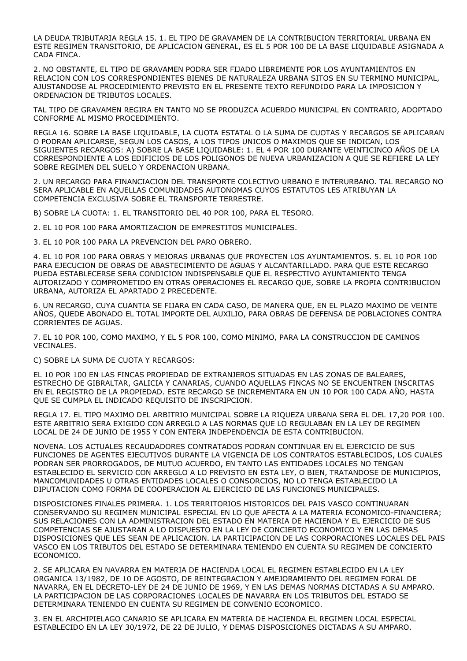LA DEUDA TRIBUTARIA REGLA 15. 1. EL TIPO DE GRAVAMEN DE LA CONTRIBUCION TERRITORIAL URBANA EN ESTE REGIMEN TRANSITORIO, DE APLICACION GENERAL, ES EL 5 POR 100 DE LA BASE LIQUIDABLE ASIGNADA A CADA FINCA.

2. NO OBSTANTE, EL TIPO DE GRAVAMEN PODRA SER FIJADO LIBREMENTE POR LOS AYUNTAMIENTOS EN RELACION CON LOS CORRESPONDIENTES BIENES DE NATURALEZA URBANA SITOS EN SU TERMINO MUNICIPAL, AJUSTANDOSE AL PROCEDIMIENTO PREVISTO EN EL PRESENTE TEXTO REFUNDIDO PARA LA IMPOSICION Y ORDENACION DE TRIBUTOS LOCALES.

TAL TIPO DE GRAVAMEN REGIRA EN TANTO NO SE PRODUZCA ACUERDO MUNICIPAL EN CONTRARIO, ADOPTADO CONFORME AL MISMO PROCEDIMIENTO.

REGLA 16. SOBRE LA BASE LIQUIDABLE, LA CUOTA ESTATAL O LA SUMA DE CUOTAS Y RECARGOS SE APLICARAN O PODRAN APLICARSE, SEGUN LOS CASOS, A LOS TIPOS UNICOS O MAXIMOS QUE SE INDICAN, LOS SIGUIENTES RECARGOS: A) SOBRE LA BASE LIQUIDABLE: 1. EL 4 POR 100 DURANTE VEINTICINCO AÑOS DE LA CORRESPONDIENTE A LOS EDIFICIOS DE LOS POLIGONOS DE NUEVA URBANIZACION A QUE SE REFIERE LA LEY SOBRE REGIMEN DEL SUELO Y ORDENACION URBANA.

2. UN RECARGO PARA FINANCIACION DEL TRANSPORTE COLECTIVO URBANO E INTERURBANO. TAL RECARGO NO SERA APLICABLE EN AQUELLAS COMUNIDADES AUTONOMAS CUYOS ESTATUTOS LES ATRIBUYAN LA COMPETENCIA EXCLUSIVA SOBRE EL TRANSPORTE TERRESTRE.

B) SOBRE LA CUOTA: 1. EL TRANSITORIO DEL 40 POR 100, PARA EL TESORO.

2. EL 10 POR 100 PARA AMORTIZACION DE EMPRESTITOS MUNICIPALES.

3. EL 10 POR 100 PARA LA PREVENCION DEL PARO OBRERO.

4. EL 10 POR 100 PARA OBRAS Y MEJORAS URBANAS QUE PROYECTEN LOS AYUNTAMIENTOS. 5. EL 10 POR 100 PARA EJECUCION DE OBRAS DE ABASTECIMIENTO DE AGUAS Y ALCANTARILLADO. PARA QUE ESTE RECARGO PUEDA ESTABLECERSE SERA CONDICION INDISPENSABLE QUE EL RESPECTIVO AYUNTAMIENTO TENGA AUTORIZADO Y COMPROMETIDO EN OTRAS OPERACIONES EL RECARGO QUE, SOBRE LA PROPIA CONTRIBUCION URBANA, AUTORIZA EL APARTADO 2 PRECEDENTE.

6. UN RECARGO, CUYA CUANTIA SE FIJARA EN CADA CASO, DE MANERA QUE, EN EL PLAZO MAXIMO DE VEINTE AÑOS, QUEDE ABONADO EL TOTAL IMPORTE DEL AUXILIO, PARA OBRAS DE DEFENSA DE POBLACIONES CONTRA CORRIENTES DE AGUAS.

7. EL 10 POR 100, COMO MAXIMO, Y EL 5 POR 100, COMO MINIMO, PARA LA CONSTRUCCION DE CAMINOS VECINALES.

C) SOBRE LA SUMA DE CUOTA Y RECARGOS:

EL 10 POR 100 EN LAS FINCAS PROPIEDAD DE EXTRANJEROS SITUADAS EN LAS ZONAS DE BALEARES, ESTRECHO DE GIBRALTAR, GALICIA Y CANARIAS, CUANDO AQUELLAS FINCAS NO SE ENCUENTREN INSCRITAS EN EL REGISTRO DE LA PROPIEDAD. ESTE RECARGO SE INCREMENTARA EN UN 10 POR 100 CADA AÑO, HASTA QUE SE CUMPLA EL INDICADO REQUISITO DE INSCRIPCION.

REGLA 17. EL TIPO MAXIMO DEL ARBITRIO MUNICIPAL SOBRE LA RIQUEZA URBANA SERA EL DEL 17,20 POR 100. ESTE ARBITRIO SERA EXIGIDO CON ARREGLO A LAS NORMAS QUE LO REGULABAN EN LA LEY DE REGIMEN LOCAL DE 24 DE JUNIO DE 1955 Y CON ENTERA INDEPENDENCIA DE ESTA CONTRIBUCION.

NOVENA. LOS ACTUALES RECAUDADORES CONTRATADOS PODRAN CONTINUAR EN EL EJERCICIO DE SUS FUNCIONES DE AGENTES EJECUTIVOS DURANTE LA VIGENCIA DE LOS CONTRATOS ESTABLECIDOS, LOS CUALES PODRAN SER PRORROGADOS, DE MUTUO ACUERDO, EN TANTO LAS ENTIDADES LOCALES NO TENGAN ESTABLECIDO EL SERVICIO CON ARREGLO A LO PREVISTO EN ESTA LEY, O BIEN, TRATANDOSE DE MUNICIPIOS, MANCOMUNIDADES U OTRAS ENTIDADES LOCALES O CONSORCIOS, NO LO TENGA ESTABLECIDO LA DIPUTACION COMO FORMA DE COOPERACION AL EJERCICIO DE LAS FUNCIONES MUNICIPALES.

DISPOSICIONES FINALES PRIMERA. 1. LOS TERRITORIOS HISTORICOS DEL PAIS VASCO CONTINUARAN CONSERVANDO SU REGIMEN MUNICIPAL ESPECIAL EN LO QUE AFECTA A LA MATERIA ECONOMICO-FINANCIERA; SUS RELACIONES CON LA ADMINISTRACION DEL ESTADO EN MATERIA DE HACIENDA Y EL EJERCICIO DE SUS COMPETENCIAS SE AJUSTARAN A LO DISPUESTO EN LA LEY DE CONCIERTO ECONOMICO Y EN LAS DEMAS DISPOSICIONES QUE LES SEAN DE APLICACION. LA PARTICIPACION DE LAS CORPORACIONES LOCALES DEL PAIS VASCO EN LOS TRIBUTOS DEL ESTADO SE DETERMINARA TENIENDO EN CUENTA SU REGIMEN DE CONCIERTO ECONOMICO.

2. SE APLICARA EN NAVARRA EN MATERIA DE HACIENDA LOCAL EL REGIMEN ESTABLECIDO EN LA LEY ORGANICA 13/1982, DE 10 DE AGOSTO, DE REINTEGRACION Y AMEJORAMIENTO DEL REGIMEN FORAL DE NAVARRA, EN EL DECRETO-LEY DE 24 DE JUNIO DE 1969, Y EN LAS DEMAS NORMAS DICTADAS A SU AMPARO. LA PARTICIPACION DE LAS CORPORACIONES LOCALES DE NAVARRA EN LOS TRIBUTOS DEL ESTADO SE DETERMINARA TENIENDO EN CUENTA SU REGIMEN DE CONVENIO ECONOMICO.

3. EN EL ARCHIPIELAGO CANARIO SE APLICARA EN MATERIA DE HACIENDA EL REGIMEN LOCAL ESPECIAL ESTABLECIDO EN LA LEY 30/1972, DE 22 DE JULIO, Y DEMAS DISPOSICIONES DICTADAS A SU AMPARO.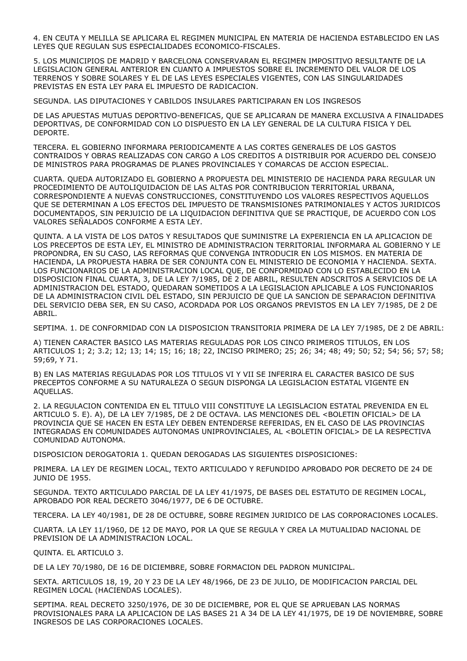4. EN CEUTA Y MELILLA SE APLICARA EL REGIMEN MUNICIPAL EN MATERIA DE HACIENDA ESTABLECIDO EN LAS LEYES QUE REGULAN SUS ESPECIALIDADES ECONOMICO-FISCALES.

5. LOS MUNICIPIOS DE MADRID Y BARCELONA CONSERVARAN EL REGIMEN IMPOSITIVO RESULTANTE DE LA LEGISLACION GENERAL ANTERIOR EN CUANTO A IMPUESTOS SOBRE EL INCREMENTO DEL VALOR DE LOS TERRENOS Y SOBRE SOLARES Y EL DE LAS LEYES ESPECIALES VIGENTES, CON LAS SINGULARIDADES PREVISTAS EN ESTA LEY PARA EL IMPUESTO DE RADICACION.

SEGUNDA. LAS DIPUTACIONES Y CABILDOS INSULARES PARTICIPARAN EN LOS INGRESOS

DE LAS APUESTAS MUTUAS DEPORTIVO-BENEFICAS, QUE SE APLICARAN DE MANERA EXCLUSIVA A FINALIDADES DEPORTIVAS, DE CONFORMIDAD CON LO DISPUESTO EN LA LEY GENERAL DE LA CULTURA FISICA Y DEL DEPORTE.

TERCERA. EL GOBIERNO INFORMARA PERIODICAMENTE A LAS CORTES GENERALES DE LOS GASTOS CONTRAIDOS Y OBRAS REALIZADAS CON CARGO A LOS CREDITOS A DISTRIBUIR POR ACUERDO DEL CONSEJO DE MINISTROS PARA PROGRAMAS DE PLANES PROVINCIALES Y COMARCAS DE ACCION ESPECIAL.

CUARTA. QUEDA AUTORIZADO EL GOBIERNO A PROPUESTA DEL MINISTERIO DE HACIENDA PARA REGULAR UN PROCEDIMIENTO DE AUTOLIQUIDACION DE LAS ALTAS POR CONTRIBUCION TERRITORIAL URBANA, CORRESPONDIENTE A NUEVAS CONSTRUCCIONES, CONSTITUYENDO LOS VALORES RESPECTIVOS AQUELLOS QUE SE DETERMINAN A LOS EFECTOS DEL IMPUESTO DE TRANSMISIONES PATRIMONIALES Y ACTOS JURIDICOS DOCUMENTADOS, SIN PERJUICIO DE LA LIQUIDACION DEFINITIVA QUE SE PRACTIQUE, DE ACUERDO CON LOS VALORES SEÑALADOS CONFORME A ESTA LEY.

QUINTA. A LA VISTA DE LOS DATOS Y RESULTADOS QUE SUMINISTRE LA EXPERIENCIA EN LA APLICACION DE LOS PRECEPTOS DE ESTA LEY, EL MINISTRO DE ADMINISTRACION TERRITORIAL INFORMARA AL GOBIERNO Y LE PROPONDRA, EN SU CASO, LAS REFORMAS QUE CONVENGA INTRODUCIR EN LOS MISMOS. EN MATERIA DE HACIENDA, LA PROPUESTA HABRA DE SER CONJUNTA CON EL MINISTERIO DE ECONOMIA Y HACIENDA. SEXTA. LOS FUNCIONARIOS DE LA ADMINISTRACION LOCAL QUE, DE CONFORMIDAD CON LO ESTABLECIDO EN LA DISPOSICION FINAL CUARTA, 3, DE LA LEY 7/1985, DE 2 DE ABRIL, RESULTEN ADSCRITOS A SERVICIOS DE LA ADMINISTRACION DEL ESTADO, QUEDARAN SOMETIDOS A LA LEGISLACION APLICABLE A LOS FUNCIONARIOS DE LA ADMINISTRACION CIVIL DEL ESTADO, SIN PERJUICIO DE QUE LA SANCION DE SEPARACION DEFINITIVA DEL SERVICIO DEBA SER, EN SU CASO, ACORDADA POR LOS ORGANOS PREVISTOS EN LA LEY 7/1985, DE 2 DE ABRIL.

SEPTIMA. 1. DE CONFORMIDAD CON LA DISPOSICION TRANSITORIA PRIMERA DE LA LEY 7/1985, DE 2 DE ABRIL:

A) TIENEN CARACTER BASICO LAS MATERIAS REGULADAS POR LOS CINCO PRIMEROS TITULOS, EN LOS ARTICULOS 1; 2; 3.2; 12; 13; 14; 15; 16; 18; 22, INCISO PRIMERO; 25; 26; 34; 48; 49; 50; 52; 54; 56; 57; 58; 59;69, Y 71.

B) EN LAS MATERIAS REGULADAS POR LOS TITULOS VI Y VII SE INFERIRA EL CARACTER BASICO DE SUS PRECEPTOS CONFORME A SU NATURALEZA O SEGUN DISPONGA LA LEGISLACION ESTATAL VIGENTE EN AQUELLAS.

2. LA REGULACION CONTENIDA EN EL TITULO VIII CONSTITUYE LA LEGISLACION ESTATAL PREVENIDA EN EL ARTICULO 5. E). A), DE LA LEY 7/1985, DE 2 DE OCTAVA. LAS MENCIONES DEL <BOLETIN OFICIAL> DE LA PROVINCIA QUE SE HACEN EN ESTA LEY DEBEN ENTENDERSE REFERIDAS, EN EL CASO DE LAS PROVINCIAS INTEGRADAS EN COMUNIDADES AUTONOMAS UNIPROVINCIALES, AL <BOLETIN OFICIAL> DE LA RESPECTIVA COMUNIDAD AUTONOMA.

DISPOSICION DEROGATORIA 1. QUEDAN DEROGADAS LAS SIGUIENTES DISPOSICIONES:

PRIMERA. LA LEY DE REGIMEN LOCAL, TEXTO ARTICULADO Y REFUNDIDO APROBADO POR DECRETO DE 24 DE JUNIO DE 1955.

SEGUNDA. TEXTO ARTICULADO PARCIAL DE LA LEY 41/1975, DE BASES DEL ESTATUTO DE REGIMEN LOCAL, APROBADO POR REAL DECRETO 3046/1977, DE 6 DE OCTUBRE.

TERCERA. LA LEY 40/1981, DE 28 DE OCTUBRE, SOBRE REGIMEN JURIDICO DE LAS CORPORACIONES LOCALES.

CUARTA. LA LEY 11/1960, DE 12 DE MAYO, POR LA QUE SE REGULA Y CREA LA MUTUALIDAD NACIONAL DE PREVISION DE LA ADMINISTRACION LOCAL.

QUINTA. EL ARTICULO 3.

DE LA LEY 70/1980, DE 16 DE DICIEMBRE, SOBRE FORMACION DEL PADRON MUNICIPAL.

SEXTA. ARTICULOS 18, 19, 20 Y 23 DE LA LEY 48/1966, DE 23 DE JULIO, DE MODIFICACION PARCIAL DEL REGIMEN LOCAL (HACIENDAS LOCALES).

SEPTIMA. REAL DECRETO 3250/1976, DE 30 DE DICIEMBRE, POR EL QUE SE APRUEBAN LAS NORMAS PROVISIONALES PARA LA APLICACION DE LAS BASES 21 A 34 DE LA LEY 41/1975, DE 19 DE NOVIEMBRE, SOBRE INGRESOS DE LAS CORPORACIONES LOCALES.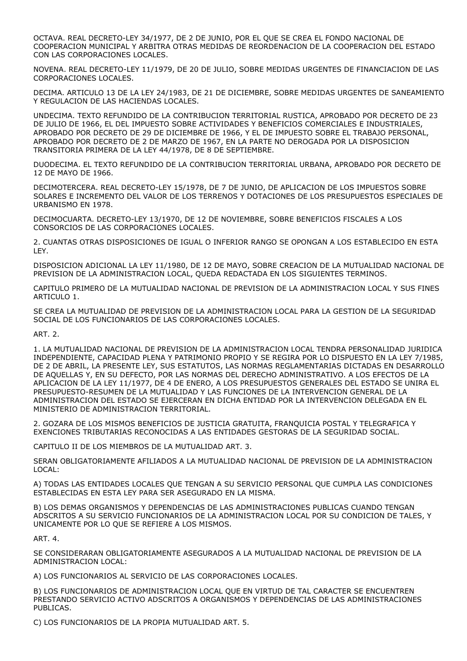OCTAVA. REAL DECRETO-LEY 34/1977, DE 2 DE JUNIO, POR EL QUE SE CREA EL FONDO NACIONAL DE COOPERACION MUNICIPAL Y ARBITRA OTRAS MEDIDAS DE REORDENACION DE LA COOPERACION DEL ESTADO CON LAS CORPORACIONES LOCALES.

NOVENA. REAL DECRETO-LEY 11/1979, DE 20 DE JULIO, SOBRE MEDIDAS URGENTES DE FINANCIACION DE LAS CORPORACIONES LOCALES.

DECIMA. ARTICULO 13 DE LA LEY 24/1983, DE 21 DE DICIEMBRE, SOBRE MEDIDAS URGENTES DE SANEAMIENTO Y REGULACION DE LAS HACIENDAS LOCALES.

UNDECIMA. TEXTO REFUNDIDO DE LA CONTRIBUCION TERRITORIAL RUSTICA, APROBADO POR DECRETO DE 23 DE JULIO DE 1966, EL DEL IMPUESTO SOBRE ACTIVIDADES Y BENEFICIOS COMERCIALES E INDUSTRIALES, APROBADO POR DECRETO DE 29 DE DICIEMBRE DE 1966, Y EL DE IMPUESTO SOBRE EL TRABAJO PERSONAL, APROBADO POR DECRETO DE 2 DE MARZO DE 1967, EN LA PARTE NO DEROGADA POR LA DISPOSICION TRANSITORIA PRIMERA DE LA LEY 44/1978, DE 8 DE SEPTIEMBRE.

DUODECIMA. EL TEXTO REFUNDIDO DE LA CONTRIBUCION TERRITORIAL URBANA, APROBADO POR DECRETO DE 12 DE MAYO DE 1966.

DECIMOTERCERA. REAL DECRETO-LEY 15/1978, DE 7 DE JUNIO, DE APLICACION DE LOS IMPUESTOS SOBRE SOLARES E INCREMENTO DEL VALOR DE LOS TERRENOS Y DOTACIONES DE LOS PRESUPUESTOS ESPECIALES DE URBANISMO EN 1978.

DECIMOCUARTA. DECRETO-LEY 13/1970, DE 12 DE NOVIEMBRE, SOBRE BENEFICIOS FISCALES A LOS CONSORCIOS DE LAS CORPORACIONES LOCALES.

2. CUANTAS OTRAS DISPOSICIONES DE IGUAL O INFERIOR RANGO SE OPONGAN A LOS ESTABLECIDO EN ESTA LEY.

DISPOSICION ADICIONAL LA LEY 11/1980, DE 12 DE MAYO, SOBRE CREACION DE LA MUTUALIDAD NACIONAL DE PREVISION DE LA ADMINISTRACION LOCAL, QUEDA REDACTADA EN LOS SIGUIENTES TERMINOS.

CAPITULO PRIMERO DE LA MUTUALIDAD NACIONAL DE PREVISION DE LA ADMINISTRACION LOCAL Y SUS FINES ARTICULO 1.

SE CREA LA MUTUALIDAD DE PREVISION DE LA ADMINISTRACION LOCAL PARA LA GESTION DE LA SEGURIDAD SOCIAL DE LOS FUNCIONARIOS DE LAS CORPORACIONES LOCALES.

ART. 2.

1. LA MUTUALIDAD NACIONAL DE PREVISION DE LA ADMINISTRACION LOCAL TENDRA PERSONALIDAD JURIDICA INDEPENDIENTE, CAPACIDAD PLENA Y PATRIMONIO PROPIO Y SE REGIRA POR LO DISPUESTO EN LA LEY 7/1985, DE 2 DE ABRIL, LA PRESENTE LEY, SUS ESTATUTOS, LAS NORMAS REGLAMENTARIAS DICTADAS EN DESARROLLO DE AQUELLAS Y, EN SU DEFECTO, POR LAS NORMAS DEL DERECHO ADMINISTRATIVO. A LOS EFECTOS DE LA APLICACION DE LA LEY 11/1977, DE 4 DE ENERO, A LOS PRESUPUESTOS GENERALES DEL ESTADO SE UNIRA EL PRESUPUESTO-RESUMEN DE LA MUTUALIDAD Y LAS FUNCIONES DE LA INTERVENCION GENERAL DE LA ADMINISTRACION DEL ESTADO SE EJERCERAN EN DICHA ENTIDAD POR LA INTERVENCION DELEGADA EN EL MINISTERIO DE ADMINISTRACION TERRITORIAL.

2. GOZARA DE LOS MISMOS BENEFICIOS DE JUSTICIA GRATUITA, FRANQUICIA POSTAL Y TELEGRAFICA Y EXENCIONES TRIBUTARIAS RECONOCIDAS A LAS ENTIDADES GESTORAS DE LA SEGURIDAD SOCIAL.

CAPITULO II DE LOS MIEMBROS DE LA MUTUALIDAD ART. 3.

SERAN OBLIGATORIAMENTE AFILIADOS A LA MUTUALIDAD NACIONAL DE PREVISION DE LA ADMINISTRACION LOCAL:

A) TODAS LAS ENTIDADES LOCALES QUE TENGAN A SU SERVICIO PERSONAL QUE CUMPLA LAS CONDICIONES ESTABLECIDAS EN ESTA LEY PARA SER ASEGURADO EN LA MISMA.

B) LOS DEMAS ORGANISMOS Y DEPENDENCIAS DE LAS ADMINISTRACIONES PUBLICAS CUANDO TENGAN ADSCRITOS A SU SERVICIO FUNCIONARIOS DE LA ADMINISTRACION LOCAL POR SU CONDICION DE TALES, Y UNICAMENTE POR LO QUE SE REFIERE A LOS MISMOS.

ART. 4.

SE CONSIDERARAN OBLIGATORIAMENTE ASEGURADOS A LA MUTUALIDAD NACIONAL DE PREVISION DE LA ADMINISTRACION LOCAL:

A) LOS FUNCIONARIOS AL SERVICIO DE LAS CORPORACIONES LOCALES.

B) LOS FUNCIONARIOS DE ADMINISTRACION LOCAL QUE EN VIRTUD DE TAL CARACTER SE ENCUENTREN PRESTANDO SERVICIO ACTIVO ADSCRITOS A ORGANISMOS Y DEPENDENCIAS DE LAS ADMINISTRACIONES PUBLICAS.

C) LOS FUNCIONARIOS DE LA PROPIA MUTUALIDAD ART. 5.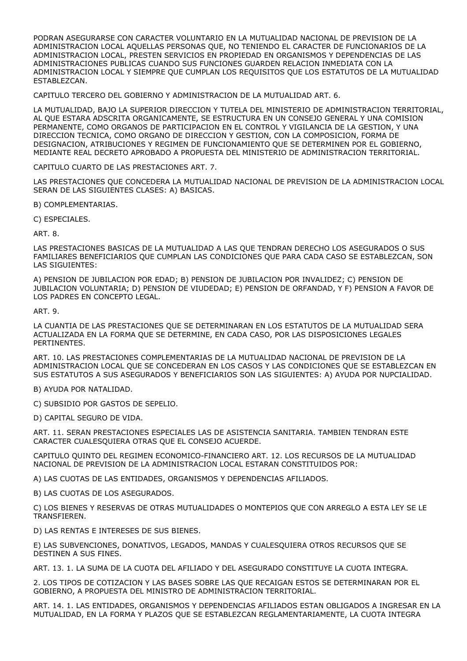PODRAN ASEGURARSE CON CARACTER VOLUNTARIO EN LA MUTUALIDAD NACIONAL DE PREVISION DE LA ADMINISTRACION LOCAL AQUELLAS PERSONAS QUE, NO TENIENDO EL CARACTER DE FUNCIONARIOS DE LA ADMINISTRACION LOCAL, PRESTEN SERVICIOS EN PROPIEDAD EN ORGANISMOS Y DEPENDENCIAS DE LAS ADMINISTRACIONES PUBLICAS CUANDO SUS FUNCIONES GUARDEN RELACION INMEDIATA CON LA ADMINISTRACION LOCAL Y SIEMPRE QUE CUMPLAN LOS REQUISITOS QUE LOS ESTATUTOS DE LA MUTUALIDAD ESTABLEZCAN.

CAPITULO TERCERO DEL GOBIERNO Y ADMINISTRACION DE LA MUTUALIDAD ART. 6.

LA MUTUALIDAD, BAJO LA SUPERIOR DIRECCION Y TUTELA DEL MINISTERIO DE ADMINISTRACION TERRITORIAL, AL QUE ESTARA ADSCRITA ORGANICAMENTE, SE ESTRUCTURA EN UN CONSEJO GENERAL Y UNA COMISION PERMANENTE, COMO ORGANOS DE PARTICIPACION EN EL CONTROL Y VIGILANCIA DE LA GESTION, Y UNA DIRECCION TECNICA, COMO ORGANO DE DIRECCION Y GESTION, CON LA COMPOSICION, FORMA DE DESIGNACION, ATRIBUCIONES Y REGIMEN DE FUNCIONAMIENTO QUE SE DETERMINEN POR EL GOBIERNO, MEDIANTE REAL DECRETO APROBADO A PROPUESTA DEL MINISTERIO DE ADMINISTRACION TERRITORIAL.

CAPITULO CUARTO DE LAS PRESTACIONES ART. 7.

LAS PRESTACIONES QUE CONCEDERA LA MUTUALIDAD NACIONAL DE PREVISION DE LA ADMINISTRACION LOCAL SERAN DE LAS SIGUIENTES CLASES: A) BASICAS.

B) COMPLEMENTARIAS.

C) ESPECIALES.

ART. 8.

LAS PRESTACIONES BASICAS DE LA MUTUALIDAD A LAS QUE TENDRAN DERECHO LOS ASEGURADOS O SUS FAMILIARES BENEFICIARIOS QUE CUMPLAN LAS CONDICIONES QUE PARA CADA CASO SE ESTABLEZCAN, SON LAS SIGUIENTES:

A) PENSION DE JUBILACION POR EDAD; B) PENSION DE JUBILACION POR INVALIDEZ; C) PENSION DE JUBILACION VOLUNTARIA; D) PENSION DE VIUDEDAD; E) PENSION DE ORFANDAD, Y F) PENSION A FAVOR DE LOS PADRES EN CONCEPTO LEGAL.

ART. 9.

LA CUANTIA DE LAS PRESTACIONES QUE SE DETERMINARAN EN LOS ESTATUTOS DE LA MUTUALIDAD SERA ACTUALIZADA EN LA FORMA QUE SE DETERMINE, EN CADA CASO, POR LAS DISPOSICIONES LEGALES PERTINENTES.

ART. 10. LAS PRESTACIONES COMPLEMENTARIAS DE LA MUTUALIDAD NACIONAL DE PREVISION DE LA ADMINISTRACION LOCAL QUE SE CONCEDERAN EN LOS CASOS Y LAS CONDICIONES QUE SE ESTABLEZCAN EN SUS ESTATUTOS A SUS ASEGURADOS Y BENEFICIARIOS SON LAS SIGUIENTES: A) AYUDA POR NUPCIALIDAD.

B) AYUDA POR NATALIDAD.

C) SUBSIDIO POR GASTOS DE SEPELIO.

D) CAPITAL SEGURO DE VIDA.

ART. 11. SERAN PRESTACIONES ESPECIALES LAS DE ASISTENCIA SANITARIA. TAMBIEN TENDRAN ESTE CARACTER CUALESQUIERA OTRAS QUE EL CONSEJO ACUERDE.

CAPITULO QUINTO DEL REGIMEN ECONOMICO-FINANCIERO ART. 12. LOS RECURSOS DE LA MUTUALIDAD NACIONAL DE PREVISION DE LA ADMINISTRACION LOCAL ESTARAN CONSTITUIDOS POR:

A) LAS CUOTAS DE LAS ENTIDADES, ORGANISMOS Y DEPENDENCIAS AFILIADOS.

B) LAS CUOTAS DE LOS ASEGURADOS.

C) LOS BIENES Y RESERVAS DE OTRAS MUTUALIDADES O MONTEPIOS QUE CON ARREGLO A ESTA LEY SE LE TRANSFIEREN.

D) LAS RENTAS E INTERESES DE SUS BIENES.

E) LAS SUBVENCIONES, DONATIVOS, LEGADOS, MANDAS Y CUALESQUIERA OTROS RECURSOS QUE SE DESTINEN A SUS FINES.

ART. 13. 1. LA SUMA DE LA CUOTA DEL AFILIADO Y DEL ASEGURADO CONSTITUYE LA CUOTA INTEGRA.

2. LOS TIPOS DE COTIZACION Y LAS BASES SOBRE LAS QUE RECAIGAN ESTOS SE DETERMINARAN POR EL GOBIERNO, A PROPUESTA DEL MINISTRO DE ADMINISTRACION TERRITORIAL.

ART. 14. 1. LAS ENTIDADES, ORGANISMOS Y DEPENDENCIAS AFILIADOS ESTAN OBLIGADOS A INGRESAR EN LA MUTUALIDAD, EN LA FORMA Y PLAZOS QUE SE ESTABLEZCAN REGLAMENTARIAMENTE, LA CUOTA INTEGRA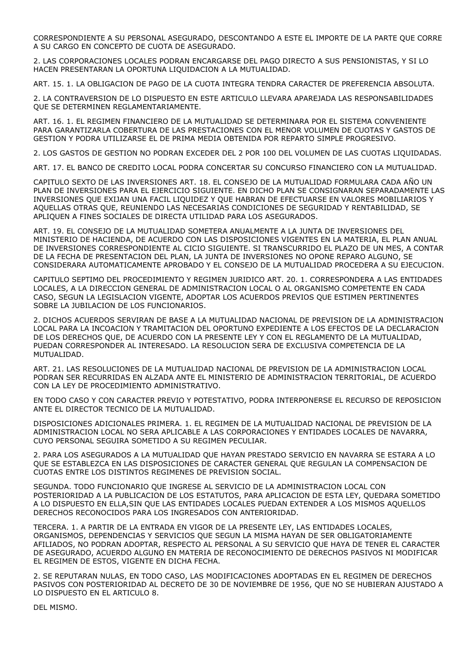CORRESPONDIENTE A SU PERSONAL ASEGURADO, DESCONTANDO A ESTE EL IMPORTE DE LA PARTE QUE CORRE A SU CARGO EN CONCEPTO DE CUOTA DE ASEGURADO.

2. LAS CORPORACIONES LOCALES PODRAN ENCARGARSE DEL PAGO DIRECTO A SUS PENSIONISTAS, Y SI LO HACEN PRESENTARAN LA OPORTUNA LIQUIDACION A LA MUTUALIDAD.

ART. 15. 1. LA OBLIGACION DE PAGO DE LA CUOTA INTEGRA TENDRA CARACTER DE PREFERENCIA ABSOLUTA.

2. LA CONTRAVERSION DE LO DISPUESTO EN ESTE ARTICULO LLEVARA APAREJADA LAS RESPONSABILIDADES QUE SE DETERMINEN REGLAMENTARIAMENTE.

ART. 16. 1. EL REGIMEN FINANCIERO DE LA MUTUALIDAD SE DETERMINARA POR EL SISTEMA CONVENIENTE PARA GARANTIZARLA COBERTURA DE LAS PRESTACIONES CON EL MENOR VOLUMEN DE CUOTAS Y GASTOS DE GESTION Y PODRA UTILIZARSE EL DE PRIMA MEDIA OBTENIDA POR REPARTO SIMPLE PROGRESIVO.

2. LOS GASTOS DE GESTION NO PODRAN EXCEDER DEL 2 POR 100 DEL VOLUMEN DE LAS CUOTAS LIQUIDADAS.

ART. 17. EL BANCO DE CREDITO LOCAL PODRA CONCERTAR SU CONCURSO FINANCIERO CON LA MUTUALIDAD.

CAPITULO SEXTO DE LAS INVERSIONES ART. 18. EL CONSEJO DE LA MUTUALIDAD FORMULARA CADA AÑO UN PLAN DE INVERSIONES PARA EL EJERCICIO SIGUIENTE. EN DICHO PLAN SE CONSIGNARAN SEPARADAMENTE LAS INVERSIONES QUE EXIJAN UNA FACIL LIQUIDEZ Y QUE HABRAN DE EFECTUARSE EN VALORES MOBILIARIOS Y AQUELLAS OTRAS QUE, REUNIENDO LAS NECESARIAS CONDICIONES DE SEGURIDAD Y RENTABILIDAD, SE APLIQUEN A FINES SOCIALES DE DIRECTA UTILIDAD PARA LOS ASEGURADOS.

ART. 19. EL CONSEJO DE LA MUTUALIDAD SOMETERA ANUALMENTE A LA JUNTA DE INVERSIONES DEL MINISTERIO DE HACIENDA, DE ACUERDO CON LAS DISPOSICIONES VIGENTES EN LA MATERIA, EL PLAN ANUAL DE INVERSIONES CORRESPONDIENTE AL CICIO SIGUIENTE. SI TRANSCURRIDO EL PLAZO DE UN MES, A CONTAR DE LA FECHA DE PRESENTACION DEL PLAN, LA JUNTA DE INVERSIONES NO OPONE REPARO ALGUNO, SE CONSIDERARA AUTOMATICAMENTE APROBADO Y EL CONSEJO DE LA MUTUALIDAD PROCEDERA A SU EJECUCION.

CAPITULO SEPTIMO DEL PROCEDIMIENTO Y REGIMEN JURIDICO ART. 20. 1. CORRESPONDERA A LAS ENTIDADES LOCALES, A LA DIRECCION GENERAL DE ADMINISTRACION LOCAL O AL ORGANISMO COMPETENTE EN CADA CASO, SEGUN LA LEGISLACION VIGENTE, ADOPTAR LOS ACUERDOS PREVIOS QUE ESTIMEN PERTINENTES SOBRE LA JUBILACION DE LOS FUNCIONARIOS.

2. DICHOS ACUERDOS SERVIRAN DE BASE A LA MUTUALIDAD NACIONAL DE PREVISION DE LA ADMINISTRACION LOCAL PARA LA INCOACION Y TRAMITACION DEL OPORTUNO EXPEDIENTE A LOS EFECTOS DE LA DECLARACION DE LOS DERECHOS QUE, DE ACUERDO CON LA PRESENTE LEY Y CON EL REGLAMENTO DE LA MUTUALIDAD, PUEDAN CORRESPONDER AL INTERESADO. LA RESOLUCION SERA DE EXCLUSIVA COMPETENCIA DE LA MUTUALIDAD.

ART. 21. LAS RESOLUCIONES DE LA MUTUALIDAD NACIONAL DE PREVISION DE LA ADMINISTRACION LOCAL PODRAN SER RECURRIDAS EN ALZADA ANTE EL MINISTERIO DE ADMINISTRACION TERRITORIAL, DE ACUERDO CON LA LEY DE PROCEDIMIENTO ADMINISTRATIVO.

EN TODO CASO Y CON CARACTER PREVIO Y POTESTATIVO, PODRA INTERPONERSE EL RECURSO DE REPOSICION ANTE EL DIRECTOR TECNICO DE LA MUTUALIDAD.

DISPOSICIONES ADICIONALES PRIMERA. 1. EL REGIMEN DE LA MUTUALIDAD NACIONAL DE PREVISION DE LA ADMINISTRACION LOCAL NO SERA APLICABLE A LAS CORPORACIONES Y ENTIDADES LOCALES DE NAVARRA, CUYO PERSONAL SEGUIRA SOMETIDO A SU REGIMEN PECULIAR.

2. PARA LOS ASEGURADOS A LA MUTUALIDAD QUE HAYAN PRESTADO SERVICIO EN NAVARRA SE ESTARA A LO QUE SE ESTABLEZCA EN LAS DISPOSICIONES DE CARACTER GENERAL QUE REGULAN LA COMPENSACION DE CUOTAS ENTRE LOS DISTINTOS REGIMENES DE PREVISION SOCIAL.

SEGUNDA. TODO FUNCIONARIO QUE INGRESE AL SERVICIO DE LA ADMINISTRACION LOCAL CON POSTERIORIDAD A LA PUBLICACION DE LOS ESTATUTOS, PARA APLICACION DE ESTA LEY, QUEDARA SOMETIDO A LO DISPUESTO EN ELLA,SIN QUE LAS ENTIDADES LOCALES PUEDAN EXTENDER A LOS MISMOS AQUELLOS DERECHOS RECONOCIDOS PARA LOS INGRESADOS CON ANTERIORIDAD.

TERCERA. 1. A PARTIR DE LA ENTRADA EN VIGOR DE LA PRESENTE LEY, LAS ENTIDADES LOCALES, ORGANISMOS, DEPENDENCIAS Y SERVICIOS QUE SEGUN LA MISMA HAYAN DE SER OBLIGATORIAMENTE AFILIADOS, NO PODRAN ADOPTAR, RESPECTO AL PERSONAL A SU SERVICIO QUE HAYA DE TENER EL CARACTER DE ASEGURADO, ACUERDO ALGUNO EN MATERIA DE RECONOCIMIENTO DE DERECHOS PASIVOS NI MODIFICAR EL REGIMEN DE ESTOS, VIGENTE EN DICHA FECHA.

2. SE REPUTARAN NULAS, EN TODO CASO, LAS MODIFICACIONES ADOPTADAS EN EL REGIMEN DE DERECHOS PASIVOS CON POSTERIORIDAD AL DECRETO DE 30 DE NOVIEMBRE DE 1956, QUE NO SE HUBIERAN AJUSTADO A LO DISPUESTO EN EL ARTICULO 8.

DEL MISMO.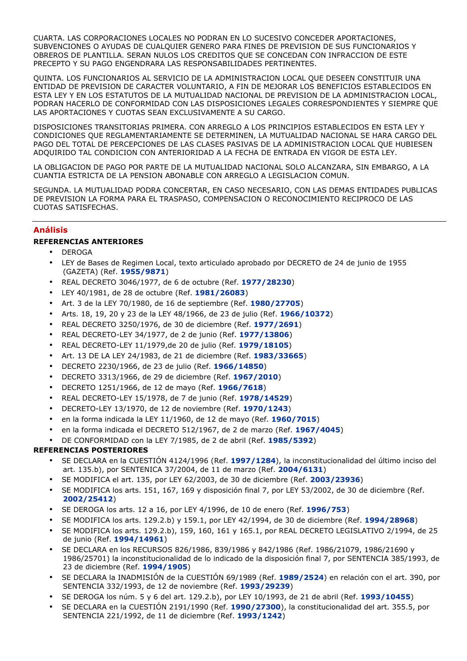CUARTA. LAS CORPORACIONES LOCALES NO PODRAN EN LO SUCESIVO CONCEDER APORTACIONES, SUBVENCIONES O AYUDAS DE CUALQUIER GENERO PARA FINES DE PREVISION DE SUS FUNCIONARIOS Y OBREROS DE PLANTILLA. SERAN NULOS LOS CREDITOS QUE SE CONCEDAN CON INFRACCION DE ESTE PRECEPTO Y SU PAGO ENGENDRARA LAS RESPONSABILIDADES PERTINENTES.

QUINTA. LOS FUNCIONARIOS AL SERVICIO DE LA ADMINISTRACION LOCAL QUE DESEEN CONSTITUIR UNA ENTIDAD DE PREVISION DE CARACTER VOLUNTARIO, A FIN DE MEJORAR LOS BENEFICIOS ESTABLECIDOS EN ESTA LEY Y EN LOS ESTATUTOS DE LA MUTUALIDAD NACIONAL DE PREVISION DE LA ADMINISTRACION LOCAL, PODRAN HACERLO DE CONFORMIDAD CON LAS DISPOSICIONES LEGALES CORRESPONDIENTES Y SIEMPRE QUE LAS APORTACIONES Y CUOTAS SEAN EXCLUSIVAMENTE A SU CARGO.

DISPOSICIONES TRANSITORIAS PRIMERA. CON ARREGLO A LOS PRINCIPIOS ESTABLECIDOS EN ESTA LEY Y CONDICIONES QUE REGLAMENTARIAMENTE SE DETERMINEN, LA MUTUALIDAD NACIONAL SE HARA CARGO DEL PAGO DEL TOTAL DE PERCEPCIONES DE LAS CLASES PASIVAS DE LA ADMINISTRACION LOCAL QUE HUBIESEN ADQUIRIDO TAL CONDICION CON ANTERIORIDAD A LA FECHA DE ENTRADA EN VIGOR DE ESTA LEY.

LA OBLIGACION DE PAGO POR PARTE DE LA MUTUALIDAD NACIONAL SOLO ALCANZARA, SIN EMBARGO, A LA CUANTIA ESTRICTA DE LA PENSION ABONABLE CON ARREGLO A LEGISLACION COMUN.

SEGUNDA. LA MUTUALIDAD PODRA CONCERTAR, EN CASO NECESARIO, CON LAS DEMAS ENTIDADES PUBLICAS DE PREVISION LA FORMA PARA EL TRASPASO, COMPENSACION O RECONOCIMIENTO RECIPROCO DE LAS CUOTAS SATISFECHAS.

## Análisis

## REFERENCIAS ANTERIORES

- DEROGA
- LEY de Bases de Regimen Local, texto articulado aprobado por DECRETO de 24 de junio de 1955 (GAZETA) (Ref. 1955/9871)
- REAL DECRETO 3046/1977, de 6 de octubre (Ref. 1977/28230)
- LEY 40/1981, de 28 de octubre (Ref. 1981/26083)
- Art. 3 de la LEY 70/1980, de 16 de septiembre (Ref. 1980/27705)
- Arts. 18, 19, 20 y 23 de la LEY 48/1966, de 23 de julio (Ref. 1966/10372)
- REAL DECRETO 3250/1976, de 30 de diciembre (Ref. 1977/2691)
- REAL DECRETO-LEY 34/1977, de 2 de junio (Ref. 1977/13806)
- REAL DECRETO-LEY 11/1979,de 20 de julio (Ref. 1979/18105)
- Art. 13 DE LA LEY 24/1983, de 21 de diciembre (Ref. 1983/33665)
- DECRETO 2230/1966, de 23 de julio (Ref. 1966/14850)
- DECRETO 3313/1966, de 29 de diciembre (Ref. 1967/2010)
- DECRETO 1251/1966, de 12 de mayo (Ref. 1966/7618)
- REAL DECRETO-LEY 15/1978, de 7 de junio (Ref. 1978/14529)
- DECRETO-LEY 13/1970, de 12 de noviembre (Ref. 1970/1243)
- en la forma indicada la LEY 11/1960, de 12 de mayo (Ref. 1960/7015)
- en la forma indicada el DECRETO 512/1967, de 2 de marzo (Ref. 1967/4045)
- DE CONFORMIDAD con la LEY 7/1985, de 2 de abril (Ref. 1985/5392)

## REFERENCIAS POSTERIORES

- SE DECLARA en la CUESTIÓN 4124/1996 (Ref. 1997/1284), la inconstitucionalidad del último inciso del art. 135.b), por SENTENICA 37/2004, de 11 de marzo (Ref. 2004/6131)
- SE MODIFICA el art. 135, por LEY 62/2003, de 30 de diciembre (Ref. 2003/23936)
- SE MODIFICA los arts. 151, 167, 169 y disposición final 7, por LEY 53/2002, de 30 de diciembre (Ref. 2002/25412)
- SE DEROGA los arts. 12 a 16, por LEY 4/1996, de 10 de enero (Ref. 1996/753)
- SE MODIFICA los arts. 129.2.b) y 159.1, por LEY 42/1994, de 30 de diciembre (Ref. 1994/28968)
- SE MODIFICA los arts. 129.2.b), 159, 160, 161 y 165.1, por REAL DECRETO LEGISLATIVO 2/1994, de 25 de junio (Ref. 1994/14961)
- SE DECLARA en los RECURSOS 826/1986, 839/1986 y 842/1986 (Ref. 1986/21079, 1986/21690 y 1986/25701) la inconstitucionalidad de lo indicado de la disposición final 7, por SENTENCIA 385/1993, de 23 de diciembre (Ref. 1994/1905)
- SE DECLARA la INADMISIÓN de la CUESTIÓN 69/1989 (Ref. 1989/2524) en relación con el art. 390, por SENTENCIA 332/1993, de 12 de noviembre (Ref. 1993/29239)
- SE DEROGA los núm. 5 y 6 del art. 129.2.b), por LEY 10/1993, de 21 de abril (Ref. 1993/10455)
- SE DECLARA en la CUESTIÓN 2191/1990 (Ref. 1990/27300), la constitucionalidad del art. 355.5, por SENTENCIA 221/1992, de 11 de diciembre (Ref. 1993/1242)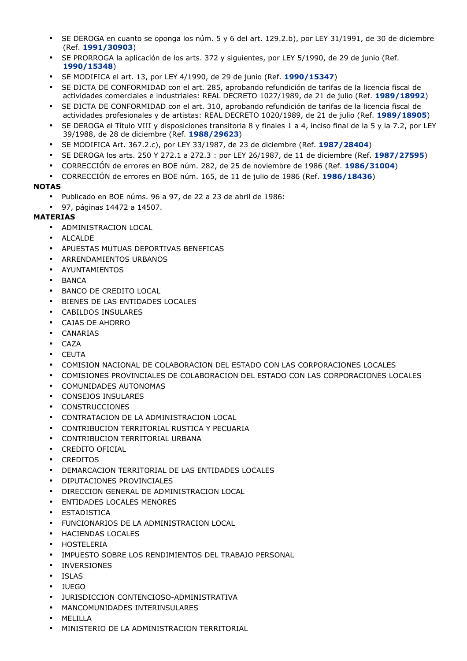- SE DEROGA en cuanto se oponga los núm. 5 y 6 del art. 129.2.b), por LEY 31/1991, de 30 de diciembre (Ref. 1991/30903)
- SE PRORROGA la aplicación de los arts. 372 y siguientes, por LEY 5/1990, de 29 de junio (Ref. 1990/15348)
- SE MODIFICA el art. 13, por LEY 4/1990, de 29 de junio (Ref. 1990/15347)
- SE DICTA DE CONFORMIDAD con el art. 285, aprobando refundición de tarifas de la licencia fiscal de actividades comerciales e industriales: REAL DECRETO 1027/1989, de 21 de julio (Ref. 1989/18992)
- SE DICTA DE CONFORMIDAD con el art. 310, aprobando refundición de tarifas de la licencia fiscal de actividades profesionales y de artistas: REAL DECRETO 1020/1989, de 21 de julio (Ref. 1989/18905)
- SE DEROGA el Título VIII y disposiciones transitoria 8 y finales 1 a 4, inciso final de la 5 y la 7.2, por LEY 39/1988, de 28 de diciembre (Ref. 1988/29623)
- SE MODIFICA Art. 367.2.c), por LEY 33/1987, de 23 de diciembre (Ref. 1987/28404)
- SE DEROGA los arts. 250 Y 272.1 a 272.3 : por LEY 26/1987, de 11 de diciembre (Ref. 1987/27595)
- CORRECCIÓN de errores en BOE núm. 282, de 25 de noviembre de 1986 (Ref. 1986/31004)
- CORRECCIÓN de errores en BOE núm. 165, de 11 de julio de 1986 (Ref. 1986/18436)

# NOTAS

- Publicado en BOE núms. 96 a 97, de 22 a 23 de abril de 1986:
- 97, páginas 14472 a 14507.

# MATERIAS

- ADMINISTRACION LOCAL
- ALCALDE
- APUESTAS MUTUAS DEPORTIVAS BENEFICAS
- ARRENDAMIENTOS URBANOS
- AYUNTAMIENTOS
- BANCA
- BANCO DE CREDITO LOCAL
- BIENES DE LAS ENTIDADES LOCALES
- CABILDOS INSULARES
- CAJAS DE AHORRO
- CANARIAS
- CAZA
- CEUTA
- COMISION NACIONAL DE COLABORACION DEL ESTADO CON LAS CORPORACIONES LOCALES
- COMISIONES PROVINCIALES DE COLABORACION DEL ESTADO CON LAS CORPORACIONES LOCALES
- COMUNIDADES AUTONOMAS
- CONSEJOS INSULARES
- CONSTRUCCIONES
- CONTRATACION DE LA ADMINISTRACION LOCAL
- CONTRIBUCION TERRITORIAL RUSTICA Y PECUARIA
- CONTRIBUCION TERRITORIAL URBANA
- CREDITO OFICIAL
- **CREDITOS**
- DEMARCACION TERRITORIAL DE LAS ENTIDADES LOCALES
- DIPUTACIONES PROVINCIALES
- DIRECCION GENERAL DE ADMINISTRACION LOCAL
- ENTIDADES LOCALES MENORES
- **ESTADISTICA**
- FUNCIONARIOS DE LA ADMINISTRACION LOCAL
- HACIENDAS LOCALES
- HOSTELERIA
- IMPUESTO SOBRE LOS RENDIMIENTOS DEL TRABAJO PERSONAL
- INVERSIONES
- ISLAS
- JUEGO
- JURISDICCION CONTENCIOSO-ADMINISTRATIVA
- MANCOMUNIDADES INTERINSULARES
- MELILLA
- MINISTERIO DE LA ADMINISTRACION TERRITORIAL